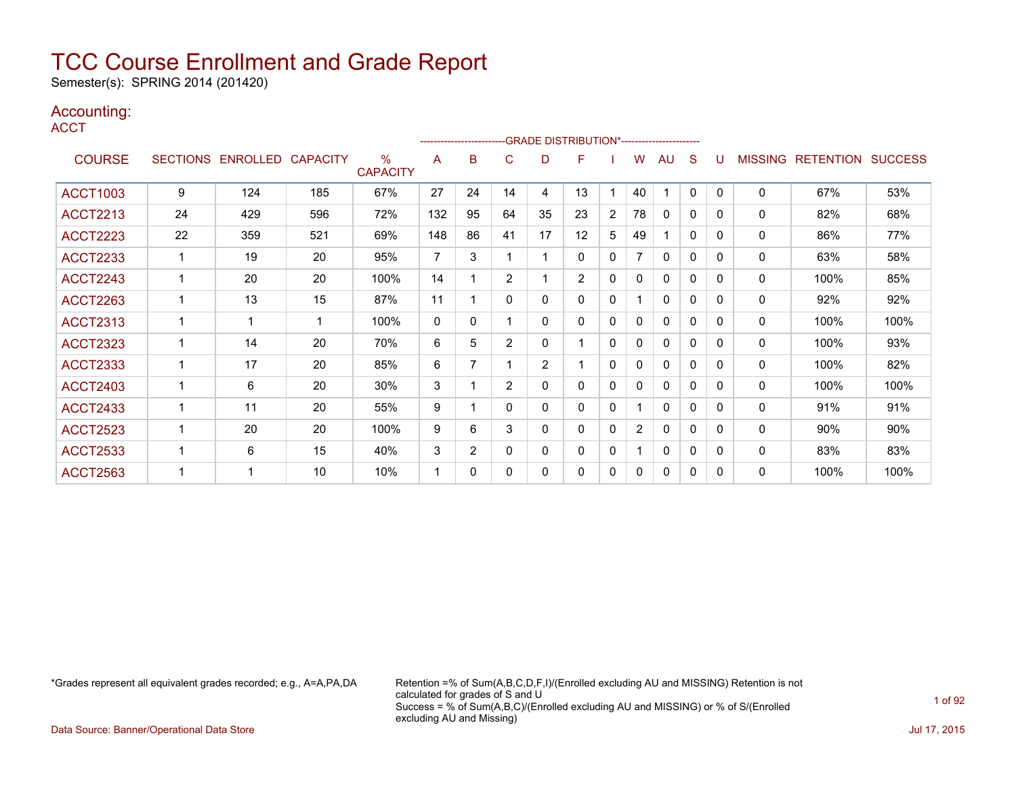Semester(s): SPRING 2014 (201420)

### Accounting:

**ACCT** 

|                 |                 |                   |     |                                  |              |                          |                | -------------------------GRADE DISTRIBUTION*---------------------- |                |                |                |              |              |          |                |                  |                |
|-----------------|-----------------|-------------------|-----|----------------------------------|--------------|--------------------------|----------------|--------------------------------------------------------------------|----------------|----------------|----------------|--------------|--------------|----------|----------------|------------------|----------------|
| <b>COURSE</b>   | <b>SECTIONS</b> | ENROLLED CAPACITY |     | $\frac{0}{0}$<br><b>CAPACITY</b> | A            | B                        | C              | D                                                                  | F              |                | W              | AU           | S            | U        | <b>MISSING</b> | <b>RETENTION</b> | <b>SUCCESS</b> |
| <b>ACCT1003</b> | 9               | 124               | 185 | 67%                              | 27           | 24                       | 14             | 4                                                                  | 13             |                | 40             |              | 0            | $\Omega$ | 0              | 67%              | 53%            |
| <b>ACCT2213</b> | 24              | 429               | 596 | 72%                              | 132          | 95                       | 64             | 35                                                                 | 23             | $\overline{2}$ | 78             | $\Omega$     | 0            | 0        | $\mathbf{0}$   | 82%              | 68%            |
| <b>ACCT2223</b> | 22              | 359               | 521 | 69%                              | 148          | 86                       | 41             | 17                                                                 | 12             | 5              | 49             |              | $\mathbf{0}$ | 0        | $\mathbf{0}$   | 86%              | 77%            |
| <b>ACCT2233</b> |                 | 19                | 20  | 95%                              | 7            | 3                        |                | 1                                                                  | 0              | 0              | 7              | 0            | 0            | 0        | $\mathbf{0}$   | 63%              | 58%            |
| <b>ACCT2243</b> |                 | 20                | 20  | 100%                             | 14           |                          | $\overline{2}$ | 1                                                                  | $\overline{2}$ | 0              | 0              | 0            | 0            | 0        | $\mathbf{0}$   | 100%             | 85%            |
| <b>ACCT2263</b> | 1               | 13                | 15  | 87%                              | 11           |                          | 0              | 0                                                                  | $\mathbf{0}$   | 0              | 1              | 0            | 0            | 0        | 0              | 92%              | 92%            |
| <b>ACCT2313</b> |                 |                   | 1   | 100%                             | $\mathbf{0}$ | 0                        |                | 0                                                                  | 0              | 0              | 0              | $\Omega$     | 0            | 0        | $\mathbf{0}$   | 100%             | 100%           |
| <b>ACCT2323</b> |                 | 14                | 20  | 70%                              | 6            | 5                        | $\overline{2}$ | 0                                                                  |                | 0              | 0              | $\Omega$     | 0            | 0        | $\mathbf{0}$   | 100%             | 93%            |
| <b>ACCT2333</b> |                 | 17                | 20  | 85%                              | 6            | $\overline{\phantom{a}}$ |                | $\overline{2}$                                                     |                | 0              | 0              | 0            | 0            | 0        | 0              | 100%             | 82%            |
| <b>ACCT2403</b> |                 | 6                 | 20  | 30%                              | 3            |                          | $\overline{2}$ | 0                                                                  | 0              | 0              | 0              | $\mathbf{0}$ | 0            | $\Omega$ | $\mathbf{0}$   | 100%             | 100%           |
| <b>ACCT2433</b> |                 | 11                | 20  | 55%                              | 9            |                          | 0              | 0                                                                  | 0              | 0              |                | $\mathbf{0}$ | 0            | 0        | $\mathbf{0}$   | 91%              | 91%            |
| <b>ACCT2523</b> |                 | 20                | 20  | 100%                             | 9            | 6                        | 3              | 0                                                                  | $\mathbf{0}$   | 0              | $\overline{2}$ | $\Omega$     | 0            | 0        | $\mathbf{0}$   | 90%              | 90%            |
| <b>ACCT2533</b> |                 | 6                 | 15  | 40%                              | 3            | $\overline{2}$           | 0              | 0                                                                  | $\mathbf{0}$   | 0              |                | $\mathbf{0}$ | 0            | $\Omega$ | $\mathbf{0}$   | 83%              | 83%            |
| <b>ACCT2563</b> |                 |                   | 10  | 10%                              | 1            | $\Omega$                 | $\Omega$       | 0                                                                  | 0              | 0              | 0              | $\Omega$     | 0            | 0        | $\mathbf{0}$   | 100%             | 100%           |

\*Grades represent all equivalent grades recorded; e.g., A=A,PA,DA Retention =% of Sum(A,B,C,D,F,I)/(Enrolled excluding AU and MISSING) Retention is not calculated for grades of S and U Success = % of Sum(A,B,C)/(Enrolled excluding AU and MISSING) or % of S/(Enrolled excluding AU and Missing)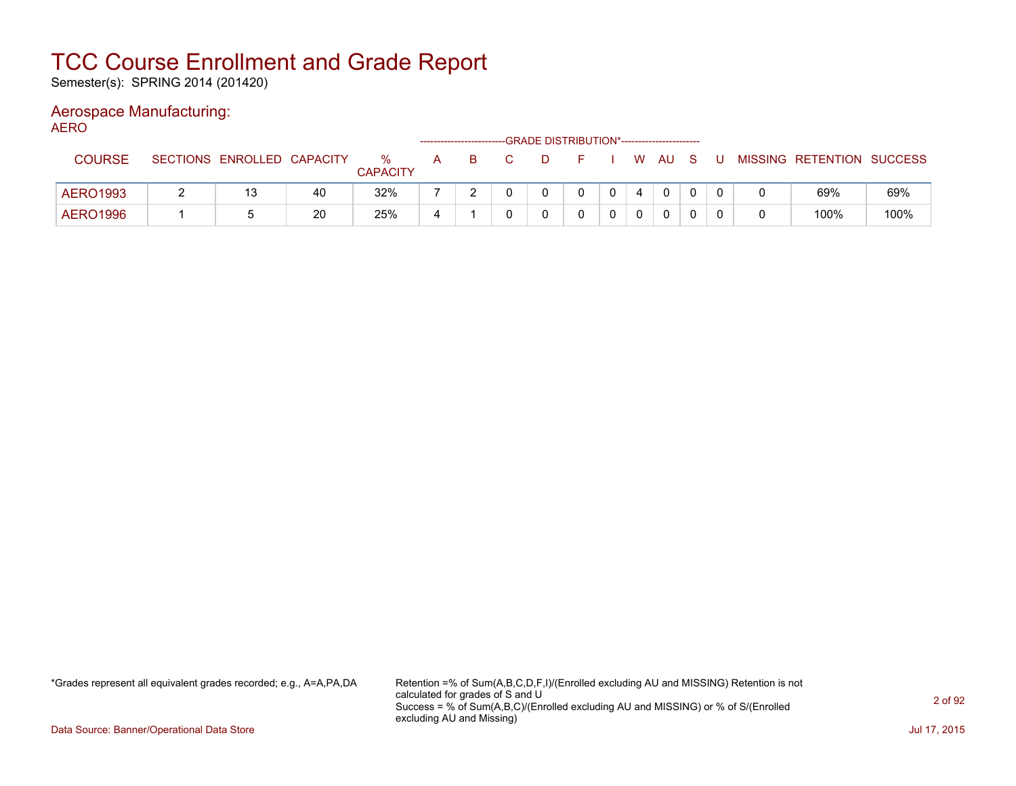Semester(s): SPRING 2014 (201420)

### Aerospace Manufacturing:

AERO

|                 |                            |    |                      |   |   | -GRADE DISTRIBUTION*----------------------- |  |        |  |                           |      |
|-----------------|----------------------------|----|----------------------|---|---|---------------------------------------------|--|--------|--|---------------------------|------|
| <b>COURSE</b>   | SECTIONS ENROLLED CAPACITY |    | ℅<br><b>CAPACITY</b> | А | B | D                                           |  | W AU S |  | MISSING RETENTION SUCCESS |      |
| <b>AERO1993</b> | 13                         | 40 | 32%                  |   |   |                                             |  |        |  | 69%                       | 69%  |
| <b>AERO1996</b> |                            | 20 | 25%                  | 4 |   |                                             |  |        |  | 100%                      | 100% |

\*Grades represent all equivalent grades recorded; e.g., A=A,PA,DA Retention =% of Sum(A,B,C,D,F,I)/(Enrolled excluding AU and MISSING) Retention is not calculated for grades of S and U Success = % of Sum(A,B,C)/(Enrolled excluding AU and MISSING) or % of S/(Enrolled excluding AU and Missing)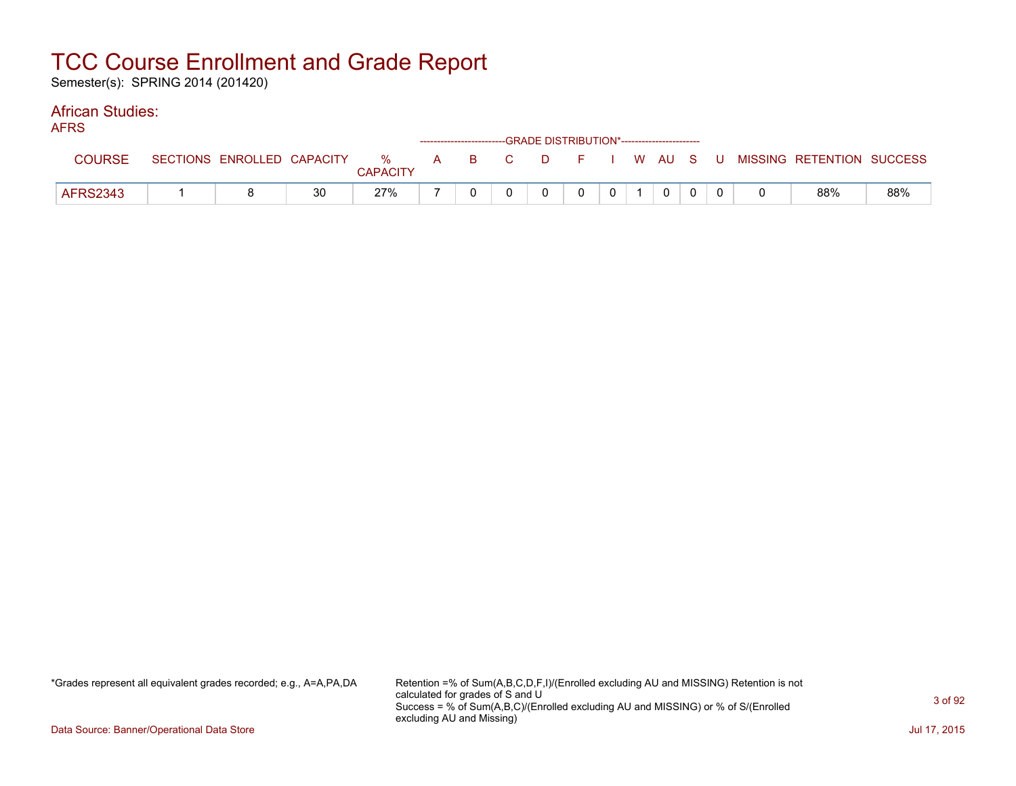Semester(s): SPRING 2014 (201420)

#### African Studies: **AEDS**

| טיו ור          |                            |    |                      |       |  | ------------------------GRADE DISTRIBUTION*----------------------- |                |              |  |                                          |     |
|-----------------|----------------------------|----|----------------------|-------|--|--------------------------------------------------------------------|----------------|--------------|--|------------------------------------------|-----|
| <b>COURSE</b>   | SECTIONS ENROLLED CAPACITY |    | %<br><b>CAPACITY</b> | A B C |  |                                                                    |                |              |  | D F I W AU S U MISSING RETENTION SUCCESS |     |
| <b>AFRS2343</b> |                            | 30 | 27%                  |       |  |                                                                    | 0 <sup>1</sup> | $\mathbf{0}$ |  | 88%                                      | 88% |

\*Grades represent all equivalent grades recorded; e.g., A=A,PA,DA Retention =% of Sum(A,B,C,D,F,I)/(Enrolled excluding AU and MISSING) Retention is not calculated for grades of S and U Success = % of Sum(A,B,C)/(Enrolled excluding AU and MISSING) or % of S/(Enrolled excluding AU and Missing)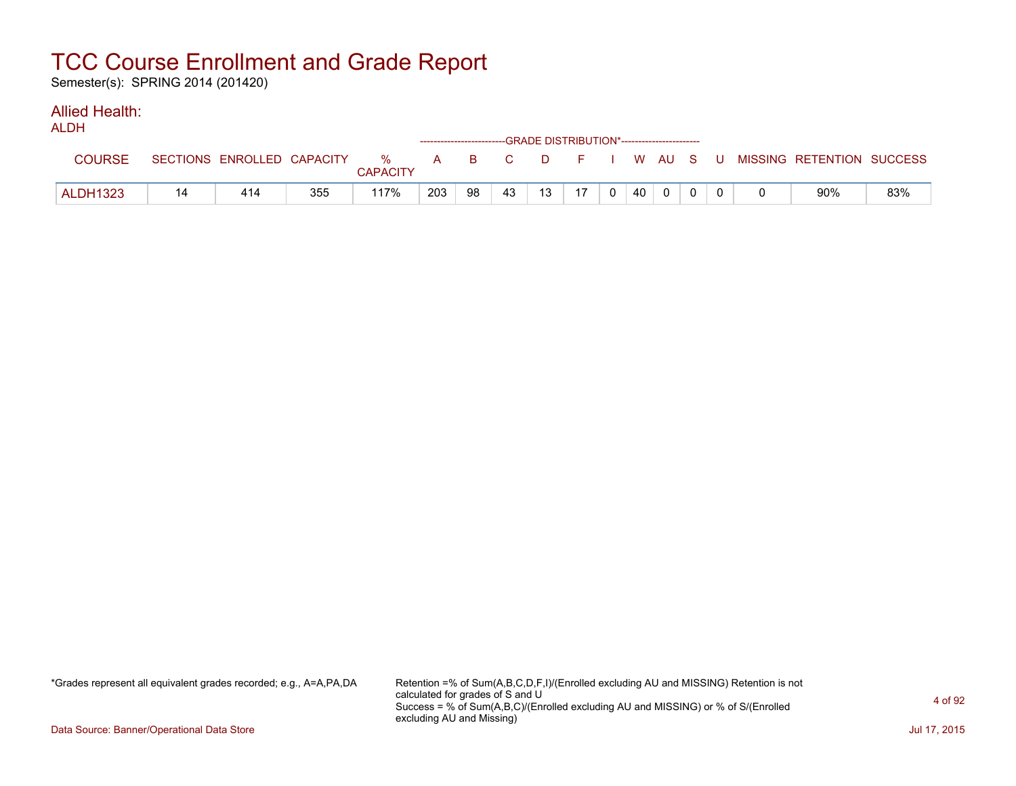Semester(s): SPRING 2014 (201420)

#### Allied Health: ALDH

| <b>ALUN</b>     |    |                            |     |               | ------------------------GRADE DISTRIBUTION*----------------------- |    |    |    |    |                |    |          |  |                                                |     |
|-----------------|----|----------------------------|-----|---------------|--------------------------------------------------------------------|----|----|----|----|----------------|----|----------|--|------------------------------------------------|-----|
| <b>COURSE</b>   |    | SECTIONS ENROLLED CAPACITY |     | %<br>CAPACITY |                                                                    |    |    |    |    |                |    |          |  | A B C D F I W AU S U MISSING—RETENTION SUCCESS |     |
| <b>ALDH1323</b> | 14 | 414                        | 355 | 117%          | 203                                                                | 98 | 43 | 13 | 17 | 0 <sup>1</sup> | 40 | $\Omega$ |  | 90%                                            | 83% |

\*Grades represent all equivalent grades recorded; e.g., A=A,PA,DA Retention =% of Sum(A,B,C,D,F,I)/(Enrolled excluding AU and MISSING) Retention is not calculated for grades of S and U Success = % of Sum(A,B,C)/(Enrolled excluding AU and MISSING) or % of S/(Enrolled excluding AU and Missing)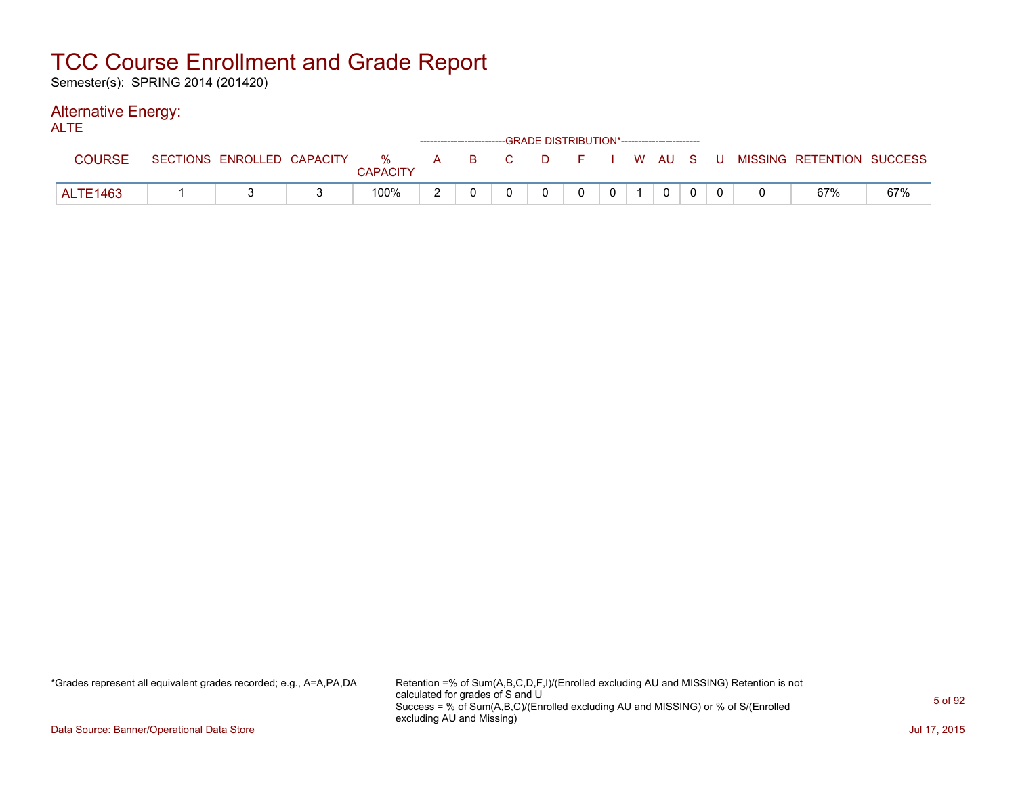Semester(s): SPRING 2014 (201420)

#### Alternative Energy: ALTE

| ᄉᄂᄔ           |                            |                      |       |  | ------------------------GRADE DISTRIBUTION*----------------------- |                |                |  |                                          |     |
|---------------|----------------------------|----------------------|-------|--|--------------------------------------------------------------------|----------------|----------------|--|------------------------------------------|-----|
| <b>COURSE</b> | SECTIONS ENROLLED CAPACITY | %<br><b>CAPACITY</b> | A B C |  |                                                                    |                |                |  | D F I W AU S U MISSING RETENTION SUCCESS |     |
| ALTE1463      |                            | 100%                 |       |  | $\Omega$                                                           | 0 <sup>1</sup> | $\overline{0}$ |  | 67%                                      | 67% |

\*Grades represent all equivalent grades recorded; e.g., A=A,PA,DA Retention =% of Sum(A,B,C,D,F,I)/(Enrolled excluding AU and MISSING) Retention is not calculated for grades of S and U Success = % of Sum(A,B,C)/(Enrolled excluding AU and MISSING) or % of S/(Enrolled excluding AU and Missing)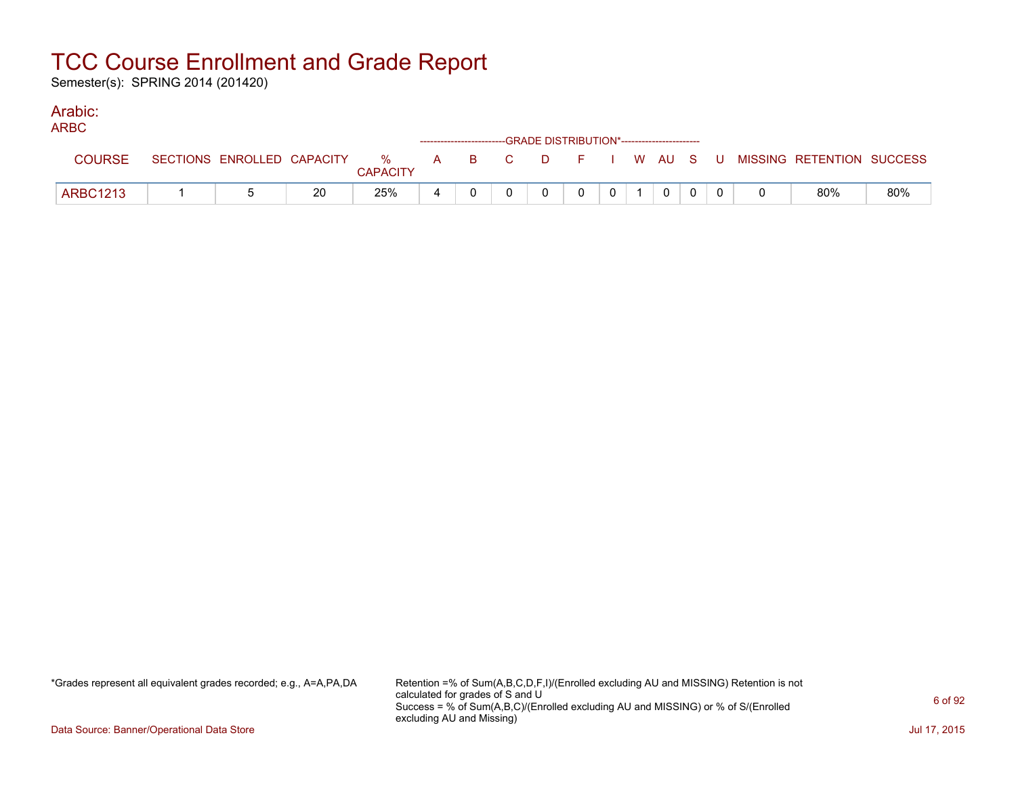Semester(s): SPRING 2014 (201420)

#### Arabic: ARBC

| ARBC            |  |    |                 |   | ------------------------GRADE DISTRIBUTION*----------------------- |          |          |                |                |  |                                                                               |     |
|-----------------|--|----|-----------------|---|--------------------------------------------------------------------|----------|----------|----------------|----------------|--|-------------------------------------------------------------------------------|-----|
| <b>COURSE</b>   |  |    | <b>CAPACITY</b> |   |                                                                    |          |          |                |                |  | SECTIONS ENROLLED CAPACITY 5 % A B C D F I W AU S U MISSING RETENTION SUCCESS |     |
| <b>ARBC1213</b> |  | 20 | 25%             | 4 |                                                                    | $\Omega$ | $\Omega$ | 0 <sup>1</sup> | $\overline{0}$ |  | 80%                                                                           | 80% |

\*Grades represent all equivalent grades recorded; e.g., A=A,PA,DA Retention =% of Sum(A,B,C,D,F,I)/(Enrolled excluding AU and MISSING) Retention is not calculated for grades of S and U Success = % of Sum(A,B,C)/(Enrolled excluding AU and MISSING) or % of S/(Enrolled excluding AU and Missing)

Data Source: Banner/Operational Data Store Jul 17, 2015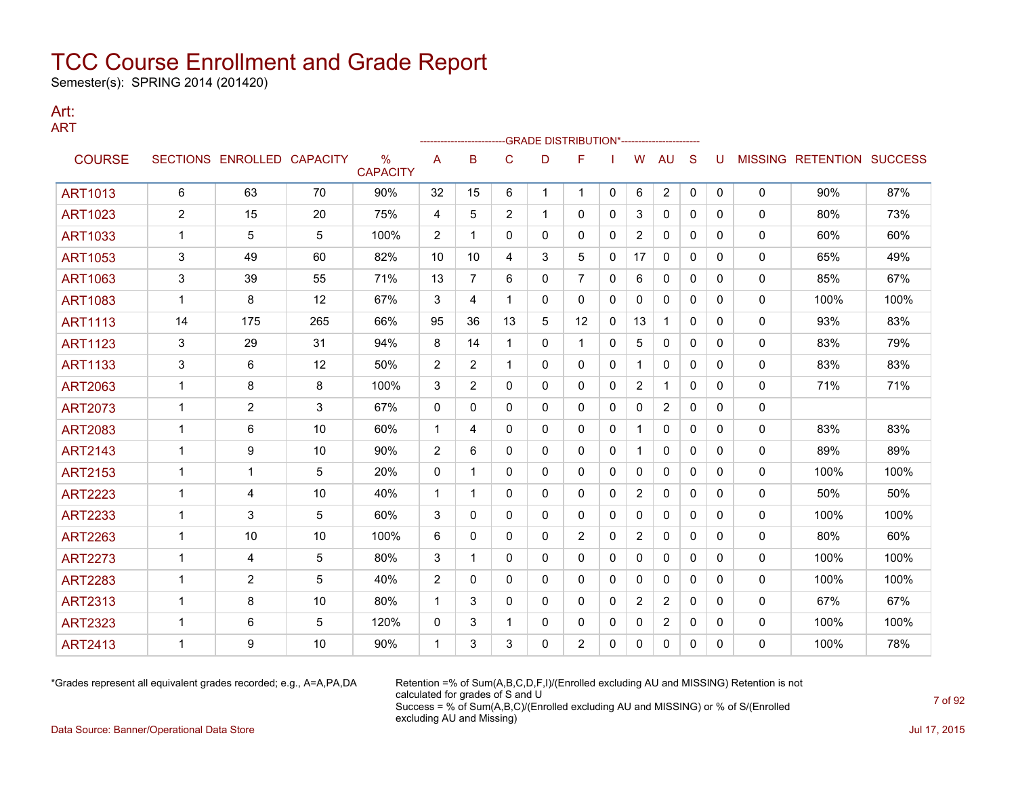Semester(s): SPRING 2014 (201420)

#### Art: ART

|                |                |                            |     |                                  |                | ---------------- |                | -GRADE DISTRIBUTION*----------------------- |                |              |                |                |              |          |   |                           |      |
|----------------|----------------|----------------------------|-----|----------------------------------|----------------|------------------|----------------|---------------------------------------------|----------------|--------------|----------------|----------------|--------------|----------|---|---------------------------|------|
| <b>COURSE</b>  |                | SECTIONS ENROLLED CAPACITY |     | $\frac{0}{0}$<br><b>CAPACITY</b> | A              | B                | C              | D                                           | F              |              | W              | AU             | S            | U        |   | MISSING RETENTION SUCCESS |      |
| <b>ART1013</b> | 6              | 63                         | 70  | 90%                              | 32             | 15               | 6              | $\mathbf{1}$                                | $\mathbf{1}$   | $\mathbf{0}$ | 6              | $\overline{2}$ | $\mathbf{0}$ | 0        | 0 | 90%                       | 87%  |
| <b>ART1023</b> | $\overline{2}$ | 15                         | 20  | 75%                              | $\overline{4}$ | 5                | $\overline{2}$ | $\mathbf 1$                                 | $\mathbf{0}$   | $\Omega$     | 3              | 0              | $\mathbf{0}$ | 0        | 0 | 80%                       | 73%  |
| <b>ART1033</b> | $\mathbf 1$    | 5                          | 5   | 100%                             | 2              | 1                | 0              | 0                                           | 0              | 0            | $\overline{2}$ | 0              | 0            | 0        | 0 | 60%                       | 60%  |
| <b>ART1053</b> | 3              | 49                         | 60  | 82%                              | 10             | 10               | 4              | 3                                           | 5              | 0            | 17             | 0              | $\mathbf{0}$ | 0        | 0 | 65%                       | 49%  |
| <b>ART1063</b> | 3              | 39                         | 55  | 71%                              | 13             | 7                | 6              | 0                                           | $\overline{7}$ | 0            | 6              | $\mathbf{0}$   | $\mathbf{0}$ | 0        | 0 | 85%                       | 67%  |
| <b>ART1083</b> | $\mathbf{1}$   | 8                          | 12  | 67%                              | 3              | 4                | 1              | $\Omega$                                    | $\mathbf{0}$   | $\mathbf{0}$ | $\Omega$       | 0              | $\Omega$     | 0        | 0 | 100%                      | 100% |
| <b>ART1113</b> | 14             | 175                        | 265 | 66%                              | 95             | 36               | 13             | 5                                           | 12             | 0            | 13             | $\mathbf{1}$   | $\mathbf{0}$ | 0        | 0 | 93%                       | 83%  |
| <b>ART1123</b> | 3              | 29                         | 31  | 94%                              | 8              | 14               | 1              | 0                                           | 1              | 0            | 5              | 0              | $\mathbf{0}$ | 0        | 0 | 83%                       | 79%  |
| <b>ART1133</b> | 3              | 6                          | 12  | 50%                              | $\overline{2}$ | 2                | $\mathbf{1}$   | 0                                           | $\mathbf{0}$   | $\mathbf{0}$ | 1              | $\mathbf{0}$   | $\mathbf{0}$ | 0        | 0 | 83%                       | 83%  |
| <b>ART2063</b> | $\mathbf{1}$   | 8                          | 8   | 100%                             | 3              | $\overline{2}$   | $\mathbf{0}$   | 0                                           | $\mathbf{0}$   | 0            | $\overline{2}$ | $\mathbf 1$    | $\mathbf{0}$ | $\Omega$ | 0 | 71%                       | 71%  |
| <b>ART2073</b> | -1             | 2                          | 3   | 67%                              | 0              | 0                | 0              | 0                                           | $\mathbf{0}$   | 0            | 0              | $\overline{2}$ | $\mathbf{0}$ | 0        | 0 |                           |      |
| <b>ART2083</b> | $\mathbf{1}$   | 6                          | 10  | 60%                              | $\mathbf 1$    | 4                | 0              | 0                                           | $\mathbf{0}$   | 0            |                | $\mathbf{0}$   | $\mathbf{0}$ | 0        | 0 | 83%                       | 83%  |
| <b>ART2143</b> | $\mathbf 1$    | 9                          | 10  | 90%                              | 2              | 6                | $\mathbf{0}$   | 0                                           | $\mathbf{0}$   | 0            | 1              | 0              | $\mathbf{0}$ | 0        | 0 | 89%                       | 89%  |
| <b>ART2153</b> | $\mathbf{1}$   | 1                          | 5   | 20%                              | 0              | 1                | 0              | 0                                           | 0              | 0            | 0              | 0              | $\mathbf{0}$ | 0        | 0 | 100%                      | 100% |
| <b>ART2223</b> | $\mathbf 1$    | 4                          | 10  | 40%                              | $\mathbf 1$    | 1                | $\mathbf{0}$   | 0                                           | $\mathbf{0}$   | 0            | $\overline{2}$ | $\mathbf{0}$   | $\mathbf{0}$ | 0        | 0 | 50%                       | 50%  |
| <b>ART2233</b> | $\mathbf{1}$   | 3                          | 5   | 60%                              | 3              | 0                | 0              | 0                                           | $\mathbf{0}$   | 0            | $\mathbf{0}$   | $\mathbf{0}$   | $\Omega$     | 0        | 0 | 100%                      | 100% |
| <b>ART2263</b> | $\mathbf 1$    | 10                         | 10  | 100%                             | 6              | $\Omega$         | $\mathbf 0$    | 0                                           | $\overline{2}$ | 0            | $\overline{2}$ | $\mathbf{0}$   | $\mathbf{0}$ | $\Omega$ | 0 | 80%                       | 60%  |
| <b>ART2273</b> | $\mathbf 1$    | 4                          | 5   | 80%                              | 3              | -1               | 0              | 0                                           | $\mathbf{0}$   | 0            | 0              | 0              | $\mathbf{0}$ | 0        | 0 | 100%                      | 100% |
| <b>ART2283</b> | $\mathbf{1}$   | 2                          | 5   | 40%                              | 2              | 0                | 0              | 0                                           | $\mathbf{0}$   | 0            | 0              | $\mathbf{0}$   | $\mathbf{0}$ | 0        | 0 | 100%                      | 100% |
| <b>ART2313</b> | 1              | 8                          | 10  | 80%                              | -1             | 3                | 0              | 0                                           | $\mathbf{0}$   | 0            | $\overline{2}$ | $\overline{2}$ | $\Omega$     | 0        | 0 | 67%                       | 67%  |
| <b>ART2323</b> | $\mathbf 1$    | 6                          | 5   | 120%                             | 0              | 3                | 1              | 0                                           | 0              | 0            | 0              | 2              | 0            | 0        | 0 | 100%                      | 100% |
| <b>ART2413</b> | 1              | 9                          | 10  | 90%                              | 1              | 3                | 3              | $\Omega$                                    | $\overline{2}$ | $\mathbf{0}$ | 0              | $\mathbf{0}$   | 0            | 0        | 0 | 100%                      | 78%  |

\*Grades represent all equivalent grades recorded; e.g., A=A,PA,DA Retention =% of Sum(A,B,C,D,F,I)/(Enrolled excluding AU and MISSING) Retention is not calculated for grades of S and U Success = % of Sum(A,B,C)/(Enrolled excluding AU and MISSING) or % of S/(Enrolled excluding AU and Missing) Data Source: Banner/Operational Data Store Jul 17, 2015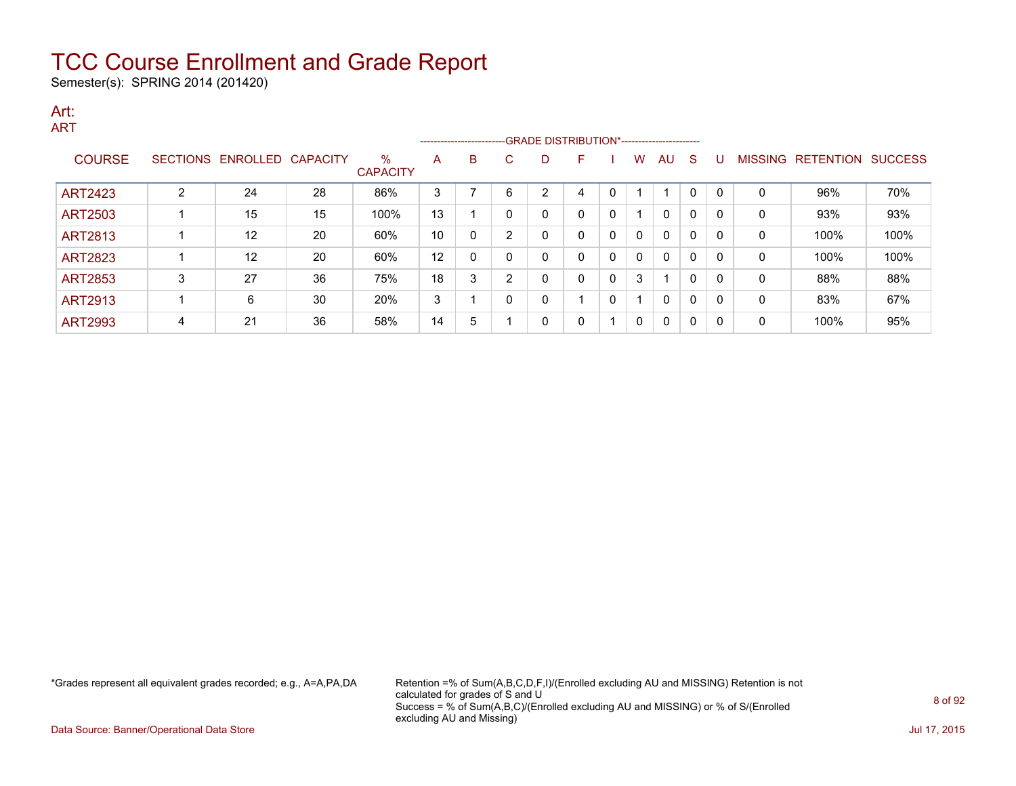Semester(s): SPRING 2014 (201420)

#### Art: ART

|                |                 |                   |    |                         |    | ------------------------ |   |   |              |   |              |          |          |              |                |           |                |
|----------------|-----------------|-------------------|----|-------------------------|----|--------------------------|---|---|--------------|---|--------------|----------|----------|--------------|----------------|-----------|----------------|
| <b>COURSE</b>  | <b>SECTIONS</b> | ENROLLED CAPACITY |    | $\%$<br><b>CAPACITY</b> | A  | B                        | C | D |              |   | w            | AU       | -S       |              | <b>MISSING</b> | RETENTION | <b>SUCCESS</b> |
| <b>ART2423</b> | C               | 24                | 28 | 86%                     | 3  |                          | 6 | 2 | 4            | 0 |              |          | $\Omega$ | $\Omega$     | 0              | 96%       | 70%            |
| <b>ART2503</b> |                 | 15                | 15 | 100%                    | 13 |                          |   | 0 | $\mathbf{0}$ | 0 |              | $\Omega$ | 0        | 0            | 0              | 93%       | 93%            |
| <b>ART2813</b> |                 | 12                | 20 | 60%                     | 10 |                          | າ | 0 | 0            | 0 | 0            | $\Omega$ | $\Omega$ | O            | 0              | 100%      | 100%           |
| <b>ART2823</b> |                 | 12                | 20 | 60%                     | 12 |                          |   | 0 | 0            | 0 | 0            | $\Omega$ | 0        | $\Omega$     | 0              | 100%      | 100%           |
| <b>ART2853</b> | 3               | 27                | 36 | 75%                     | 18 | 3                        | ົ | 0 | 0            | 0 | 3            |          | $\Omega$ | O            | 0              | 88%       | 88%            |
| <b>ART2913</b> |                 | 6                 | 30 | 20%                     | 3  |                          |   | 0 |              | 0 |              | $\Omega$ | 0        | $\Omega$     | 0              | 83%       | 67%            |
| <b>ART2993</b> | 4               | 21                | 36 | 58%                     | 14 | 5                        |   | 0 | 0            |   | $\mathbf{0}$ | $\Omega$ | 0        | <sup>0</sup> | 0              | 100%      | 95%            |

\*Grades represent all equivalent grades recorded; e.g., A=A,PA,DA Retention =% of Sum(A,B,C,D,F,I)/(Enrolled excluding AU and MISSING) Retention is not calculated for grades of S and U Success = % of Sum(A,B,C)/(Enrolled excluding AU and MISSING) or % of S/(Enrolled excluding AU and Missing)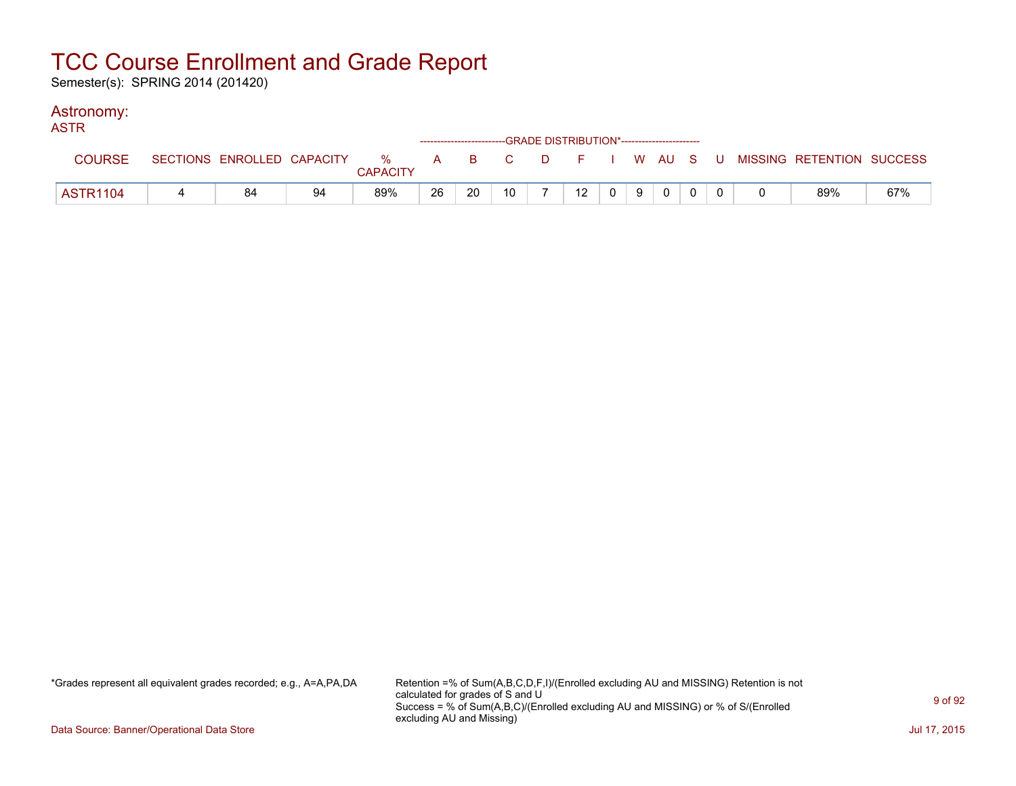Semester(s): SPRING 2014 (201420)

### Astronomy:

| <b>ASTR</b>     |    |    |                 |    |    | -----------------------GRADE DISTRIBUTION*----------------------- |                |    |                                                                                                         |             |  |                                                                             |     |
|-----------------|----|----|-----------------|----|----|-------------------------------------------------------------------|----------------|----|---------------------------------------------------------------------------------------------------------|-------------|--|-----------------------------------------------------------------------------|-----|
| <b>COURSE</b>   |    |    | <b>CAPACITY</b> |    |    |                                                                   |                |    |                                                                                                         |             |  | SECTIONS ENROLLED CAPACITY % A B C D F I W AU S U MISSING RETENTION SUCCESS |     |
| <b>ASTR1104</b> | 84 | 94 | 89%             | 26 | 20 | 10 <sup>°</sup>                                                   | $\overline{z}$ | 12 | $\begin{array}{c c c c c} \hline \multicolumn{3}{c }{0} & \multicolumn{3}{c }{9} \\ \hline \end{array}$ | $\mathbf 0$ |  | 89%                                                                         | 67% |

\*Grades represent all equivalent grades recorded; e.g., A=A,PA,DA Retention =% of Sum(A,B,C,D,F,I)/(Enrolled excluding AU and MISSING) Retention is not calculated for grades of S and U Success = % of Sum(A,B,C)/(Enrolled excluding AU and MISSING) or % of S/(Enrolled excluding AU and Missing)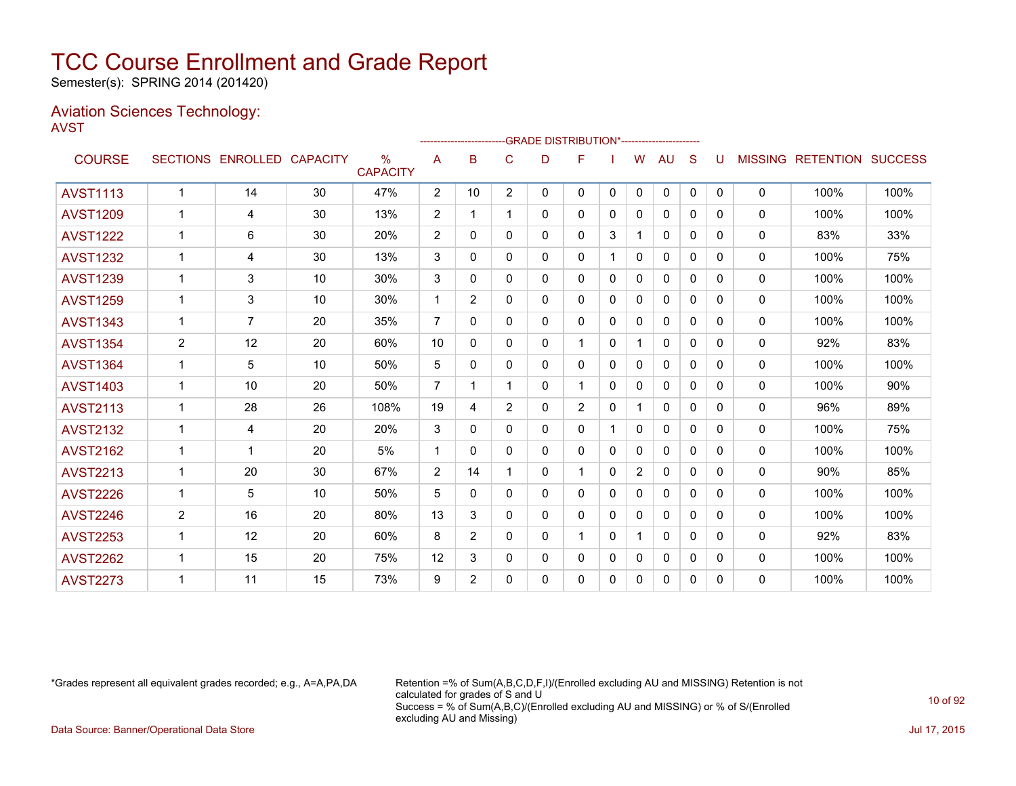Semester(s): SPRING 2014 (201420)

#### Aviation Sciences Technology: AVST

|                 |                |                   |                 |                         |                | ------------------- |                | -GRADE DISTRIBUTION*---------------------- |                |              |                |              |              |              |                |                          |      |
|-----------------|----------------|-------------------|-----------------|-------------------------|----------------|---------------------|----------------|--------------------------------------------|----------------|--------------|----------------|--------------|--------------|--------------|----------------|--------------------------|------|
| <b>COURSE</b>   |                | SECTIONS ENROLLED | <b>CAPACITY</b> | $\%$<br><b>CAPACITY</b> | A              | B                   | C              | D                                          | F              |              | W              | <b>AU</b>    | S            | U            | <b>MISSING</b> | <b>RETENTION SUCCESS</b> |      |
| <b>AVST1113</b> | $\mathbf 1$    | 14                | 30              | 47%                     | $\overline{2}$ | 10                  | $\overline{2}$ | 0                                          | 0              | 0            | 0              | 0            | $\mathbf{0}$ | $\mathbf{0}$ | 0              | 100%                     | 100% |
| <b>AVST1209</b> | $\mathbf 1$    | 4                 | 30              | 13%                     | 2              | 1                   |                | 0                                          | 0              | $\mathbf{0}$ | 0              | $\mathbf{0}$ | $\Omega$     | $\Omega$     | 0              | 100%                     | 100% |
| <b>AVST1222</b> | 1              | 6                 | 30              | 20%                     | 2              | $\Omega$            | $\Omega$       | 0                                          | 0              | 3            |                | $\mathbf{0}$ | $\Omega$     | 0            | 0              | 83%                      | 33%  |
| <b>AVST1232</b> | $\mathbf 1$    | 4                 | 30              | 13%                     | 3              | 0                   | 0              | 0                                          | 0              |              | $\mathbf{0}$   | $\mathbf{0}$ | $\Omega$     | 0            | 0              | 100%                     | 75%  |
| <b>AVST1239</b> | $\mathbf 1$    | 3                 | 10              | 30%                     | 3              | $\mathbf{0}$        | 0              | 0                                          | 0              | $\Omega$     | $\mathbf{0}$   | $\mathbf{0}$ | $\Omega$     | 0            | $\mathbf{0}$   | 100%                     | 100% |
| <b>AVST1259</b> | $\mathbf{1}$   | 3                 | 10              | 30%                     | $\mathbf 1$    | $\overline{2}$      | 0              | 0                                          | 0              | $\mathbf{0}$ | $\Omega$       | $\mathbf{0}$ | $\mathbf{0}$ | 0            | 0              | 100%                     | 100% |
| <b>AVST1343</b> | 1              | $\overline{7}$    | 20              | 35%                     | 7              | $\Omega$            | 0              | 0                                          | 0              | $\mathbf{0}$ | 0              | $\mathbf{0}$ | $\Omega$     | 0            | 0              | 100%                     | 100% |
| <b>AVST1354</b> | 2              | 12                | 20              | 60%                     | 10             | 0                   | $\Omega$       | 0                                          | 1              | $\mathbf{0}$ | 1              | $\mathbf{0}$ | $\Omega$     | 0            | 0              | 92%                      | 83%  |
| <b>AVST1364</b> | $\mathbf 1$    | 5                 | 10              | 50%                     | 5              | $\mathbf{0}$        | 0              | 0                                          | 0              | $\mathbf{0}$ | $\Omega$       | $\mathbf{0}$ | $\Omega$     | 0            | 0              | 100%                     | 100% |
| <b>AVST1403</b> | $\mathbf{1}$   | 10                | 20              | 50%                     | 7              | 1                   |                | 0                                          | 1.             | $\mathbf{0}$ | 0              | 0            | $\Omega$     | 0            | $\mathbf{0}$   | 100%                     | 90%  |
| <b>AVST2113</b> | $\mathbf 1$    | 28                | 26              | 108%                    | 19             | 4                   | $\overline{2}$ | 0                                          | $\overline{2}$ | $\mathbf{0}$ | 1              | 0            | $\Omega$     | $\Omega$     | 0              | 96%                      | 89%  |
| <b>AVST2132</b> | $\mathbf 1$    | 4                 | 20              | 20%                     | 3              | 0                   | $\Omega$       | 0                                          | 0              |              | 0              | $\mathbf{0}$ | $\Omega$     | $\Omega$     | $\mathbf{0}$   | 100%                     | 75%  |
| <b>AVST2162</b> | $\mathbf 1$    | $\mathbf 1$       | 20              | 5%                      | $\mathbf 1$    | 0                   | 0              | 0                                          | 0              | $\mathbf{0}$ | $\Omega$       | $\mathbf{0}$ | $\Omega$     | $\Omega$     | 0              | 100%                     | 100% |
| <b>AVST2213</b> | 1              | 20                | 30              | 67%                     | 2              | 14                  |                | 0                                          | 1              | $\Omega$     | $\overline{2}$ | 0            | $\Omega$     | <sup>0</sup> | $\mathbf{0}$   | 90%                      | 85%  |
| <b>AVST2226</b> | $\mathbf{1}$   | 5                 | 10              | 50%                     | 5              | 0                   | 0              | 0                                          | 0              | $\mathbf{0}$ | $\Omega$       | $\mathbf{0}$ | $\mathbf{0}$ | 0            | 0              | 100%                     | 100% |
| <b>AVST2246</b> | $\overline{2}$ | 16                | 20              | 80%                     | 13             | 3                   | 0              | 0                                          | 0              | $\Omega$     | $\mathbf{0}$   | $\mathbf{0}$ | $\Omega$     | 0            | 0              | 100%                     | 100% |
| <b>AVST2253</b> | $\mathbf 1$    | 12                | 20              | 60%                     | 8              | $\overline{2}$      | 0              | 0                                          | 1              | $\Omega$     | $\mathbf 1$    | $\mathbf{0}$ | $\Omega$     | 0            | 0              | 92%                      | 83%  |
| <b>AVST2262</b> | $\mathbf{1}$   | 15                | 20              | 75%                     | 12             | 3                   | 0              | 0                                          | 0              | $\Omega$     | $\mathbf{0}$   | $\mathbf{0}$ | $\Omega$     | 0            | $\mathbf{0}$   | 100%                     | 100% |
| <b>AVST2273</b> |                | 11                | 15              | 73%                     | 9              | $\overline{2}$      | $\Omega$       | 0                                          | 0              | 0            | 0              | $\mathbf{0}$ | $\mathbf{0}$ | 0            | 0              | 100%                     | 100% |

\*Grades represent all equivalent grades recorded; e.g., A=A,PA,DA Retention =% of Sum(A,B,C,D,F,I)/(Enrolled excluding AU and MISSING) Retention is not calculated for grades of S and U Success = % of Sum(A,B,C)/(Enrolled excluding AU and MISSING) or % of S/(Enrolled excluding AU and Missing) Data Source: Banner/Operational Data Store Jul 17, 2015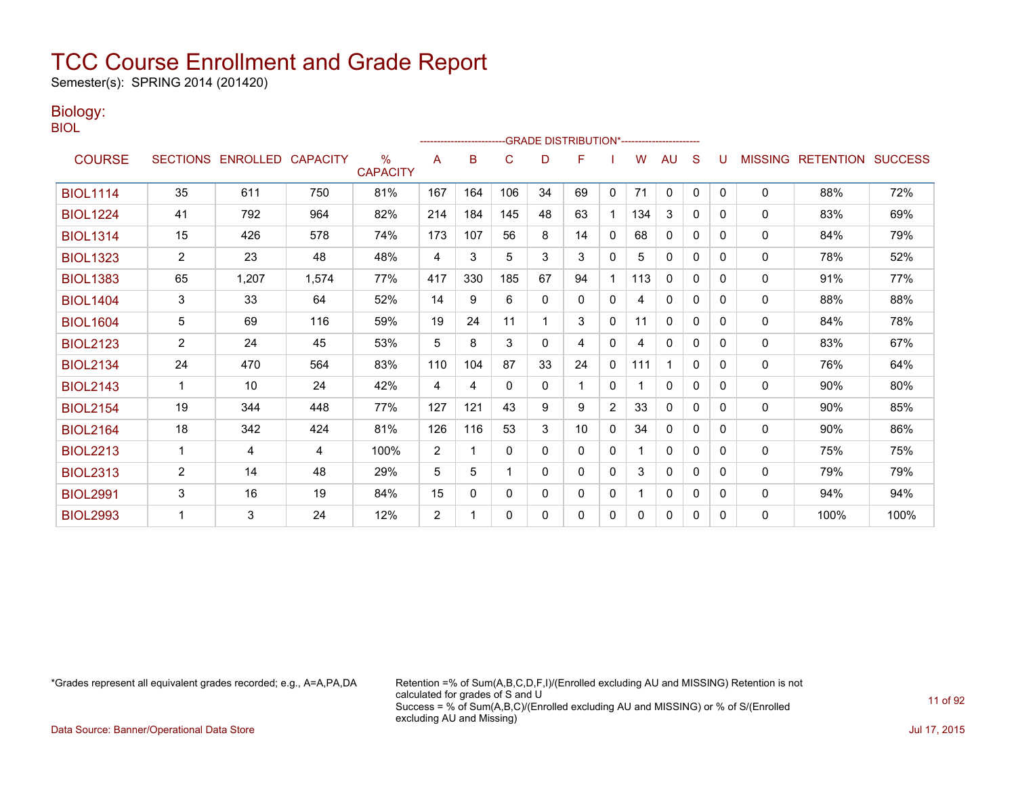Semester(s): SPRING 2014 (201420)

### Biology:

| PU 1<br>۰.<br>I<br>۰.<br>M. |
|-----------------------------|
|-----------------------------|

|                 |                       |                            |       |                         |                |     | -------------------------GRADE                DISTRIBUTION*--------------------- |          |              |              |     |              |              |   |                |                          |      |
|-----------------|-----------------------|----------------------------|-------|-------------------------|----------------|-----|----------------------------------------------------------------------------------|----------|--------------|--------------|-----|--------------|--------------|---|----------------|--------------------------|------|
| <b>COURSE</b>   |                       | SECTIONS ENROLLED CAPACITY |       | $\%$<br><b>CAPACITY</b> | A              | B   | C                                                                                | D        | F            |              | W   | AU           | S            | U | <b>MISSING</b> | <b>RETENTION SUCCESS</b> |      |
| <b>BIOL1114</b> | 35                    | 611                        | 750   | 81%                     | 167            | 164 | 106                                                                              | 34       | 69           | 0            | 71  | 0            | $\Omega$     | 0 | 0              | 88%                      | 72%  |
| <b>BIOL1224</b> | 41                    | 792                        | 964   | 82%                     | 214            | 184 | 145                                                                              | 48       | 63           |              | 134 | 3            | 0            | 0 | 0              | 83%                      | 69%  |
| <b>BIOL1314</b> | 15                    | 426                        | 578   | 74%                     | 173            | 107 | 56                                                                               | 8        | 14           | $\Omega$     | 68  | $\mathbf{0}$ | 0            | 0 | $\mathbf{0}$   | 84%                      | 79%  |
| <b>BIOL1323</b> | $\overline{2}$        | 23                         | 48    | 48%                     | 4              | 3   | 5                                                                                | 3        | 3            | $\mathbf{0}$ | 5.  | $\mathbf{0}$ | $\Omega$     | 0 | $\mathbf{0}$   | 78%                      | 52%  |
| <b>BIOL1383</b> | 65                    | 1,207                      | 1,574 | 77%                     | 417            | 330 | 185                                                                              | 67       | 94           |              | 113 | $\mathbf{0}$ | $\mathbf{0}$ | 0 | 0              | 91%                      | 77%  |
| <b>BIOL1404</b> | 3                     | 33                         | 64    | 52%                     | 14             | 9   | 6                                                                                | $\Omega$ | $\mathbf{0}$ | $\mathbf{0}$ | 4   | $\mathbf{0}$ | $\mathbf{0}$ | 0 | 0              | 88%                      | 88%  |
| <b>BIOL1604</b> | 5                     | 69                         | 116   | 59%                     | 19             | 24  | 11                                                                               |          | 3            | $\mathbf{0}$ | 11  | $\mathbf{0}$ | 0            | 0 | 0              | 84%                      | 78%  |
| <b>BIOL2123</b> | 2                     | 24                         | 45    | 53%                     | 5              | 8   | 3                                                                                | $\Omega$ | 4            | $\mathbf{0}$ | 4   | $\mathbf{0}$ | 0            | 0 | 0              | 83%                      | 67%  |
| <b>BIOL2134</b> | 24                    | 470                        | 564   | 83%                     | 110            | 104 | 87                                                                               | 33       | 24           | $\mathbf{0}$ | 111 |              | $\mathbf{0}$ | 0 | 0              | 76%                      | 64%  |
| <b>BIOL2143</b> | 1                     | 10                         | 24    | 42%                     | 4              | 4   | $\Omega$                                                                         | $\Omega$ |              | $\mathbf{0}$ |     | $\mathbf{0}$ | $\Omega$     | 0 | $\mathbf{0}$   | 90%                      | 80%  |
| <b>BIOL2154</b> | 19                    | 344                        | 448   | 77%                     | 127            | 121 | 43                                                                               | 9        | 9            | 2            | 33  | $\Omega$     | $\Omega$     | 0 | $\mathbf{0}$   | 90%                      | 85%  |
| <b>BIOL2164</b> | 18                    | 342                        | 424   | 81%                     | 126            | 116 | 53                                                                               | 3        | 10           | $\mathbf{0}$ | 34  | $\mathbf{0}$ | $\mathbf{0}$ | 0 | 0              | 90%                      | 86%  |
| <b>BIOL2213</b> | 1                     | 4                          | 4     | 100%                    | 2              | 1   | 0                                                                                | $\Omega$ | 0            | $\mathbf{0}$ |     | $\mathbf{0}$ | 0            | 0 | $\mathbf{0}$   | 75%                      | 75%  |
| <b>BIOL2313</b> | $\mathbf{2}^{\prime}$ | 14                         | 48    | 29%                     | 5              | 5   | 1                                                                                | $\Omega$ | $\Omega$     | $\mathbf{0}$ | 3   | $\mathbf{0}$ | $\Omega$     | 0 | 0              | 79%                      | 79%  |
| <b>BIOL2991</b> | 3                     | 16                         | 19    | 84%                     | 15             | 0   | $\mathbf{0}$                                                                     | $\Omega$ | 0            | $\mathbf{0}$ |     | $\mathbf{0}$ | 0            | 0 | 0              | 94%                      | 94%  |
| <b>BIOL2993</b> | 1                     | 3                          | 24    | 12%                     | $\overline{2}$ |     | $\mathbf{0}$                                                                     | $\Omega$ | 0            | $\mathbf{0}$ | 0   | $\mathbf{0}$ | 0            | 0 | $\Omega$       | 100%                     | 100% |

\*Grades represent all equivalent grades recorded; e.g., A=A,PA,DA Retention =% of Sum(A,B,C,D,F,I)/(Enrolled excluding AU and MISSING) Retention is not calculated for grades of S and U Success = % of Sum(A,B,C)/(Enrolled excluding AU and MISSING) or % of S/(Enrolled excluding AU and Missing)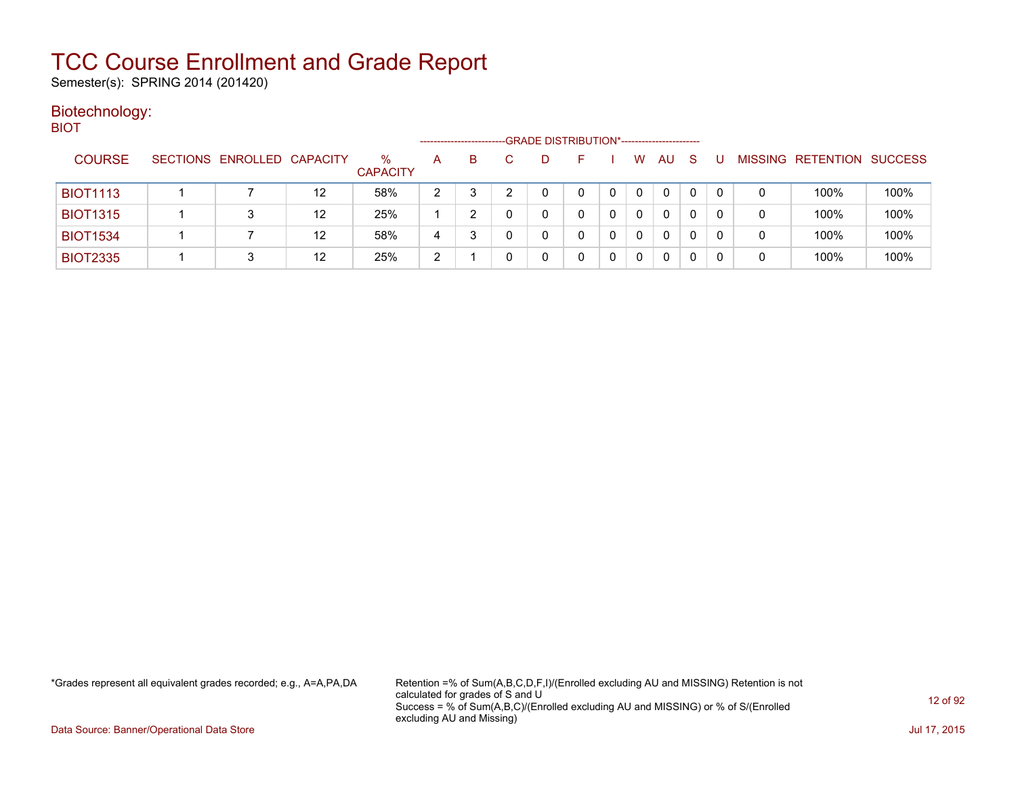Semester(s): SPRING 2014 (201420)

#### Biotechnology: **BIOT**

| ____            |                            |    |                         | --------------------- |    | -GRADE DISTRIBUTION*----------------------- |              |   |              |              |   |   |                          |                |
|-----------------|----------------------------|----|-------------------------|-----------------------|----|---------------------------------------------|--------------|---|--------------|--------------|---|---|--------------------------|----------------|
| <b>COURSE</b>   | SECTIONS ENROLLED CAPACITY |    | $\%$<br><b>CAPACITY</b> | A                     | B. |                                             |              | W | AU           | <sub>S</sub> |   |   | <b>MISSING RETENTION</b> | <b>SUCCESS</b> |
| <b>BIOT1113</b> |                            | 12 | 58%                     | っ                     |    |                                             |              | 0 | 0            |              |   | 0 | 100%                     | 100%           |
| <b>BIOT1315</b> |                            | 12 | 25%                     |                       |    | 0                                           |              | 0 | 0            |              | 0 | 0 | 100%                     | 100%           |
| <b>BIOT1534</b> |                            | 12 | 58%                     | 4                     |    | 0                                           | <sup>n</sup> | 0 | $\mathbf{0}$ | 0            | 0 | 0 | 100%                     | 100%           |
| <b>BIOT2335</b> |                            | 12 | 25%                     | າ<br>∼                |    |                                             |              |   | 0            |              |   | 0 | 100%                     | 100%           |

\*Grades represent all equivalent grades recorded; e.g., A=A,PA,DA Retention =% of Sum(A,B,C,D,F,I)/(Enrolled excluding AU and MISSING) Retention is not calculated for grades of S and U Success = % of Sum(A,B,C)/(Enrolled excluding AU and MISSING) or % of S/(Enrolled excluding AU and Missing)

Data Source: Banner/Operational Data Store Jul 17, 2015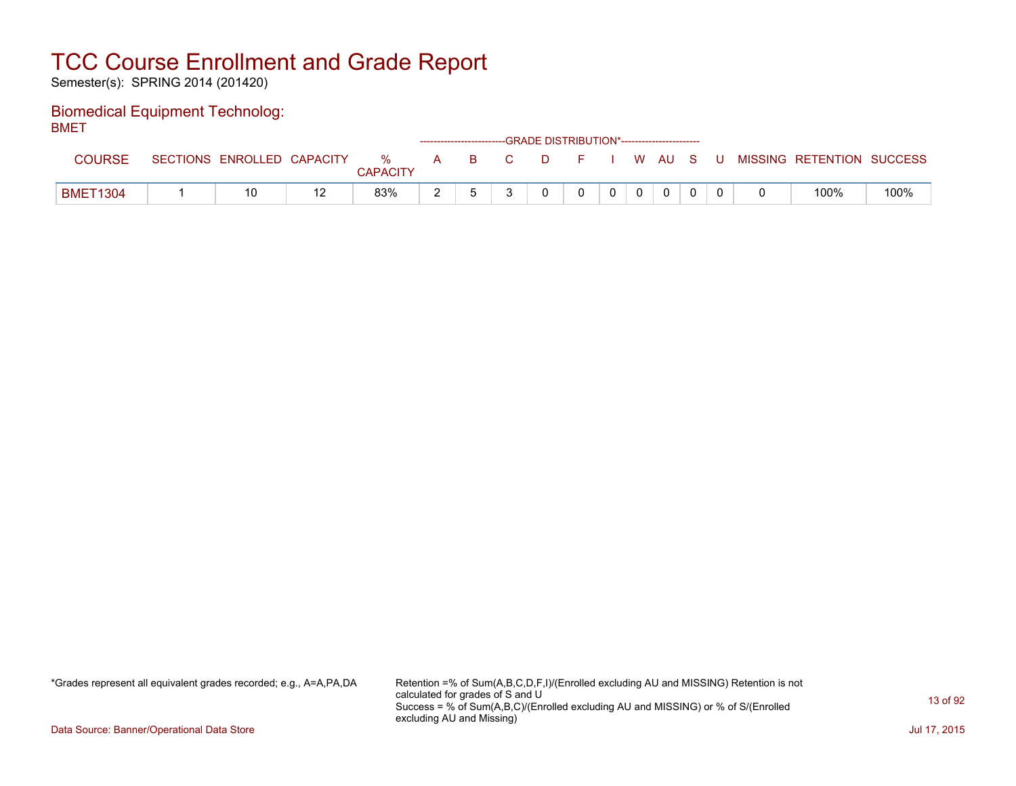Semester(s): SPRING 2014 (201420)

#### Biomedical Equipment Technolog: BMET

| -------         |                            |                      |   |     | ------------------------GRADE DISTRIBUTION*----------------------- |              |  |  |  |                           |      |
|-----------------|----------------------------|----------------------|---|-----|--------------------------------------------------------------------|--------------|--|--|--|---------------------------|------|
| <b>COURSE</b>   | SECTIONS ENROLLED CAPACITY | %<br><b>CAPACITY</b> | A | BC. | <b>D</b>                                                           | F I W AU S U |  |  |  | MISSING RETENTION SUCCESS |      |
| <b>BMET1304</b> | 10                         | 83%                  |   |     |                                                                    |              |  |  |  | 100%                      | 100% |

\*Grades represent all equivalent grades recorded; e.g., A=A,PA,DA Retention =% of Sum(A,B,C,D,F,I)/(Enrolled excluding AU and MISSING) Retention is not calculated for grades of S and U Success = % of Sum(A,B,C)/(Enrolled excluding AU and MISSING) or % of S/(Enrolled excluding AU and Missing)

Data Source: Banner/Operational Data Store Jul 17, 2015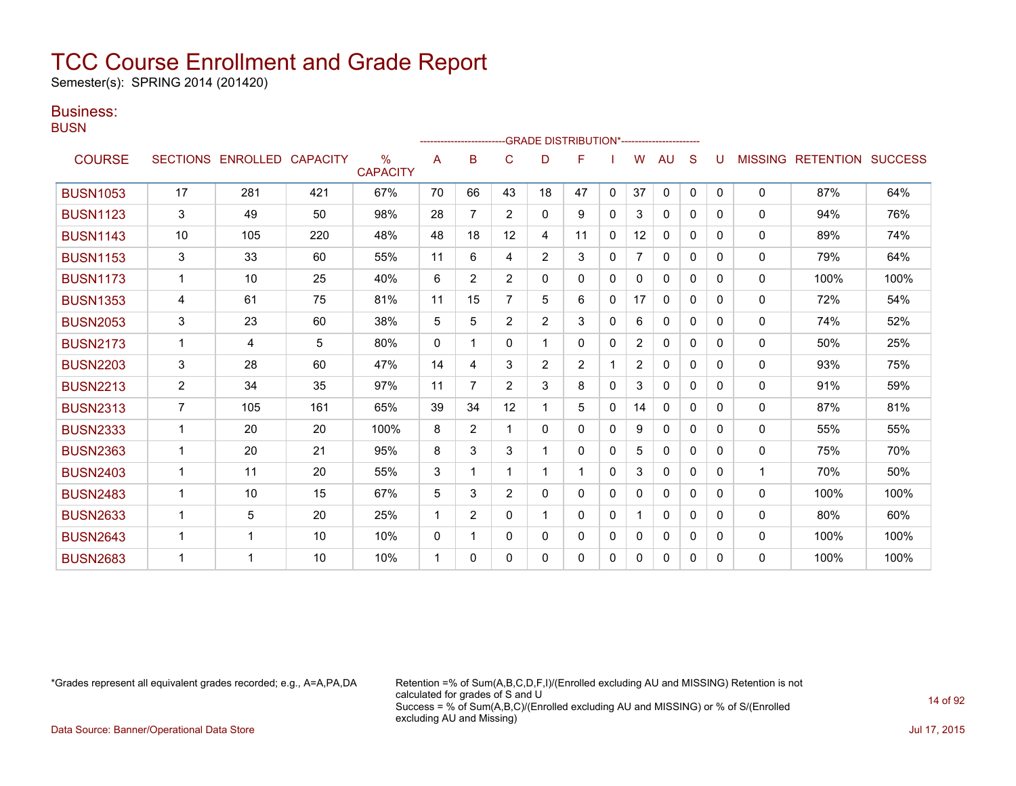Semester(s): SPRING 2014 (201420)

### Business:

**BUSN** 

|                 |                |                   |                 |                                  |              |                | ------------------------GRADE                DISTRIBUTION*---------------------- |                |                |              |                |              |              |              |                |                  |                |
|-----------------|----------------|-------------------|-----------------|----------------------------------|--------------|----------------|----------------------------------------------------------------------------------|----------------|----------------|--------------|----------------|--------------|--------------|--------------|----------------|------------------|----------------|
| <b>COURSE</b>   |                | SECTIONS ENROLLED | <b>CAPACITY</b> | $\frac{0}{0}$<br><b>CAPACITY</b> | A            | в              | C                                                                                | D              | F              |              | W              | AU           | S            |              | <b>MISSING</b> | <b>RETENTION</b> | <b>SUCCESS</b> |
| <b>BUSN1053</b> | 17             | 281               | 421             | 67%                              | 70           | 66             | 43                                                                               | 18             | 47             | $\mathbf{0}$ | 37             | $\mathbf{0}$ | $\mathbf{0}$ | $\mathbf{0}$ | $\mathbf 0$    | 87%              | 64%            |
| <b>BUSN1123</b> | 3              | 49                | 50              | 98%                              | 28           | 7              | $\overline{2}$                                                                   | 0              | 9              | $\Omega$     | 3              | $\mathbf{0}$ | $\Omega$     | $\Omega$     | 0              | 94%              | 76%            |
| <b>BUSN1143</b> | 10             | 105               | 220             | 48%                              | 48           | 18             | 12                                                                               | 4              | 11             | 0            | 12             | 0            | 0            | 0            | $\Omega$       | 89%              | 74%            |
| <b>BUSN1153</b> | 3              | 33                | 60              | 55%                              | 11           | 6              | 4                                                                                | $\overline{2}$ | 3              | 0            | 7              | 0            | $\Omega$     | 0            | 0              | 79%              | 64%            |
| <b>BUSN1173</b> | 1              | 10                | 25              | 40%                              | 6            | $\overline{2}$ | $\overline{2}$                                                                   | 0              | 0              | $\Omega$     | 0              | $\Omega$     | 0            | 0            | 0              | 100%             | 100%           |
| <b>BUSN1353</b> | 4              | 61                | 75              | 81%                              | 11           | 15             |                                                                                  | 5              | 6              | $\Omega$     | 17             | $\Omega$     | $\Omega$     | $\Omega$     | 0              | 72%              | 54%            |
| <b>BUSN2053</b> | 3              | 23                | 60              | 38%                              | 5            | 5              | $\overline{2}$                                                                   | $\overline{2}$ | 3              | $\mathbf{0}$ | 6              | $\mathbf{0}$ | $\Omega$     | 0            | $\Omega$       | 74%              | 52%            |
| <b>BUSN2173</b> | $\mathbf 1$    | 4                 | 5               | 80%                              | $\Omega$     |                | 0                                                                                |                | 0              | $\mathbf{0}$ | $\overline{2}$ | $\mathbf{0}$ | $\mathbf{0}$ | $\Omega$     | 0              | 50%              | 25%            |
| <b>BUSN2203</b> | 3              | 28                | 60              | 47%                              | 14           | 4              | 3                                                                                | $\overline{2}$ | $\overline{2}$ |              | $\overline{2}$ | 0            | 0            | 0            | 0              | 93%              | 75%            |
| <b>BUSN2213</b> | $\overline{2}$ | 34                | 35              | 97%                              | 11           | 7              | $\overline{2}$                                                                   | 3              | 8              | $\Omega$     | 3              | $\mathbf{0}$ | $\Omega$     | $\Omega$     | 0              | 91%              | 59%            |
| <b>BUSN2313</b> | $\overline{7}$ | 105               | 161             | 65%                              | 39           | 34             | 12                                                                               |                | 5              | 0            | 14             | $\mathbf{0}$ | $\Omega$     | $\Omega$     | $\mathbf{0}$   | 87%              | 81%            |
| <b>BUSN2333</b> | $\mathbf{1}$   | 20                | 20              | 100%                             | 8            | $\overline{2}$ |                                                                                  | 0              | 0              | 0            | 9              | $\mathbf{0}$ | 0            | 0            | 0              | 55%              | 55%            |
| <b>BUSN2363</b> | $\mathbf{1}$   | 20                | 21              | 95%                              | 8            | 3              | 3                                                                                | 1              | 0              | $\Omega$     | 5              | $\Omega$     | 0            | 0            | 0              | 75%              | 70%            |
| <b>BUSN2403</b> |                | 11                | 20              | 55%                              | 3            |                |                                                                                  |                | 1              | $\Omega$     | 3              | $\mathbf{0}$ | $\Omega$     | 0            |                | 70%              | 50%            |
| <b>BUSN2483</b> | $\mathbf 1$    | 10                | 15              | 67%                              | 5            | 3              | $\overline{2}$                                                                   | 0              | 0              | $\mathbf{0}$ | $\mathbf{0}$   | $\mathbf{0}$ | $\Omega$     | $\Omega$     | 0              | 100%             | 100%           |
| <b>BUSN2633</b> | $\mathbf 1$    | 5                 | 20              | 25%                              | 1            | $\overline{2}$ | 0                                                                                |                | 0              | $\mathbf{0}$ |                | $\mathbf{0}$ | $\mathbf{0}$ | 0            | 0              | 80%              | 60%            |
| <b>BUSN2643</b> | 1              | 1                 | 10              | 10%                              | $\mathbf{0}$ | 1              | 0                                                                                | 0              | 0              | 0            | 0              | 0            | 0            | 0            | $\mathbf{0}$   | 100%             | 100%           |
| <b>BUSN2683</b> |                |                   | 10              | 10%                              | 1            | 0              | 0                                                                                | 0              | 0              | 0            | 0              | 0            | 0            | 0            | $\mathbf{0}$   | 100%             | 100%           |

\*Grades represent all equivalent grades recorded; e.g., A=A,PA,DA Retention =% of Sum(A,B,C,D,F,I)/(Enrolled excluding AU and MISSING) Retention is not calculated for grades of S and U Success = % of Sum(A,B,C)/(Enrolled excluding AU and MISSING) or % of S/(Enrolled excluding AU and Missing)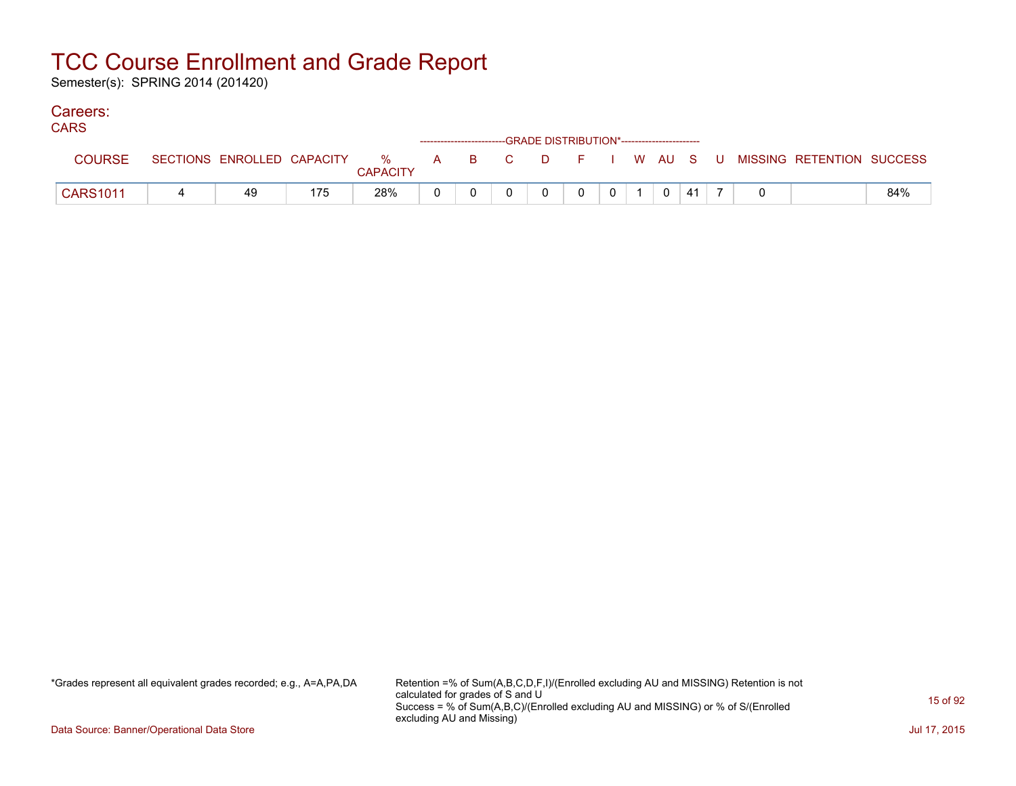Semester(s): SPRING 2014 (201420)

#### Careers: CA<sub>D</sub>C<sub>1</sub>

| <b>UARS</b>     |                            |                               |  | ------------------------GRADE DISTRIBUTION*----------------------- |    |    |         |   |    |  |                           |     |
|-----------------|----------------------------|-------------------------------|--|--------------------------------------------------------------------|----|----|---------|---|----|--|---------------------------|-----|
| <b>COURSE</b>   | SECTIONS ENROLLED CAPACITY | $\%$ A B C<br><b>CAPACITY</b> |  |                                                                    | D. | E. | I WAUSU |   |    |  | MISSING RETENTION SUCCESS |     |
| <b>CARS1011</b> | 49                         | 28%                           |  |                                                                    |    |    |         | 0 | 41 |  |                           | 84% |

\*Grades represent all equivalent grades recorded; e.g., A=A,PA,DA Retention =% of Sum(A,B,C,D,F,I)/(Enrolled excluding AU and MISSING) Retention is not calculated for grades of S and U Success = % of Sum(A,B,C)/(Enrolled excluding AU and MISSING) or % of S/(Enrolled excluding AU and Missing)

Data Source: Banner/Operational Data Store Jul 17, 2015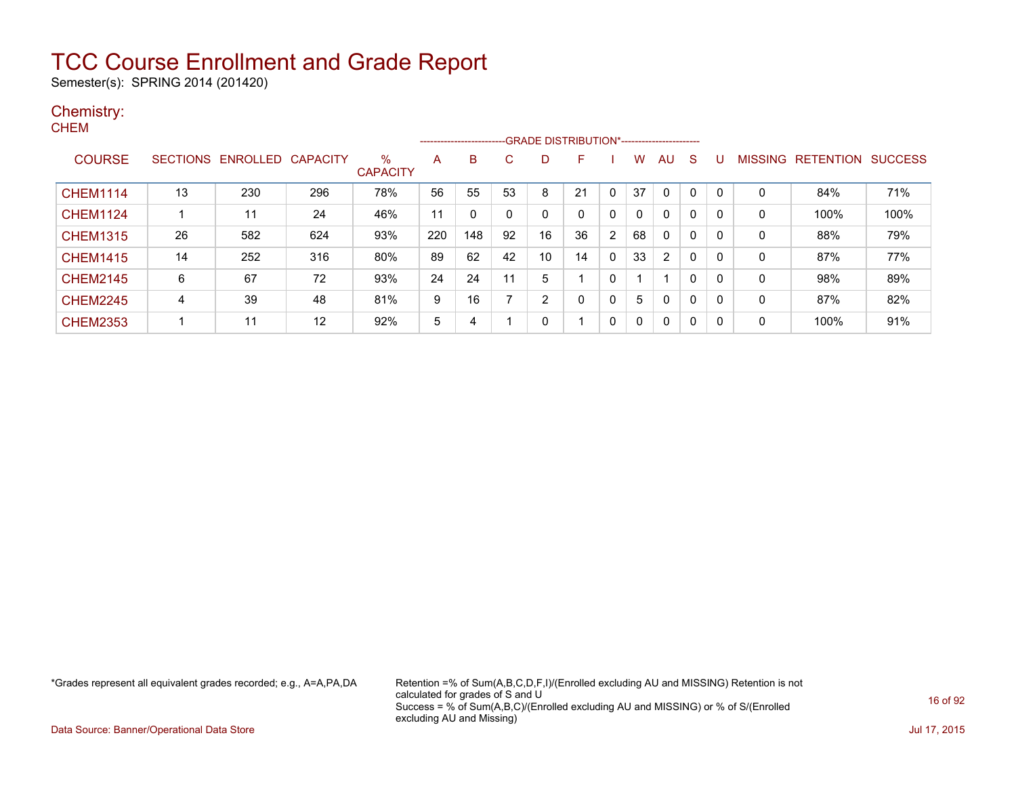Semester(s): SPRING 2014 (201420)

#### Chemistry: **CHEM**

|                 |                 |          |                 |                      |     | --------------------- |    | -- GRADE DISTRIBUTION*------------------------ |    |              |          |                |             |   |         |                  |                |
|-----------------|-----------------|----------|-----------------|----------------------|-----|-----------------------|----|------------------------------------------------|----|--------------|----------|----------------|-------------|---|---------|------------------|----------------|
| <b>COURSE</b>   | <b>SECTIONS</b> | ENROLLED | <b>CAPACITY</b> | %<br><b>CAPACITY</b> | A   | B                     | C. | D                                              | F  |              | w        | AU             | S           |   | MISSING | <b>RETENTION</b> | <b>SUCCESS</b> |
| <b>CHEM1114</b> | 13              | 230      | 296             | 78%                  | 56  | 55                    | 53 | 8                                              | 21 | 0            | 37       | 0              |             |   | 0       | 84%              | 71%            |
| <b>CHEM1124</b> |                 | 11       | 24              | 46%                  | 11  |                       | 0  | 0                                              |    | 0            |          | $\mathbf{0}$   | 0           | 0 | 0       | 100%             | 100%           |
| <b>CHEM1315</b> | 26              | 582      | 624             | 93%                  | 220 | 148                   | 92 | 16                                             | 36 | 2            | 68       | 0              | 0           | 0 | 0       | 88%              | 79%            |
| <b>CHEM1415</b> | 14              | 252      | 316             | 80%                  | 89  | 62                    | 42 | 10                                             | 14 | $\mathbf 0$  | 33       | $\overline{2}$ | $\Omega$    | 0 | 0       | 87%              | 77%            |
| <b>CHEM2145</b> | 6               | 67       | 72              | 93%                  | 24  | 24                    | 11 | 5                                              |    | 0            |          |                | $\mathbf 0$ | 0 | 0       | 98%              | 89%            |
| <b>CHEM2245</b> | 4               | 39       | 48              | 81%                  | 9   | 16                    |    | 2                                              |    | $\mathbf{0}$ | 5        | $\mathbf{0}$   | $\Omega$    | 0 | 0       | 87%              | 82%            |
| <b>CHEM2353</b> |                 | 11       | 12              | 92%                  | 5   | 4                     |    | 0                                              |    | 0            | $\Omega$ | 0              | 0           | 0 | 0       | 100%             | 91%            |

\*Grades represent all equivalent grades recorded; e.g., A=A,PA,DA Retention =% of Sum(A,B,C,D,F,I)/(Enrolled excluding AU and MISSING) Retention is not calculated for grades of S and U Success = % of Sum(A,B,C)/(Enrolled excluding AU and MISSING) or % of S/(Enrolled excluding AU and Missing)

Data Source: Banner/Operational Data Store Jul 17, 2015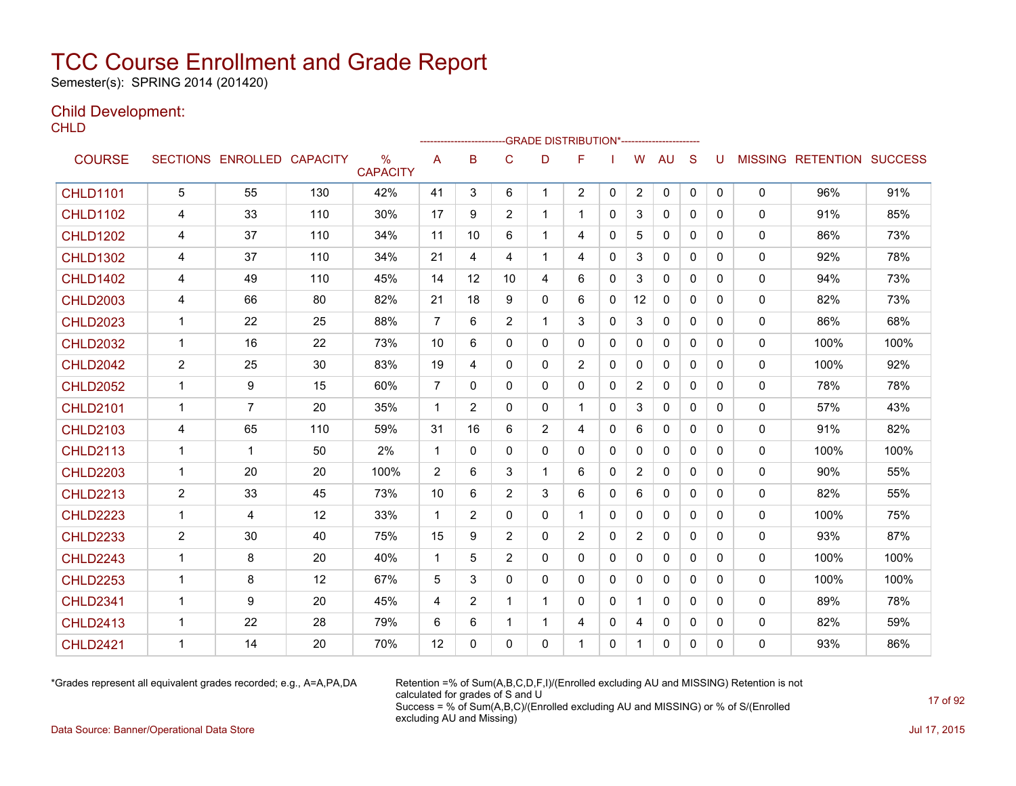Semester(s): SPRING 2014 (201420)

### Child Development:

**CHLD** 

|                 |                |                   |                 |                                  |                |                |                |                | ------------------------GRADE                DISTRIBUTION*---------------------- |              |                |              |              |              |              |                                  |      |
|-----------------|----------------|-------------------|-----------------|----------------------------------|----------------|----------------|----------------|----------------|----------------------------------------------------------------------------------|--------------|----------------|--------------|--------------|--------------|--------------|----------------------------------|------|
| <b>COURSE</b>   |                | SECTIONS ENROLLED | <b>CAPACITY</b> | $\frac{0}{0}$<br><b>CAPACITY</b> | A              | B              | C              | D              | F                                                                                |              | W              | <b>AU</b>    | S            | U            |              | <b>MISSING RETENTION SUCCESS</b> |      |
| <b>CHLD1101</b> | 5              | 55                | 130             | 42%                              | 41             | 3              | 6              | $\mathbf{1}$   | $\overline{2}$                                                                   | $\mathbf{0}$ | $\overline{2}$ | $\mathbf 0$  | $\mathbf{0}$ | $\mathbf{0}$ | 0            | 96%                              | 91%  |
| <b>CHLD1102</b> | 4              | 33                | 110             | 30%                              | 17             | 9              | 2              | $\mathbf{1}$   | 1                                                                                | $\Omega$     | 3              | $\mathbf{0}$ | $\Omega$     | 0            | $\mathbf{0}$ | 91%                              | 85%  |
| <b>CHLD1202</b> | 4              | 37                | 110             | 34%                              | 11             | 10             | 6              |                | 4                                                                                | $\Omega$     | 5              | 0            | $\mathbf{0}$ | 0            | 0            | 86%                              | 73%  |
| <b>CHLD1302</b> | 4              | 37                | 110             | 34%                              | 21             | 4              | 4              | 1              | 4                                                                                | $\mathbf{0}$ | 3              | $\mathbf{0}$ | $\mathbf{0}$ | 0            | 0            | 92%                              | 78%  |
| <b>CHLD1402</b> | 4              | 49                | 110             | 45%                              | 14             | 12             | 10             | 4              | 6                                                                                | $\mathbf{0}$ | 3              | $\mathbf{0}$ | $\Omega$     | 0            | 0            | 94%                              | 73%  |
| <b>CHLD2003</b> | 4              | 66                | 80              | 82%                              | 21             | 18             | 9              | $\mathbf{0}$   | 6                                                                                | $\mathbf{0}$ | 12             | 0            | $\mathbf{0}$ | 0            | 0            | 82%                              | 73%  |
| <b>CHLD2023</b> | $\mathbf{1}$   | 22                | 25              | 88%                              | $\overline{7}$ | 6              | $\overline{2}$ | 1              | 3                                                                                | $\Omega$     | 3              | $\mathbf{0}$ | $\mathbf{0}$ | 0            | 0            | 86%                              | 68%  |
| <b>CHLD2032</b> | $\mathbf{1}$   | 16                | 22              | 73%                              | 10             | 6              | 0              | $\Omega$       | 0                                                                                | $\Omega$     | $\mathbf{0}$   | $\Omega$     | $\Omega$     | 0            | $\mathbf{0}$ | 100%                             | 100% |
| <b>CHLD2042</b> | $\overline{c}$ | 25                | 30              | 83%                              | 19             | 4              | 0              | 0              | $\overline{c}$                                                                   | $\mathbf{0}$ | $\mathbf 0$    | $\mathbf{0}$ | $\mathbf{0}$ | 0            | 0            | 100%                             | 92%  |
| <b>CHLD2052</b> | $\mathbf 1$    | 9                 | 15              | 60%                              | $\overline{7}$ | $\mathbf{0}$   | 0              | 0              | 0                                                                                | $\mathbf{0}$ | $\overline{c}$ | $\mathbf{0}$ | $\mathbf{0}$ | 0            | $\mathbf{0}$ | 78%                              | 78%  |
| <b>CHLD2101</b> | $\mathbf 1$    | $\overline{7}$    | 20              | 35%                              | $\overline{1}$ | $\overline{2}$ | 0              | 0              | 1                                                                                | $\Omega$     | 3              | $\mathbf{0}$ | $\Omega$     | 0            | 0            | 57%                              | 43%  |
| <b>CHLD2103</b> | 4              | 65                | 110             | 59%                              | 31             | 16             | 6              | $\overline{2}$ | 4                                                                                | 0            | 6              | $\mathbf{0}$ | 0            | 0            | 0            | 91%                              | 82%  |
| <b>CHLD2113</b> | $\mathbf 1$    | 1                 | 50              | 2%                               | $\mathbf 1$    | $\mathbf{0}$   | $\mathbf{0}$   | 0              | 0                                                                                | $\mathbf{0}$ | $\Omega$       | $\mathbf{0}$ | $\mathbf{0}$ | 0            | 0            | 100%                             | 100% |
| <b>CHLD2203</b> | $\mathbf{1}$   | 20                | 20              | 100%                             | 2              | 6              | 3              | $\mathbf 1$    | 6                                                                                | $\mathbf{0}$ | $\overline{2}$ | $\mathbf{0}$ | $\mathbf{0}$ | 0            | 0            | 90%                              | 55%  |
| <b>CHLD2213</b> | $\overline{2}$ | 33                | 45              | 73%                              | 10             | 6              | $\overline{2}$ | 3              | 6                                                                                | $\Omega$     | 6              | $\mathbf{0}$ | $\Omega$     | 0            | 0            | 82%                              | 55%  |
| <b>CHLD2223</b> | $\mathbf{1}$   | 4                 | 12              | 33%                              | $\mathbf{1}$   | $\overline{2}$ | 0              | 0              | $\mathbf{1}$                                                                     | $\mathbf{0}$ | $\Omega$       | $\mathbf{0}$ | $\mathbf{0}$ | 0            | 0            | 100%                             | 75%  |
| <b>CHLD2233</b> | $\overline{2}$ | 30                | 40              | 75%                              | 15             | 9              | $\overline{2}$ | 0              | $\overline{2}$                                                                   | $\Omega$     | $\overline{2}$ | $\mathbf{0}$ | $\Omega$     | 0            | 0            | 93%                              | 87%  |
| <b>CHLD2243</b> | $\mathbf 1$    | 8                 | 20              | 40%                              | $\mathbf{1}$   | 5              | 2              | 0              | 0                                                                                | $\mathbf{0}$ | $\mathbf{0}$   | $\mathbf{0}$ | $\Omega$     | 0            | 0            | 100%                             | 100% |
| <b>CHLD2253</b> | $\mathbf 1$    | 8                 | 12              | 67%                              | 5              | 3              | 0              | 0              | 0                                                                                | $\Omega$     | $\mathbf{0}$   | $\mathbf{0}$ | $\mathbf{0}$ | 0            | 0            | 100%                             | 100% |
| <b>CHLD2341</b> | 1              | 9                 | 20              | 45%                              | 4              | $\overline{2}$ |                | 1              | 0                                                                                | $\mathbf{0}$ | 1              | $\mathbf{0}$ | $\Omega$     | 0            | $\mathbf{0}$ | 89%                              | 78%  |
| <b>CHLD2413</b> | $\mathbf 1$    | 22                | 28              | 79%                              | 6              | 6              | 1              | 1              | 4                                                                                | 0            | 4              | 0            | 0            | 0            | 0            | 82%                              | 59%  |
| <b>CHLD2421</b> | 1              | 14                | 20              | 70%                              | 12             | 0              | 0              | 0              | 1                                                                                | $\Omega$     | $\mathbf{1}$   | $\mathbf{0}$ | 0            | 0            | 0            | 93%                              | 86%  |

\*Grades represent all equivalent grades recorded; e.g., A=A,PA,DA Retention =% of Sum(A,B,C,D,F,I)/(Enrolled excluding AU and MISSING) Retention is not calculated for grades of S and U Success = % of Sum(A,B,C)/(Enrolled excluding AU and MISSING) or % of S/(Enrolled excluding AU and Missing)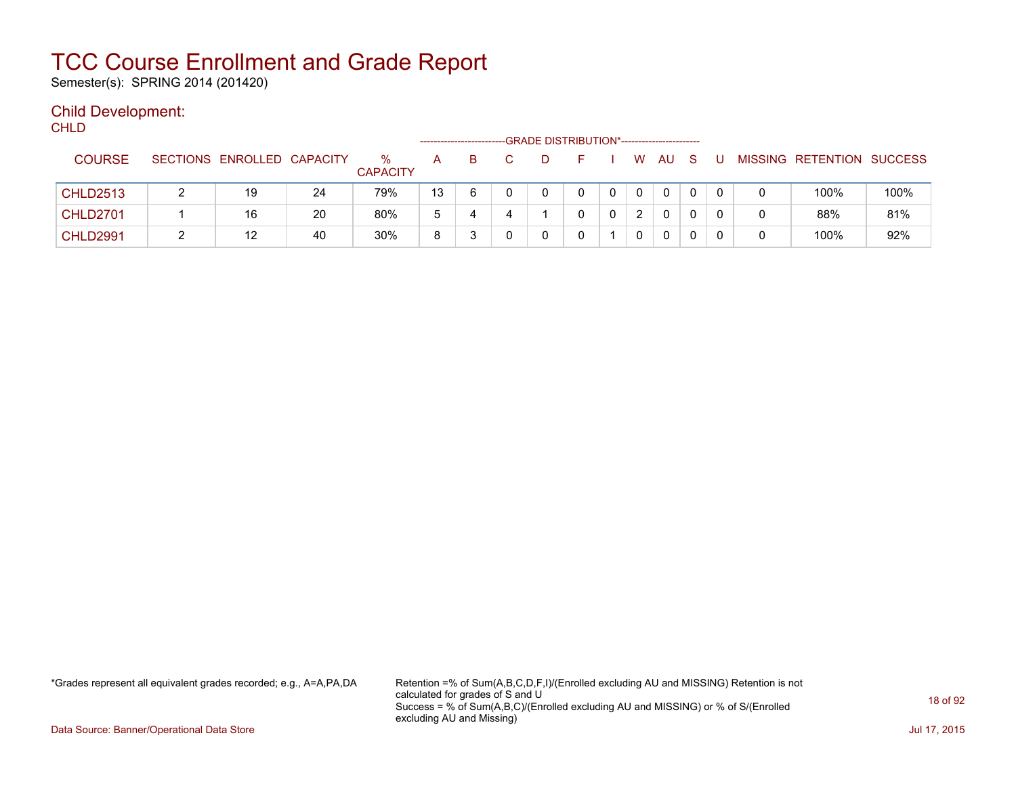Semester(s): SPRING 2014 (201420)

### Child Development:

**CHLD** 

|                 |                            |    |                         | ------------------------- |   |  | -GRADE DISTRIBUTION*----------------------- |   |               |              |              |  |                           |      |
|-----------------|----------------------------|----|-------------------------|---------------------------|---|--|---------------------------------------------|---|---------------|--------------|--------------|--|---------------------------|------|
| <b>COURSE</b>   | SECTIONS ENROLLED CAPACITY |    | $\%$<br><b>CAPACITY</b> | A                         | B |  | н.                                          |   | W             | AU           | <sub>S</sub> |  | MISSING RETENTION SUCCESS |      |
| <b>CHLD2513</b> | 19                         | 24 | 79%                     | 13                        | 6 |  | 0                                           |   |               | 0            |              |  | 100%                      | 100% |
| <b>CHLD2701</b> | 16                         | 20 | 80%                     | 5                         | 4 |  | <sup>n</sup>                                | 0 | $\mathcal{D}$ | $\mathbf{0}$ |              |  | 88%                       | 81%  |
| <b>CHLD2991</b> | 12                         | 40 | 30%                     | 8                         |   |  |                                             |   |               | 0            |              |  | 100%                      | 92%  |

\*Grades represent all equivalent grades recorded; e.g., A=A,PA,DA Retention =% of Sum(A,B,C,D,F,I)/(Enrolled excluding AU and MISSING) Retention is not calculated for grades of S and U Success = % of Sum(A,B,C)/(Enrolled excluding AU and MISSING) or % of S/(Enrolled excluding AU and Missing)

Data Source: Banner/Operational Data Store Jul 17, 2015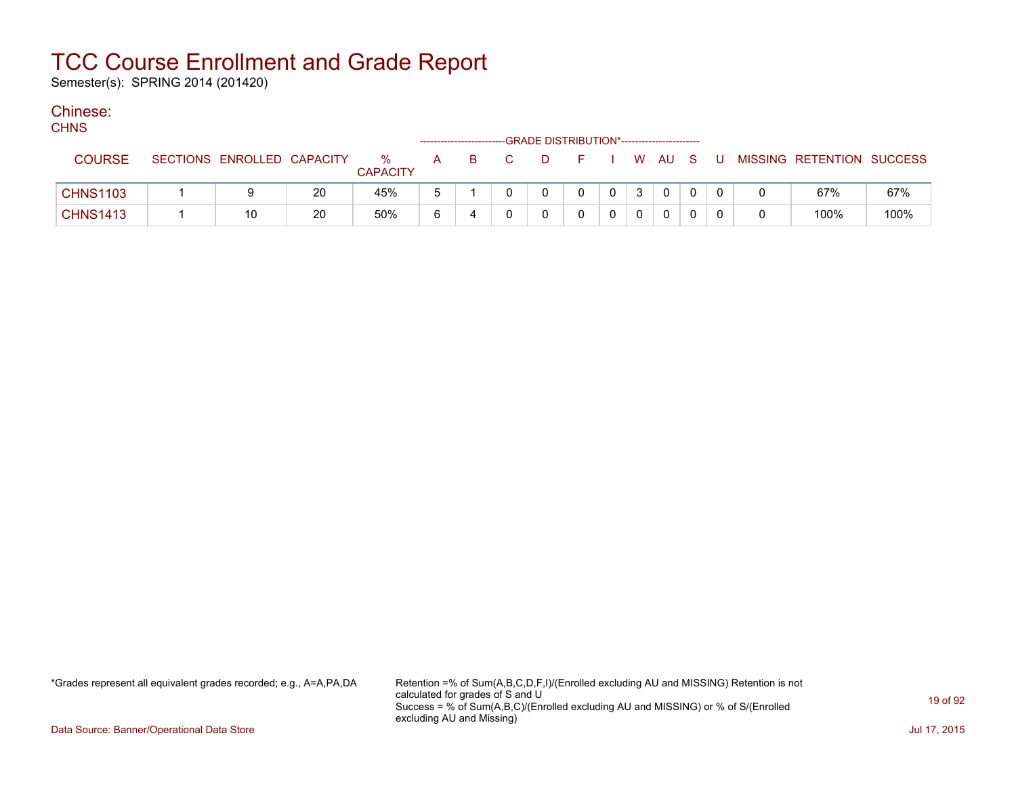Semester(s): SPRING 2014 (201420)

### Chinese:

| ۰, | v.<br>٠ |
|----|---------|

| .               |                            |    |                      |   |   |    | -GRADE DISTRIBUTION*----------------------- |          |                |             |              |   |                           |      |
|-----------------|----------------------------|----|----------------------|---|---|----|---------------------------------------------|----------|----------------|-------------|--------------|---|---------------------------|------|
| <b>COURSE</b>   | SECTIONS ENROLLED CAPACITY |    | %<br><b>CAPACITY</b> | A | B | D. |                                             |          |                | W AU S      |              | U | MISSING RETENTION SUCCESS |      |
| <b>CHNS1103</b> |                            | 20 | 45%                  |   |   |    |                                             | $\Omega$ | 3 <sup>1</sup> | $\Omega$    | $\Omega$     |   | 67%                       | 67%  |
| <b>CHNS1413</b> | 10                         | 20 | 50%                  | 6 |   |    |                                             |          |                | $\mathbf 0$ | $\mathbf{0}$ |   | 100%                      | 100% |

\*Grades represent all equivalent grades recorded; e.g., A=A,PA,DA Retention =% of Sum(A,B,C,D,F,I)/(Enrolled excluding AU and MISSING) Retention is not calculated for grades of S and U Success = % of Sum(A,B,C)/(Enrolled excluding AU and MISSING) or % of S/(Enrolled excluding AU and Missing)

Data Source: Banner/Operational Data Store Jul 17, 2015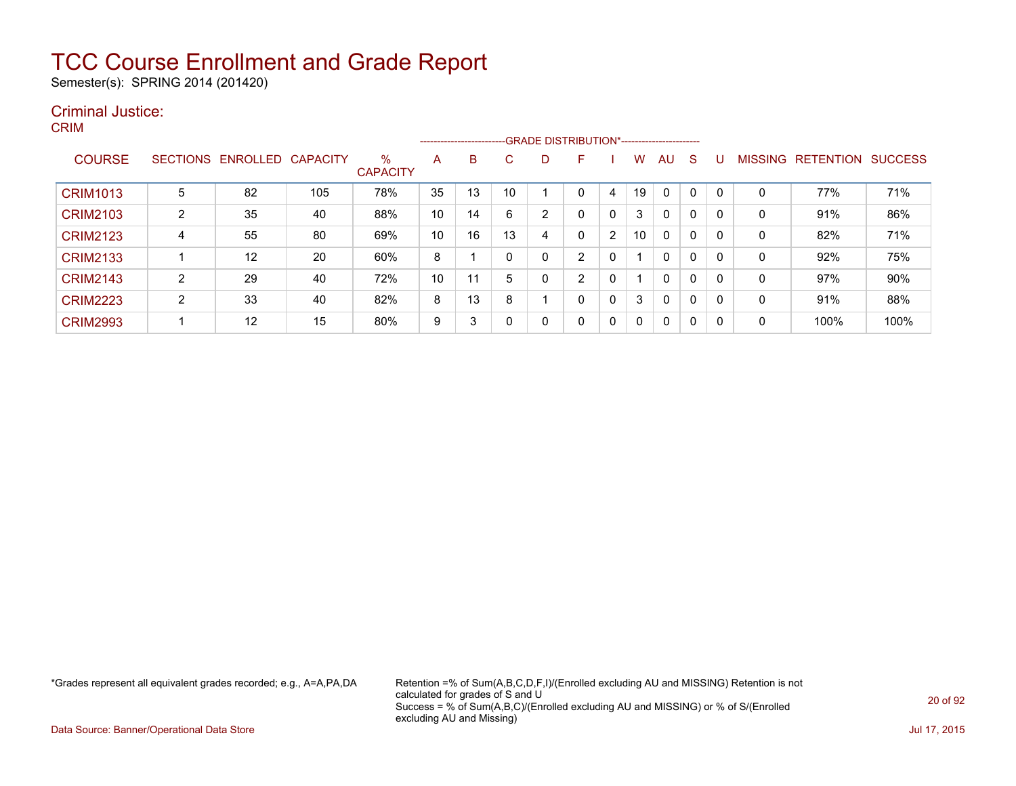Semester(s): SPRING 2014 (201420)

#### Criminal Justice: CRIM

|                 |                |                            |     |                      |    | --------------------------GRADE DISTRIBUTION*----------------------- |    |   |                |   |          |              |              |   |                |                  |                |
|-----------------|----------------|----------------------------|-----|----------------------|----|----------------------------------------------------------------------|----|---|----------------|---|----------|--------------|--------------|---|----------------|------------------|----------------|
| <b>COURSE</b>   |                | SECTIONS ENROLLED CAPACITY |     | %<br><b>CAPACITY</b> | A  | B                                                                    | С  | D | F              |   | w        | AU           | <sub>S</sub> | U | <b>MISSING</b> | <b>RETENTION</b> | <b>SUCCESS</b> |
| <b>CRIM1013</b> | 5              | 82                         | 105 | 78%                  | 35 | 13                                                                   | 10 |   |                | 4 | 19       | 0            | 0            |   | 0              | 77%              | 71%            |
| <b>CRIM2103</b> | $\overline{2}$ | 35                         | 40  | 88%                  | 10 | 14                                                                   | 6  | 2 |                | 0 | 3        | $\mathbf{0}$ | 0            | 0 | 0              | 91%              | 86%            |
| <b>CRIM2123</b> | 4              | 55                         | 80  | 69%                  | 10 | 16                                                                   | 13 | 4 |                | 2 | 10       | 0            | 0            | 0 | 0              | 82%              | 71%            |
| <b>CRIM2133</b> |                | 12                         | 20  | 60%                  | 8  |                                                                      | 0  | 0 | $\overline{2}$ | 0 |          | 0            | $\mathbf{0}$ | 0 | 0              | 92%              | 75%            |
| <b>CRIM2143</b> | $\overline{2}$ | 29                         | 40  | 72%                  | 10 | 11                                                                   | 5  | 0 | 2              | 0 |          | 0            | $\mathbf{0}$ | 0 | 0              | 97%              | 90%            |
| <b>CRIM2223</b> | $\overline{2}$ | 33                         | 40  | 82%                  | 8  | 13                                                                   | 8  |   |                | 0 | 3        | $\mathbf{0}$ | $\mathbf{0}$ | 0 | 0              | 91%              | 88%            |
| <b>CRIM2993</b> |                | 12                         | 15  | 80%                  | 9  | 3                                                                    | 0  | 0 | $\Omega$       | 0 | $\Omega$ | 0            | 0            | 0 | 0              | 100%             | 100%           |

\*Grades represent all equivalent grades recorded; e.g., A=A,PA,DA Retention =% of Sum(A,B,C,D,F,I)/(Enrolled excluding AU and MISSING) Retention is not calculated for grades of S and U Success = % of Sum(A,B,C)/(Enrolled excluding AU and MISSING) or % of S/(Enrolled excluding AU and Missing)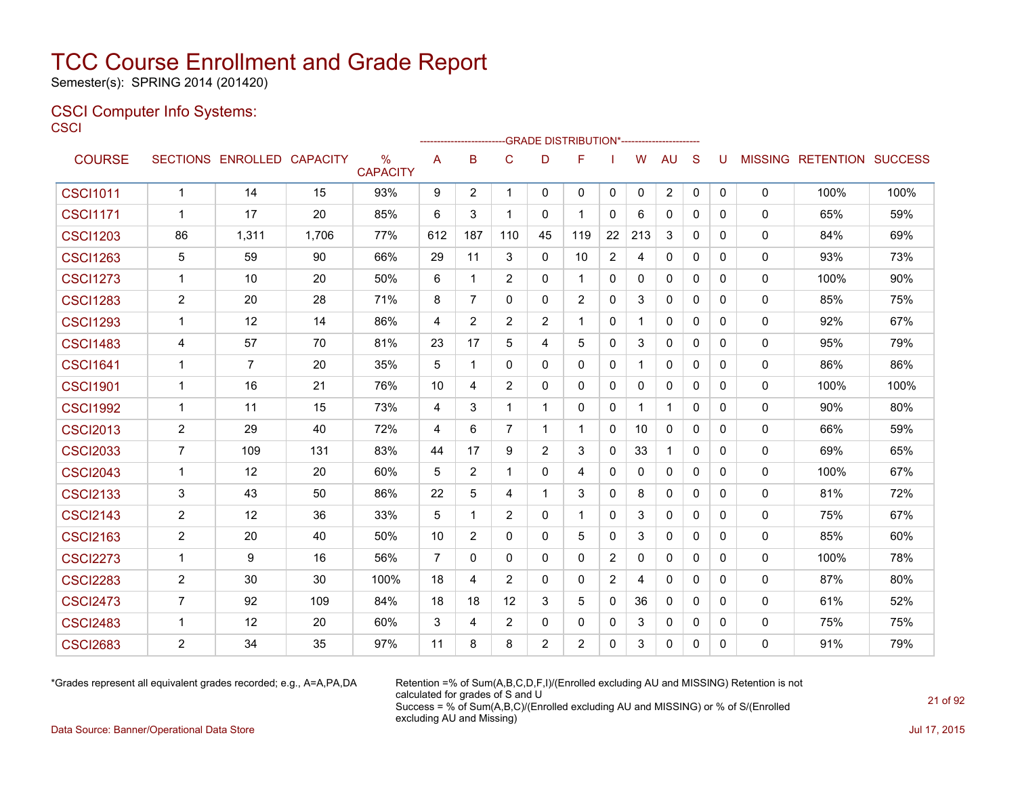Semester(s): SPRING 2014 (201420)

#### CSCI Computer Info Systems: **CSCI**

| ---             |                |                            |       |                         |                |                |                |                | -GRADE DISTRIBUTION*----------------------- |                |          |                |              |              |          |                           |      |
|-----------------|----------------|----------------------------|-------|-------------------------|----------------|----------------|----------------|----------------|---------------------------------------------|----------------|----------|----------------|--------------|--------------|----------|---------------------------|------|
| <b>COURSE</b>   |                | SECTIONS ENROLLED CAPACITY |       | $\%$<br><b>CAPACITY</b> | A              | B              | C              | D              | F                                           |                | W        | <b>AU</b>      | S            | U            |          | MISSING RETENTION SUCCESS |      |
| <b>CSCI1011</b> | $\mathbf{1}$   | 14                         | 15    | 93%                     | 9              | 2              | $\mathbf{1}$   | $\mathbf{0}$   | $\mathbf 0$                                 | 0              | $\Omega$ | $\overline{2}$ | 0            | $\mathbf{0}$ | 0        | 100%                      | 100% |
| <b>CSCI1171</b> | 1              | 17                         | 20    | 85%                     | 6              | 3              | $\mathbf{1}$   | $\Omega$       | $\overline{\mathbf{1}}$                     | $\mathbf{0}$   | 6        | $\mathbf{0}$   | $\Omega$     | $\Omega$     | 0        | 65%                       | 59%  |
| <b>CSCI1203</b> | 86             | 1,311                      | 1,706 | 77%                     | 612            | 187            | 110            | 45             | 119                                         | 22             | 213      | 3              | $\mathbf{0}$ | $\mathbf{0}$ | 0        | 84%                       | 69%  |
| <b>CSCI1263</b> | 5              | 59                         | 90    | 66%                     | 29             | 11             | 3              | $\Omega$       | 10                                          | 2              | 4        | $\Omega$       | $\Omega$     | $\Omega$     | 0        | 93%                       | 73%  |
| <b>CSCI1273</b> | $\mathbf{1}$   | 10                         | 20    | 50%                     | 6              | $\mathbf{1}$   | 2              | $\mathbf{0}$   | $\mathbf 1$                                 | $\mathbf{0}$   | $\Omega$ | $\mathbf{0}$   | $\mathbf{0}$ | $\mathbf{0}$ | 0        | 100%                      | 90%  |
| <b>CSCI1283</b> | $\overline{2}$ | 20                         | 28    | 71%                     | 8              | $\overline{7}$ | $\Omega$       | $\Omega$       | 2                                           | $\mathbf{0}$   | 3        | $\Omega$       | $\Omega$     | $\Omega$     | 0        | 85%                       | 75%  |
| <b>CSCI1293</b> | $\mathbf{1}$   | 12                         | 14    | 86%                     | 4              | $\overline{2}$ | $\overline{2}$ | $\overline{2}$ | $\overline{\mathbf{1}}$                     | 0              | 1        | $\Omega$       | $\mathbf{0}$ | $\Omega$     | 0        | 92%                       | 67%  |
| <b>CSCI1483</b> | 4              | 57                         | 70    | 81%                     | 23             | 17             | 5              | 4              | 5                                           | $\mathbf{0}$   | 3        | $\Omega$       | $\Omega$     | $\Omega$     | 0        | 95%                       | 79%  |
| <b>CSCI1641</b> | 1              | $\overline{7}$             | 20    | 35%                     | 5              | 1              | $\Omega$       | $\Omega$       | $\Omega$                                    | 0              | 1        | 0              | $\Omega$     | $\Omega$     | 0        | 86%                       | 86%  |
| <b>CSCI1901</b> | 1              | 16                         | 21    | 76%                     | 10             | 4              | $\overline{2}$ | $\mathbf{0}$   | 0                                           | 0              | 0        | $\mathbf{0}$   | $\mathbf{0}$ | 0            | 0        | 100%                      | 100% |
| <b>CSCI1992</b> | 1              | 11                         | 15    | 73%                     | 4              | 3              | $\mathbf{1}$   | 1              | $\mathbf{0}$                                | 0              | 1        | $\mathbf{1}$   | $\mathbf{0}$ | 0            | 0        | 90%                       | 80%  |
| <b>CSCI2013</b> | 2              | 29                         | 40    | 72%                     | 4              | 6              | 7              | -1             | -1                                          | $\mathbf{0}$   | 10       | $\mathbf{0}$   | $\mathbf{0}$ | 0            | 0        | 66%                       | 59%  |
| <b>CSCI2033</b> | $\overline{7}$ | 109                        | 131   | 83%                     | 44             | 17             | 9              | $\overline{2}$ | 3                                           | 0              | 33       | $\mathbf{1}$   | $\mathbf{0}$ | $\Omega$     | 0        | 69%                       | 65%  |
| <b>CSCI2043</b> | $\mathbf{1}$   | 12                         | 20    | 60%                     | 5              | 2              | $\mathbf{1}$   | $\Omega$       | 4                                           | $\mathbf{0}$   | 0        | $\mathbf{0}$   | $\mathbf{0}$ | $\Omega$     | 0        | 100%                      | 67%  |
| <b>CSCI2133</b> | 3              | 43                         | 50    | 86%                     | 22             | 5              | $\overline{4}$ | $\mathbf{1}$   | 3                                           | $\mathbf{0}$   | 8        | $\Omega$       | $\mathbf{0}$ | $\Omega$     | 0        | 81%                       | 72%  |
| <b>CSCI2143</b> | $\overline{2}$ | 12                         | 36    | 33%                     | 5              | 1              | 2              | $\mathbf{0}$   | $\mathbf 1$                                 | $\mathbf{0}$   | 3        | 0              | $\mathbf{0}$ | $\Omega$     | 0        | 75%                       | 67%  |
| <b>CSCI2163</b> | $\overline{2}$ | 20                         | 40    | 50%                     | 10             | $\overline{2}$ | $\Omega$       | $\Omega$       | 5                                           | $\mathbf{0}$   | 3        | $\Omega$       | $\mathbf{0}$ | $\Omega$     | 0        | 85%                       | 60%  |
| <b>CSCI2273</b> | $\mathbf 1$    | 9                          | 16    | 56%                     | $\overline{7}$ | $\Omega$       | $\mathbf{0}$   | $\Omega$       | $\mathbf{0}$                                | $\overline{2}$ | $\Omega$ | $\mathbf{0}$   | $\mathbf{0}$ | $\Omega$     | 0        | 100%                      | 78%  |
| <b>CSCI2283</b> | $\overline{2}$ | 30                         | 30    | 100%                    | 18             | 4              | $\overline{2}$ | $\Omega$       | $\Omega$                                    | $\overline{2}$ | 4        | $\Omega$       | $\mathbf{0}$ | $\Omega$     | 0        | 87%                       | 80%  |
| <b>CSCI2473</b> | $\overline{7}$ | 92                         | 109   | 84%                     | 18             | 18             | 12             | 3              | 5                                           | 0              | 36       | $\Omega$       | $\Omega$     | $\Omega$     | 0        | 61%                       | 52%  |
| <b>CSCI2483</b> | $\mathbf 1$    | 12                         | 20    | 60%                     | 3              | 4              | $\overline{2}$ | $\Omega$       | $\mathbf{0}$                                | 0              | 3        | 0              | $\mathbf{0}$ | $\mathbf{0}$ | 0        | 75%                       | 75%  |
| <b>CSCI2683</b> | $\overline{2}$ | 34                         | 35    | 97%                     | 11             | 8              | 8              | 2              | 2                                           | $\mathbf{0}$   | 3        | $\Omega$       | $\mathbf{0}$ | $\Omega$     | $\Omega$ | 91%                       | 79%  |

\*Grades represent all equivalent grades recorded; e.g., A=A,PA,DA Retention =% of Sum(A,B,C,D,F,I)/(Enrolled excluding AU and MISSING) Retention is not calculated for grades of S and U Success = % of Sum(A,B,C)/(Enrolled excluding AU and MISSING) or % of S/(Enrolled excluding AU and Missing)

Data Source: Banner/Operational Data Store Jul 17, 2015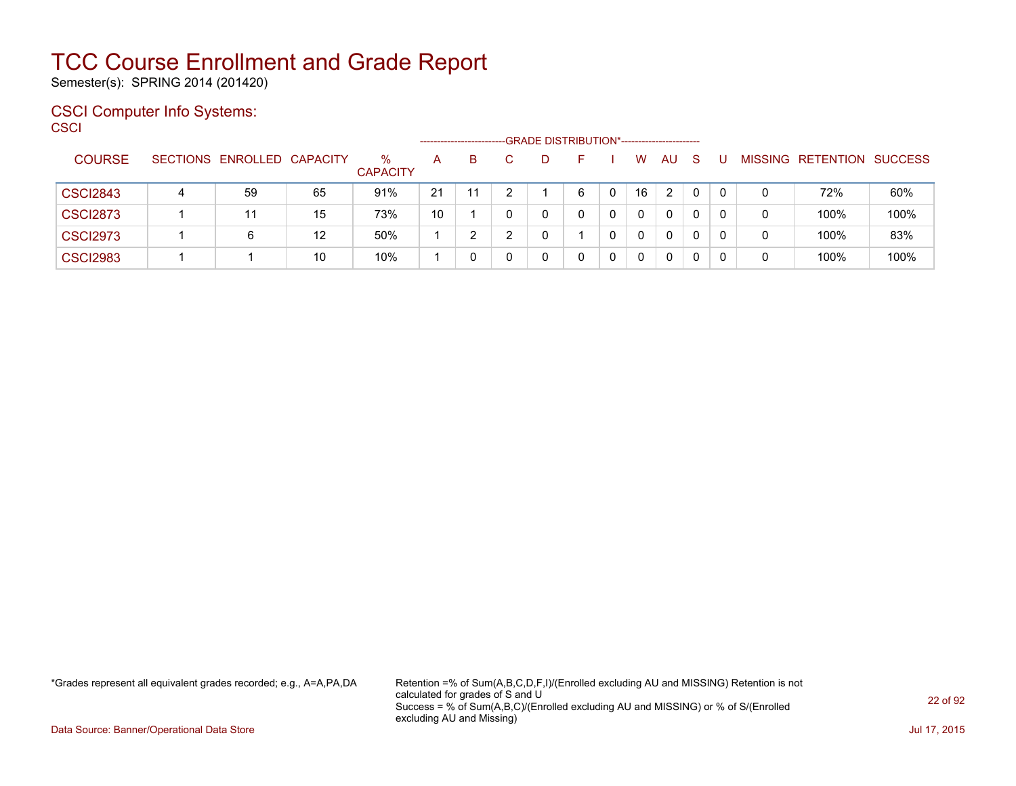Semester(s): SPRING 2014 (201420)

#### CSCI Computer Info Systems: **CSCI**

|                 |   |                            |    |                      | -------------------- |    |   |    | -GRADE DISTRIBUTION*----------------------- |   |              |              |          |          |   |                           |      |
|-----------------|---|----------------------------|----|----------------------|----------------------|----|---|----|---------------------------------------------|---|--------------|--------------|----------|----------|---|---------------------------|------|
| <b>COURSE</b>   |   | SECTIONS ENROLLED CAPACITY |    | ℅<br><b>CAPACITY</b> | А                    | B  |   | D. | н.                                          |   | W            | <b>AU</b>    | -S       |          |   | MISSING RETENTION SUCCESS |      |
| <b>CSCI2843</b> | 4 | 59                         | 65 | 91%                  | 21                   | 11 | 2 |    | 6                                           | 0 | 16           | 2            | $\Omega$ | $\Omega$ | 0 | 72%                       | 60%  |
| <b>CSCI2873</b> |   | 11                         | 15 | 73%                  | 10                   |    | 0 | 0  |                                             | 0 | $\Omega$     | $\mathbf{0}$ | 0        | $\Omega$ | 0 | 100%                      | 100% |
| <b>CSCI2973</b> |   | 6                          | 12 | 50%                  |                      |    |   | 0  |                                             | 0 | $\mathbf{0}$ | $\mathbf{0}$ | 0        | $\Omega$ | 0 | 100%                      | 83%  |
| <b>CSCI2983</b> |   |                            | 10 | 10%                  |                      |    |   | 0  |                                             | 0 | $\Omega$     | 0            | 0        | $\Omega$ | 0 | 100%                      | 100% |

\*Grades represent all equivalent grades recorded; e.g., A=A,PA,DA Retention =% of Sum(A,B,C,D,F,I)/(Enrolled excluding AU and MISSING) Retention is not calculated for grades of S and U Success = % of Sum(A,B,C)/(Enrolled excluding AU and MISSING) or % of S/(Enrolled excluding AU and Missing)

Data Source: Banner/Operational Data Store Jul 17, 2015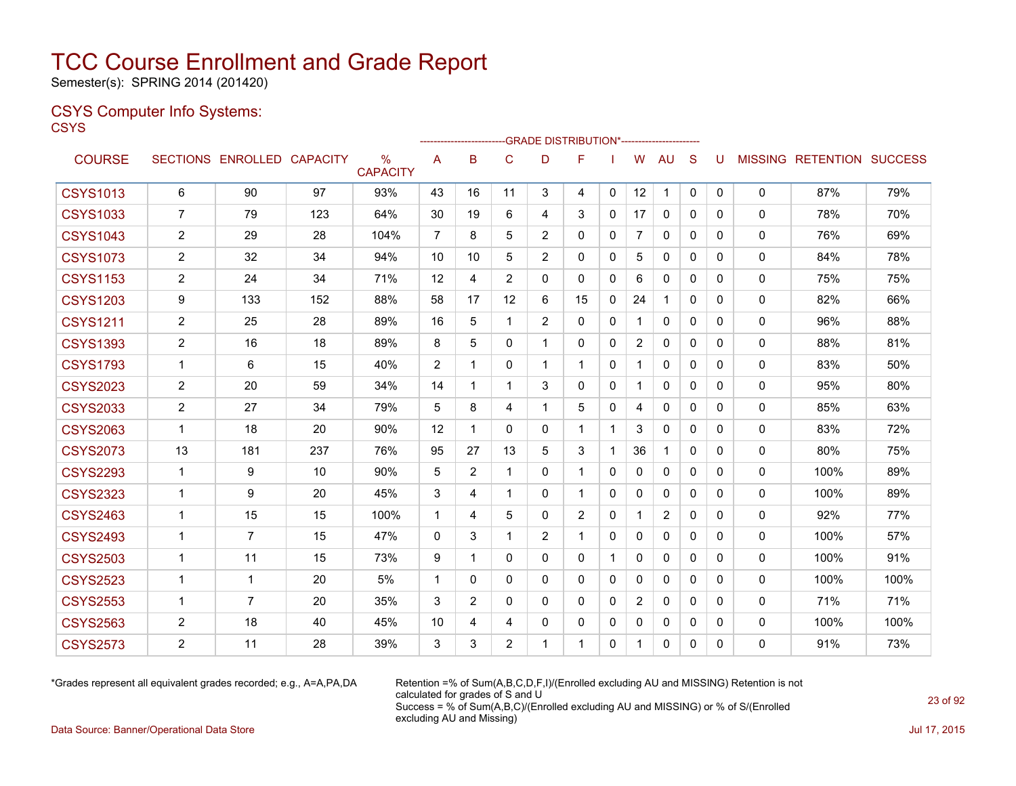Semester(s): SPRING 2014 (201420)

#### CSYS Computer Info Systems: **CSYS**

|                 |                |                            |     |                      |                |              |                |                | -GRADE DISTRIBUTION*----------------------- |              |                |                |              |              |              |                                  |      |
|-----------------|----------------|----------------------------|-----|----------------------|----------------|--------------|----------------|----------------|---------------------------------------------|--------------|----------------|----------------|--------------|--------------|--------------|----------------------------------|------|
| <b>COURSE</b>   |                | SECTIONS ENROLLED CAPACITY |     | %<br><b>CAPACITY</b> | A              | в            | C              | D              | F                                           |              | W              | AU.            | S            | U            |              | <b>MISSING RETENTION SUCCESS</b> |      |
| <b>CSYS1013</b> | 6              | 90                         | 97  | 93%                  | 43             | 16           | 11             | 3              | 4                                           | $\mathbf{0}$ | 12             | $\mathbf 1$    | $\mathbf 0$  | 0            | $\mathbf{0}$ | 87%                              | 79%  |
| <b>CSYS1033</b> | 7              | 79                         | 123 | 64%                  | 30             | 19           | 6              | 4              | 3                                           | $\mathbf{0}$ | 17             | $\mathbf{0}$   | 0            | 0            | $\mathbf{0}$ | 78%                              | 70%  |
| <b>CSYS1043</b> | 2              | 29                         | 28  | 104%                 | 7              | 8            | 5              | $\overline{2}$ | 0                                           | $\mathbf{0}$ | $\overline{7}$ | 0              | 0            | 0            | 0            | 76%                              | 69%  |
| <b>CSYS1073</b> | 2              | 32                         | 34  | 94%                  | 10             | 10           | 5              | $\overline{2}$ | 0                                           | $\mathbf{0}$ | 5              | $\mathbf{0}$   | 0            | $\Omega$     | $\mathbf{0}$ | 84%                              | 78%  |
| <b>CSYS1153</b> | $\overline{2}$ | 24                         | 34  | 71%                  | 12             | 4            | $\overline{2}$ | 0              | 0                                           | $\mathbf{0}$ | 6              | 0              | 0            | 0            | $\mathbf{0}$ | 75%                              | 75%  |
| <b>CSYS1203</b> | 9              | 133                        | 152 | 88%                  | 58             | 17           | 12             | 6              | 15                                          | $\mathbf{0}$ | 24             | $\mathbf{1}$   | $\Omega$     | $\Omega$     | $\Omega$     | 82%                              | 66%  |
| <b>CSYS1211</b> | $\overline{2}$ | 25                         | 28  | 89%                  | 16             | 5            | 1              | $\overline{2}$ | 0                                           | $\mathbf{0}$ | $\mathbf 1$    | 0              | $\Omega$     | $\mathbf{0}$ | $\mathbf 0$  | 96%                              | 88%  |
| <b>CSYS1393</b> | 2              | 16                         | 18  | 89%                  | 8              | 5            | 0              | 1              | 0                                           | $\Omega$     | $\overline{2}$ | $\mathbf{0}$   | $\Omega$     | $\Omega$     | $\mathbf{0}$ | 88%                              | 81%  |
| <b>CSYS1793</b> | $\mathbf 1$    | 6                          | 15  | 40%                  | $\overline{2}$ | -1           | $\Omega$       | $\mathbf{1}$   | $\mathbf{1}$                                | $\mathbf{0}$ | $\mathbf 1$    | $\mathbf 0$    | $\mathbf{0}$ | $\Omega$     | $\mathbf 0$  | 83%                              | 50%  |
| <b>CSYS2023</b> | 2              | 20                         | 59  | 34%                  | 14             | -1           | 1              | 3              | 0                                           | $\mathbf{0}$ | 1              | $\mathbf{0}$   | 0            | $\mathbf{0}$ | $\mathbf{0}$ | 95%                              | 80%  |
| <b>CSYS2033</b> | $\overline{2}$ | 27                         | 34  | 79%                  | 5              | 8            | 4              | 1              | 5                                           | $\mathbf{0}$ | 4              | $\mathbf{0}$   | $\Omega$     | $\mathbf{0}$ | $\mathbf{0}$ | 85%                              | 63%  |
| <b>CSYS2063</b> | $\mathbf{1}$   | 18                         | 20  | 90%                  | 12             | 1            | $\Omega$       | 0              | 1                                           |              | 3              | 0              | $\Omega$     | 0            | $\mathbf{0}$ | 83%                              | 72%  |
| <b>CSYS2073</b> | 13             | 181                        | 237 | 76%                  | 95             | 27           | 13             | 5              | 3                                           |              | 36             | $\mathbf 1$    | $\mathbf{0}$ | $\mathbf{0}$ | $\mathbf{0}$ | 80%                              | 75%  |
| <b>CSYS2293</b> | $\mathbf{1}$   | 9                          | 10  | 90%                  | 5              | 2            | 1              | 0              | 1                                           | $\mathbf{0}$ | 0              | 0              | 0            | 0            | 0            | 100%                             | 89%  |
| <b>CSYS2323</b> | -1             | 9                          | 20  | 45%                  | 3              | 4            | 1              | 0              | 1                                           | $\mathbf{0}$ | 0              | 0              | 0            | $\Omega$     | $\mathbf{0}$ | 100%                             | 89%  |
| <b>CSYS2463</b> | $\mathbf{1}$   | 15                         | 15  | 100%                 | 1              | 4            | 5              | 0              | $\overline{2}$                              | 0            | $\mathbf{1}$   | $\overline{c}$ | 0            | $\mathbf{0}$ | $\mathbf{0}$ | 92%                              | 77%  |
| <b>CSYS2493</b> | $\mathbf{1}$   | $\overline{7}$             | 15  | 47%                  | $\Omega$       | 3            | 1              | $\overline{2}$ | 1                                           | $\mathbf{0}$ | 0              | $\mathbf{0}$   | 0            | $\Omega$     | $\mathbf{0}$ | 100%                             | 57%  |
| <b>CSYS2503</b> | $\mathbf{1}$   | 11                         | 15  | 73%                  | 9              | $\mathbf{1}$ | $\Omega$       | 0              | 0                                           | 1            | 0              | 0              | $\Omega$     | $\mathbf{0}$ | $\mathbf{0}$ | 100%                             | 91%  |
| <b>CSYS2523</b> | $\mathbf{1}$   | $\mathbf{1}$               | 20  | 5%                   | 1              | $\Omega$     | $\Omega$       | 0              | $\Omega$                                    | $\mathbf{0}$ | 0              | $\mathbf{0}$   | $\mathbf{0}$ | $\Omega$     | $\Omega$     | 100%                             | 100% |
| <b>CSYS2553</b> | $\mathbf{1}$   | $\overline{7}$             | 20  | 35%                  | 3              | 2            | 0              | 0              | 0                                           | $\mathbf{0}$ | $\overline{2}$ | 0              | $\Omega$     | $\mathbf{0}$ | $\mathbf 0$  | 71%                              | 71%  |
| <b>CSYS2563</b> | 2              | 18                         | 40  | 45%                  | 10             | 4            | 4              | 0              | 0                                           | $\mathbf{0}$ | 0              | $\mathbf{0}$   | 0            | $\mathbf{0}$ | 0            | 100%                             | 100% |
| <b>CSYS2573</b> | $\overline{2}$ | 11                         | 28  | 39%                  | 3              | 3            | $\overline{2}$ | 1              | 1                                           | $\Omega$     | $\mathbf 1$    | $\mathbf{0}$   | $\Omega$     | $\Omega$     | $\mathbf{0}$ | 91%                              | 73%  |
|                 |                |                            |     |                      |                |              |                |                |                                             |              |                |                |              |              |              |                                  |      |

\*Grades represent all equivalent grades recorded; e.g., A=A,PA,DA Retention =% of Sum(A,B,C,D,F,I)/(Enrolled excluding AU and MISSING) Retention is not calculated for grades of S and U Success = % of Sum(A,B,C)/(Enrolled excluding AU and MISSING) or % of S/(Enrolled excluding AU and Missing)

Data Source: Banner/Operational Data Store Jul 17, 2015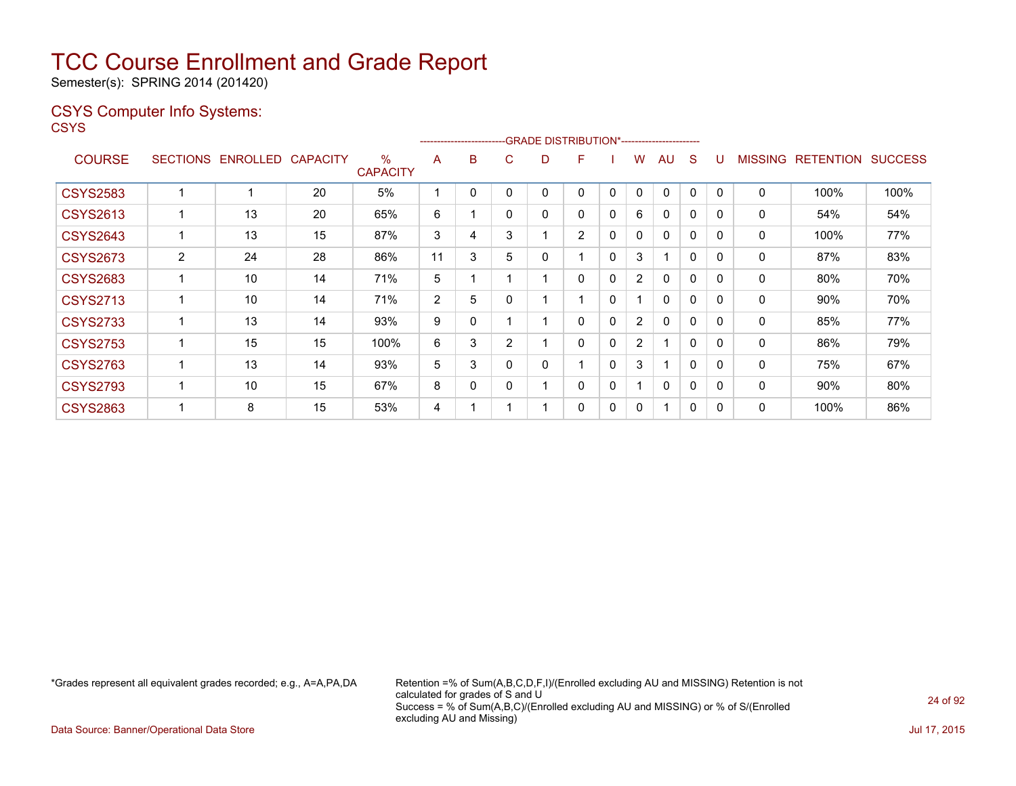Semester(s): SPRING 2014 (201420)

### CSYS Computer Info Systems:

**CSYS** 

|                 |                 |                 |                 |                         |                | ------------------------ |   |   | -- GRADE DISTRIBUTION*------------------------ |          |                |              |              |              |                |                  |                |
|-----------------|-----------------|-----------------|-----------------|-------------------------|----------------|--------------------------|---|---|------------------------------------------------|----------|----------------|--------------|--------------|--------------|----------------|------------------|----------------|
| <b>COURSE</b>   | <b>SECTIONS</b> | <b>ENROLLED</b> | <b>CAPACITY</b> | $\%$<br><b>CAPACITY</b> | A              | B                        | С | D | F                                              |          | w              | AU.          | S            |              | <b>MISSING</b> | <b>RETENTION</b> | <b>SUCCESS</b> |
| <b>CSYS2583</b> |                 |                 | 20              | 5%                      | 4              | 0                        |   | 0 | 0                                              | 0        | 0              | 0            | 0            | $\Omega$     | $\mathbf 0$    | 100%             | 100%           |
| <b>CSYS2613</b> |                 | 13              | 20              | 65%                     | 6              |                          | 0 | 0 | 0                                              | 0        | 6              | 0            | 0            | $\mathbf{0}$ | 0              | 54%              | 54%            |
| <b>CSYS2643</b> |                 | 13              | 15              | 87%                     | 3              | 4                        | 3 |   | $\overline{2}$                                 | 0        | $\mathbf{0}$   | $\mathbf{0}$ | 0            | $\mathbf{0}$ | 0              | 100%             | 77%            |
| <b>CSYS2673</b> | $\overline{2}$  | 24              | 28              | 86%                     | 11             | 3                        | 5 | 0 | 1                                              | 0        | 3              |              | $\mathbf{0}$ | $\mathbf{0}$ | 0              | 87%              | 83%            |
| <b>CSYS2683</b> |                 | 10              | 14              | 71%                     | 5              |                          |   |   | 0                                              | 0        | $\overline{2}$ | 0            | 0            | 0            | 0              | 80%              | 70%            |
| <b>CSYS2713</b> |                 | 10              | 14              | 71%                     | $\overline{2}$ | 5                        |   |   | 1                                              | 0        |                | $\mathbf{0}$ | 0            | 0            | 0              | 90%              | 70%            |
| <b>CSYS2733</b> |                 | 13              | 14              | 93%                     | 9              | 0                        |   |   | 0                                              | 0        | $\overline{2}$ | $\mathbf{0}$ | 0            | 0            | 0              | 85%              | 77%            |
| <b>CSYS2753</b> |                 | 15              | 15              | 100%                    | 6              | 3                        | 2 |   | 0                                              | 0        | $\overline{2}$ | ٠            | $\Omega$     | $\Omega$     | 0              | 86%              | 79%            |
| <b>CSYS2763</b> |                 | 13              | 14              | 93%                     | 5              | 3                        |   | 0 | 1                                              | $\Omega$ | 3              | 1            | $\Omega$     | $\Omega$     | $\mathbf{0}$   | 75%              | 67%            |
| <b>CSYS2793</b> |                 | 10              | 15              | 67%                     | 8              | 0                        | 0 |   | 0                                              | 0        |                | $\mathbf{0}$ | 0            | $\Omega$     | 0              | 90%              | 80%            |
| <b>CSYS2863</b> |                 | 8               | 15              | 53%                     | 4              |                          |   |   | 0                                              | 0        | 0              | 1            | 0            | $\mathbf{0}$ | 0              | 100%             | 86%            |

\*Grades represent all equivalent grades recorded; e.g., A=A,PA,DA Retention =% of Sum(A,B,C,D,F,I)/(Enrolled excluding AU and MISSING) Retention is not calculated for grades of S and U Success = % of Sum(A,B,C)/(Enrolled excluding AU and MISSING) or % of S/(Enrolled excluding AU and Missing)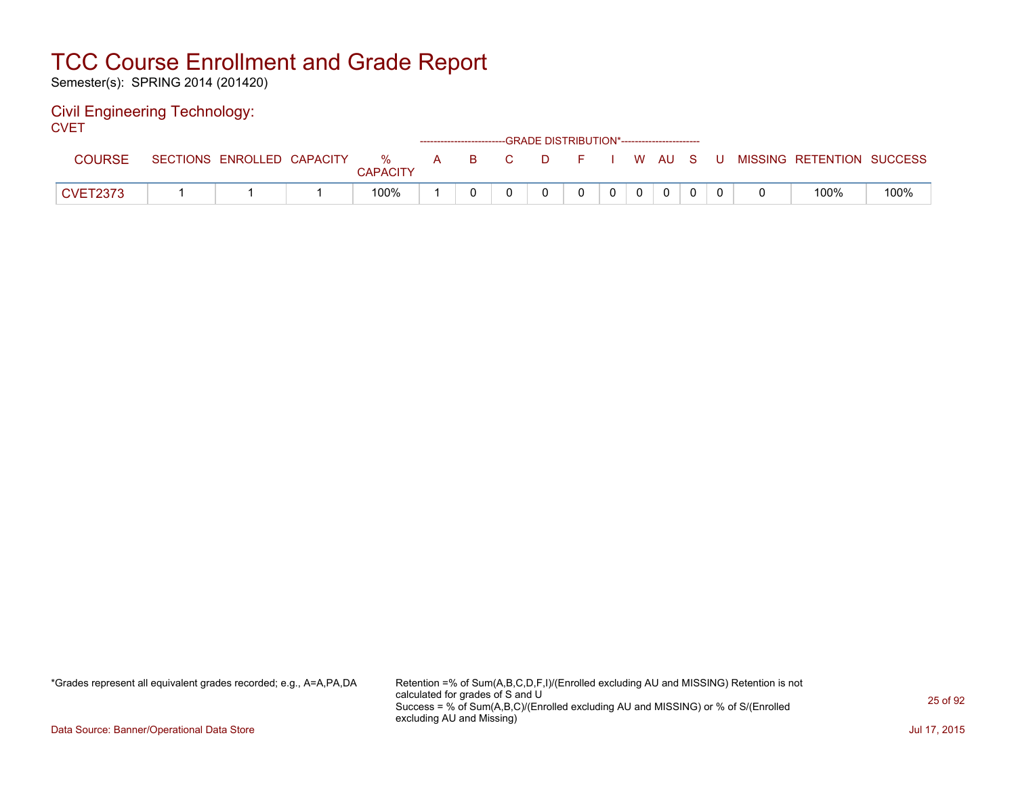Semester(s): SPRING 2014 (201420)

#### Civil Engineering Technology: **CVET**

|                 |                            |                      |  | ------------------------GRADE DISTRIBUTION*----------------------- |          |                |                |  |                                          |      |
|-----------------|----------------------------|----------------------|--|--------------------------------------------------------------------|----------|----------------|----------------|--|------------------------------------------|------|
| COURSE          | SECTIONS ENROLLED CAPACITY | %<br><b>CAPACITY</b> |  | A B C                                                              |          |                |                |  | D F I W AU S U MISSING RETENTION SUCCESS |      |
| <b>CVET2373</b> |                            | 100%                 |  |                                                                    | $\Omega$ | 0 <sup>1</sup> | $\overline{0}$ |  | 100%                                     | 100% |

\*Grades represent all equivalent grades recorded; e.g., A=A,PA,DA Retention =% of Sum(A,B,C,D,F,I)/(Enrolled excluding AU and MISSING) Retention is not calculated for grades of S and U Success = % of Sum(A,B,C)/(Enrolled excluding AU and MISSING) or % of S/(Enrolled excluding AU and Missing)

Data Source: Banner/Operational Data Store Jul 17, 2015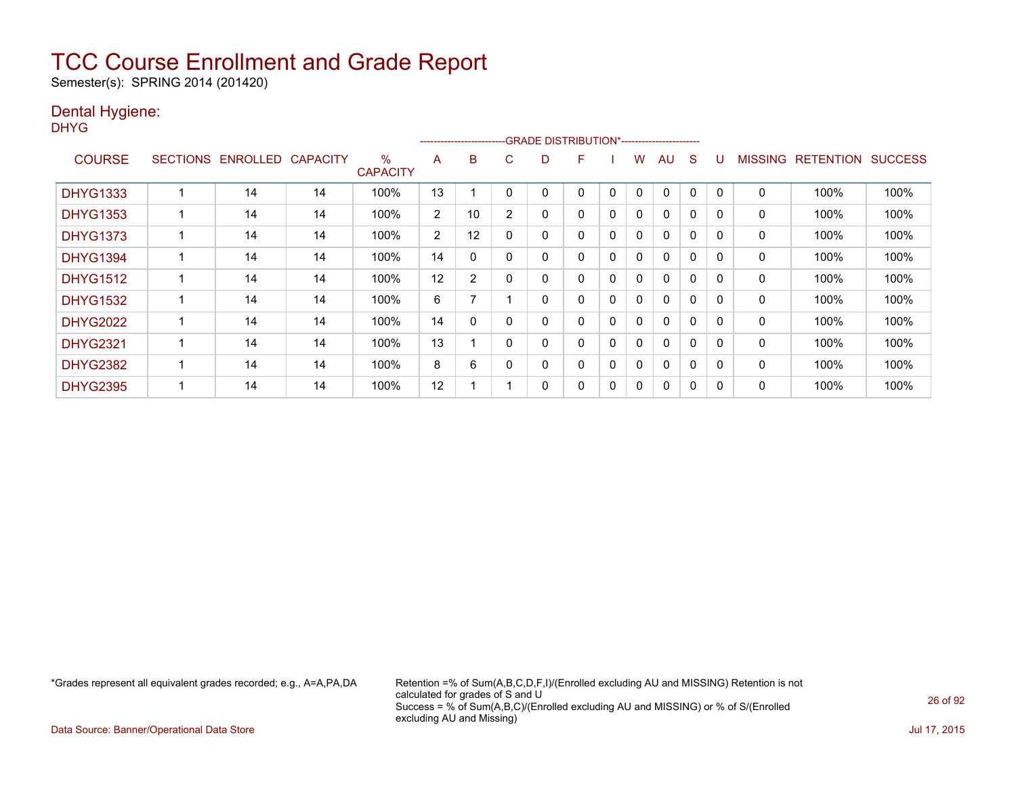Semester(s): SPRING 2014 (201420)

### Dental Hygiene:

DHYG

|                 |                 |                 |                 |                         |                       | ------------------------ |                | -GRADE DISTRIBUTION*----------------------- |   |          |              |              |             |              |                |                  |                |
|-----------------|-----------------|-----------------|-----------------|-------------------------|-----------------------|--------------------------|----------------|---------------------------------------------|---|----------|--------------|--------------|-------------|--------------|----------------|------------------|----------------|
| <b>COURSE</b>   | <b>SECTIONS</b> | <b>ENROLLED</b> | <b>CAPACITY</b> | $\%$<br><b>CAPACITY</b> | A                     | B                        | C              | D                                           | F |          | w            | AU           | S           |              | <b>MISSING</b> | <b>RETENTION</b> | <b>SUCCESS</b> |
| <b>DHYG1333</b> |                 | 14              | 14              | 100%                    | 13                    |                          |                |                                             | 0 | 0        | $\mathbf{0}$ | 0            | $\Omega$    | <sup>0</sup> | 0              | 100%             | 100%           |
| <b>DHYG1353</b> |                 | 14              | 14              | 100%                    | $\overline{2}$        | 10                       | $\overline{2}$ | 0                                           | 0 | 0        | 0            | $\mathbf{0}$ | 0           | 0            | 0              | 100%             | 100%           |
| <b>DHYG1373</b> |                 | 14              | 14              | 100%                    | $\mathbf{2}^{\prime}$ | 12                       | 0              | 0                                           | 0 | 0        | $\Omega$     | 0            | 0           | <sup>0</sup> | 0              | 100%             | 100%           |
| <b>DHYG1394</b> |                 | 14              | 14              | 100%                    | 14                    | 0                        | 0              | 0                                           | 0 | 0        | 0            | 0            | $\mathbf 0$ | $\Omega$     | 0              | 100%             | 100%           |
| <b>DHYG1512</b> |                 | 14              | 14              | 100%                    | 12                    | $\overline{2}$           | 0              | 0                                           | 0 | 0        | 0            | $\mathbf{0}$ | $\Omega$    | $\Omega$     | 0              | 100%             | 100%           |
| <b>DHYG1532</b> |                 | 14              | 14              | 100%                    | 6                     | 7                        |                | 0                                           | 0 | $\Omega$ | 0            | $\mathbf{0}$ | $\Omega$    | $\Omega$     | 0              | 100%             | 100%           |
| <b>DHYG2022</b> |                 | 14              | 14              | 100%                    | 14                    | 0                        | $\Omega$       | 0                                           | 0 | $\Omega$ | 0            | $\mathbf{0}$ | $\Omega$    | <sup>n</sup> | 0              | 100%             | 100%           |
| <b>DHYG2321</b> |                 | 14              | 14              | 100%                    | 13                    |                          | 0              | 0                                           | 0 | 0        | 0            | $\mathbf{0}$ | $\Omega$    | $\Omega$     | 0              | 100%             | 100%           |
| <b>DHYG2382</b> |                 | 14              | 14              | 100%                    | 8                     | 6                        |                | 0                                           | 0 | 0        | 0            | $\mathbf{0}$ | 0           | <sup>0</sup> | 0              | 100%             | 100%           |
| <b>DHYG2395</b> |                 | 14              | 14              | 100%                    | 12                    |                          |                | 0                                           | 0 | 0        | 0            | 0            | 0           | O            | 0              | 100%             | 100%           |

\*Grades represent all equivalent grades recorded; e.g., A=A,PA,DA Retention =% of Sum(A,B,C,D,F,I)/(Enrolled excluding AU and MISSING) Retention is not calculated for grades of S and U Success = % of Sum(A,B,C)/(Enrolled excluding AU and MISSING) or % of S/(Enrolled excluding AU and Missing)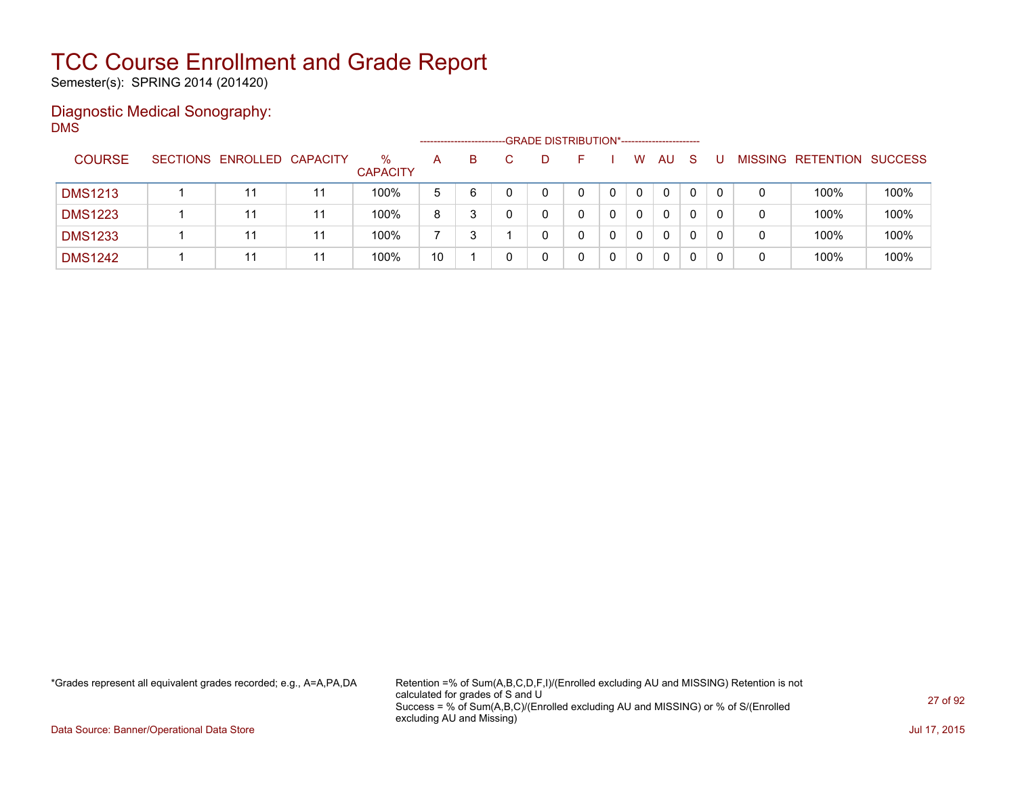Semester(s): SPRING 2014 (201420)

#### Diagnostic Medical Sonography: DMS

|                |                            |    |                      | ------------------- |   | -GRADE DISTRIBUTION*----------------------- |  |          |              |              |          |                |                  |                |
|----------------|----------------------------|----|----------------------|---------------------|---|---------------------------------------------|--|----------|--------------|--------------|----------|----------------|------------------|----------------|
| <b>COURSE</b>  | SECTIONS ENROLLED CAPACITY |    | %<br><b>CAPACITY</b> | A                   | B |                                             |  | W        | AU           | <sub>S</sub> |          | <b>MISSING</b> | <b>RETENTION</b> | <b>SUCCESS</b> |
| <b>DMS1213</b> | 11                         | 11 | 100%                 | 5                   | 6 |                                             |  | $\Omega$ | $\mathbf{0}$ | 0            | $\Omega$ | 0              | 100%             | 100%           |
| <b>DMS1223</b> | 11                         | 11 | 100%                 | 8                   |   |                                             |  | $\Omega$ | 0            |              |          | 0              | 100%             | 100%           |
| <b>DMS1233</b> | 11                         | 11 | 100%                 |                     |   |                                             |  | $\Omega$ | 0            |              |          | 0              | 100%             | 100%           |
| <b>DMS1242</b> | 11                         | 11 | 100%                 | 10                  |   |                                             |  | 0        | 0            | 0            |          | 0              | 100%             | 100%           |

\*Grades represent all equivalent grades recorded; e.g., A=A,PA,DA Retention =% of Sum(A,B,C,D,F,I)/(Enrolled excluding AU and MISSING) Retention is not calculated for grades of S and U Success = % of Sum(A,B,C)/(Enrolled excluding AU and MISSING) or % of S/(Enrolled excluding AU and Missing)

Data Source: Banner/Operational Data Store Jul 17, 2015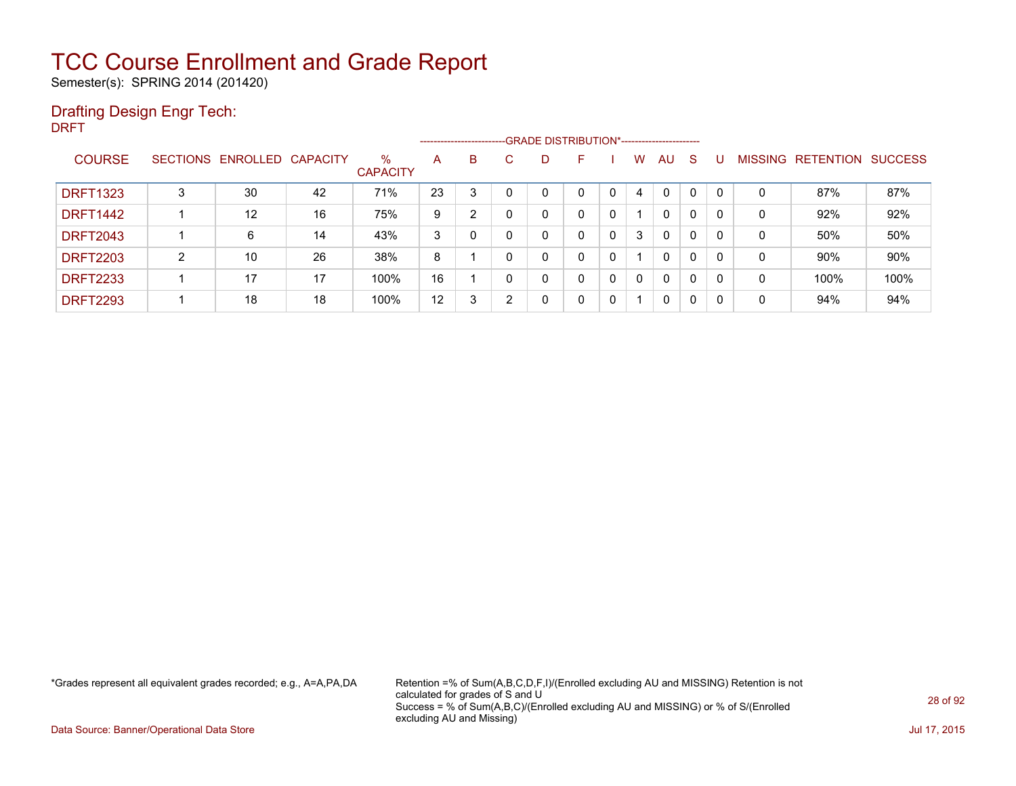Semester(s): SPRING 2014 (201420)

### Drafting Design Engr Tech:

DRFT

|                 |                 |          |                 |                         | ------------------------ |                      |   | --GRADE DISTRIBUTION*----------------------- |   |   |   |              |              |          |                |                  |                |
|-----------------|-----------------|----------|-----------------|-------------------------|--------------------------|----------------------|---|----------------------------------------------|---|---|---|--------------|--------------|----------|----------------|------------------|----------------|
| <b>COURSE</b>   | <b>SECTIONS</b> | ENROLLED | <b>CAPACITY</b> | $\%$<br><b>CAPACITY</b> | A                        | B                    | C | D                                            | F |   | w | AU           | <sub>S</sub> |          | <b>MISSING</b> | <b>RETENTION</b> | <b>SUCCESS</b> |
| <b>DRFT1323</b> | 3               | 30       | 42              | 71%                     | 23                       | 3                    |   | $\Omega$                                     | 0 | 0 | 4 | $\Omega$     |              | $\Omega$ | 0              | 87%              | 87%            |
| <b>DRFT1442</b> |                 | 12       | 16              | 75%                     | 9                        | $\mathbf{2}^{\circ}$ |   | 0                                            | 0 | 0 |   | 0            | 0            | $\Omega$ | 0              | 92%              | 92%            |
| <b>DRFT2043</b> |                 | 6        | 14              | 43%                     | 3                        |                      |   | $\mathbf 0$                                  | 0 | 0 | 3 | $\mathbf{0}$ | $\Omega$     | 0        | 0              | 50%              | 50%            |
| <b>DRFT2203</b> | C.              | 10       | 26              | 38%                     | 8                        |                      | 0 | $\mathbf{0}$                                 | 0 | 0 |   | $\Omega$     | 0            | $\Omega$ | 0              | 90%              | 90%            |
| <b>DRFT2233</b> |                 | 17       | 17              | 100%                    | 16                       |                      | 0 | 0                                            | 0 | 0 | 0 | 0            | $\Omega$     | 0        | 0              | 100%             | 100%           |
| <b>DRFT2293</b> |                 | 18       | 18              | 100%                    | 12                       | 3                    | ົ | 0                                            | 0 | 0 |   | 0            | 0            | 0        | 0              | 94%              | 94%            |

\*Grades represent all equivalent grades recorded; e.g., A=A,PA,DA Retention =% of Sum(A,B,C,D,F,I)/(Enrolled excluding AU and MISSING) Retention is not calculated for grades of S and U Success = % of Sum(A,B,C)/(Enrolled excluding AU and MISSING) or % of S/(Enrolled excluding AU and Missing)

Data Source: Banner/Operational Data Store Jul 17, 2015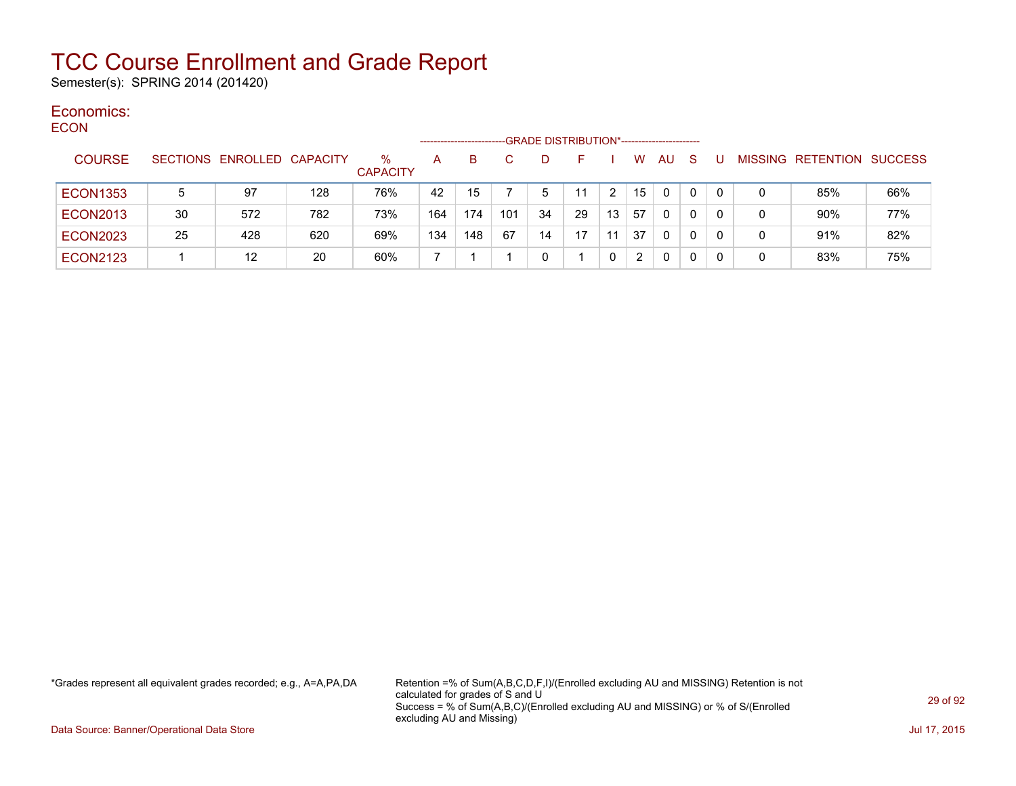Semester(s): SPRING 2014 (201420)

#### Economics: ECON

| ᆫᇰᇦᇅ |                 |    |                            |     |                         | --------------------- |     |     | -GRADE DISTRIBUTION*----------------------- |    |    |    |           |              |     |   |                           |     |
|------|-----------------|----|----------------------------|-----|-------------------------|-----------------------|-----|-----|---------------------------------------------|----|----|----|-----------|--------------|-----|---|---------------------------|-----|
|      | <b>COURSE</b>   |    | SECTIONS ENROLLED CAPACITY |     | $\%$<br><b>CAPACITY</b> | A                     | B.  |     | D                                           |    |    | W  | <b>AU</b> | <sub>S</sub> |     |   | MISSING RETENTION SUCCESS |     |
|      | <b>ECON1353</b> | 5  | 97                         | 128 | 76%                     | 42                    | 15  |     | 5                                           | 11 |    | 15 | $\Omega$  | 0            | 0   | 0 | 85%                       | 66% |
|      | <b>ECON2013</b> | 30 | 572                        | 782 | 73%                     | 164                   | 174 | 101 | 34                                          | 29 | 13 | 57 | 0         | 0            | - 0 | 0 | 90%                       | 77% |
|      | <b>ECON2023</b> | 25 | 428                        | 620 | 69%                     | 134                   | 148 | 67  | 14                                          | 17 | 11 | 37 | $\Omega$  | 0            | 0   | 0 | 91%                       | 82% |
|      | <b>ECON2123</b> |    | 12                         | 20  | 60%                     |                       |     |     | 0                                           |    |    | 2  | 0         | 0            |     | 0 | 83%                       | 75% |

\*Grades represent all equivalent grades recorded; e.g., A=A,PA,DA Retention =% of Sum(A,B,C,D,F,I)/(Enrolled excluding AU and MISSING) Retention is not calculated for grades of S and U Success = % of Sum(A,B,C)/(Enrolled excluding AU and MISSING) or % of S/(Enrolled excluding AU and Missing)

Data Source: Banner/Operational Data Store Jul 17, 2015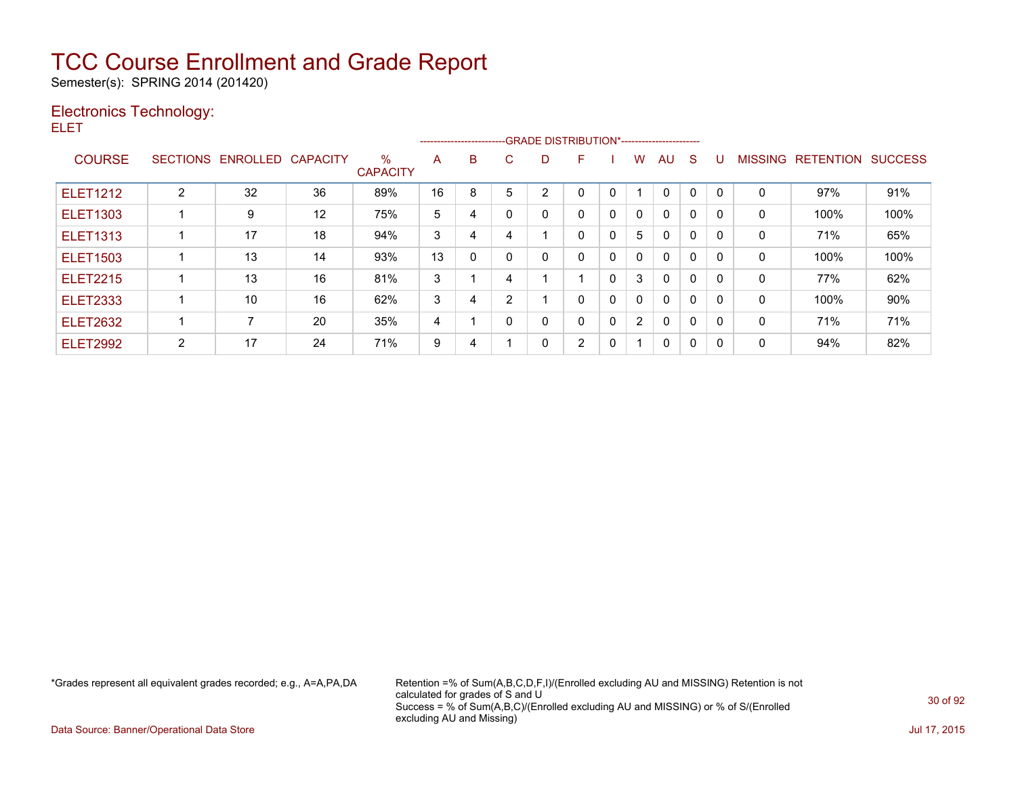Semester(s): SPRING 2014 (201420)

### Electronics Technology:

ELET

|                 |                 |          |                 |                         |    | ------------------------ |   | --GRADE DISTRIBUTION*----------------------- |   |              |                      |              |             |              |                |                  |                |
|-----------------|-----------------|----------|-----------------|-------------------------|----|--------------------------|---|----------------------------------------------|---|--------------|----------------------|--------------|-------------|--------------|----------------|------------------|----------------|
| <b>COURSE</b>   | <b>SECTIONS</b> | ENROLLED | <b>CAPACITY</b> | $\%$<br><b>CAPACITY</b> | A  | B                        | C | D                                            | F |              | W                    | AU           | S           |              | <b>MISSING</b> | <b>RETENTION</b> | <b>SUCCESS</b> |
| <b>ELET1212</b> | 2               | 32       | 36              | 89%                     | 16 | 8                        | 5 | 2                                            | 0 | 0            |                      | $\mathbf{0}$ | 0           | $\Omega$     | 0              | 97%              | 91%            |
| <b>ELET1303</b> |                 | 9        | 12              | 75%                     | 5  | 4                        | n | 0                                            | 0 | 0            | $\mathbf{0}$         | $\mathbf{0}$ | 0           | 0            | 0              | 100%             | 100%           |
| <b>ELET1313</b> |                 | 17       | 18              | 94%                     | 3  | 4                        | 4 |                                              | 0 | 0            | 5                    | $\mathbf{0}$ | $\Omega$    | $\Omega$     | 0              | 71%              | 65%            |
| <b>ELET1503</b> |                 | 13       | 14              | 93%                     | 13 | $\mathbf{0}$             |   | 0                                            | 0 | 0            | $\Omega$             | $\mathbf{0}$ | $\mathbf 0$ | $\Omega$     | 0              | 100%             | 100%           |
| <b>ELET2215</b> |                 | 13       | 16              | 81%                     | 3  |                          | 4 |                                              |   | $\mathbf{0}$ | 3                    | $\mathbf{0}$ | $\Omega$    | $\Omega$     | $\mathbf{0}$   | 77%              | 62%            |
| <b>ELET2333</b> |                 | 10       | 16              | 62%                     | 3  | 4                        | 2 |                                              | 0 | 0            | $\mathbf{0}$         | $\mathbf{0}$ | $\mathbf 0$ | <sup>0</sup> | 0              | 100%             | 90%            |
| <b>ELET2632</b> |                 |          | 20              | 35%                     | 4  |                          |   | 0                                            | 0 | 0            | $\mathbf{2}^{\circ}$ | 0            | 0           |              | 0              | 71%              | 71%            |
| <b>ELET2992</b> | 2               | 17       | 24              | 71%                     | 9  | 4                        |   | $\Omega$                                     | 2 | 0            | 1                    | 0            | $\mathbf 0$ | 0            | 0              | 94%              | 82%            |

\*Grades represent all equivalent grades recorded; e.g., A=A,PA,DA Retention =% of Sum(A,B,C,D,F,I)/(Enrolled excluding AU and MISSING) Retention is not calculated for grades of S and U Success = % of Sum(A,B,C)/(Enrolled excluding AU and MISSING) or % of S/(Enrolled excluding AU and Missing)

Data Source: Banner/Operational Data Store Jul 17, 2015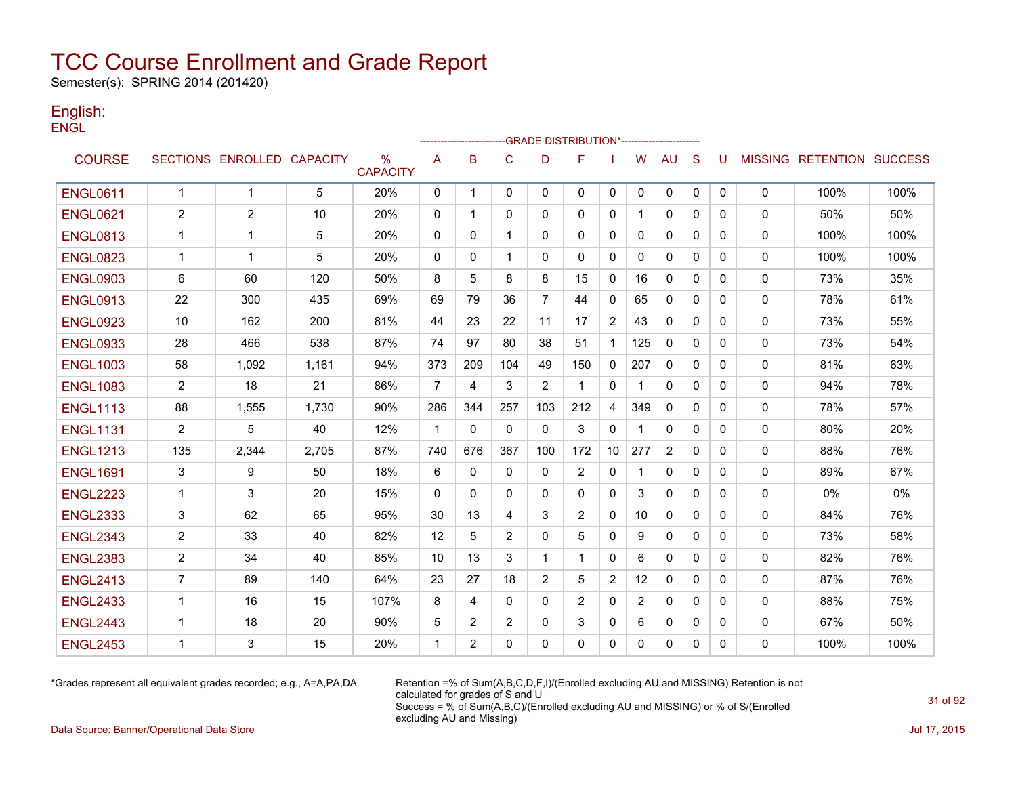Semester(s): SPRING 2014 (201420)

#### English: **ENGL**

|                 |                |                            |       |                                  |                |                |                | -GRADE DISTRIBUTION*---------------------- |                |                |                |              |              |   |              |                                  |      |
|-----------------|----------------|----------------------------|-------|----------------------------------|----------------|----------------|----------------|--------------------------------------------|----------------|----------------|----------------|--------------|--------------|---|--------------|----------------------------------|------|
| <b>COURSE</b>   |                | SECTIONS ENROLLED CAPACITY |       | $\frac{0}{0}$<br><b>CAPACITY</b> | A              | B              | $\mathbf C$    | D                                          | F              |                | W              | <b>AU</b>    | S            | U |              | <b>MISSING RETENTION SUCCESS</b> |      |
| <b>ENGL0611</b> | $\mathbf{1}$   | $\mathbf{1}$               | 5     | 20%                              | 0              | $\mathbf{1}$   | $\Omega$       | $\mathbf{0}$                               | $\mathbf{0}$   | 0              | 0              | 0            | $\mathbf{0}$ | 0 | 0            | 100%                             | 100% |
| <b>ENGL0621</b> | 2              | 2                          | 10    | 20%                              | 0              | 1              | $\mathbf{0}$   | 0                                          | $\mathbf{0}$   | 0              |                | $\mathbf{0}$ | 0            | 0 | 0            | 50%                              | 50%  |
| <b>ENGL0813</b> | -1             | 1                          | 5     | 20%                              | 0              | $\mathbf{0}$   | 1              | $\Omega$                                   | 0              | 0              | 0              | 0            | 0            | 0 | 0            | 100%                             | 100% |
| <b>ENGL0823</b> | -1             | 1                          | 5     | 20%                              | 0              | 0              | $\mathbf 1$    | 0                                          | 0              | 0              | 0              | 0            | 0            | 0 | 0            | 100%                             | 100% |
| <b>ENGL0903</b> | 6              | 60                         | 120   | 50%                              | 8              | 5              | 8              | 8                                          | 15             | 0              | 16             | 0            | 0            | 0 | 0            | 73%                              | 35%  |
| <b>ENGL0913</b> | 22             | 300                        | 435   | 69%                              | 69             | 79             | 36             | 7                                          | 44             | 0              | 65             | 0            | $\mathbf{0}$ | 0 | 0            | 78%                              | 61%  |
| <b>ENGL0923</b> | 10             | 162                        | 200   | 81%                              | 44             | 23             | 22             | 11                                         | 17             | $\overline{2}$ | 43             | $\mathbf{0}$ | $\mathbf{0}$ | 0 | 0            | 73%                              | 55%  |
| <b>ENGL0933</b> | 28             | 466                        | 538   | 87%                              | 74             | 97             | 80             | 38                                         | 51             | $\mathbf{1}$   | 125            | $\mathbf{0}$ | $\Omega$     | 0 | 0            | 73%                              | 54%  |
| <b>ENGL1003</b> | 58             | 1,092                      | 1,161 | 94%                              | 373            | 209            | 104            | 49                                         | 150            | $\mathbf{0}$   | 207            | $\mathbf{0}$ | $\Omega$     | 0 | $\mathbf{0}$ | 81%                              | 63%  |
| <b>ENGL1083</b> | $\overline{2}$ | 18                         | 21    | 86%                              | $\overline{7}$ | 4              | 3              | $\overline{2}$                             | -1             | 0              |                | $\mathbf{0}$ | $\Omega$     | 0 | 0            | 94%                              | 78%  |
| <b>ENGL1113</b> | 88             | 1,555                      | 1,730 | 90%                              | 286            | 344            | 257            | 103                                        | 212            | 4              | 349            | $\mathbf{0}$ | $\Omega$     | 0 | 0            | 78%                              | 57%  |
| <b>ENGL1131</b> | $\overline{2}$ | 5                          | 40    | 12%                              | $\mathbf{1}$   | $\mathbf{0}$   | $\mathbf{0}$   | $\mathbf{0}$                               | 3              | 0              |                | 0            | $\mathbf{0}$ | 0 | 0            | 80%                              | 20%  |
| <b>ENGL1213</b> | 135            | 2,344                      | 2,705 | 87%                              | 740            | 676            | 367            | 100                                        | 172            | 10             | 277            | 2            | 0            | 0 | 0            | 88%                              | 76%  |
| <b>ENGL1691</b> | 3              | 9                          | 50    | 18%                              | 6              | $\mathbf{0}$   | $\Omega$       | $\mathbf{0}$                               | 2              | 0              |                | 0            | 0            | 0 | 0            | 89%                              | 67%  |
| <b>ENGL2223</b> | $\mathbf 1$    | 3                          | 20    | 15%                              | $\mathbf{0}$   | 0              | $\mathbf{0}$   | 0                                          | 0              | 0              | 3              | 0            | 0            | 0 | 0            | 0%                               | 0%   |
| <b>ENGL2333</b> | 3              | 62                         | 65    | 95%                              | 30             | 13             | 4              | 3                                          | 2              | 0              | 10             | $\mathbf{0}$ | $\mathbf{0}$ | 0 | 0            | 84%                              | 76%  |
| <b>ENGL2343</b> | $\overline{2}$ | 33                         | 40    | 82%                              | 12             | 5              | $\overline{2}$ | $\Omega$                                   | 5              | $\Omega$       | 9              | $\mathbf{0}$ | $\mathbf{0}$ | 0 | 0            | 73%                              | 58%  |
| <b>ENGL2383</b> | $\overline{2}$ | 34                         | 40    | 85%                              | 10             | 13             | 3              | -1                                         | $\overline{1}$ | $\mathbf{0}$   | 6              | $\mathbf{0}$ | $\Omega$     | 0 | $\mathbf{0}$ | 82%                              | 76%  |
| <b>ENGL2413</b> | $\overline{7}$ | 89                         | 140   | 64%                              | 23             | 27             | 18             | 2                                          | 5              | $\overline{2}$ | 12             | $\mathbf{0}$ | $\Omega$     | 0 | 0            | 87%                              | 76%  |
| <b>ENGL2433</b> | $\mathbf 1$    | 16                         | 15    | 107%                             | 8              | 4              | $\mathbf{0}$   | $\Omega$                                   | 2              | 0              | $\overline{2}$ | $\mathbf{0}$ | $\Omega$     | 0 | 0            | 88%                              | 75%  |
| <b>ENGL2443</b> | $\mathbf 1$    | 18                         | 20    | 90%                              | 5              | 2              | 2              | 0                                          | 3              | 0              | 6              | 0            | 0            | 0 | 0            | 67%                              | 50%  |
| <b>ENGL2453</b> | 1              | 3                          | 15    | 20%                              | 1              | $\overline{2}$ | $\Omega$       | $\Omega$                                   | 0              | 0              | 0              | 0            | 0            | 0 | 0            | 100%                             | 100% |

\*Grades represent all equivalent grades recorded; e.g., A=A,PA,DA Retention =% of Sum(A,B,C,D,F,I)/(Enrolled excluding AU and MISSING) Retention is not calculated for grades of S and U Success = % of Sum(A,B,C)/(Enrolled excluding AU and MISSING) or % of S/(Enrolled excluding AU and Missing)

Data Source: Banner/Operational Data Store Jul 17, 2015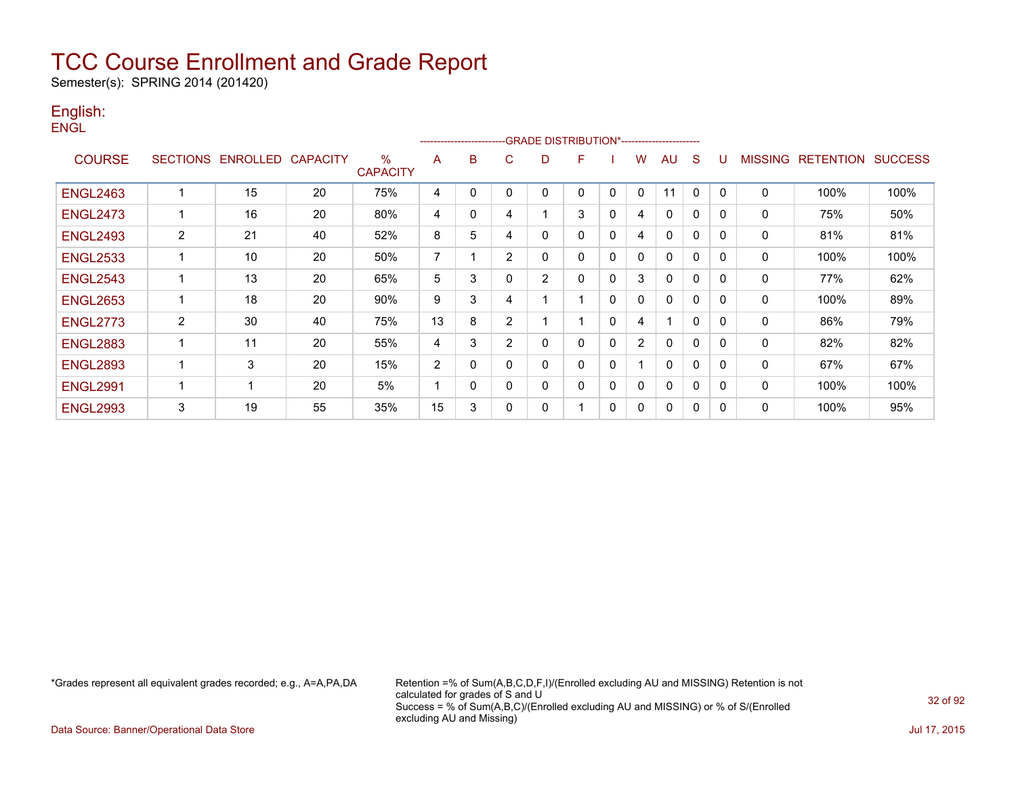Semester(s): SPRING 2014 (201420)

#### English: **ENGL**

|                 |                |                            |    |                      |                |              |             | ------------------------GRADE                DISTRIBUTION*---------------------- |              |          |                |              |              |          |                |                  |                |
|-----------------|----------------|----------------------------|----|----------------------|----------------|--------------|-------------|----------------------------------------------------------------------------------|--------------|----------|----------------|--------------|--------------|----------|----------------|------------------|----------------|
| <b>COURSE</b>   |                | SECTIONS ENROLLED CAPACITY |    | %<br><b>CAPACITY</b> | A              | B            | C           | D                                                                                | F            |          | w              | <b>AU</b>    | S            | U        | <b>MISSING</b> | <b>RETENTION</b> | <b>SUCCESS</b> |
| <b>ENGL2463</b> | 1              | 15                         | 20 | 75%                  | 4              | 0            | $\mathbf 0$ | $\mathbf 0$                                                                      | $\Omega$     | 0        | $\Omega$       | 11           | $\Omega$     | $\Omega$ | $\mathbf{0}$   | 100%             | 100%           |
| <b>ENGL2473</b> | 1              | 16                         | 20 | 80%                  | 4              | 0            | 4           |                                                                                  | 3            | 0        | 4              | $\mathbf{0}$ | $\Omega$     | 0        | $\mathbf{0}$   | 75%              | 50%            |
| <b>ENGL2493</b> | $\overline{2}$ | 21                         | 40 | 52%                  | 8              | 5            | 4           | 0                                                                                | 0            | 0        | 4              | $\mathbf 0$  | $\Omega$     | 0        | 0              | 81%              | 81%            |
| <b>ENGL2533</b> | 1              | 10                         | 20 | 50%                  | $\overline{7}$ |              | 2           | 0                                                                                | $\mathbf{0}$ | 0        | 0              | $\mathbf{0}$ | $\Omega$     | $\Omega$ | $\Omega$       | 100%             | 100%           |
| <b>ENGL2543</b> | 1              | 13                         | 20 | 65%                  | 5              | 3            | $\mathbf 0$ | 2                                                                                | $\mathbf{0}$ | $\Omega$ | 3              | $\mathbf 0$  | $\mathbf{0}$ | 0        | 0              | 77%              | 62%            |
| <b>ENGL2653</b> | 1              | 18                         | 20 | 90%                  | 9              | 3            | 4           |                                                                                  |              | 0        | 0              | 0            | 0            | 0        | 0              | 100%             | 89%            |
| <b>ENGL2773</b> | $\overline{2}$ | 30                         | 40 | 75%                  | 13             | 8            | 2           |                                                                                  |              | 0        | 4              |              | $\mathbf{0}$ | $\Omega$ | 0              | 86%              | 79%            |
| <b>ENGL2883</b> | 1              | 11                         | 20 | 55%                  | 4              | 3            | 2           | $\mathbf 0$                                                                      | $\mathbf{0}$ | $\Omega$ | $\overline{2}$ | $\Omega$     | $\Omega$     | $\Omega$ | 0              | 82%              | 82%            |
| <b>ENGL2893</b> | 1              | 3                          | 20 | 15%                  | $\overline{2}$ | 0            | $\Omega$    | 0                                                                                | $\mathbf{0}$ | 0        |                | $\Omega$     | $\Omega$     | $\Omega$ | $\mathbf 0$    | 67%              | 67%            |
| <b>ENGL2991</b> | 1              |                            | 20 | 5%                   |                | $\mathbf{0}$ | $\mathbf 0$ | 0                                                                                | $\mathbf{0}$ | 0        | 0              | $\mathbf{0}$ | $\mathbf{0}$ | $\Omega$ | 0              | 100%             | 100%           |
| <b>ENGL2993</b> | 3              | 19                         | 55 | 35%                  | 15             | 3            | 0           | 0                                                                                |              | 0        | 0              | 0            | 0            | 0        | 0              | 100%             | 95%            |

\*Grades represent all equivalent grades recorded; e.g., A=A,PA,DA Retention =% of Sum(A,B,C,D,F,I)/(Enrolled excluding AU and MISSING) Retention is not calculated for grades of S and U Success = % of Sum(A,B,C)/(Enrolled excluding AU and MISSING) or % of S/(Enrolled excluding AU and Missing)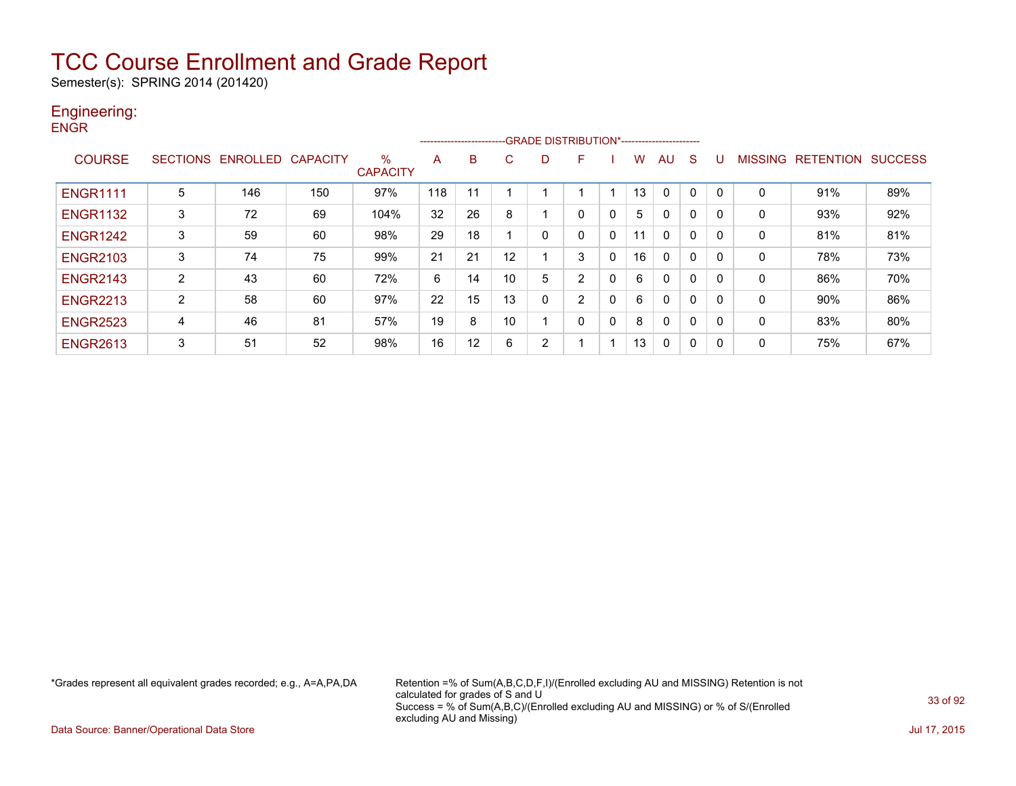Semester(s): SPRING 2014 (201420)

#### Engineering: **ENGR**

|                 |   |                            |     |                      |     | ---------------------- |    |   | ---- GRADE DISTRIBUTION*------------------------ |              |    |              |              |   |                |                  |                |
|-----------------|---|----------------------------|-----|----------------------|-----|------------------------|----|---|--------------------------------------------------|--------------|----|--------------|--------------|---|----------------|------------------|----------------|
| <b>COURSE</b>   |   | SECTIONS ENROLLED CAPACITY |     | ℅<br><b>CAPACITY</b> | A   | B                      | C  | D | F                                                |              | w  | AU           | <sub>S</sub> | U | <b>MISSING</b> | <b>RETENTION</b> | <b>SUCCESS</b> |
| <b>ENGR1111</b> | 5 | 146                        | 150 | 97%                  | 118 |                        |    |   |                                                  |              | 13 | 0            |              |   | 0              | 91%              | 89%            |
| <b>ENGR1132</b> | 3 | 72                         | 69  | 104%                 | 32  | 26                     | 8  |   | $\Omega$                                         | $\mathbf{0}$ | 5  | $\mathbf{0}$ | $\mathbf 0$  | 0 | 0              | 93%              | 92%            |
| <b>ENGR1242</b> | 3 | 59                         | 60  | 98%                  | 29  | 18                     |    | 0 |                                                  | 0            | 11 | $\mathbf{0}$ | $\mathbf 0$  | 0 | 0              | 81%              | 81%            |
| <b>ENGR2103</b> | 3 | 74                         | 75  | 99%                  | 21  | 21                     | 12 |   | 3                                                | $\mathbf 0$  | 16 | 0            | 0            | 0 | 0              | 78%              | 73%            |
| <b>ENGR2143</b> | 2 | 43                         | 60  | 72%                  | 6   | 14                     | 10 | 5 | 2                                                | $\mathbf 0$  | 6  | $\mathbf{0}$ | 0            | 0 | 0              | 86%              | 70%            |
| <b>ENGR2213</b> | 2 | 58                         | 60  | 97%                  | 22  | 15                     | 13 | 0 | 2                                                | $\mathbf 0$  | 6  | $\mathbf{0}$ | $\mathbf 0$  | 0 | 0              | 90%              | 86%            |
| <b>ENGR2523</b> | 4 | 46                         | 81  | 57%                  | 19  | 8                      | 10 |   | 0                                                | $\mathbf{0}$ | 8  | 0            | 0            | 0 | 0              | 83%              | 80%            |
| <b>ENGR2613</b> | 3 | 51                         | 52  | 98%                  | 16  | 12                     | 6  | 2 |                                                  |              | 13 | $\mathbf{0}$ | 0            | 0 | 0              | 75%              | 67%            |

\*Grades represent all equivalent grades recorded; e.g., A=A,PA,DA Retention =% of Sum(A,B,C,D,F,I)/(Enrolled excluding AU and MISSING) Retention is not calculated for grades of S and U Success = % of Sum(A,B,C)/(Enrolled excluding AU and MISSING) or % of S/(Enrolled excluding AU and Missing)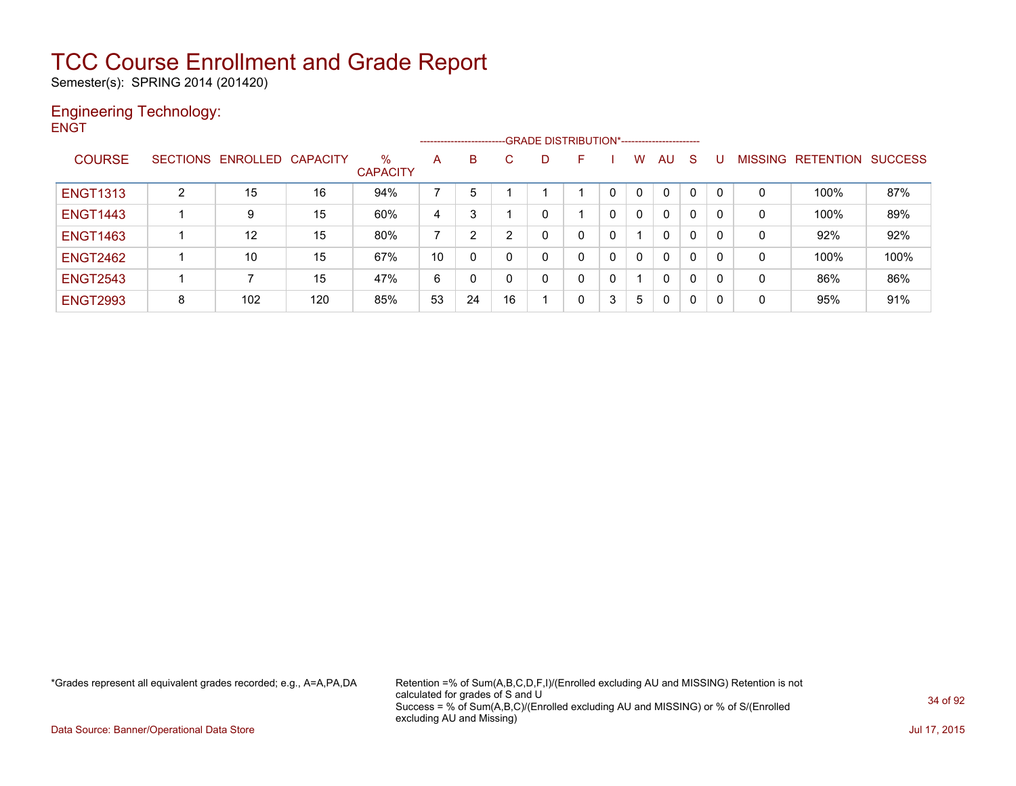Semester(s): SPRING 2014 (201420)

#### Engineering Technology: **ENGT**

|                 |   |                   |          |                      |    | ---------------------- |    |   | -GRADE DISTRIBUTION*----------------------- |   |   |              |   |                |                  |                |
|-----------------|---|-------------------|----------|----------------------|----|------------------------|----|---|---------------------------------------------|---|---|--------------|---|----------------|------------------|----------------|
| <b>COURSE</b>   |   | SECTIONS ENROLLED | CAPACITY | %<br><b>CAPACITY</b> | A  | B                      | C. | D | F.                                          |   | w | AU           | S | <b>MISSING</b> | <b>RETENTION</b> | <b>SUCCESS</b> |
| <b>ENGT1313</b> | 2 | 15                | 16       | 94%                  |    | 5                      |    |   |                                             |   | 0 | $\mathbf{0}$ | 0 | 0              | 100%             | 87%            |
| <b>ENGT1443</b> |   | 9                 | 15       | 60%                  | 4  | 3                      |    |   |                                             | 0 | 0 | $\mathbf{0}$ | 0 | 0              | 100%             | 89%            |
| <b>ENGT1463</b> |   | 12                | 15       | 80%                  |    | 2                      | າ  |   | 0                                           | 0 |   | $\mathbf{0}$ | 0 | 0              | 92%              | 92%            |
| <b>ENGT2462</b> |   | 10                | 15       | 67%                  | 10 | 0                      | 0  |   | 0                                           | 0 | 0 | $\mathbf{0}$ | 0 | 0              | 100%             | 100%           |
| <b>ENGT2543</b> |   |                   | 15       | 47%                  | 6  |                        | 0  |   | 0                                           | 0 |   | $\mathbf{0}$ | 0 | 0              | 86%              | 86%            |
| <b>ENGT2993</b> | 8 | 102               | 120      | 85%                  | 53 | 24                     | 16 |   | 0                                           | 3 | 5 | 0            | 0 | 0              | 95%              | 91%            |

\*Grades represent all equivalent grades recorded; e.g., A=A,PA,DA Retention =% of Sum(A,B,C,D,F,I)/(Enrolled excluding AU and MISSING) Retention is not calculated for grades of S and U Success = % of Sum(A,B,C)/(Enrolled excluding AU and MISSING) or % of S/(Enrolled excluding AU and Missing)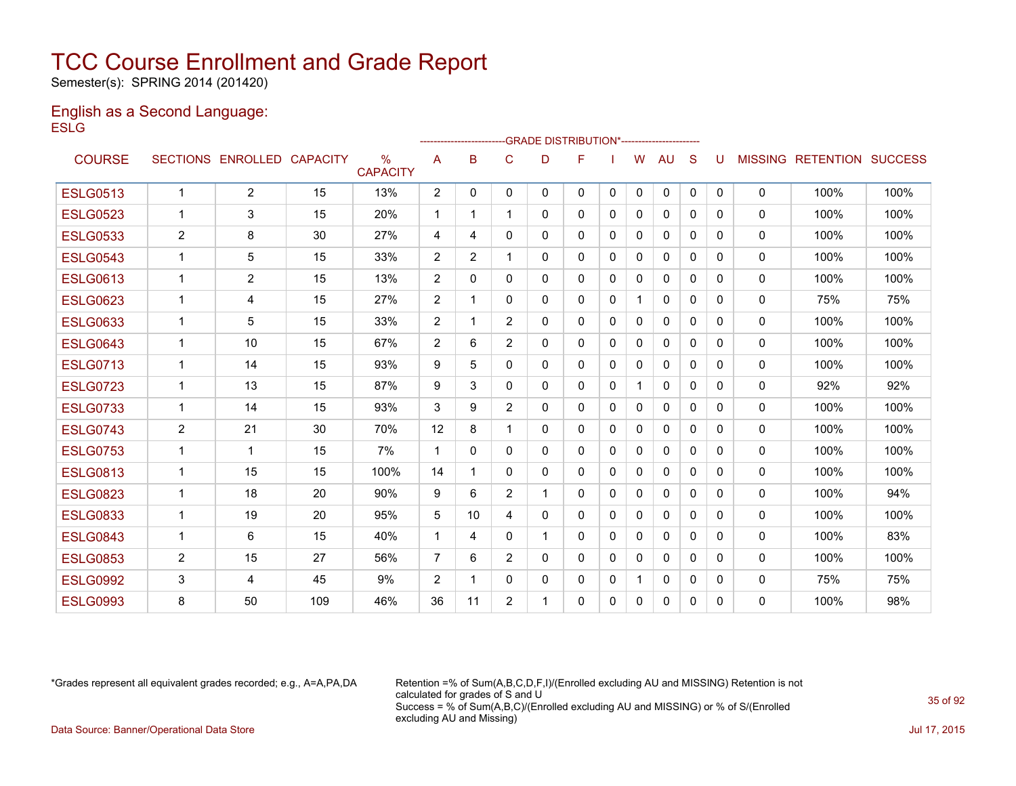Semester(s): SPRING 2014 (201420)

#### English as a Second Language: **ESLG**

|                 |                | -GRADE DISTRIBUTION*-----------------------<br>------------------------ |     |                         |                |                |                |              |   |              |              |              |              |              |              |                                  |      |
|-----------------|----------------|-------------------------------------------------------------------------|-----|-------------------------|----------------|----------------|----------------|--------------|---|--------------|--------------|--------------|--------------|--------------|--------------|----------------------------------|------|
| <b>COURSE</b>   |                | SECTIONS ENROLLED CAPACITY                                              |     | $\%$<br><b>CAPACITY</b> | A              | B              | C              | D            | F |              | W            | AU           | <sub>S</sub> |              |              | <b>MISSING RETENTION SUCCESS</b> |      |
| <b>ESLG0513</b> | $\mathbf 1$    | $\overline{2}$                                                          | 15  | 13%                     | $\overline{2}$ | $\mathbf{0}$   | $\mathbf{0}$   | $\mathbf{0}$ | 0 | $\mathbf{0}$ | $\Omega$     | 0            | $\mathbf{0}$ | $\mathbf{0}$ | $\mathbf 0$  | 100%                             | 100% |
| <b>ESLG0523</b> | 1              | 3                                                                       | 15  | 20%                     | $\mathbf{1}$   | 1              |                | 0            | 0 | $\mathbf{0}$ | $\mathbf{0}$ | 0            | $\Omega$     | 0            | $\mathbf{0}$ | 100%                             | 100% |
| <b>ESLG0533</b> | $\overline{2}$ | 8                                                                       | 30  | 27%                     | 4              | 4              | 0              | 0            | 0 | 0            | $\Omega$     | $\mathbf{0}$ | $\mathbf{0}$ | 0            | $\mathbf{0}$ | 100%                             | 100% |
| <b>ESLG0543</b> | $\mathbf 1$    | 5                                                                       | 15  | 33%                     | 2              | $\overline{2}$ |                | 0            | 0 | 0            | $\Omega$     | $\mathbf{0}$ | $\Omega$     | 0            | $\mathbf{0}$ | 100%                             | 100% |
| <b>ESLG0613</b> | 1              | $\overline{2}$                                                          | 15  | 13%                     | 2              | $\Omega$       | $\Omega$       | 0            | 0 | $\Omega$     | 0            | $\mathbf{0}$ | $\Omega$     | $\Omega$     | $\mathbf{0}$ | 100%                             | 100% |
| <b>ESLG0623</b> | 1              | 4                                                                       | 15  | 27%                     | 2              | 1              | 0              | 0            | 0 | $\mathbf{0}$ | $\mathbf{1}$ | $\mathbf{0}$ | $\mathbf{0}$ | 0            | $\mathbf{0}$ | 75%                              | 75%  |
| <b>ESLG0633</b> | 1              | 5                                                                       | 15  | 33%                     | 2              | 1              | $\overline{2}$ | 0            | 0 | 0            | $\mathbf{0}$ | 0            | $\Omega$     | 0            | 0            | 100%                             | 100% |
| <b>ESLG0643</b> | 1              | 10                                                                      | 15  | 67%                     | 2              | 6              | $\overline{2}$ | $\Omega$     | 0 | $\mathbf{0}$ | 0            | $\Omega$     | $\Omega$     | $\Omega$     | $\mathbf 0$  | 100%                             | 100% |
| <b>ESLG0713</b> | 1              | 14                                                                      | 15  | 93%                     | 9              | 5              | $\Omega$       | $\Omega$     | 0 | $\Omega$     | $\Omega$     | $\mathbf{0}$ | $\Omega$     | 0            | $\mathbf{0}$ | 100%                             | 100% |
| <b>ESLG0723</b> | 1              | 13                                                                      | 15  | 87%                     | 9              | 3              | 0              | 0            | 0 | 0            | 1            | $\mathbf{0}$ | $\Omega$     | 0            | $\mathbf{0}$ | 92%                              | 92%  |
| <b>ESLG0733</b> | 1              | 14                                                                      | 15  | 93%                     | 3              | 9              | $\overline{2}$ | 0            | 0 | 0            | 0            | 0            | 0            | 0            | 0            | 100%                             | 100% |
| <b>ESLG0743</b> | $\overline{2}$ | 21                                                                      | 30  | 70%                     | 12             | 8              |                | $\Omega$     | 0 | $\Omega$     | $\mathbf{0}$ | $\mathbf{0}$ | $\Omega$     | 0            | $\mathbf{0}$ | 100%                             | 100% |
| <b>ESLG0753</b> | 1              | 1                                                                       | 15  | 7%                      | $\overline{1}$ | $\mathbf{0}$   | 0              | 0            | 0 | $\Omega$     | 0            | $\mathbf{0}$ | $\Omega$     | $\Omega$     | $\mathbf{0}$ | 100%                             | 100% |
| <b>ESLG0813</b> | $\mathbf 1$    | 15                                                                      | 15  | 100%                    | 14             | 1              | 0              | 0            | 0 | 0            | $\Omega$     | $\mathbf{0}$ | 0            | 0            | $\mathbf{0}$ | 100%                             | 100% |
| <b>ESLG0823</b> | 1              | 18                                                                      | 20  | 90%                     | 9              | 6              | $\overline{2}$ | 1            | 0 | $\Omega$     | 0            | $\mathbf{0}$ | $\Omega$     | 0            | 0            | 100%                             | 94%  |
| <b>ESLG0833</b> | 1              | 19                                                                      | 20  | 95%                     | 5              | 10             | 4              | 0            | 0 | 0            | 0            | 0            | $\Omega$     | 0            | $\mathbf{0}$ | 100%                             | 100% |
| <b>ESLG0843</b> | 1              | 6                                                                       | 15  | 40%                     | $\mathbf 1$    | 4              | 0              | $\mathbf 1$  | 0 | 0            | $\mathbf{0}$ | $\mathbf{0}$ | $\mathbf{0}$ | 0            | $\mathbf{0}$ | 100%                             | 83%  |
| <b>ESLG0853</b> | 2              | 15                                                                      | 27  | 56%                     | $\overline{7}$ | 6              | $\overline{2}$ | 0            | 0 | $\Omega$     | 0            | 0            | $\Omega$     | 0            | $\mathbf{0}$ | 100%                             | 100% |
| <b>ESLG0992</b> | 3              | 4                                                                       | 45  | 9%                      | 2              | 1              | 0              | 0            | 0 | 0            | 1            | 0            | $\mathbf{0}$ | 0            | 0            | 75%                              | 75%  |
| <b>ESLG0993</b> | 8              | 50                                                                      | 109 | 46%                     | 36             | 11             | $\overline{2}$ | 1            | 0 | $\Omega$     | 0            | $\mathbf{0}$ | $\Omega$     | 0            | $\mathbf{0}$ | 100%                             | 98%  |
|                 |                |                                                                         |     |                         |                |                |                |              |   |              |              |              |              |              |              |                                  |      |

\*Grades represent all equivalent grades recorded; e.g., A=A,PA,DA Retention =% of Sum(A,B,C,D,F,I)/(Enrolled excluding AU and MISSING) Retention is not calculated for grades of S and U Success = % of Sum(A,B,C)/(Enrolled excluding AU and MISSING) or % of S/(Enrolled excluding AU and Missing) Data Source: Banner/Operational Data Store Jul 17, 2015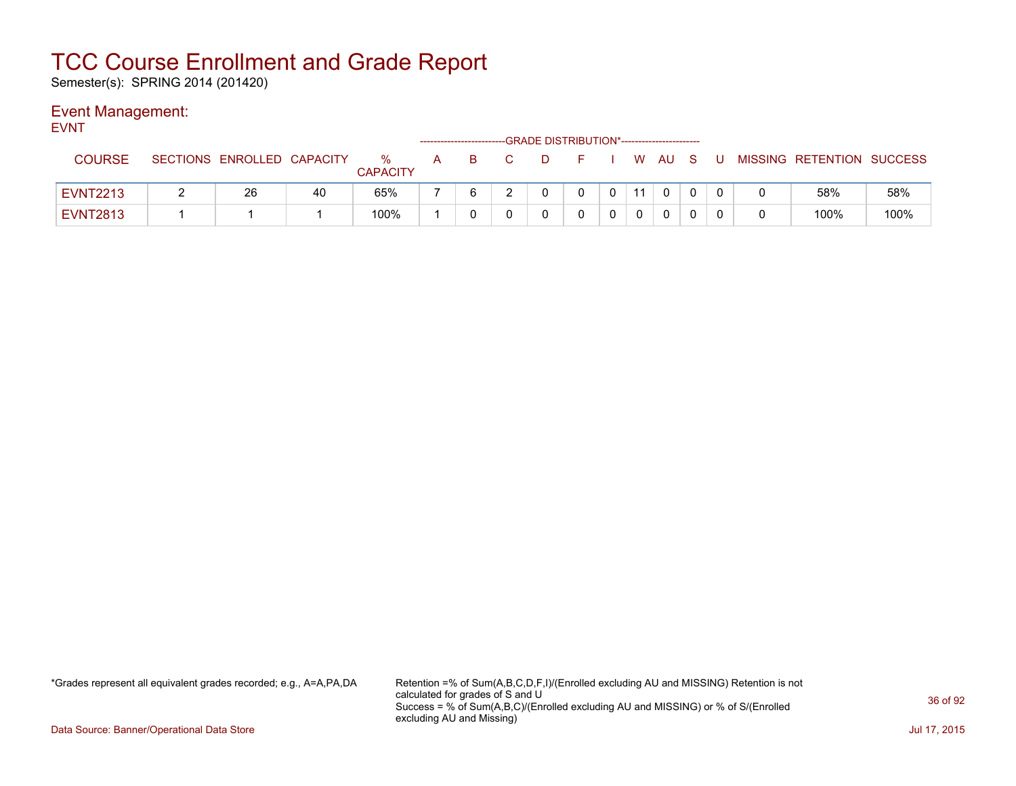Semester(s): SPRING 2014 (201420)

### Event Management:

| <b>EVNT</b>     | -GRADE DISTRIBUTION*-----------------------<br>------------------------ |                            |    |                      |     |    |    |    |            |                |    |          |  |     |                           |      |
|-----------------|-------------------------------------------------------------------------|----------------------------|----|----------------------|-----|----|----|----|------------|----------------|----|----------|--|-----|---------------------------|------|
| <b>COURSE</b>   |                                                                         | SECTIONS ENROLLED CAPACITY |    | %<br><b>CAPACITY</b> | A a | B. | C. | D. | F I W AU S |                |    |          |  | . U | MISSING RETENTION SUCCESS |      |
| <b>EVNT2213</b> |                                                                         | 26                         | 40 | 65%                  |     |    |    |    |            | 0 <sup>1</sup> | 11 | $\Omega$ |  |     | 58%                       | 58%  |
| <b>EVNT2813</b> |                                                                         |                            |    | 100%                 |     |    |    |    |            |                |    | $\Omega$ |  |     | 100%                      | 100% |

\*Grades represent all equivalent grades recorded; e.g., A=A,PA,DA Retention =% of Sum(A,B,C,D,F,I)/(Enrolled excluding AU and MISSING) Retention is not calculated for grades of S and U Success = % of Sum(A,B,C)/(Enrolled excluding AU and MISSING) or % of S/(Enrolled excluding AU and Missing)

Data Source: Banner/Operational Data Store Jul 17, 2015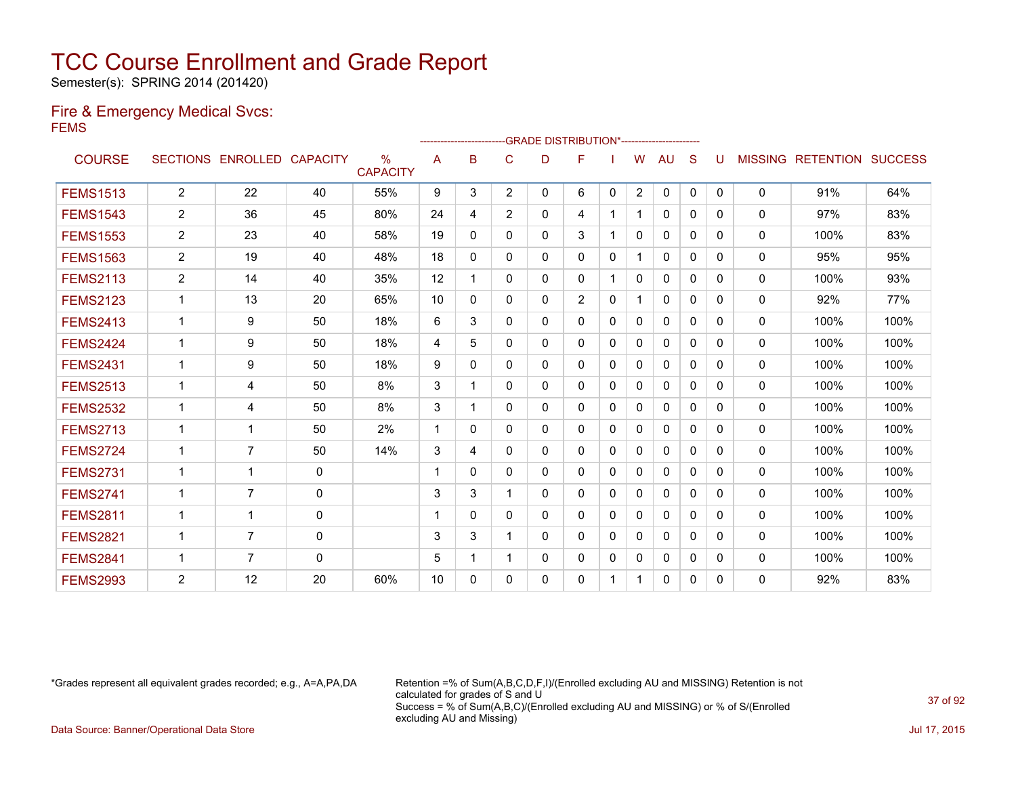Semester(s): SPRING 2014 (201420)

### Fire & Emergency Medical Svcs: FEMS

|                 |                |                   |                 |                                  |             | ----------------------- |                |   | -GRADE DISTRIBUTION*---------------------- |              |                |              |          |          |                |                  |                |
|-----------------|----------------|-------------------|-----------------|----------------------------------|-------------|-------------------------|----------------|---|--------------------------------------------|--------------|----------------|--------------|----------|----------|----------------|------------------|----------------|
| <b>COURSE</b>   |                | SECTIONS ENROLLED | <b>CAPACITY</b> | $\frac{0}{0}$<br><b>CAPACITY</b> | Α           | в                       | C              | D | F                                          |              | W              | AU           | S        |          | <b>MISSING</b> | <b>RETENTION</b> | <b>SUCCESS</b> |
| <b>FEMS1513</b> | $\overline{2}$ | 22                | 40              | 55%                              | 9           | 3                       | 2              | 0 | 6                                          | $\mathbf{0}$ | $\overline{2}$ | $\mathbf{0}$ | 0        | $\Omega$ | 0              | 91%              | 64%            |
| <b>FEMS1543</b> | $\mathbf{2}$   | 36                | 45              | 80%                              | 24          | 4                       | $\overline{2}$ | 0 | 4                                          |              |                | $\mathbf{0}$ | 0        | 0        | 0              | 97%              | 83%            |
| <b>FEMS1553</b> | $\overline{2}$ | 23                | 40              | 58%                              | 19          | $\Omega$                | $\Omega$       | 0 | 3                                          |              | 0              | $\mathbf{0}$ | $\Omega$ | 0        | 0              | 100%             | 83%            |
| <b>FEMS1563</b> | 2              | 19                | 40              | 48%                              | 18          | $\Omega$                | $\mathbf{0}$   | 0 | 0                                          | $\mathbf 0$  |                | $\mathbf{0}$ | $\Omega$ | $\Omega$ | 0              | 95%              | 95%            |
| <b>FEMS2113</b> | 2              | 14                | 40              | 35%                              | 12          | 1                       | $\mathbf{0}$   | 0 | 0                                          |              | $\mathbf{0}$   | $\mathbf{0}$ | $\Omega$ | $\Omega$ | 0              | 100%             | 93%            |
| <b>FEMS2123</b> | $\mathbf{1}$   | 13                | 20              | 65%                              | 10          | 0                       | $\mathbf{0}$   | 0 | $\overline{2}$                             | 0            |                | $\mathbf{0}$ | 0        | 0        | $\Omega$       | 92%              | 77%            |
| <b>FEMS2413</b> | $\mathbf{1}$   | 9                 | 50              | 18%                              | 6           | 3                       | $\mathbf{0}$   | 0 | 0                                          | 0            | $\Omega$       | 0            | 0        | 0        | 0              | 100%             | 100%           |
| <b>FEMS2424</b> | $\mathbf{1}$   | 9                 | 50              | 18%                              | 4           | 5                       | 0              | 0 | 0                                          | $\Omega$     | 0              | $\mathbf{0}$ | $\Omega$ | 0        | 0              | 100%             | 100%           |
| <b>FEMS2431</b> | $\mathbf{1}$   | 9                 | 50              | 18%                              | 9           | $\Omega$                | $\mathbf{0}$   | 0 | 0                                          | $\mathbf{0}$ | $\Omega$       | $\mathbf{0}$ | $\Omega$ | 0        | 0              | 100%             | 100%           |
| <b>FEMS2513</b> | 1              | 4                 | 50              | 8%                               | 3           | 1                       | $\Omega$       | 0 | 0                                          | 0            | 0              | $\Omega$     | $\Omega$ | 0        | 0              | 100%             | 100%           |
| <b>FEMS2532</b> | $\mathbf{1}$   | 4                 | 50              | 8%                               | 3           | 1                       | $\mathbf{0}$   | 0 | 0                                          | $\mathbf 0$  | $\mathbf 0$    | $\mathbf{0}$ | 0        | 0        | 0              | 100%             | 100%           |
| <b>FEMS2713</b> | 1              | 1                 | 50              | 2%                               | $\mathbf 1$ | $\Omega$                | 0              | 0 | 0                                          | 0            | 0              | $\mathbf{0}$ | $\Omega$ | 0        | $\mathbf{0}$   | 100%             | 100%           |
| <b>FEMS2724</b> | 1              | $\overline{7}$    | 50              | 14%                              | 3           | 4                       | $\Omega$       | 0 | 0                                          | $\Omega$     | $\mathbf{0}$   | $\mathbf{0}$ | $\Omega$ | $\Omega$ | 0              | 100%             | 100%           |
| <b>FEMS2731</b> | 1              | 1                 | $\mathbf{0}$    |                                  |             | $\Omega$                | $\Omega$       | 0 | $\Omega$                                   | $\Omega$     | $\Omega$       | $\Omega$     | $\Omega$ | $\Omega$ | $\mathbf{0}$   | 100%             | 100%           |
| <b>FEMS2741</b> | $\mathbf{1}$   | $\overline{7}$    | $\mathbf 0$     |                                  | 3           | 3                       | 1              | 0 | 0                                          | $\mathbf 0$  | $\Omega$       | $\mathbf{0}$ | $\Omega$ | $\Omega$ | 0              | 100%             | 100%           |
| <b>FEMS2811</b> | $\mathbf{1}$   | 1                 | $\mathbf 0$     |                                  | -1          | 0                       | $\mathbf{0}$   | 0 | 0                                          | 0            | $\mathbf 0$    | $\mathbf{0}$ | $\Omega$ | 0        | 0              | 100%             | 100%           |
| <b>FEMS2821</b> | 1              | $\overline{7}$    | $\mathbf 0$     |                                  | 3           | 3                       |                | 0 | 0                                          | 0            | 0              | $\mathbf{0}$ | $\Omega$ | $\Omega$ | 0              | 100%             | 100%           |
| <b>FEMS2841</b> | $\mathbf 1$    | $\overline{7}$    | $\Omega$        |                                  | 5           | 1                       | 1              | 0 | 0                                          | 0            | $\mathbf 0$    | 0            | 0        | 0        | 0              | 100%             | 100%           |
| <b>FEMS2993</b> | 2              | 12                | 20              | 60%                              | 10          | 0                       | $\Omega$       | 0 | 0                                          |              |                | $\mathbf{0}$ | 0        | 0        | $\Omega$       | 92%              | 83%            |

\*Grades represent all equivalent grades recorded; e.g., A=A,PA,DA Retention =% of Sum(A,B,C,D,F,I)/(Enrolled excluding AU and MISSING) Retention is not calculated for grades of S and U Success = % of Sum(A,B,C)/(Enrolled excluding AU and MISSING) or % of S/(Enrolled excluding AU and Missing)

Data Source: Banner/Operational Data Store Jul 17, 2015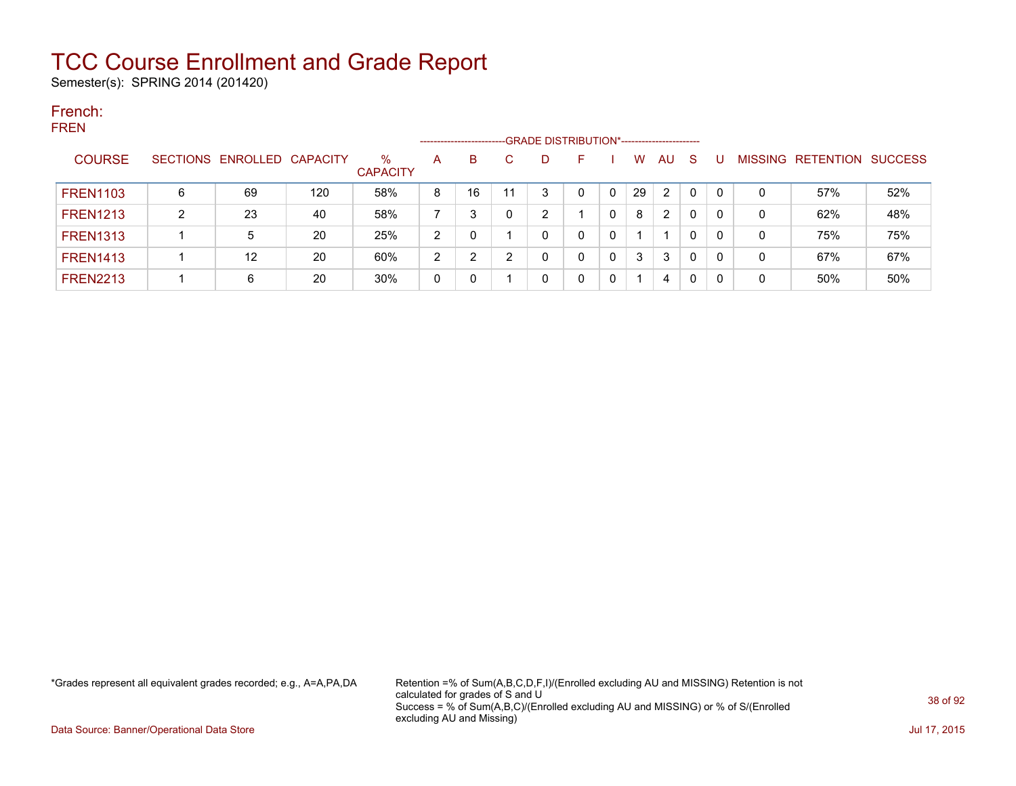Semester(s): SPRING 2014 (201420)

#### French: FREN

| .               |   |                            |     |                         | --------------------- |    |   | -GRADE DISTRIBUTION*----------------------- |   |    |           |          |   |                                  |     |
|-----------------|---|----------------------------|-----|-------------------------|-----------------------|----|---|---------------------------------------------|---|----|-----------|----------|---|----------------------------------|-----|
| <b>COURSE</b>   |   | SECTIONS ENROLLED CAPACITY |     | $\%$<br><b>CAPACITY</b> | $\mathsf{A}$          | B  | C | D                                           | н | W  | <b>AU</b> | <b>S</b> |   | <b>MISSING RETENTION SUCCESS</b> |     |
| <b>FREN1103</b> | 6 | 69                         | 120 | 58%                     | 8                     | 16 |   | 3                                           | 0 | 29 | 2         | 0        | 0 | 57%                              | 52% |
| <b>FREN1213</b> | າ | 23                         | 40  | 58%                     |                       | າ  |   | ົ                                           |   | 8  | 2         | 0        | 0 | 62%                              | 48% |
| <b>FREN1313</b> |   | 5                          | 20  | 25%                     | 2                     |    |   |                                             | 0 |    |           | 0        | 0 | 75%                              | 75% |
| <b>FREN1413</b> |   | 12                         | 20  | 60%                     | າ                     | າ  |   |                                             |   | 3  | 3         | 0        | 0 | 67%                              | 67% |
| <b>FREN2213</b> |   | 6                          | 20  | 30%                     | 0                     |    |   |                                             |   |    | 4         | 0        | 0 | 50%                              | 50% |

\*Grades represent all equivalent grades recorded; e.g., A=A,PA,DA Retention =% of Sum(A,B,C,D,F,I)/(Enrolled excluding AU and MISSING) Retention is not calculated for grades of S and U Success = % of Sum(A,B,C)/(Enrolled excluding AU and MISSING) or % of S/(Enrolled excluding AU and Missing)

Data Source: Banner/Operational Data Store Jul 17, 2015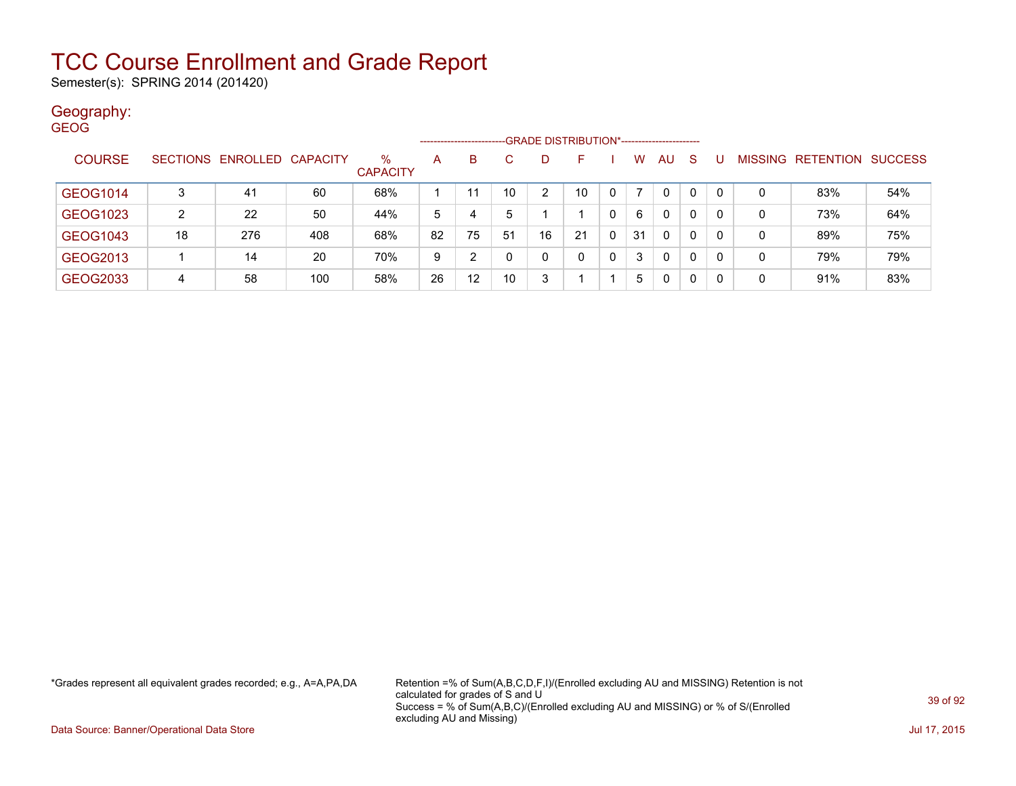Semester(s): SPRING 2014 (201420)

#### Geography: GEOG

|               |          |                   |     |                      |    | ---------------------- |    |    | -GRADE DISTRIBUTION*----------------------- |          |    |              |              |          |         |           |                |
|---------------|----------|-------------------|-----|----------------------|----|------------------------|----|----|---------------------------------------------|----------|----|--------------|--------------|----------|---------|-----------|----------------|
| <b>COURSE</b> | SECTIONS | ENROLLED CAPACITY |     | %<br><b>CAPACITY</b> | A  | B                      |    | D  |                                             |          | w  | AU           | <sub>S</sub> |          | MISSING | RETENTION | <b>SUCCESS</b> |
| GEOG1014      | 3        | 41                | 60  | 68%                  |    | 11                     | 10 | 2  | 10                                          | $\Omega$ |    | 0            | $\Omega$     | $\Omega$ | 0       | 83%       | 54%            |
| GEOG1023      | 2        | 22                | 50  | 44%                  | 5  | 4                      | 5  |    |                                             | 0        | 6  | $\mathbf{0}$ | $\Omega$     | $\Omega$ | 0       | 73%       | 64%            |
| GEOG1043      | 18       | 276               | 408 | 68%                  | 82 | 75                     | 51 | 16 | 21                                          | 0        | 31 | $\mathbf{0}$ | $\Omega$     | 0        | 0       | 89%       | 75%            |
| GEOG2013      |          | 14                | 20  | 70%                  | 9  | ົ                      |    | 0  | 0                                           | 0        | 3  | 0            | $\Omega$     | 0        | 0       | 79%       | 79%            |
| GEOG2033      | 4        | 58                | 100 | 58%                  | 26 | 12                     | 10 | 3  |                                             |          | 5. | $\mathbf{0}$ | $\Omega$     | 0        | 0       | 91%       | 83%            |

\*Grades represent all equivalent grades recorded; e.g., A=A,PA,DA Retention =% of Sum(A,B,C,D,F,I)/(Enrolled excluding AU and MISSING) Retention is not calculated for grades of S and U Success = % of Sum(A,B,C)/(Enrolled excluding AU and MISSING) or % of S/(Enrolled excluding AU and Missing)

Data Source: Banner/Operational Data Store Jul 17, 2015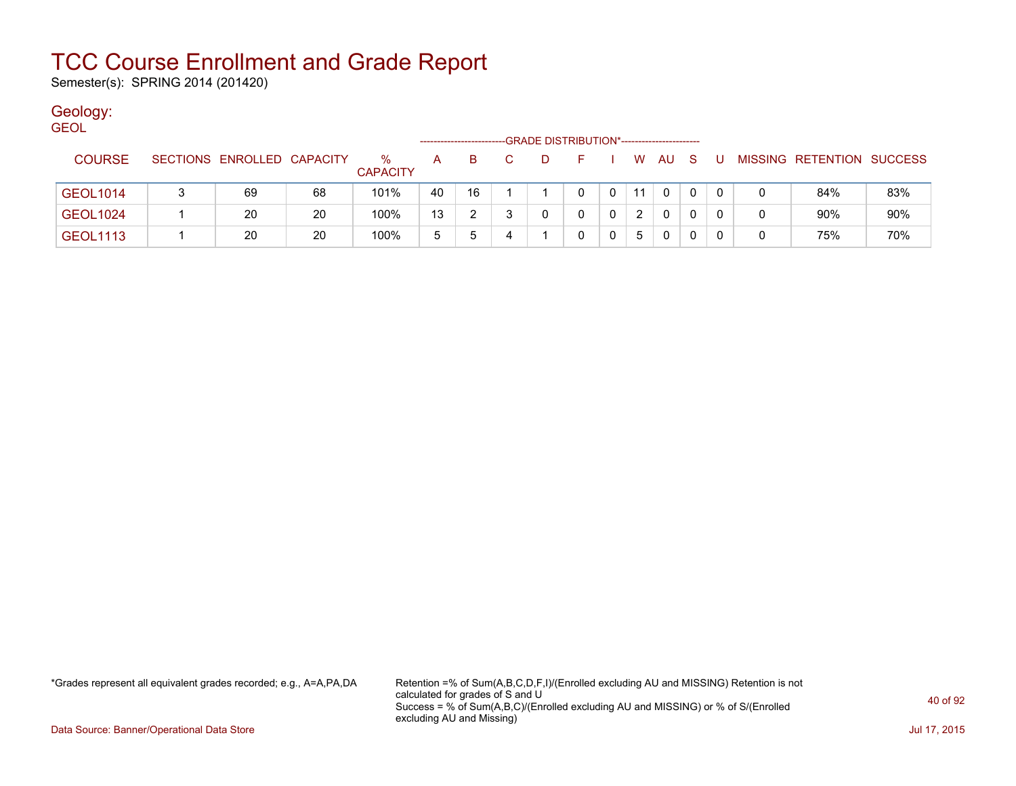Semester(s): SPRING 2014 (201420)

### Geology:

| <b>GEOL</b>     |                            |    |                         |    |    |   | -GRADE DISTRIBUTION*----------------------- |    |    |    |     |   |   |                           |     |
|-----------------|----------------------------|----|-------------------------|----|----|---|---------------------------------------------|----|----|----|-----|---|---|---------------------------|-----|
| <b>COURSE</b>   | SECTIONS ENROLLED CAPACITY |    | $\%$<br><b>CAPACITY</b> | A  | B. |   | D                                           | F. | W. | AU | - S | U |   | MISSING RETENTION SUCCESS |     |
| GEOL1014        | 69                         | 68 | 101%                    | 40 | 16 |   |                                             | 0  | 11 | 0  | 0   |   |   | 84%                       | 83% |
| <b>GEOL1024</b> | 20                         | 20 | 100%                    | 13 |    |   |                                             | 0  | 2  | 0  | 0   | 0 | 0 | 90%                       | 90% |
| <b>GEOL1113</b> | 20                         | 20 | 100%                    | 5  | 5  | 4 |                                             | 0  | 5. | 0  | 0   | 0 | 0 | 75%                       | 70% |

\*Grades represent all equivalent grades recorded; e.g., A=A,PA,DA Retention =% of Sum(A,B,C,D,F,I)/(Enrolled excluding AU and MISSING) Retention is not calculated for grades of S and U Success = % of Sum(A,B,C)/(Enrolled excluding AU and MISSING) or % of S/(Enrolled excluding AU and Missing)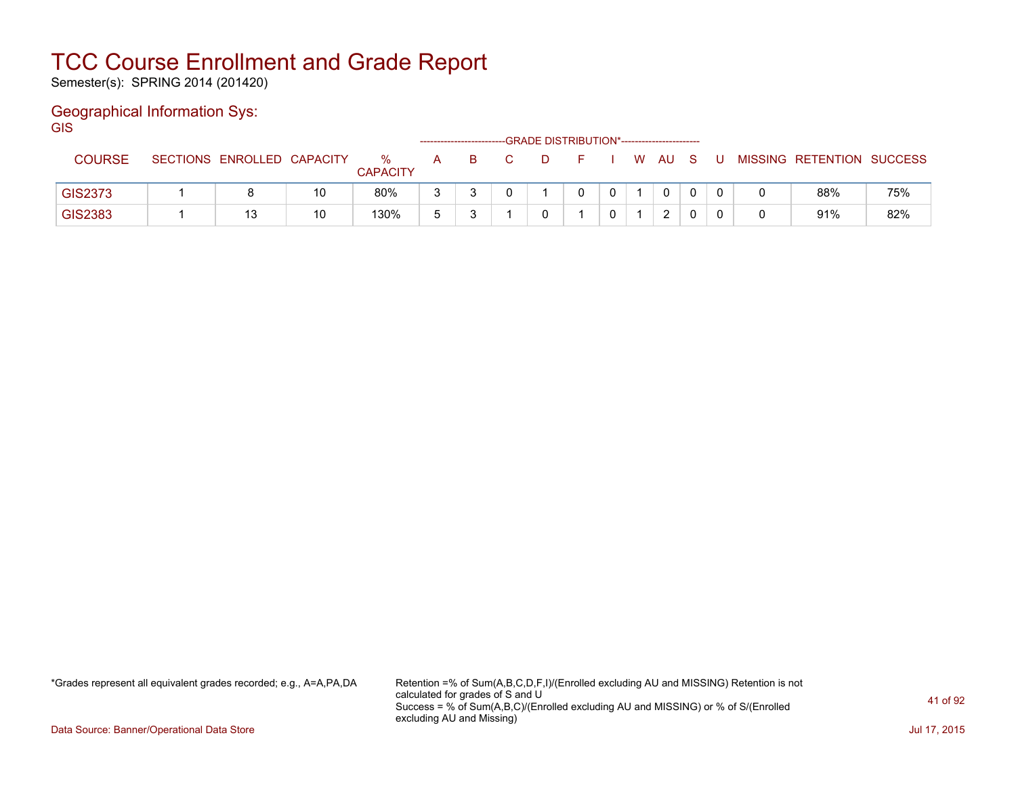Semester(s): SPRING 2014 (201420)

### Geographical Information Sys:

**GIS** 

|               |                            |    |                      |   |  | -GRADE DISTRIBUTION*----------------------- |  |      |  |                           |     |
|---------------|----------------------------|----|----------------------|---|--|---------------------------------------------|--|------|--|---------------------------|-----|
| <b>COURSE</b> | SECTIONS ENROLLED CAPACITY |    | %<br><b>CAPACITY</b> | A |  |                                             |  | W AU |  | MISSING RETENTION SUCCESS |     |
| GIS2373       |                            | 10 | 80%                  | ◠ |  |                                             |  | 0    |  | 88%                       | 75% |
| GIS2383       | 12                         | 10 | 130%                 |   |  |                                             |  | ົ    |  | 91%                       | 82% |

\*Grades represent all equivalent grades recorded; e.g., A=A,PA,DA Retention =% of Sum(A,B,C,D,F,I)/(Enrolled excluding AU and MISSING) Retention is not calculated for grades of S and U Success = % of Sum(A,B,C)/(Enrolled excluding AU and MISSING) or % of S/(Enrolled excluding AU and Missing)

Data Source: Banner/Operational Data Store Jul 17, 2015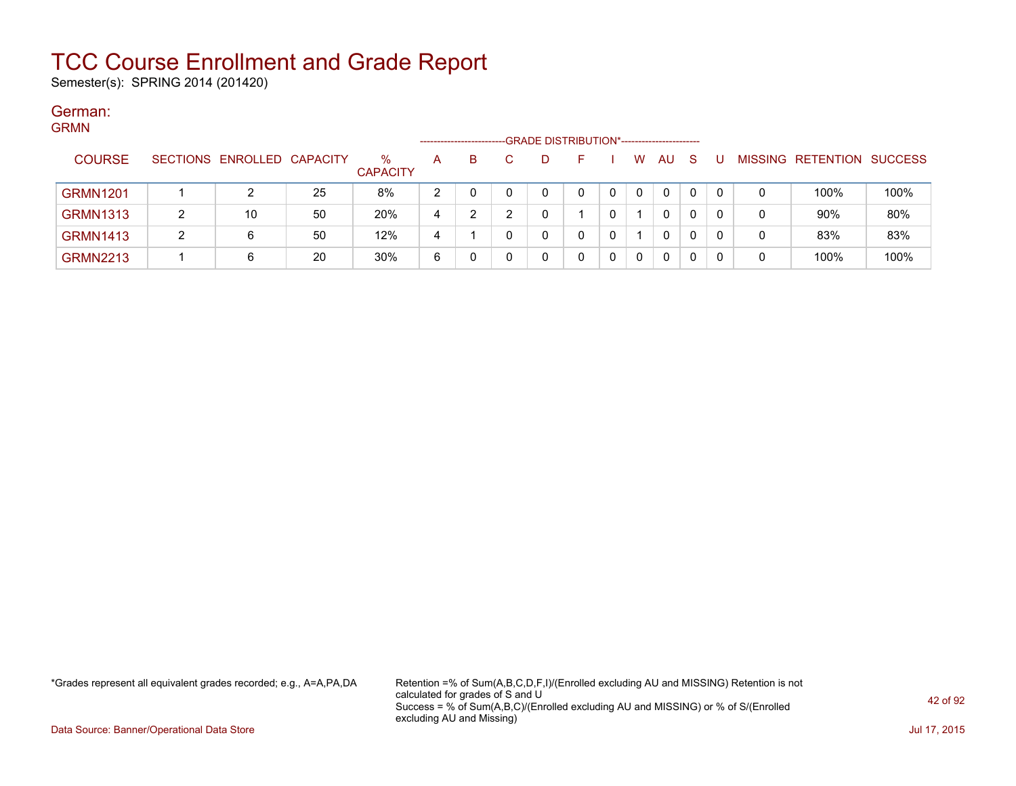Semester(s): SPRING 2014 (201420)

#### German: **CDMM**

| צוועודיט        |   |                            |    |                      | --------------------- |    | -GRADE DISTRIBUTION*----------------------- |  |          |              |              |   |   |                           |      |
|-----------------|---|----------------------------|----|----------------------|-----------------------|----|---------------------------------------------|--|----------|--------------|--------------|---|---|---------------------------|------|
| <b>COURSE</b>   |   | SECTIONS ENROLLED CAPACITY |    | %<br><b>CAPACITY</b> | A                     | B. | D                                           |  | W        | AU.          | <sub>S</sub> |   |   | MISSING RETENTION SUCCESS |      |
| <b>GRMN1201</b> |   |                            | 25 | 8%                   | っ                     |    | 0                                           |  | $\Omega$ | $\mathbf{0}$ | 0            | 0 | 0 | 100%                      | 100% |
| <b>GRMN1313</b> |   | 10                         | 50 | 20%                  | 4                     |    |                                             |  |          | 0            | 0            |   | 0 | 90%                       | 80%  |
| <b>GRMN1413</b> | ົ | 6                          | 50 | 12%                  | 4                     |    |                                             |  |          | 0            | 0            |   | 0 | 83%                       | 83%  |
| <b>GRMN2213</b> |   | 6                          | 20 | 30%                  | 6                     |    | 0                                           |  |          |              | 0            |   | 0 | 100%                      | 100% |

\*Grades represent all equivalent grades recorded; e.g., A=A,PA,DA Retention =% of Sum(A,B,C,D,F,I)/(Enrolled excluding AU and MISSING) Retention is not calculated for grades of S and U Success = % of Sum(A,B,C)/(Enrolled excluding AU and MISSING) or % of S/(Enrolled excluding AU and Missing)

Data Source: Banner/Operational Data Store Jul 17, 2015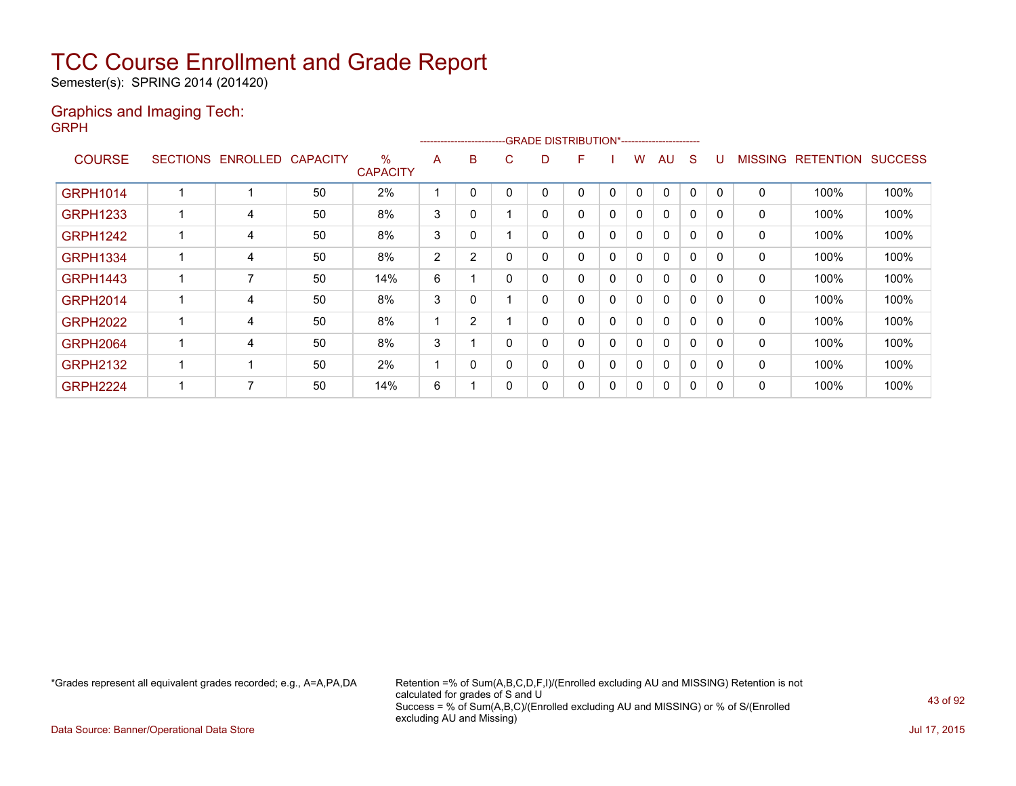Semester(s): SPRING 2014 (201420)

#### Graphics and Imaging Tech: GRPH

|                 |   |                   |                 |                         |                | ---------------------- |   | -GRADE DISTRIBUTION*----------------------- |   |   |              |              |              |              |                |                  |                |
|-----------------|---|-------------------|-----------------|-------------------------|----------------|------------------------|---|---------------------------------------------|---|---|--------------|--------------|--------------|--------------|----------------|------------------|----------------|
| <b>COURSE</b>   |   | SECTIONS ENROLLED | <b>CAPACITY</b> | $\%$<br><b>CAPACITY</b> | A              | B                      | С | D                                           | F |   | W            | AU           | <sub>S</sub> | U            | <b>MISSING</b> | <b>RETENTION</b> | <b>SUCCESS</b> |
| <b>GRPH1014</b> |   |                   | 50              | 2%                      |                | 0                      |   | 0                                           | 0 | 0 | $\mathbf{0}$ | $\Omega$     | $\mathbf{0}$ | $\mathbf{0}$ | $\Omega$       | 100%             | 100%           |
| <b>GRPH1233</b> | 1 | 4                 | 50              | 8%                      | 3              | 0                      |   | 0                                           | 0 | 0 | $\mathbf{0}$ | $\mathbf{0}$ | 0            | 0            | 0              | 100%             | 100%           |
| <b>GRPH1242</b> |   | 4                 | 50              | 8%                      | 3              | 0                      |   | 0                                           | 0 | 0 | 0            | $\Omega$     | 0            | 0            | $\Omega$       | 100%             | 100%           |
| <b>GRPH1334</b> | 1 | 4                 | 50              | 8%                      | $\overline{2}$ | 2                      |   | 0                                           | 0 | 0 | 0            | $\Omega$     | 0            | 0            | 0              | 100%             | 100%           |
| <b>GRPH1443</b> | 1 | $\overline{7}$    | 50              | 14%                     | 6              |                        |   | 0                                           | 0 | 0 | 0            | $\Omega$     | 0            | 0            | 0              | 100%             | 100%           |
| <b>GRPH2014</b> | 1 | 4                 | 50              | 8%                      | 3              | 0                      |   | 0                                           | 0 | 0 | 0            | $\Omega$     | $\mathbf{0}$ | 0            | $\Omega$       | 100%             | 100%           |
| <b>GRPH2022</b> | 1 | 4                 | 50              | 8%                      |                | 2                      |   | 0                                           | 0 | 0 | 0            | $\Omega$     | $\Omega$     | 0            | $\Omega$       | 100%             | 100%           |
| <b>GRPH2064</b> | 1 | 4                 | 50              | 8%                      | 3              |                        |   | 0                                           | 0 | 0 | 0            | $\Omega$     | $\Omega$     | 0            | 0              | 100%             | 100%           |
| <b>GRPH2132</b> | 1 |                   | 50              | 2%                      |                | 0                      |   | 0                                           | 0 | 0 | 0            | $\Omega$     | $\Omega$     | 0            | $\Omega$       | 100%             | 100%           |
| <b>GRPH2224</b> | 1 | 7                 | 50              | 14%                     | 6              |                        |   | 0                                           | 0 | 0 | 0            | $\Omega$     | 0            | 0            | 0              | 100%             | 100%           |

\*Grades represent all equivalent grades recorded; e.g., A=A,PA,DA Retention =% of Sum(A,B,C,D,F,I)/(Enrolled excluding AU and MISSING) Retention is not calculated for grades of S and U Success = % of Sum(A,B,C)/(Enrolled excluding AU and MISSING) or % of S/(Enrolled excluding AU and Missing)

Data Source: Banner/Operational Data Store Jul 17, 2015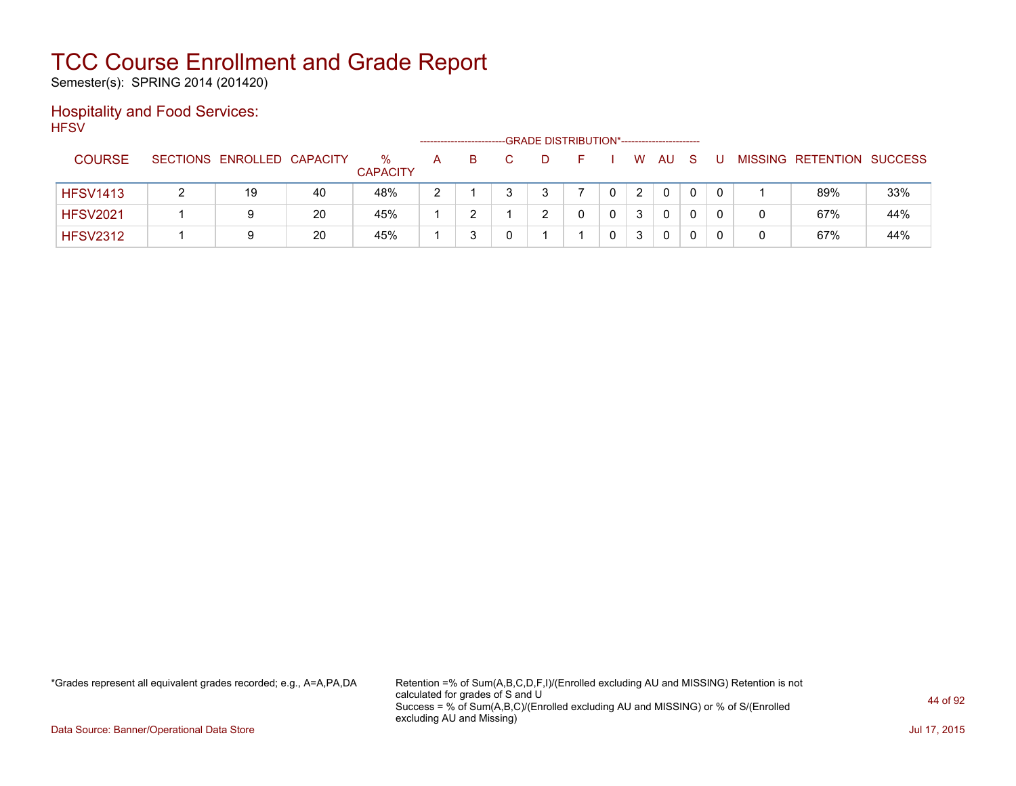Semester(s): SPRING 2014 (201420)

### Hospitality and Food Services: **HFSV**

|                 |                            |    |                         |   | ----------------------- |  | -GRADE DISTRIBUTION*---------------------- |                |              |              |  |                   |                |
|-----------------|----------------------------|----|-------------------------|---|-------------------------|--|--------------------------------------------|----------------|--------------|--------------|--|-------------------|----------------|
| <b>COURSE</b>   | SECTIONS ENROLLED CAPACITY |    | $\%$<br><b>CAPACITY</b> | A | B.                      |  | -                                          | W.             | AU           | <sub>S</sub> |  | MISSING RETENTION | <b>SUCCESS</b> |
| <b>HFSV1413</b> | 19                         | 40 | 48%                     | റ |                         |  |                                            | $\overline{2}$ | $\mathbf{0}$ |              |  | 89%               | 33%            |
| <b>HFSV2021</b> | 9                          | 20 | 45%                     |   |                         |  |                                            | 3              | 0            |              |  | 67%               | 44%            |
| <b>HFSV2312</b> | 9                          | 20 | 45%                     |   |                         |  |                                            | 3              | 0            |              |  | 67%               | 44%            |

\*Grades represent all equivalent grades recorded; e.g., A=A,PA,DA Retention =% of Sum(A,B,C,D,F,I)/(Enrolled excluding AU and MISSING) Retention is not calculated for grades of S and U Success = % of Sum(A,B,C)/(Enrolled excluding AU and MISSING) or % of S/(Enrolled excluding AU and Missing)

Data Source: Banner/Operational Data Store Jul 17, 2015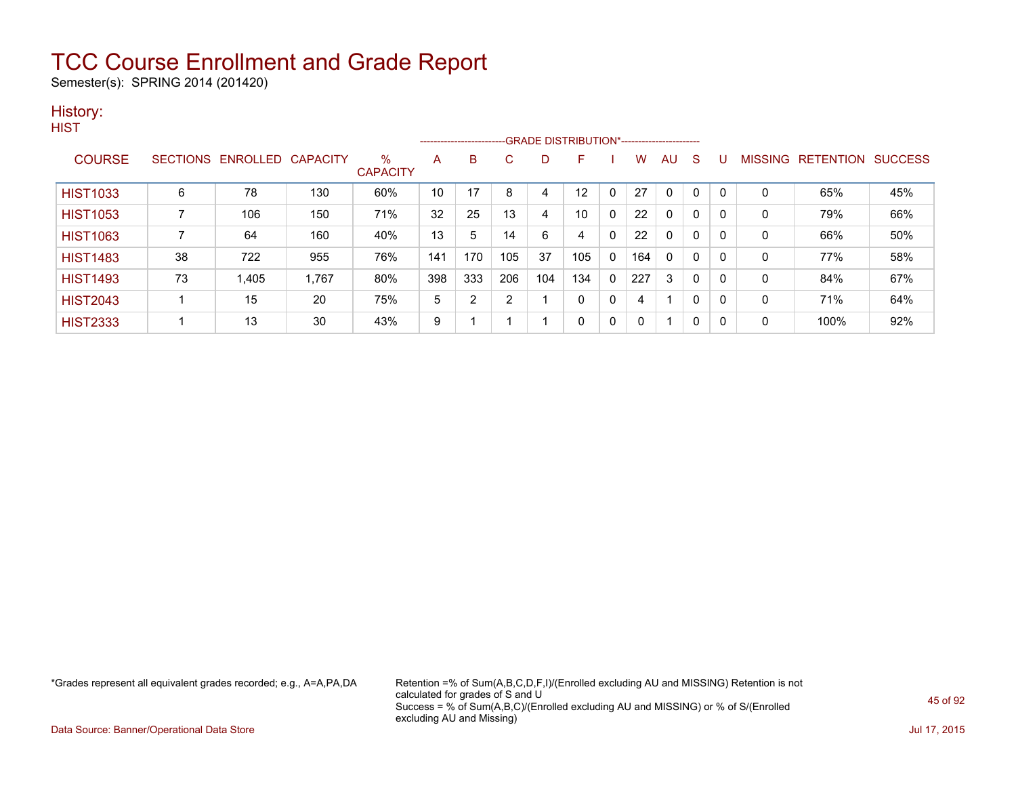Semester(s): SPRING 2014 (201420)

#### History: **HIST**

|                 |                 |          |          |                      |     |                |     | --------------------------GRADE DISTRIBUTION*----------------------- |     |              |     |              |              |             |                |           |                |
|-----------------|-----------------|----------|----------|----------------------|-----|----------------|-----|----------------------------------------------------------------------|-----|--------------|-----|--------------|--------------|-------------|----------------|-----------|----------------|
| <b>COURSE</b>   | <b>SECTIONS</b> | ENROLLED | CAPACITY | %<br><b>CAPACITY</b> | Α   | <sub>B</sub>   | C   | D                                                                    | F   |              | w   | AU           | S            |             | <b>MISSING</b> | RETENTION | <b>SUCCESS</b> |
| <b>HIST1033</b> | 6               | 78       | 130      | 60%                  | 10  | 17             | 8   | 4                                                                    | 12  | $\mathbf{0}$ | 27  | $\mathbf{0}$ | $\mathbf{0}$ | $\mathbf 0$ | 0              | 65%       | 45%            |
| <b>HIST1053</b> |                 | 106      | 150      | 71%                  | 32  | 25             | 13  | 4                                                                    | 10  | $\mathbf{0}$ | 22  | 0            | $\mathbf{0}$ | 0           | 0              | 79%       | 66%            |
| <b>HIST1063</b> |                 | 64       | 160      | 40%                  | 13  | 5              | 14  | 6                                                                    | 4   | 0            | 22  | $\mathbf{0}$ | $\mathbf{0}$ | 0           | 0              | 66%       | 50%            |
| <b>HIST1483</b> | 38              | 722      | 955      | 76%                  | 141 | 170            | 105 | 37                                                                   | 105 | $\mathbf{0}$ | 164 | $\mathbf{0}$ | $\mathbf{0}$ | 0           | 0              | 77%       | 58%            |
| <b>HIST1493</b> | 73              | 1,405    | 1,767    | 80%                  | 398 | 333            | 206 | 104                                                                  | 134 | $\mathbf 0$  | 227 | 3            | $\mathbf{0}$ | 0           | 0              | 84%       | 67%            |
| <b>HIST2043</b> |                 | 15       | 20       | 75%                  | 5   | $\overline{2}$ | 2   |                                                                      | 0   | 0            | 4   |              | $\mathbf{0}$ | 0           | 0              | 71%       | 64%            |
| <b>HIST2333</b> |                 | 13       | 30       | 43%                  | 9   |                |     |                                                                      | 0   | 0            | 0   |              | 0            | 0           | 0              | 100%      | 92%            |

\*Grades represent all equivalent grades recorded; e.g., A=A,PA,DA Retention =% of Sum(A,B,C,D,F,I)/(Enrolled excluding AU and MISSING) Retention is not calculated for grades of S and U Success = % of Sum(A,B,C)/(Enrolled excluding AU and MISSING) or % of S/(Enrolled excluding AU and Missing)

Data Source: Banner/Operational Data Store Jul 17, 2015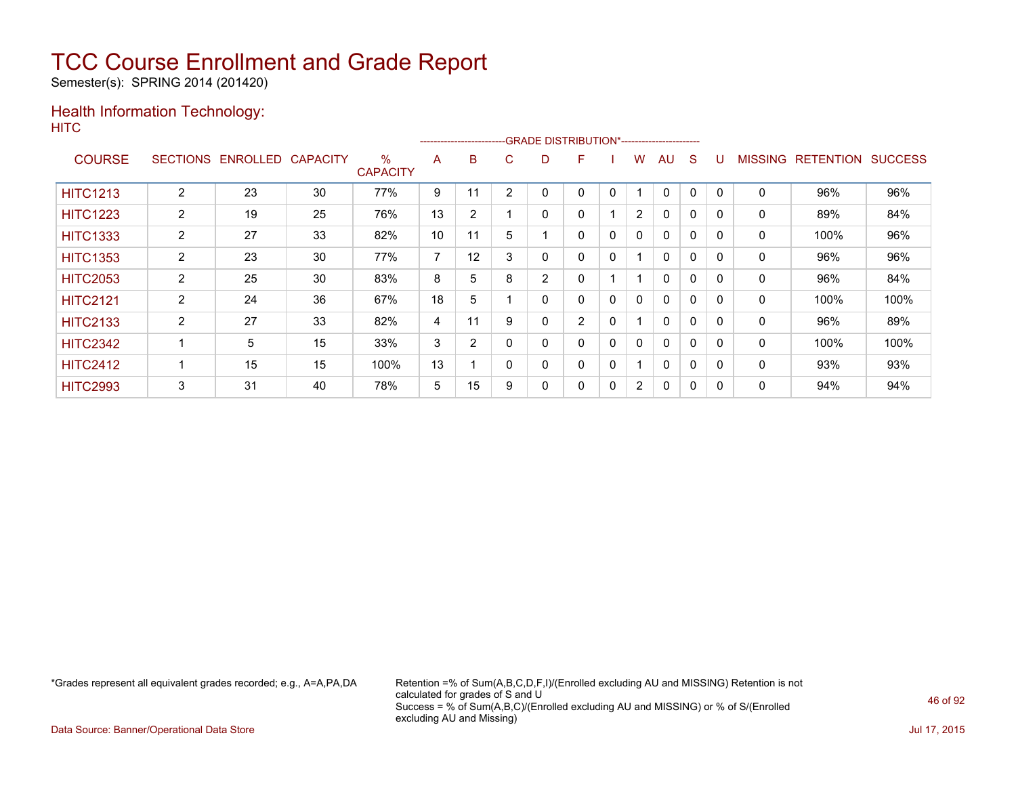Semester(s): SPRING 2014 (201420)

### Health Information Technology: **HITC**

|                 |                |                   |                 |                         |                |                |          | -------------------------GRADE                DISTRIBUTION*--------------------- |                |              |                |              |              |          |                |                  |                |
|-----------------|----------------|-------------------|-----------------|-------------------------|----------------|----------------|----------|----------------------------------------------------------------------------------|----------------|--------------|----------------|--------------|--------------|----------|----------------|------------------|----------------|
| <b>COURSE</b>   |                | SECTIONS ENROLLED | <b>CAPACITY</b> | $\%$<br><b>CAPACITY</b> | A              | B              | C.       | D                                                                                | F              |              | w              | AU           | S            |          | <b>MISSING</b> | <b>RETENTION</b> | <b>SUCCESS</b> |
| <b>HITC1213</b> | 2              | 23                | 30              | 77%                     | 9              | 11             | 2        |                                                                                  | 0              | 0            |                | $\mathbf{0}$ | $\mathbf{0}$ | $\Omega$ | $\Omega$       | 96%              | 96%            |
| <b>HITC1223</b> | $\overline{2}$ | 19                | 25              | 76%                     | 13             | $\overline{2}$ |          | 0                                                                                | 0              |              | $\overline{2}$ | $\mathbf{0}$ | $\mathbf{0}$ | $\Omega$ | 0              | 89%              | 84%            |
| <b>HITC1333</b> | $\overline{2}$ | 27                | 33              | 82%                     | 10             | 11             | 5        |                                                                                  | 0              | 0            | 0              | $\mathbf{0}$ | $\Omega$     | $\Omega$ | 0              | 100%             | 96%            |
| <b>HITC1353</b> | $\overline{2}$ | 23                | 30              | 77%                     | $\overline{7}$ | 12             | 3        | 0                                                                                | 0              | 0            |                | 0            | $\Omega$     |          | 0              | 96%              | 96%            |
| <b>HITC2053</b> | $\overline{2}$ | 25                | 30              | 83%                     | 8              | 5              | 8        | 2                                                                                | 0              |              |                | 0            | $\Omega$     |          | 0              | 96%              | 84%            |
| <b>HITC2121</b> | 2              | 24                | 36              | 67%                     | 18             | 5              |          | 0                                                                                | 0              | $\mathbf{0}$ | $\mathbf{0}$   | $\mathbf{0}$ | $\mathbf{0}$ | $\Omega$ | $\mathbf{0}$   | 100%             | 100%           |
| <b>HITC2133</b> | 2              | 27                | 33              | 82%                     | 4              | 11             | 9        | 0                                                                                | $\overline{2}$ | $\mathbf{0}$ |                | $\mathbf{0}$ | $\Omega$     | $\Omega$ | 0              | 96%              | 89%            |
| <b>HITC2342</b> |                | 5                 | 15              | 33%                     | 3              | $\overline{2}$ |          | 0                                                                                | 0              | $\mathbf{0}$ | $\mathbf{0}$   | $\mathbf{0}$ | $\Omega$     | $\Omega$ | 0              | 100%             | 100%           |
| <b>HITC2412</b> |                | 15                | 15              | 100%                    | 13             |                | $\Omega$ | 0                                                                                | 0              | 0            |                | $\mathbf{0}$ | $\mathbf{0}$ | $\Omega$ | 0              | 93%              | 93%            |
| <b>HITC2993</b> | 3              | 31                | 40              | 78%                     | 5              | 15             | 9        | 0                                                                                | 0              | 0            | $\overline{2}$ | $\mathbf{0}$ | 0            | $\Omega$ | 0              | 94%              | 94%            |

\*Grades represent all equivalent grades recorded; e.g., A=A,PA,DA Retention =% of Sum(A,B,C,D,F,I)/(Enrolled excluding AU and MISSING) Retention is not calculated for grades of S and U Success = % of Sum(A,B,C)/(Enrolled excluding AU and MISSING) or % of S/(Enrolled excluding AU and Missing)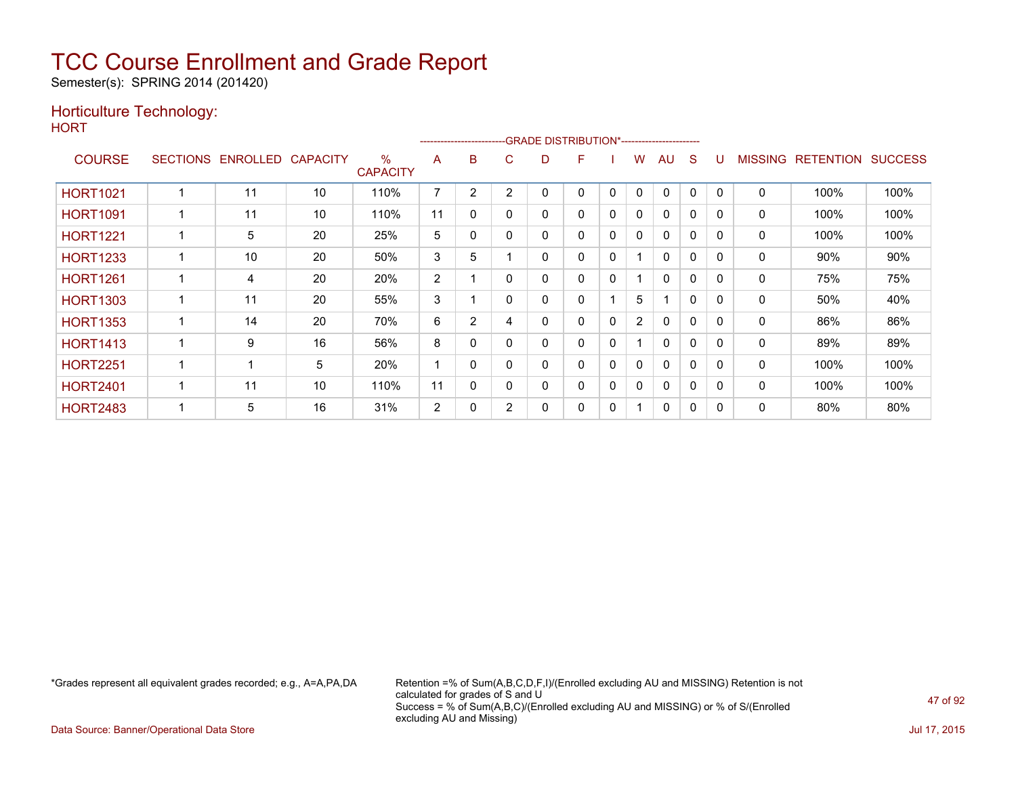Semester(s): SPRING 2014 (201420)

### Horticulture Technology:

**HORT** 

| .               |                 |                 |                 |                         | --------------------- |                |                | -GRADE DISTRIBUTION*---------------------- |   |              |                |              |              |          |                |                  |                |
|-----------------|-----------------|-----------------|-----------------|-------------------------|-----------------------|----------------|----------------|--------------------------------------------|---|--------------|----------------|--------------|--------------|----------|----------------|------------------|----------------|
| <b>COURSE</b>   | <b>SECTIONS</b> | <b>ENROLLED</b> | <b>CAPACITY</b> | $\%$<br><b>CAPACITY</b> | A                     | в              | C              | D                                          | F |              | W              | AU           | S            |          | <b>MISSING</b> | <b>RETENTION</b> | <b>SUCCESS</b> |
| <b>HORT1021</b> |                 | 11              | 10              | 110%                    | 7                     | 2              | $\overline{2}$ | 0                                          | 0 | $\mathbf{0}$ | $\mathbf{0}$   | $\mathbf{0}$ | $\mathbf{0}$ | $\Omega$ | $\mathbf 0$    | 100%             | 100%           |
| <b>HORT1091</b> |                 | 11              | 10              | 110%                    | 11                    | 0              | 0              | 0                                          | 0 | 0            | 0              | 0            | 0            | 0        | 0              | 100%             | 100%           |
| <b>HORT1221</b> |                 | 5               | 20              | 25%                     | 5                     | 0              | 0              | 0                                          | 0 | 0            | 0              | $\mathbf{0}$ | 0            | 0        | 0              | 100%             | 100%           |
| <b>HORT1233</b> |                 | 10              | 20              | 50%                     | 3                     | 5              |                | 0                                          | 0 | 0            |                | $\Omega$     | $\Omega$     | $\Omega$ | 0              | 90%              | 90%            |
| <b>HORT1261</b> |                 | 4               | 20              | 20%                     | $\overline{2}$        |                | 0              | 0                                          | 0 | 0            |                | $\Omega$     | $\Omega$     | $\Omega$ | $\mathbf{0}$   | 75%              | 75%            |
| <b>HORT1303</b> |                 | 11              | 20              | 55%                     | 3                     |                | 0              | 0                                          | 0 |              | 5              |              | $\Omega$     | $\Omega$ | 0              | 50%              | 40%            |
| <b>HORT1353</b> |                 | 14              | 20              | 70%                     | 6                     | $\overline{2}$ | 4              | 0                                          | 0 | $\Omega$     | $\overline{2}$ | 0            | 0            | 0        | 0              | 86%              | 86%            |
| <b>HORT1413</b> |                 | 9               | 16              | 56%                     | 8                     | $\mathbf{0}$   | 0              | 0                                          | 0 | 0            |                | $\mathbf{0}$ | $\Omega$     | $\Omega$ | 0              | 89%              | 89%            |
| <b>HORT2251</b> |                 |                 | 5               | 20%                     |                       | $\mathbf{0}$   |                | 0                                          | 0 | 0            | 0              | $\mathbf{0}$ | $\Omega$     | $\Omega$ | 0              | 100%             | 100%           |
| <b>HORT2401</b> |                 | 11              | 10              | 110%                    | 11                    | $\Omega$       | 0              | 0                                          | 0 | 0            | 0              | $\Omega$     | $\Omega$     | $\Omega$ | 0              | 100%             | 100%           |
| <b>HORT2483</b> |                 | 5               | 16              | 31%                     | 2                     | 0              | $\overline{2}$ | 0                                          | 0 | 0            | 1              | 0            | 0            | $\Omega$ | 0              | 80%              | 80%            |

\*Grades represent all equivalent grades recorded; e.g., A=A,PA,DA Retention =% of Sum(A,B,C,D,F,I)/(Enrolled excluding AU and MISSING) Retention is not calculated for grades of S and U Success = % of Sum(A,B,C)/(Enrolled excluding AU and MISSING) or % of S/(Enrolled excluding AU and Missing)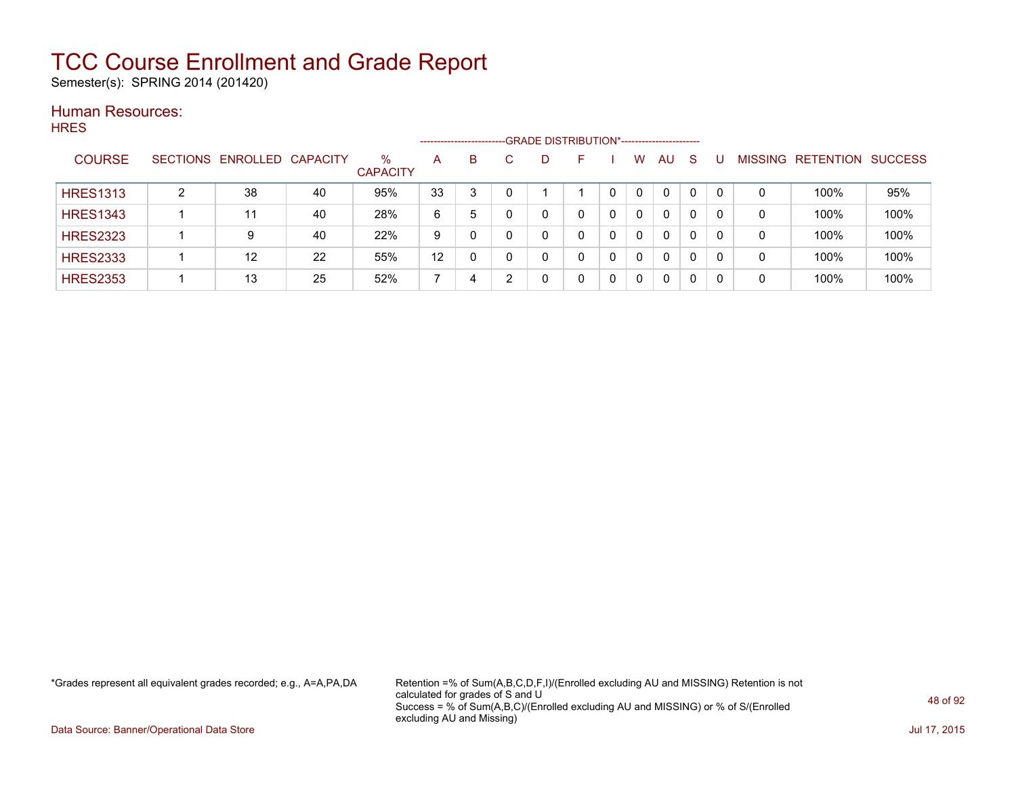Semester(s): SPRING 2014 (201420)

#### Human Resources: **HRES**

|                 |   |                            |    |                         |    | ---------------------- |   | -GRADE DISTRIBUTION*----------------------- |              |          |   |                |                  |                |
|-----------------|---|----------------------------|----|-------------------------|----|------------------------|---|---------------------------------------------|--------------|----------|---|----------------|------------------|----------------|
| <b>COURSE</b>   |   | SECTIONS ENROLLED CAPACITY |    | $\%$<br><b>CAPACITY</b> | A  | B                      | D | <b>-</b>                                    | w            | AU       | S | <b>MISSING</b> | <b>RETENTION</b> | <b>SUCCESS</b> |
| <b>HRES1313</b> | າ | 38                         | 40 | 95%                     | 33 | 3                      |   |                                             | 0            | $\Omega$ | 0 | 0              | 100%             | 95%            |
| <b>HRES1343</b> |   | 11                         | 40 | 28%                     | 6  | 5                      |   | 0                                           | $\Omega$     | 0        | 0 | 0              | 100%             | 100%           |
| <b>HRES2323</b> |   | 9                          | 40 | 22%                     | 9  | 0                      |   | 0                                           | 0            | 0        | 0 | 0              | 100%             | 100%           |
| <b>HRES2333</b> |   | 12                         | 22 | 55%                     | 12 | 0                      |   | 0                                           | $\Omega$     | 0        | 0 | 0              | 100%             | 100%           |
| <b>HRES2353</b> |   | 13                         | 25 | 52%                     |    | 4                      |   |                                             | $\mathbf{0}$ | 0        | 0 | 0              | 100%             | 100%           |

\*Grades represent all equivalent grades recorded; e.g., A=A,PA,DA Retention =% of Sum(A,B,C,D,F,I)/(Enrolled excluding AU and MISSING) Retention is not calculated for grades of S and U Success = % of Sum(A,B,C)/(Enrolled excluding AU and MISSING) or % of S/(Enrolled excluding AU and Missing)

Data Source: Banner/Operational Data Store Jul 17, 2015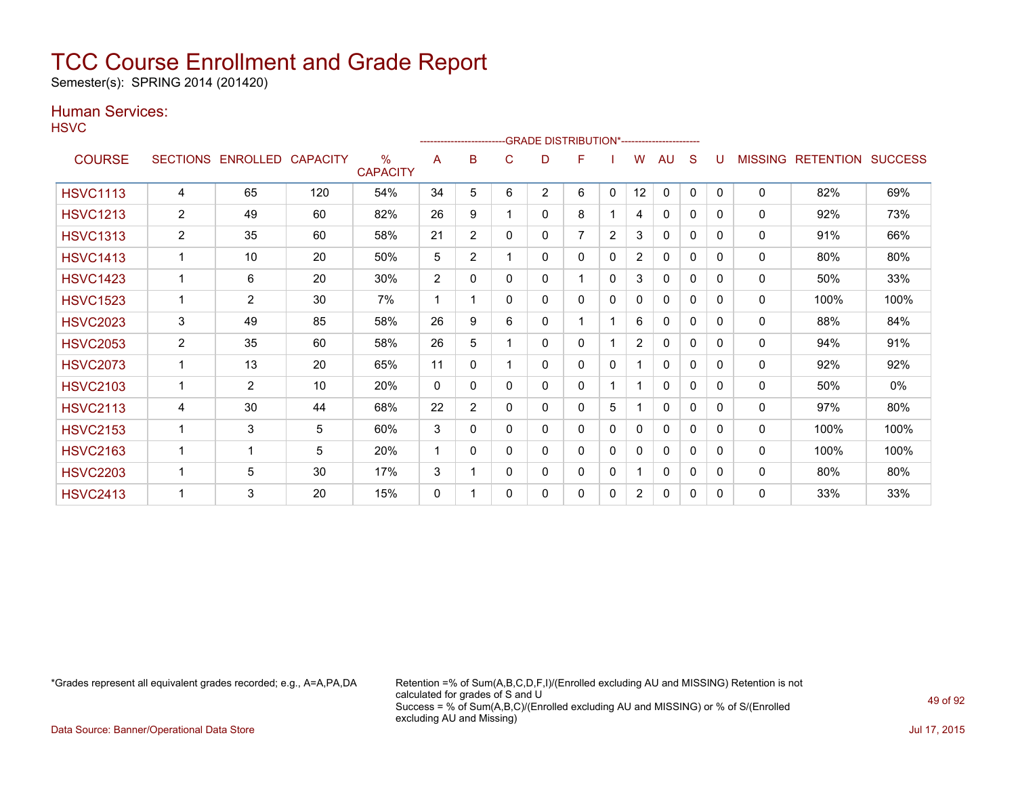Semester(s): SPRING 2014 (201420)

### Human Services:

**HSVC** 

|                 |                 |                |                 |                         |                | ------------------------- |          | -- GRADE DISTRIBUTION*----------------------- |                |              |                |              |              |          |                |                  |                |
|-----------------|-----------------|----------------|-----------------|-------------------------|----------------|---------------------------|----------|-----------------------------------------------|----------------|--------------|----------------|--------------|--------------|----------|----------------|------------------|----------------|
| <b>COURSE</b>   | <b>SECTIONS</b> | ENROLLED       | <b>CAPACITY</b> | $\%$<br><b>CAPACITY</b> | A              | B                         | C        | D                                             | F              |              | w              | AU           | S            |          | <b>MISSING</b> | <b>RETENTION</b> | <b>SUCCESS</b> |
| <b>HSVC1113</b> | 4               | 65             | 120             | 54%                     | 34             | 5                         | 6        | $\overline{2}$                                | 6              | $\mathbf{0}$ | 12             | 0            | $\mathbf{0}$ | $\Omega$ | 0              | 82%              | 69%            |
| <b>HSVC1213</b> | $\overline{2}$  | 49             | 60              | 82%                     | 26             | 9                         |          | 0                                             | 8              |              | 4              | $\mathbf{0}$ | $\mathbf{0}$ | $\Omega$ | 0              | 92%              | 73%            |
| <b>HSVC1313</b> | $\overline{2}$  | 35             | 60              | 58%                     | 21             | $\overline{2}$            | 0        | 0                                             | $\overline{7}$ | 2            | 3              | $\mathbf{0}$ | $\Omega$     | $\Omega$ | 0              | 91%              | 66%            |
| <b>HSVC1413</b> | $\mathbf{1}$    | 10             | 20              | 50%                     | 5              | $\overline{2}$            |          | 0                                             | 0              | 0            | $\overline{2}$ | $\Omega$     | $\mathbf{0}$ | $\Omega$ | 0              | 80%              | 80%            |
| <b>HSVC1423</b> | 1               | 6              | 20              | 30%                     | $\overline{2}$ | 0                         | 0        | 0                                             | 1              | $\mathbf{0}$ | 3              | $\mathbf{0}$ | 0            | $\Omega$ | 0              | 50%              | 33%            |
| <b>HSVC1523</b> |                 | $\overline{2}$ | 30              | 7%                      | 1              |                           | 0        | 0                                             | 0              | $\mathbf{0}$ | $\Omega$       | $\mathbf{0}$ | $\Omega$     | $\Omega$ | $\mathbf{0}$   | 100%             | 100%           |
| <b>HSVC2023</b> | 3               | 49             | 85              | 58%                     | 26             | 9                         | 6        | 0                                             | 1              |              | 6              | 0            | $\mathbf{0}$ | $\Omega$ | 0              | 88%              | 84%            |
| <b>HSVC2053</b> | $\overline{2}$  | 35             | 60              | 58%                     | 26             | 5                         |          | 0                                             | 0              |              | $\overline{2}$ | $\mathbf{0}$ | $\Omega$     | $\Omega$ | 0              | 94%              | 91%            |
| <b>HSVC2073</b> | 1               | 13             | 20              | 65%                     | 11             | 0                         |          | 0                                             | 0              | $\Omega$     |                | $\Omega$     | $\Omega$     | $\Omega$ | 0              | 92%              | 92%            |
| <b>HSVC2103</b> | $\mathbf{1}$    | 2              | 10              | 20%                     | 0              | 0                         | 0        | 0                                             | 0              |              |                | $\mathbf{0}$ | 0            | $\Omega$ | $\Omega$       | 50%              | 0%             |
| <b>HSVC2113</b> | 4               | 30             | 44              | 68%                     | 22             | $\overline{2}$            | 0        | 0                                             | 0              | 5            |                | $\mathbf{0}$ | $\Omega$     | $\Omega$ | $\mathbf{0}$   | 97%              | 80%            |
| <b>HSVC2153</b> |                 | 3              | 5               | 60%                     | 3              | 0                         | 0        | 0                                             | 0              | $\mathbf{0}$ | $\Omega$       | $\mathbf{0}$ | $\mathbf{0}$ | 0        | 0              | 100%             | 100%           |
| <b>HSVC2163</b> | $\mathbf{1}$    | 1              | 5               | 20%                     |                | $\Omega$                  | $\Omega$ | 0                                             | 0              | $\Omega$     | 0              | $\mathbf{0}$ | $\Omega$     | $\Omega$ | 0              | 100%             | 100%           |
| <b>HSVC2203</b> |                 | 5              | 30              | 17%                     | 3              |                           | 0        | 0                                             | 0              | $\Omega$     |                | $\mathbf{0}$ | $\Omega$     | $\Omega$ | 0              | 80%              | 80%            |
| <b>HSVC2413</b> |                 | 3              | 20              | 15%                     | 0              |                           | 0        | 0                                             | 0              | 0            | $\overline{2}$ | 0            | 0            | 0        | 0              | 33%              | 33%            |

\*Grades represent all equivalent grades recorded; e.g., A=A,PA,DA Retention =% of Sum(A,B,C,D,F,I)/(Enrolled excluding AU and MISSING) Retention is not calculated for grades of S and U Success = % of Sum(A,B,C)/(Enrolled excluding AU and MISSING) or % of S/(Enrolled excluding AU and Missing)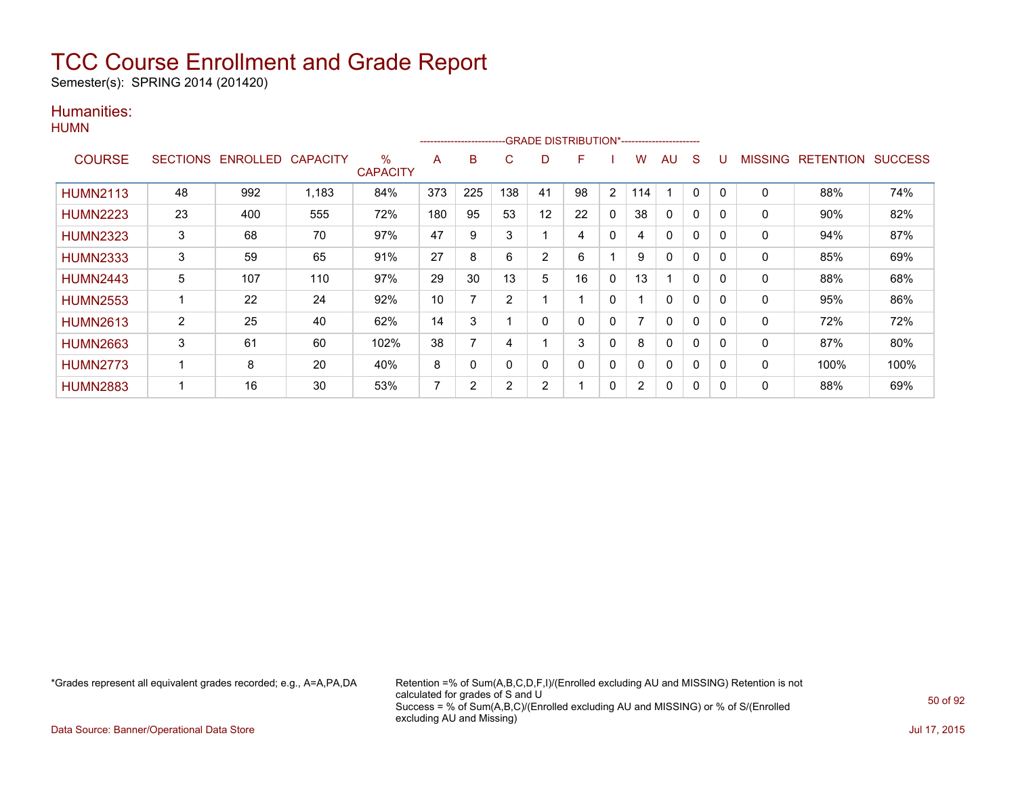Semester(s): SPRING 2014 (201420)

### Humanities: **HUMN**

|                 |                 |                   |       |                         |     | ---------------------- |                |                | -GRADE DISTRIBUTION*---------------------- |                |                |           |              |          |              |                  |                |
|-----------------|-----------------|-------------------|-------|-------------------------|-----|------------------------|----------------|----------------|--------------------------------------------|----------------|----------------|-----------|--------------|----------|--------------|------------------|----------------|
| <b>COURSE</b>   | <b>SECTIONS</b> | ENROLLED CAPACITY |       | $\%$<br><b>CAPACITY</b> | A   | B                      | C              | D              | F                                          |                | w              | <b>AU</b> | S            |          | MISSING      | <b>RETENTION</b> | <b>SUCCESS</b> |
| <b>HUMN2113</b> | 48              | 992               | 1,183 | 84%                     | 373 | 225                    | 138            | 41             | 98                                         | $\overline{2}$ | 114            |           | $\mathbf{0}$ | $\Omega$ | $\mathbf{0}$ | 88%              | 74%            |
| <b>HUMN2223</b> | 23              | 400               | 555   | 72%                     | 180 | 95                     | 53             | 12             | 22                                         | $\mathbf{0}$   | 38             | 0         | $\mathbf{0}$ | 0        | 0            | 90%              | 82%            |
| <b>HUMN2323</b> | 3               | 68                | 70    | 97%                     | 47  | 9                      | 3              |                | 4                                          | $\mathbf{0}$   | 4              | 0         | $\mathbf{0}$ | $\Omega$ | 0            | 94%              | 87%            |
| <b>HUMN2333</b> | 3               | 59                | 65    | 91%                     | 27  | 8                      | 6              | $\overline{2}$ | 6                                          |                | 9              | $\Omega$  | 0            | $\Omega$ | 0            | 85%              | 69%            |
| <b>HUMN2443</b> | 5               | 107               | 110   | 97%                     | 29  | 30                     | 13             | 5              | 16                                         | $\Omega$       | 13             |           | $\mathbf 0$  | $\Omega$ | 0            | 88%              | 68%            |
| <b>HUMN2553</b> |                 | 22                | 24    | 92%                     | 10  | 7                      | $\overline{2}$ |                |                                            | $\mathbf{0}$   |                | 0         | 0            | 0        | 0            | 95%              | 86%            |
| <b>HUMN2613</b> | $\overline{c}$  | 25                | 40    | 62%                     | 14  | 3                      |                | $\Omega$       | $\Omega$                                   | 0              |                | 0         | $\mathbf{0}$ | $\Omega$ | $\mathbf{0}$ | 72%              | 72%            |
| <b>HUMN2663</b> | 3               | 61                | 60    | 102%                    | 38  |                        | 4              |                | 3                                          | $\mathbf{0}$   | 8              | 0         | $\mathbf{0}$ | $\Omega$ | $\mathbf{0}$ | 87%              | 80%            |
| <b>HUMN2773</b> |                 | 8                 | 20    | 40%                     | 8   | 0                      | $\mathbf 0$    | 0              | $\Omega$                                   | $\mathbf{0}$   | 0              | 0         | $\mathbf{0}$ | $\Omega$ | 0            | 100%             | 100%           |
| <b>HUMN2883</b> |                 | 16                | 30    | 53%                     |     | 2                      | 2              | 2              |                                            | $\mathbf{0}$   | $\overline{2}$ | 0         | $\mathbf{0}$ | $\Omega$ | 0            | 88%              | 69%            |

\*Grades represent all equivalent grades recorded; e.g., A=A,PA,DA Retention =% of Sum(A,B,C,D,F,I)/(Enrolled excluding AU and MISSING) Retention is not calculated for grades of S and U Success = % of Sum(A,B,C)/(Enrolled excluding AU and MISSING) or % of S/(Enrolled excluding AU and Missing)

Data Source: Banner/Operational Data Store Jul 17, 2015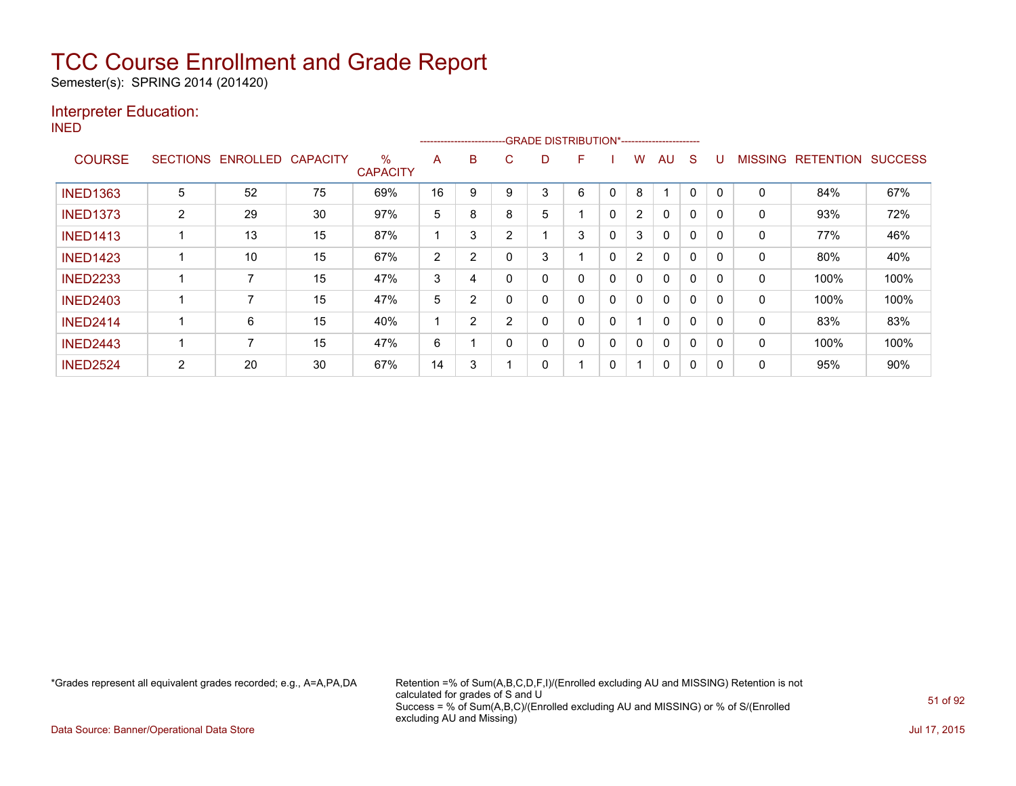Semester(s): SPRING 2014 (201420)

### Interpreter Education:

INED

| .               |                 |          |                 |                         |    | ---------------------- |   |   | -GRADE DISTRIBUTION*----------------------- |   |                |              |          |             |                |                  |                |
|-----------------|-----------------|----------|-----------------|-------------------------|----|------------------------|---|---|---------------------------------------------|---|----------------|--------------|----------|-------------|----------------|------------------|----------------|
| <b>COURSE</b>   | <b>SECTIONS</b> | ENROLLED | <b>CAPACITY</b> | $\%$<br><b>CAPACITY</b> | A  | B                      | С | D | F                                           |   | W              | AU           | S        |             | <b>MISSING</b> | <b>RETENTION</b> | <b>SUCCESS</b> |
| <b>INED1363</b> | 5               | 52       | 75              | 69%                     | 16 | 9                      | 9 | 3 | 6                                           | 0 | 8              |              | $\Omega$ | $\mathbf 0$ | 0              | 84%              | 67%            |
| <b>INED1373</b> | 2               | 29       | 30              | 97%                     | 5  | 8                      | 8 | 5 |                                             | 0 | $\overline{2}$ | $\Omega$     | $\Omega$ |             | 0              | 93%              | 72%            |
| <b>INED1413</b> |                 | 13       | 15              | 87%                     |    | 3                      | 2 |   | 3                                           | 0 | 3              | $\Omega$     | 0        |             | 0              | 77%              | 46%            |
| <b>INED1423</b> |                 | 10       | 15              | 67%                     | 2  | $\overline{2}$         | 0 | 3 |                                             | 0 | $\overline{2}$ | $\mathbf{0}$ | 0        | 0           | $\Omega$       | 80%              | 40%            |
| <b>INED2233</b> |                 |          | 15              | 47%                     | 3  | 4                      | 0 | 0 | $\Omega$                                    | 0 | $\Omega$       | $\Omega$     | $\Omega$ |             | $\Omega$       | 100%             | 100%           |
| <b>INED2403</b> |                 |          | 15              | 47%                     | 5  | 2                      |   | 0 | 0                                           | 0 | 0              | $\Omega$     | 0        |             | 0              | 100%             | 100%           |
| <b>INED2414</b> |                 | 6        | 15              | 40%                     |    | $\overline{2}$         | 2 | 0 | 0                                           | 0 | ◢              | $\Omega$     | $\Omega$ | 0           | 0              | 83%              | 83%            |
| <b>INED2443</b> |                 |          | 15              | 47%                     | 6  |                        | 0 | 0 | 0                                           | 0 | 0              | $\Omega$     | $\Omega$ | 0           | $\mathbf{0}$   | 100%             | 100%           |
| <b>INED2524</b> | 2               | 20       | 30              | 67%                     | 14 | 3                      |   | 0 |                                             | 0 |                | 0            | 0        |             | 0              | 95%              | 90%            |

\*Grades represent all equivalent grades recorded; e.g., A=A,PA,DA Retention =% of Sum(A,B,C,D,F,I)/(Enrolled excluding AU and MISSING) Retention is not calculated for grades of S and U Success = % of Sum(A,B,C)/(Enrolled excluding AU and MISSING) or % of S/(Enrolled excluding AU and Missing)

Data Source: Banner/Operational Data Store Jul 17, 2015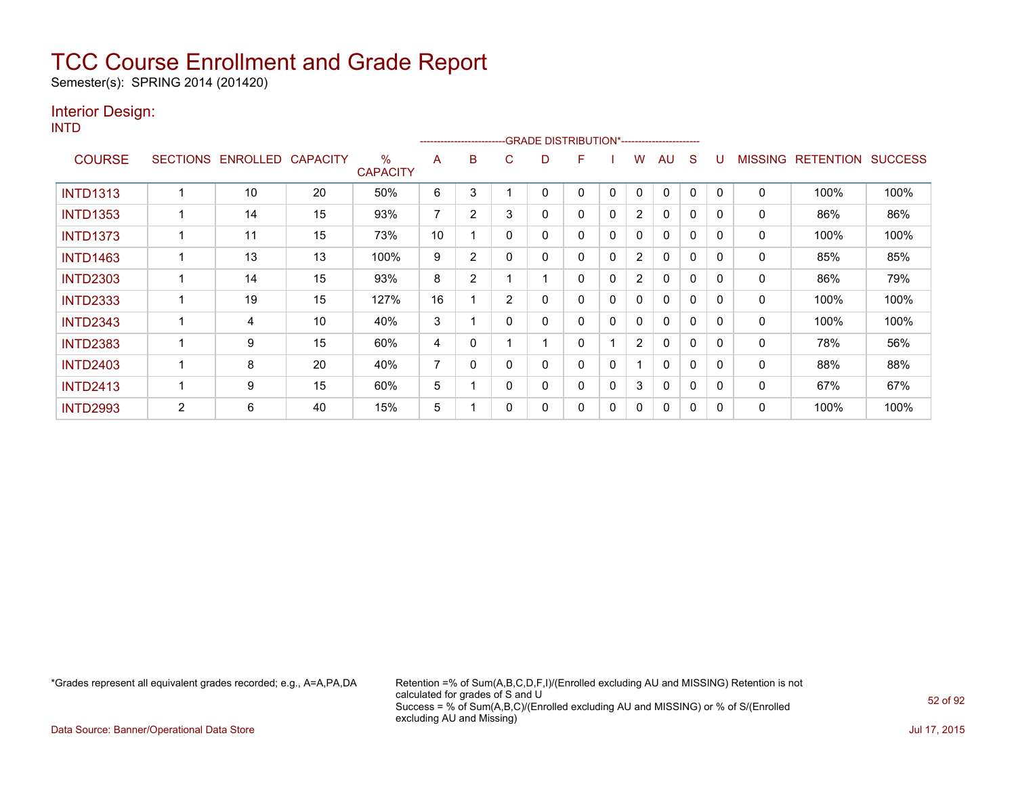Semester(s): SPRING 2014 (201420)

### Interior Design:

INTD

|                 |                |                   |                 |                         |    |                |                | -------------------------GRADE                DISTRIBUTION*---------------------- |   |   |                |              |              |          |                |                  |                |
|-----------------|----------------|-------------------|-----------------|-------------------------|----|----------------|----------------|-----------------------------------------------------------------------------------|---|---|----------------|--------------|--------------|----------|----------------|------------------|----------------|
| <b>COURSE</b>   |                | SECTIONS ENROLLED | <b>CAPACITY</b> | $\%$<br><b>CAPACITY</b> | A  | B              | C              | D                                                                                 | F |   | w              | AU           | S            |          | <b>MISSING</b> | <b>RETENTION</b> | <b>SUCCESS</b> |
| <b>INTD1313</b> |                | 10                | 20              | 50%                     | 6  | 3              |                | 0                                                                                 | 0 | 0 | 0              | $\Omega$     | 0            |          | 0              | 100%             | 100%           |
| <b>INTD1353</b> |                | 14                | 15              | 93%                     | 7  | 2              | 3              | 0                                                                                 | 0 | 0 | $\overline{2}$ | 0            | $\Omega$     | 0        | 0              | 86%              | 86%            |
| <b>INTD1373</b> |                | 11                | 15              | 73%                     | 10 |                | $\Omega$       | 0                                                                                 | 0 | 0 | 0              | $\mathbf{0}$ | $\Omega$     | $\Omega$ | 0              | 100%             | 100%           |
| <b>INTD1463</b> |                | 13                | 13              | 100%                    | 9  | $\overline{2}$ | 0              | 0                                                                                 | 0 | 0 | $\overline{2}$ | $\mathbf{0}$ | $\mathbf{0}$ | $\Omega$ | 0              | 85%              | 85%            |
| <b>INTD2303</b> |                | 14                | 15              | 93%                     | 8  | 2              |                |                                                                                   | 0 | 0 | $\overline{2}$ | 0            | 0            | 0        | 0              | 86%              | 79%            |
| <b>INTD2333</b> |                | 19                | 15              | 127%                    | 16 |                | $\overline{2}$ | 0                                                                                 | 0 | 0 | 0              | $\mathbf{0}$ | 0            |          | 0              | 100%             | 100%           |
| <b>INTD2343</b> |                | 4                 | 10              | 40%                     | 3  |                | 0              | 0                                                                                 | 0 | 0 | 0              | $\mathbf{0}$ | 0            | $\Omega$ | 0              | 100%             | 100%           |
| <b>INTD2383</b> |                | 9                 | 15              | 60%                     | 4  | 0              |                |                                                                                   | 0 |   | $\overline{2}$ | $\mathbf{0}$ | $\Omega$     |          | 0              | 78%              | 56%            |
| <b>INTD2403</b> |                | 8                 | 20              | 40%                     | 7  | 0              |                | 0                                                                                 | 0 | 0 |                | $\mathbf{0}$ | $\Omega$     | $\Omega$ | 0              | 88%              | 88%            |
| <b>INTD2413</b> |                | 9                 | 15              | 60%                     | 5  |                |                | 0                                                                                 | 0 | 0 | 3              | $\mathbf{0}$ | $\Omega$     | $\Omega$ | $\Omega$       | 67%              | 67%            |
| <b>INTD2993</b> | $\overline{2}$ | 6                 | 40              | 15%                     | 5  |                |                | 0                                                                                 | 0 | 0 | 0              | $\mathbf{0}$ | 0            |          | 0              | 100%             | 100%           |

\*Grades represent all equivalent grades recorded; e.g., A=A,PA,DA Retention =% of Sum(A,B,C,D,F,I)/(Enrolled excluding AU and MISSING) Retention is not calculated for grades of S and U Success = % of Sum(A,B,C)/(Enrolled excluding AU and MISSING) or % of S/(Enrolled excluding AU and Missing)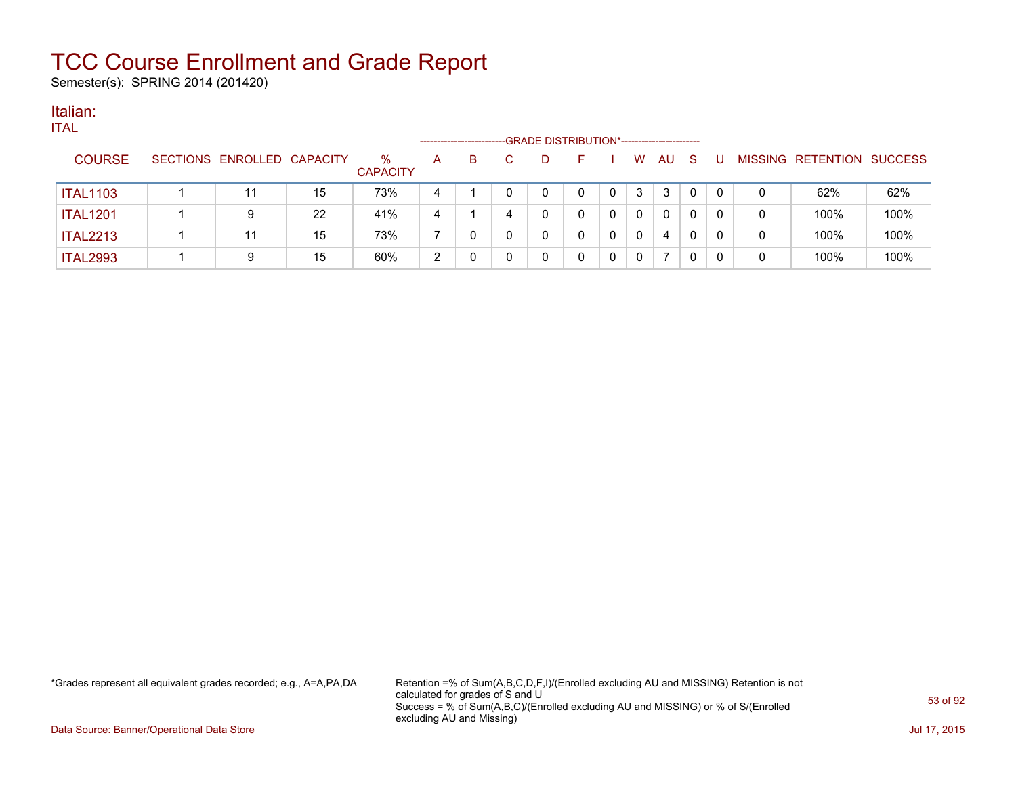Semester(s): SPRING 2014 (201420)

#### Italian: ITAL

| $\blacksquare$  |                            |    |                         |              | ----------------------- |   | -GRADE DISTRIBUTION*----------------------- |   |   |     |    |   |   |                   |                |
|-----------------|----------------------------|----|-------------------------|--------------|-------------------------|---|---------------------------------------------|---|---|-----|----|---|---|-------------------|----------------|
| <b>COURSE</b>   | SECTIONS ENROLLED CAPACITY |    | $\%$<br><b>CAPACITY</b> | $\mathsf{A}$ | B.                      | D |                                             |   | W | AU. | -S | U |   | MISSING RETENTION | <b>SUCCESS</b> |
| <b>ITAL1103</b> |                            | 15 | 73%                     | 4            |                         | 0 |                                             | 0 | 3 | 3   | 0  |   | 0 | 62%               | 62%            |
| <b>ITAL1201</b> | 9                          | 22 | 41%                     | 4            |                         | 0 |                                             | 0 | 0 | 0   | 0  |   | 0 | 100%              | 100%           |
| <b>ITAL2213</b> |                            | 15 | 73%                     |              |                         | 0 |                                             | 0 | 0 | 4   |    |   | 0 | 100%              | 100%           |
| <b>ITAL2993</b> | 9                          | 15 | 60%                     | 2            |                         | 0 |                                             | 0 | 0 |     | 0  |   | 0 | 100%              | 100%           |
|                 |                            |    |                         |              |                         |   |                                             |   |   |     |    |   |   |                   |                |

\*Grades represent all equivalent grades recorded; e.g., A=A,PA,DA Retention =% of Sum(A,B,C,D,F,I)/(Enrolled excluding AU and MISSING) Retention is not calculated for grades of S and U Success = % of Sum(A,B,C)/(Enrolled excluding AU and MISSING) or % of S/(Enrolled excluding AU and Missing)

Data Source: Banner/Operational Data Store Jul 17, 2015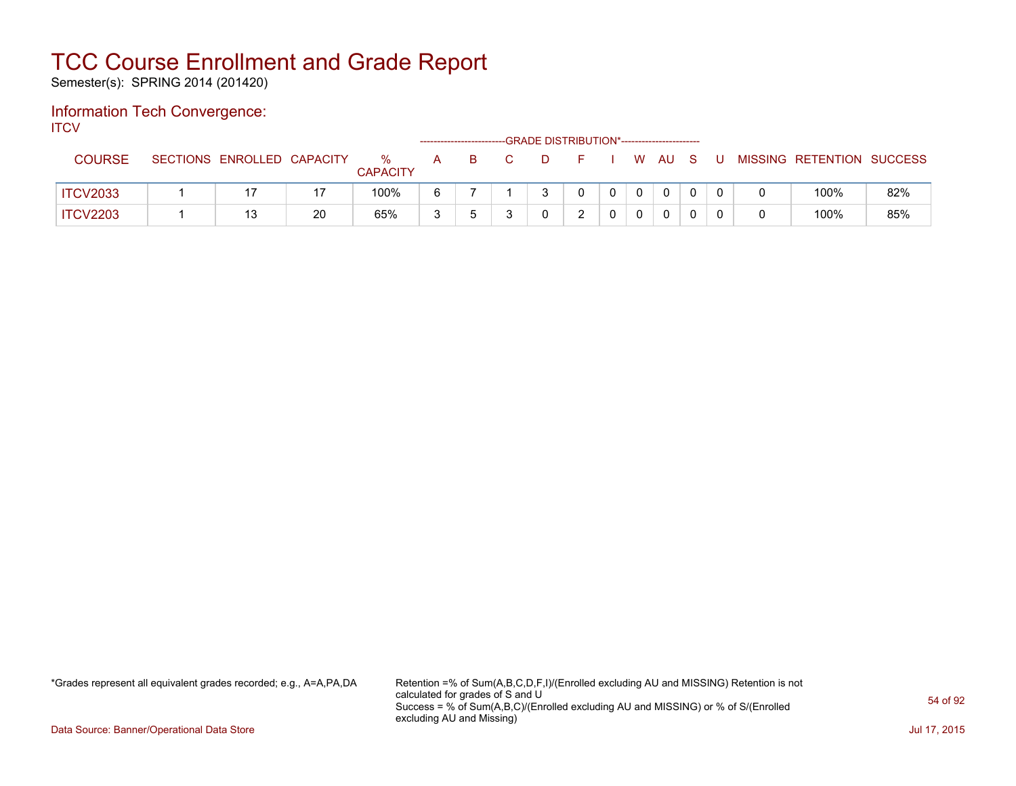Semester(s): SPRING 2014 (201420)

#### Information Tech Convergence: **ITCV**

| .               |                            |    |                      |   |    | -GRADE DISTRIBUTION*----------------------- |  |          |              |     |    |                           |     |
|-----------------|----------------------------|----|----------------------|---|----|---------------------------------------------|--|----------|--------------|-----|----|---------------------------|-----|
| <b>COURSE</b>   | SECTIONS ENROLLED CAPACITY |    | %<br><b>CAPACITY</b> | A | -B | $\Box$                                      |  |          | W AU         | - S | J. | MISSING RETENTION SUCCESS |     |
| <b>ITCV2033</b> |                            | 17 | 100%                 |   |    |                                             |  | $\Omega$ | $\mathbf{0}$ |     |    | 100%                      | 82% |
| <b>ITCV2203</b> |                            | 20 | 65%                  |   |    |                                             |  | $\Omega$ | 0            |     |    | 100%                      | 85% |

\*Grades represent all equivalent grades recorded; e.g., A=A,PA,DA Retention =% of Sum(A,B,C,D,F,I)/(Enrolled excluding AU and MISSING) Retention is not calculated for grades of S and U Success = % of Sum(A,B,C)/(Enrolled excluding AU and MISSING) or % of S/(Enrolled excluding AU and Missing)

Data Source: Banner/Operational Data Store Jul 17, 2015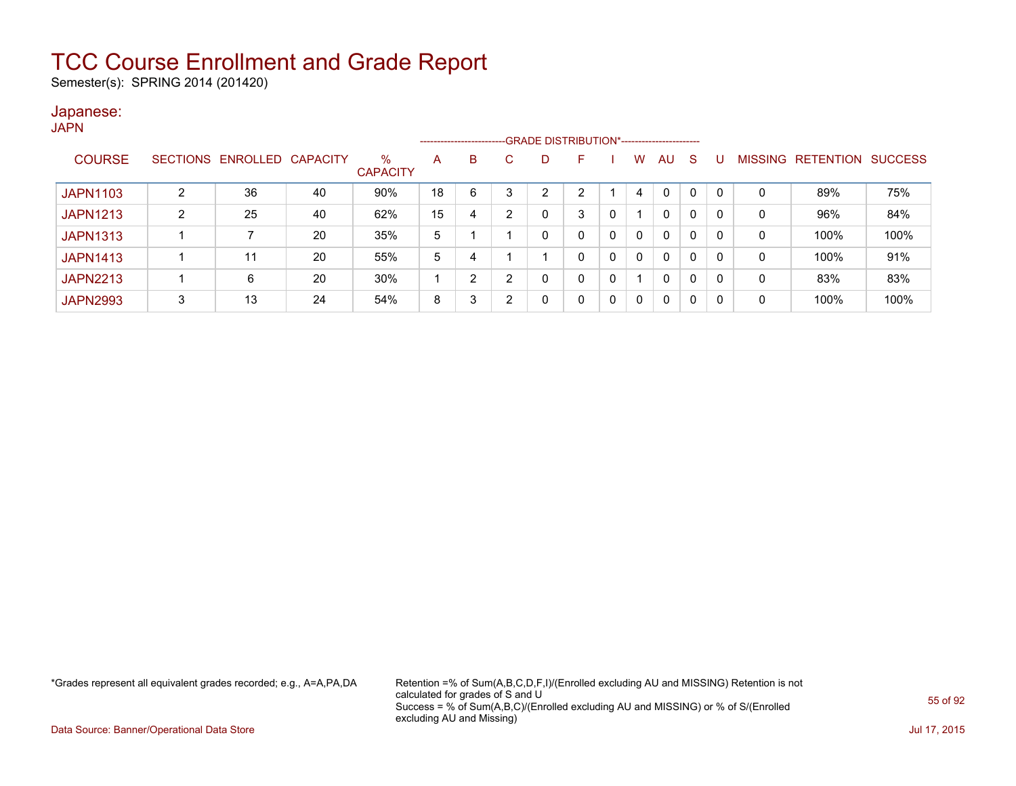Semester(s): SPRING 2014 (201420)

#### Japanese: **JAPN**

|                 |   |                   |                 |                         |    | --------------------- |   | -GRADE DISTRIBUTION*----------------------- |    |   |   |              |   |          |                |                  |                |
|-----------------|---|-------------------|-----------------|-------------------------|----|-----------------------|---|---------------------------------------------|----|---|---|--------------|---|----------|----------------|------------------|----------------|
| <b>COURSE</b>   |   | SECTIONS ENROLLED | <b>CAPACITY</b> | $\%$<br><b>CAPACITY</b> | A  | B                     |   |                                             | F  |   | W | AU           | S |          | <b>MISSING</b> | <b>RETENTION</b> | <b>SUCCESS</b> |
| <b>JAPN1103</b> |   | 36                | 40              | 90%                     | 18 | 6                     | 3 | ົ                                           | C. |   | 4 | 0            | 0 | $\Omega$ | 0              | 89%              | 75%            |
| <b>JAPN1213</b> | 2 | 25                | 40              | 62%                     | 15 | 4                     | 2 |                                             | 3  | 0 |   | 0            | 0 | 0        | 0              | 96%              | 84%            |
| <b>JAPN1313</b> |   |                   | 20              | 35%                     | 5  |                       |   |                                             |    | 0 | 0 | 0            | 0 | 0        | 0              | 100%             | 100%           |
| <b>JAPN1413</b> |   | 11                | 20              | 55%                     | 5  | 4                     |   |                                             | 0  | 0 |   | $\mathbf{0}$ | 0 | 0        | 0              | 100%             | 91%            |
| <b>JAPN2213</b> |   | 6                 | 20              | 30%                     |    | $\overline{2}$        | 2 |                                             | 0  | 0 |   | 0            | 0 | 0        | 0              | 83%              | 83%            |
| <b>JAPN2993</b> | 3 | 13                | 24              | 54%                     | 8  | 3                     | າ |                                             | 0  | 0 |   | 0            | 0 | 0        | 0              | 100%             | 100%           |

\*Grades represent all equivalent grades recorded; e.g., A=A,PA,DA Retention =% of Sum(A,B,C,D,F,I)/(Enrolled excluding AU and MISSING) Retention is not calculated for grades of S and U Success = % of Sum(A,B,C)/(Enrolled excluding AU and MISSING) or % of S/(Enrolled excluding AU and Missing)

Data Source: Banner/Operational Data Store Jul 17, 2015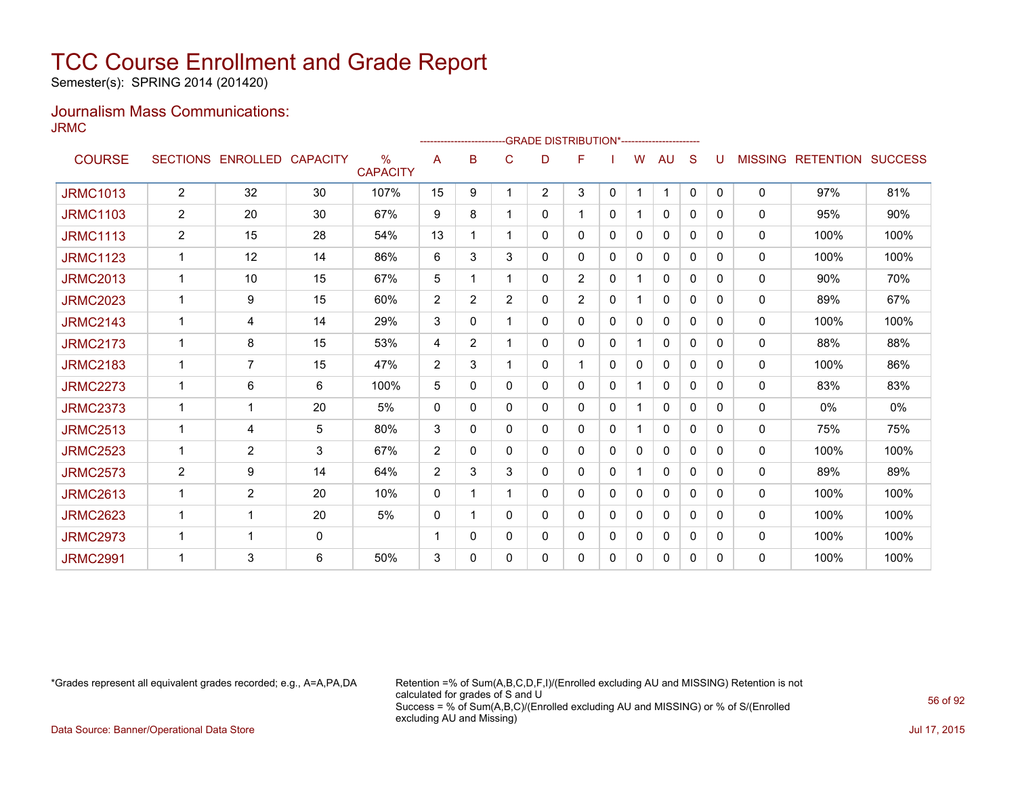Semester(s): SPRING 2014 (201420)

### Journalism Mass Communications: JRMC

|                 |                |                   |                 |                                  |                |                |   | -------------------------GRADE                 DISTRIBUTION*--------------------- |                |              |              |              |              |              |                |                          |       |
|-----------------|----------------|-------------------|-----------------|----------------------------------|----------------|----------------|---|-----------------------------------------------------------------------------------|----------------|--------------|--------------|--------------|--------------|--------------|----------------|--------------------------|-------|
| <b>COURSE</b>   |                | SECTIONS ENROLLED | <b>CAPACITY</b> | $\frac{0}{0}$<br><b>CAPACITY</b> | A              | в              | C | D                                                                                 | F              |              | W            | <b>AU</b>    | S            |              | <b>MISSING</b> | <b>RETENTION SUCCESS</b> |       |
| <b>JRMC1013</b> | $\overline{2}$ | 32                | 30              | 107%                             | 15             | 9              | 1 | $\overline{2}$                                                                    | 3              | $\mathbf{0}$ | $\mathbf{1}$ | 1            | $\mathbf{0}$ | $\mathbf{0}$ | 0              | 97%                      | 81%   |
| <b>JRMC1103</b> | $\overline{2}$ | 20                | 30              | 67%                              | 9              | 8              |   | 0                                                                                 | 1              | $\mathbf{0}$ |              | 0            | $\Omega$     | $\Omega$     | 0              | 95%                      | 90%   |
| <b>JRMC1113</b> | $\overline{2}$ | 15                | 28              | 54%                              | 13             |                |   | 0                                                                                 | 0              | 0            | 0            | 0            | $\Omega$     | 0            | $\mathbf{0}$   | 100%                     | 100%  |
| <b>JRMC1123</b> | $\mathbf 1$    | 12                | 14              | 86%                              | 6              | 3              | 3 | 0                                                                                 | 0              | 0            | 0            | 0            | 0            | 0            | 0              | 100%                     | 100%  |
| <b>JRMC2013</b> | $\mathbf 1$    | 10                | 15              | 67%                              | 5              |                |   | 0                                                                                 | $\overline{2}$ | 0            | 1            | 0            | 0            | 0            | $\mathbf{0}$   | 90%                      | 70%   |
| <b>JRMC2023</b> |                | 9                 | 15              | 60%                              | 2              | $\overline{2}$ | 2 | 0                                                                                 | $\overline{2}$ | $\mathbf{0}$ |              | $\Omega$     | $\Omega$     | 0            | $\mathbf{0}$   | 89%                      | 67%   |
| <b>JRMC2143</b> | 1              | 4                 | 14              | 29%                              | 3              | 0              |   | 0                                                                                 | 0              | 0            | 0            | $\Omega$     | $\Omega$     | 0            | $\mathbf{0}$   | 100%                     | 100%  |
| <b>JRMC2173</b> |                | 8                 | 15              | 53%                              | 4              | $\overline{2}$ |   | 0                                                                                 | 0              | $\mathbf{0}$ | 1            | 0            | $\Omega$     | 0            | 0              | 88%                      | 88%   |
| <b>JRMC2183</b> |                | $\overline{7}$    | 15              | 47%                              | 2              | 3              |   | 0                                                                                 | 1              | 0            | $\Omega$     | $\mathbf{0}$ | $\Omega$     | 0            | 0              | 100%                     | 86%   |
| <b>JRMC2273</b> |                | 6                 | 6               | 100%                             | 5              | 0              | 0 | 0                                                                                 | 0              | $\Omega$     |              | 0            | $\Omega$     | 0            | $\mathbf{0}$   | 83%                      | 83%   |
| <b>JRMC2373</b> |                | 1                 | 20              | 5%                               | $\mathbf{0}$   | 0              | 0 | 0                                                                                 | 0              | 0            |              | $\mathbf{0}$ | 0            | 0            | 0              | 0%                       | $0\%$ |
| <b>JRMC2513</b> | $\mathbf 1$    | 4                 | 5               | 80%                              | 3              | 0              | 0 | 0                                                                                 | 0              | 0            | 1            | 0            | 0            | 0            | $\mathbf{0}$   | 75%                      | 75%   |
| <b>JRMC2523</b> |                | $\overline{2}$    | 3               | 67%                              | 2              | 0              | 0 | 0                                                                                 | 0              | 0            | 0            | $\mathbf{0}$ | $\Omega$     | 0            | $\mathbf{0}$   | 100%                     | 100%  |
| <b>JRMC2573</b> | $\overline{2}$ | 9                 | 14              | 64%                              | $\overline{2}$ | 3              | 3 | 0                                                                                 | 0              | 0            | 1            | $\mathbf{0}$ | $\Omega$     | 0            | 0              | 89%                      | 89%   |
| <b>JRMC2613</b> | $\mathbf{1}$   | $\overline{2}$    | 20              | 10%                              | $\mathbf{0}$   |                |   | 0                                                                                 | 0              | 0            | 0            | 0            | $\Omega$     | 0            | 0              | 100%                     | 100%  |
| <b>JRMC2623</b> |                | 1                 | 20              | 5%                               | $\mathbf{0}$   |                | 0 | 0                                                                                 | 0              | 0            | $\mathbf{0}$ | 0            | $\Omega$     | 0            | 0              | 100%                     | 100%  |
| <b>JRMC2973</b> |                | 1                 | $\Omega$        |                                  |                | 0              | 0 | 0                                                                                 | 0              | 0            | 0            | 0            | $\Omega$     | 0            | $\mathbf{0}$   | 100%                     | 100%  |
| <b>JRMC2991</b> |                | 3                 | 6               | 50%                              | 3              | 0              | 0 | 0                                                                                 | 0              | 0            | 0            | 0            | 0            | 0            | $\mathbf{0}$   | 100%                     | 100%  |

\*Grades represent all equivalent grades recorded; e.g., A=A,PA,DA Retention =% of Sum(A,B,C,D,F,I)/(Enrolled excluding AU and MISSING) Retention is not calculated for grades of S and U Success = % of Sum(A,B,C)/(Enrolled excluding AU and MISSING) or % of S/(Enrolled excluding AU and Missing)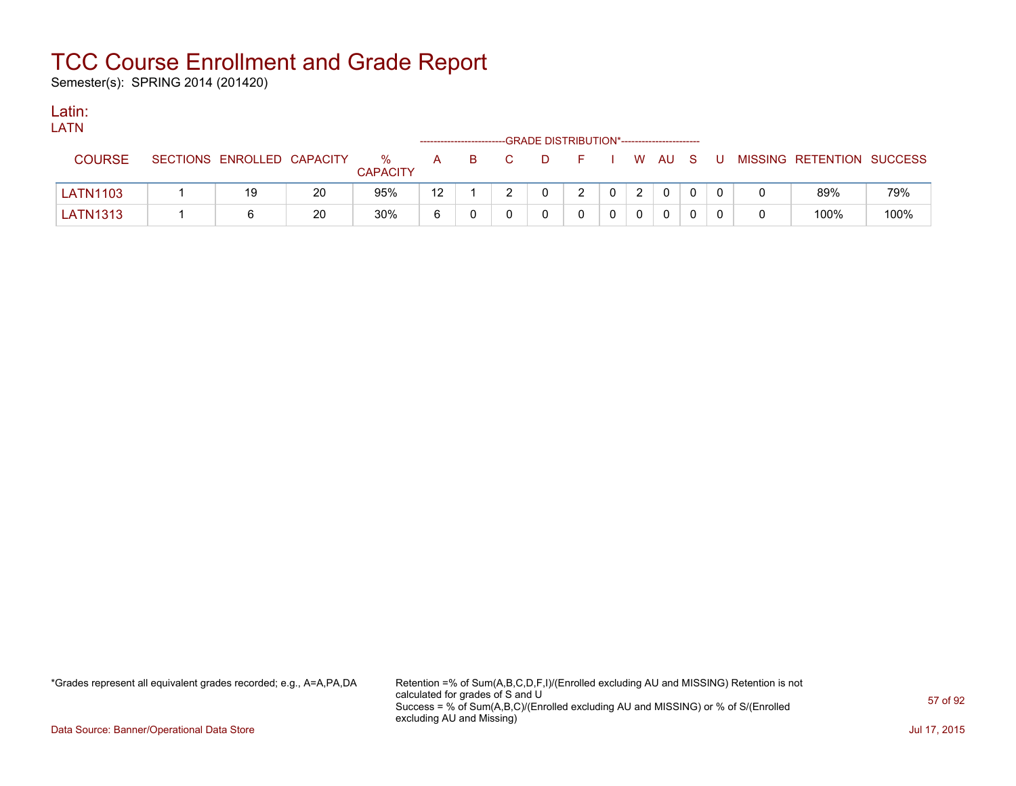Semester(s): SPRING 2014 (201420)

### Latin:

| LATN |                                                        |  |                 | ------------------------GRADE DISTRIBUTION*------------------------ |  |  |  |  |
|------|--------------------------------------------------------|--|-----------------|---------------------------------------------------------------------|--|--|--|--|
|      | COURSE SECTIONS ENROLLED CAPACITY % A B C D F I W AU S |  | <b>CAPACITY</b> |                                                                     |  |  |  |  |

| <b>LATN1103</b> | 19 | 20 | 95%      | $\overline{a}$<br>ے ا | - |  |  |  |  | 89%  | 79%  |
|-----------------|----|----|----------|-----------------------|---|--|--|--|--|------|------|
| <b>LATN1313</b> |    | 20 | 30%<br>. |                       |   |  |  |  |  | 100% | 100% |

\*Grades represent all equivalent grades recorded; e.g., A=A,PA,DA Retention =% of Sum(A,B,C,D,F,I)/(Enrolled excluding AU and MISSING) Retention is not calculated for grades of S and U Success = % of Sum(A,B,C)/(Enrolled excluding AU and MISSING) or % of S/(Enrolled excluding AU and Missing)

I W AU S U MISSING RETENTION SUCCESS

Data Source: Banner/Operational Data Store Jul 17, 2015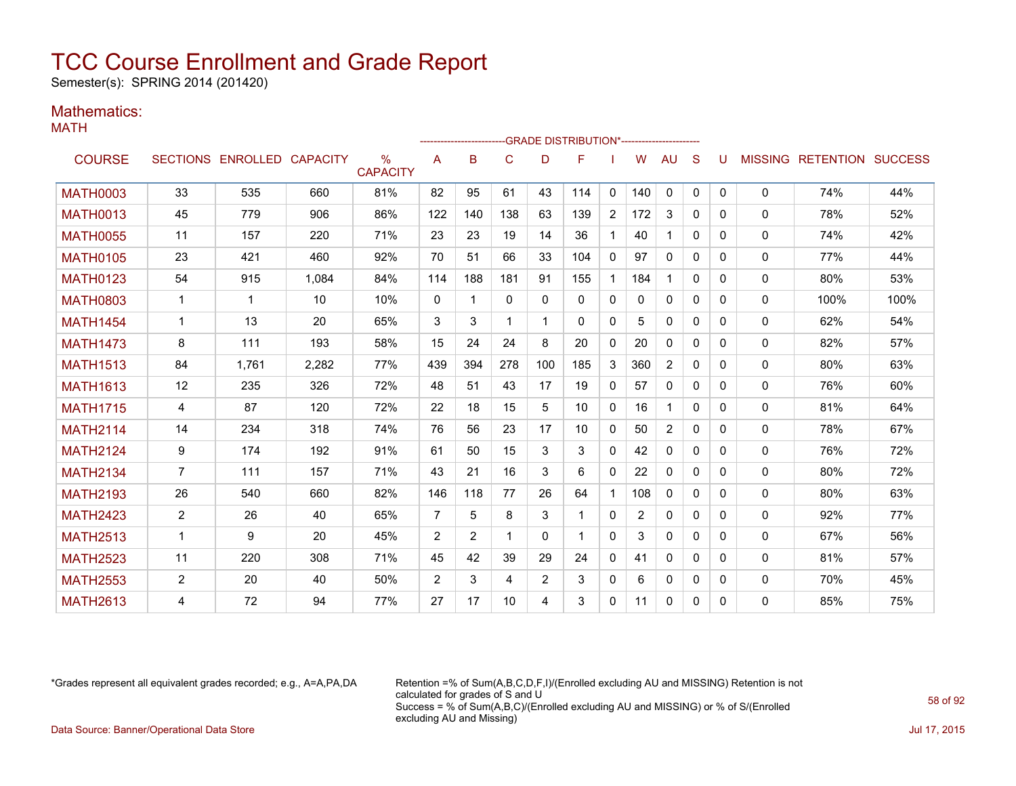Semester(s): SPRING 2014 (201420)

### Mathematics:

MATH

|                 |                |                            |       |                      |                | ---------------------- |                |          | --- GRADE DISTRIBUTION*------------------------ |                |                |              |              |          |              |                                  |      |
|-----------------|----------------|----------------------------|-------|----------------------|----------------|------------------------|----------------|----------|-------------------------------------------------|----------------|----------------|--------------|--------------|----------|--------------|----------------------------------|------|
| <b>COURSE</b>   |                | SECTIONS ENROLLED CAPACITY |       | ℅<br><b>CAPACITY</b> | A              | B                      | $\mathsf{C}$   | D        | F                                               |                | W              | AU           | S            | U        |              | <b>MISSING RETENTION SUCCESS</b> |      |
| <b>MATH0003</b> | 33             | 535                        | 660   | 81%                  | 82             | 95                     | 61             | 43       | 114                                             | $\mathbf{0}$   | 140            | $\mathbf{0}$ | $\mathbf{0}$ | 0        | $\mathbf{0}$ | 74%                              | 44%  |
| <b>MATH0013</b> | 45             | 779                        | 906   | 86%                  | 122            | 140                    | 138            | 63       | 139                                             | $\overline{2}$ | 172            | 3            | $\Omega$     | 0        | $\mathbf{0}$ | 78%                              | 52%  |
| <b>MATH0055</b> | 11             | 157                        | 220   | 71%                  | 23             | 23                     | 19             | 14       | 36                                              | $\mathbf{1}$   | 40             | 1            | $\Omega$     | 0        | $\mathbf{0}$ | 74%                              | 42%  |
| <b>MATH0105</b> | 23             | 421                        | 460   | 92%                  | 70             | 51                     | 66             | 33       | 104                                             | $\mathbf{0}$   | 97             | $\Omega$     | $\Omega$     | 0        | $\mathbf{0}$ | 77%                              | 44%  |
| <b>MATH0123</b> | 54             | 915                        | 1,084 | 84%                  | 114            | 188                    | 181            | 91       | 155                                             | $\mathbf 1$    | 184            | 1            | $\Omega$     | 0        | $\mathbf{0}$ | 80%                              | 53%  |
| <b>MATH0803</b> | 1              | $\mathbf{1}$               | 10    | 10%                  | $\mathbf{0}$   | 1                      | $\Omega$       | $\Omega$ | $\Omega$                                        | $\mathbf{0}$   | 0              | $\mathbf{0}$ | $\Omega$     | $\Omega$ | 0            | 100%                             | 100% |
| <b>MATH1454</b> | 1              | 13                         | 20    | 65%                  | 3              | 3                      | $\mathbf 1$    |          | $\Omega$                                        | 0              | 5              | $\mathbf{0}$ | $\Omega$     | 0        | 0            | 62%                              | 54%  |
| <b>MATH1473</b> | 8              | 111                        | 193   | 58%                  | 15             | 24                     | 24             | 8        | 20                                              | $\mathbf{0}$   | 20             | $\Omega$     | $\Omega$     | 0        | $\mathbf{0}$ | 82%                              | 57%  |
| <b>MATH1513</b> | 84             | 1,761                      | 2,282 | 77%                  | 439            | 394                    | 278            | 100      | 185                                             | 3              | 360            | 2            | $\Omega$     | 0        | 0            | 80%                              | 63%  |
| <b>MATH1613</b> | 12             | 235                        | 326   | 72%                  | 48             | 51                     | 43             | 17       | 19                                              | $\mathbf{0}$   | 57             | $\mathbf{0}$ | $\Omega$     | 0        | 0            | 76%                              | 60%  |
| <b>MATH1715</b> | 4              | 87                         | 120   | 72%                  | 22             | 18                     | 15             | 5        | 10                                              | 0              | 16             | $\mathbf 1$  | $\Omega$     | 0        | $\Omega$     | 81%                              | 64%  |
| <b>MATH2114</b> | 14             | 234                        | 318   | 74%                  | 76             | 56                     | 23             | 17       | 10                                              | $\mathbf{0}$   | 50             | 2            | $\Omega$     | 0        | 0            | 78%                              | 67%  |
| <b>MATH2124</b> | 9              | 174                        | 192   | 91%                  | 61             | 50                     | 15             | 3        | 3                                               | $\mathbf{0}$   | 42             | $\mathbf{0}$ | $\Omega$     | $\Omega$ | $\mathbf{0}$ | 76%                              | 72%  |
| <b>MATH2134</b> | $\overline{7}$ | 111                        | 157   | 71%                  | 43             | 21                     | 16             | 3        | 6                                               | $\mathbf{0}$   | 22             | $\mathbf{0}$ | $\Omega$     | 0        | $\Omega$     | 80%                              | 72%  |
| <b>MATH2193</b> | 26             | 540                        | 660   | 82%                  | 146            | 118                    | 77             | 26       | 64                                              | $\mathbf 1$    | 108            | $\mathbf{0}$ | $\Omega$     | 0        | 0            | 80%                              | 63%  |
| <b>MATH2423</b> | $\overline{2}$ | 26                         | 40    | 65%                  | $\overline{7}$ | 5                      | 8              | 3        | -1                                              | $\mathbf{0}$   | $\overline{2}$ | $\mathbf{0}$ | $\Omega$     | 0        | $\mathbf 0$  | 92%                              | 77%  |
| <b>MATH2513</b> | 1              | 9                          | 20    | 45%                  | 2              | $\overline{2}$         | $\mathbf 1$    | $\Omega$ |                                                 | 0              | 3              | $\mathbf{0}$ | $\Omega$     | 0        | $\mathbf 0$  | 67%                              | 56%  |
| <b>MATH2523</b> | 11             | 220                        | 308   | 71%                  | 45             | 42                     | 39             | 29       | 24                                              | 0              | 41             | $\mathbf{0}$ | $\Omega$     | 0        | 0            | 81%                              | 57%  |
| <b>MATH2553</b> | $\overline{2}$ | 20                         | 40    | 50%                  | 2              | 3                      | $\overline{4}$ | 2        | 3                                               | $\mathbf{0}$   | 6              | $\mathbf{0}$ | $\mathbf{0}$ | 0        | 0            | 70%                              | 45%  |
| <b>MATH2613</b> | 4              | 72                         | 94    | 77%                  | 27             | 17                     | 10             | 4        | 3                                               | $\Omega$       | 11             | $\mathbf{0}$ | $\mathbf{0}$ | 0        | 0            | 85%                              | 75%  |

\*Grades represent all equivalent grades recorded; e.g., A=A,PA,DA Retention =% of Sum(A,B,C,D,F,I)/(Enrolled excluding AU and MISSING) Retention is not calculated for grades of S and U Success = % of Sum(A,B,C)/(Enrolled excluding AU and MISSING) or % of S/(Enrolled excluding AU and Missing) Data Source: Banner/Operational Data Store Jul 17, 2015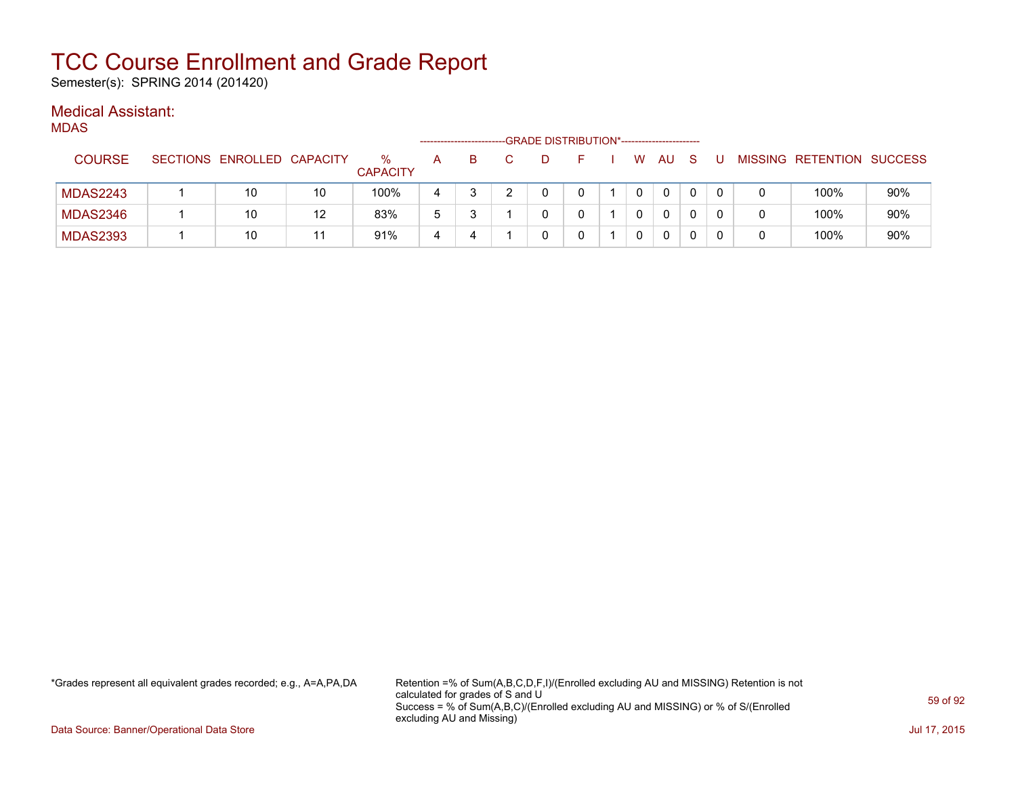Semester(s): SPRING 2014 (201420)

#### Medical Assistant: MDAS

| VILLAƏ          |                            |    |                      |   |   | -GRADE DISTRIBUTION*------------------------ |  |   |              |    |   |   |                           |     |
|-----------------|----------------------------|----|----------------------|---|---|----------------------------------------------|--|---|--------------|----|---|---|---------------------------|-----|
| <b>COURSE</b>   | SECTIONS ENROLLED CAPACITY |    | ℅<br><b>CAPACITY</b> | А | в |                                              |  | W | AU           | -S | U |   | MISSING RETENTION SUCCESS |     |
| <b>MDAS2243</b> | 10                         | 10 | 100%                 | 4 |   |                                              |  |   | 0            | 0  |   |   | 100%                      | 90% |
| <b>MDAS2346</b> | 10                         | 12 | 83%                  | 5 |   |                                              |  |   | 0            |    |   |   | 100%                      | 90% |
| <b>MDAS2393</b> | 10                         | 11 | 91%                  | 4 |   |                                              |  |   | $\mathbf{0}$ |    |   | 0 | 100%                      | 90% |

\*Grades represent all equivalent grades recorded; e.g., A=A,PA,DA Retention =% of Sum(A,B,C,D,F,I)/(Enrolled excluding AU and MISSING) Retention is not calculated for grades of S and U Success = % of Sum(A,B,C)/(Enrolled excluding AU and MISSING) or % of S/(Enrolled excluding AU and Missing)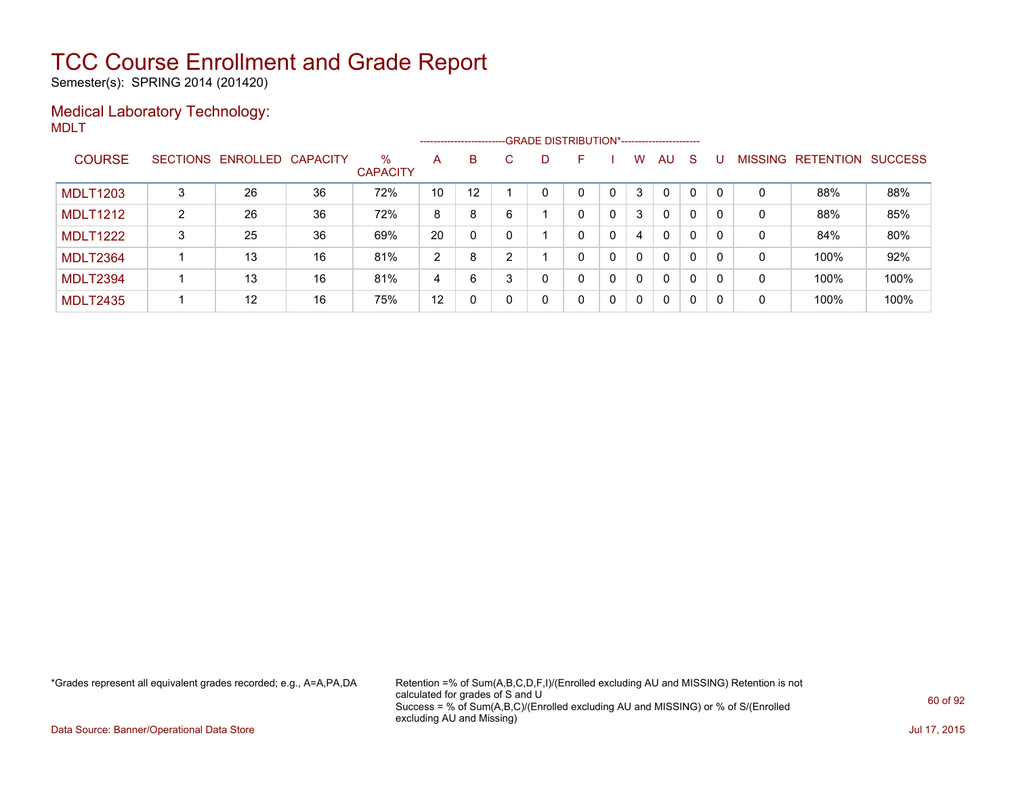Semester(s): SPRING 2014 (201420)

### Medical Laboratory Technology: MDLT

|                 |   |                            |    |                         |    |    |   |    | ------------------------GRADE                DISTRIBUTION*---------------------- |   |              |              |   |          |                |           |                |
|-----------------|---|----------------------------|----|-------------------------|----|----|---|----|----------------------------------------------------------------------------------|---|--------------|--------------|---|----------|----------------|-----------|----------------|
| <b>COURSE</b>   |   | SECTIONS ENROLLED CAPACITY |    | $\%$<br><b>CAPACITY</b> | A  | B  |   | D. | F                                                                                |   | w            | AU           | S |          | <b>MISSING</b> | RETENTION | <b>SUCCESS</b> |
| <b>MDLT1203</b> |   | 26                         | 36 | 72%                     | 10 | 12 |   |    |                                                                                  | 0 | 3            | $\Omega$     | 0 |          | 0              | 88%       | 88%            |
| <b>MDLT1212</b> | 2 | 26                         | 36 | 72%                     | 8  | 8  | 6 |    | 0                                                                                | 0 | 3            | $\Omega$     | 0 | $\Omega$ | 0              | 88%       | 85%            |
| <b>MDLT1222</b> | 3 | 25                         | 36 | 69%                     | 20 | 0  |   |    | 0                                                                                | 0 | 4            | $\mathbf{0}$ | 0 | $\Omega$ | 0              | 84%       | 80%            |
| <b>MDLT2364</b> |   | 13                         | 16 | 81%                     | 2  | 8  | 2 |    | 0                                                                                | 0 | 0            | $\Omega$     | 0 |          | 0              | 100%      | 92%            |
| <b>MDLT2394</b> |   | 13                         | 16 | 81%                     | 4  | 6  |   |    | 0                                                                                | 0 | 0            | $\mathbf{0}$ | 0 | $\Omega$ | 0              | 100%      | 100%           |
| <b>MDLT2435</b> |   | 12                         | 16 | 75%                     | 12 |    |   |    | 0                                                                                | 0 | $\mathbf{0}$ | $\Omega$     | 0 | $\Omega$ | 0              | 100%      | 100%           |

\*Grades represent all equivalent grades recorded; e.g., A=A,PA,DA Retention =% of Sum(A,B,C,D,F,I)/(Enrolled excluding AU and MISSING) Retention is not calculated for grades of S and U Success = % of Sum(A,B,C)/(Enrolled excluding AU and MISSING) or % of S/(Enrolled excluding AU and Missing)

Data Source: Banner/Operational Data Store Jul 17, 2015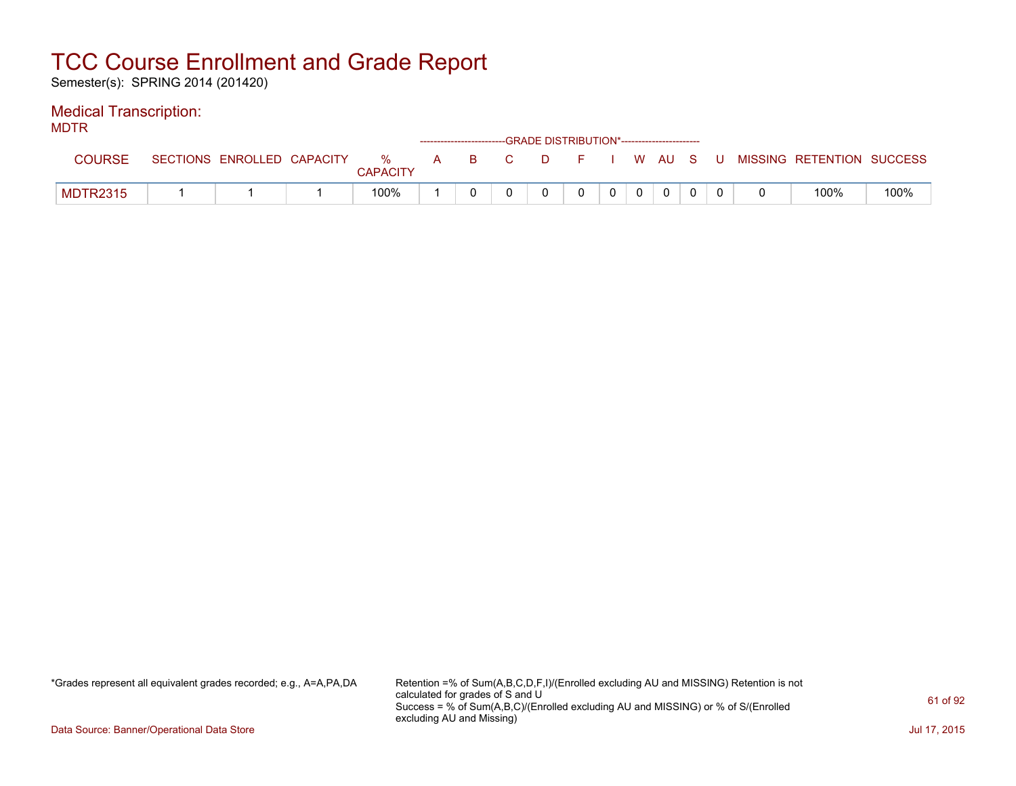Semester(s): SPRING 2014 (201420)

### Medical Transcription:

MDTR

| --- -- -        |                            |                      |   | ------------------------GRADE DISTRIBUTION*----------------------- |      |         |  |       |   |                           |      |
|-----------------|----------------------------|----------------------|---|--------------------------------------------------------------------|------|---------|--|-------|---|---------------------------|------|
| COURSE          | SECTIONS ENROLLED CAPACITY | %<br><b>CAPACITY</b> | A |                                                                    | BC C | $D = F$ |  | WAUS. | U | MISSING RETENTION SUCCESS |      |
| <b>MDTR2315</b> |                            | 100%                 |   |                                                                    |      |         |  |       |   | 100%                      | 100% |

\*Grades represent all equivalent grades recorded; e.g., A=A,PA,DA Retention =% of Sum(A,B,C,D,F,I)/(Enrolled excluding AU and MISSING) Retention is not calculated for grades of S and U Success = % of Sum(A,B,C)/(Enrolled excluding AU and MISSING) or % of S/(Enrolled excluding AU and Missing)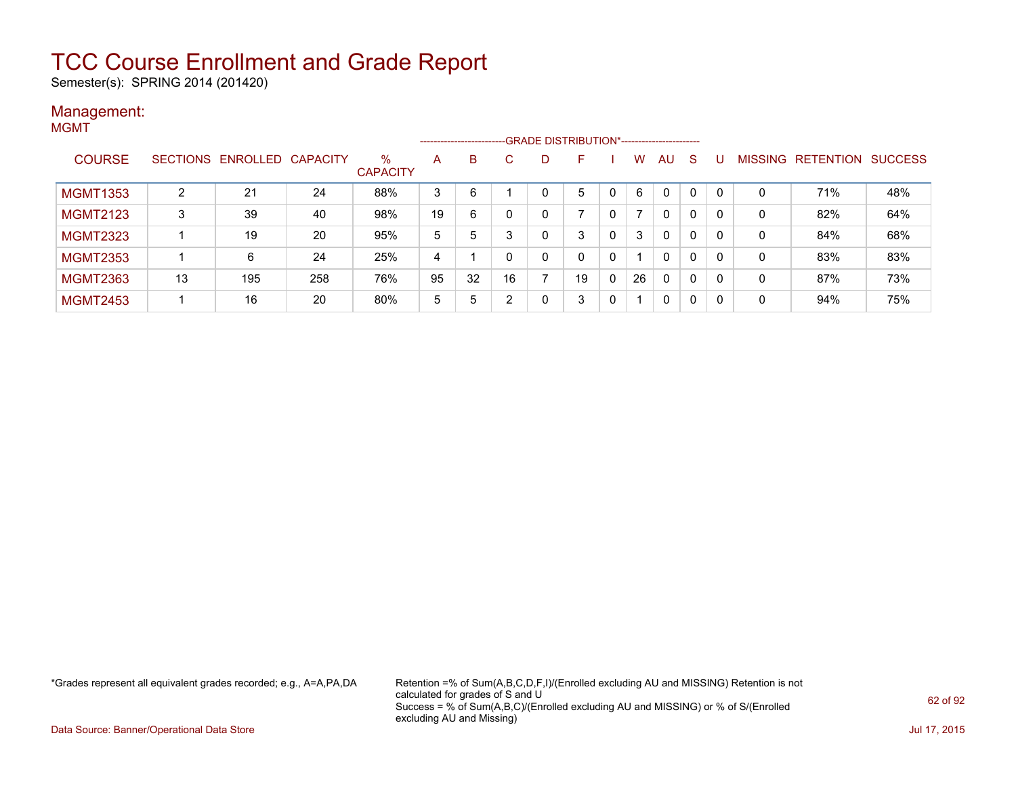Semester(s): SPRING 2014 (201420)

#### Management: **MGMT**

|                 |    |                            |     |                         |    |    |    |   | ------------------------GRADE DISTRIBUTION*----------------------- |   |    |              |              |          |                |                          |     |
|-----------------|----|----------------------------|-----|-------------------------|----|----|----|---|--------------------------------------------------------------------|---|----|--------------|--------------|----------|----------------|--------------------------|-----|
| <b>COURSE</b>   |    | SECTIONS ENROLLED CAPACITY |     | $\%$<br><b>CAPACITY</b> | A  | B  | C  | D | F                                                                  |   | W  | AU           | <sub>S</sub> |          | <b>MISSING</b> | <b>RETENTION SUCCESS</b> |     |
| <b>MGMT1353</b> | 2  | 21                         | 24  | 88%                     | 3  | 6  |    |   | 5                                                                  |   | 6  | 0            | 0            |          | 0              | 71%                      | 48% |
| <b>MGMT2123</b> | 3  | 39                         | 40  | 98%                     | 19 | 6  |    | 0 |                                                                    |   | 7  | $\mathbf{0}$ | 0            | -0       | 0              | 82%                      | 64% |
| <b>MGMT2323</b> |    | 19                         | 20  | 95%                     | 5  | 5  |    | 0 | 3                                                                  | 0 | 3  | $\mathbf{0}$ | 0            | 0        | 0              | 84%                      | 68% |
| <b>MGMT2353</b> |    | 6                          | 24  | 25%                     | 4  |    |    | 0 | 0                                                                  | 0 |    | $\mathbf{0}$ | 0            | $\Omega$ | 0              | 83%                      | 83% |
| <b>MGMT2363</b> | 13 | 195                        | 258 | 76%                     | 95 | 32 | 16 | ⇁ | 19                                                                 | 0 | 26 | $\mathbf{0}$ | $\mathbf{0}$ |          | 0              | 87%                      | 73% |
| <b>MGMT2453</b> |    | 16                         | 20  | 80%                     | 5  | 5  | ົ  | 0 | 3                                                                  | 0 |    | 0            | 0            | -0       | 0              | 94%                      | 75% |

\*Grades represent all equivalent grades recorded; e.g., A=A,PA,DA Retention =% of Sum(A,B,C,D,F,I)/(Enrolled excluding AU and MISSING) Retention is not calculated for grades of S and U Success = % of Sum(A,B,C)/(Enrolled excluding AU and MISSING) or % of S/(Enrolled excluding AU and Missing)

Data Source: Banner/Operational Data Store Jul 17, 2015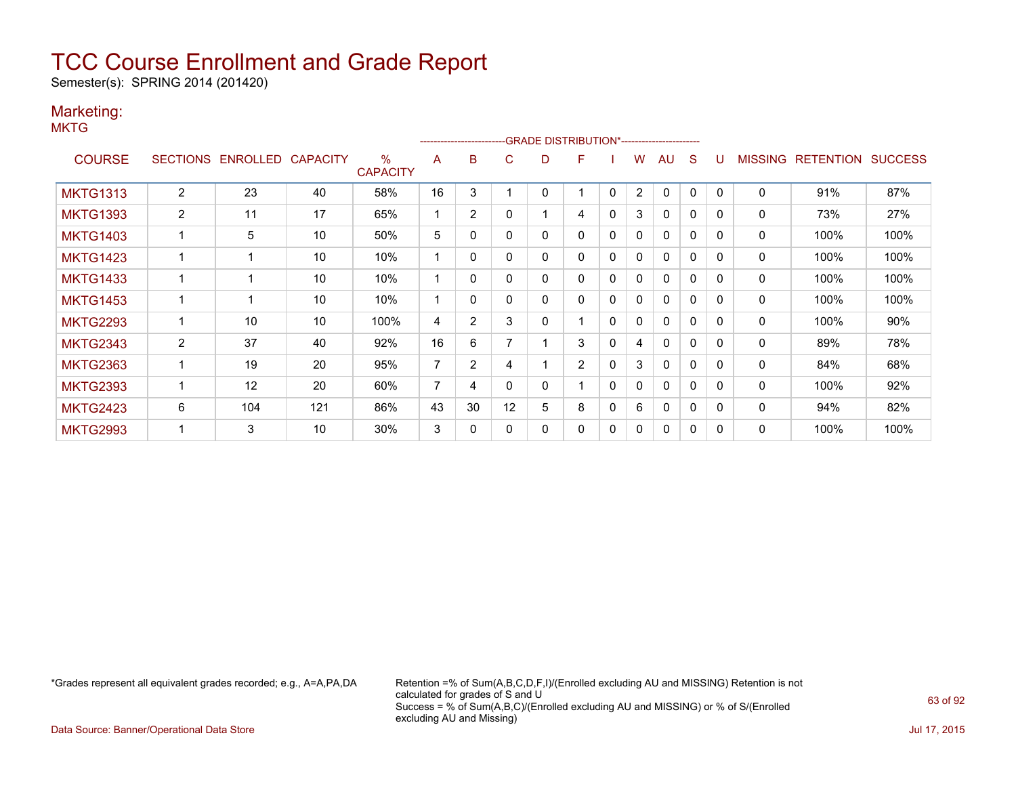Semester(s): SPRING 2014 (201420)

### Marketing:

**MKTG** 

|                 |                 |          |                 |                                  |    | ------------------------- |    | -GRADE DISTRIBUTION*---------------------- |                |              |                |              |              |              |                |                  |                |
|-----------------|-----------------|----------|-----------------|----------------------------------|----|---------------------------|----|--------------------------------------------|----------------|--------------|----------------|--------------|--------------|--------------|----------------|------------------|----------------|
| <b>COURSE</b>   | <b>SECTIONS</b> | ENROLLED | <b>CAPACITY</b> | $\frac{0}{0}$<br><b>CAPACITY</b> | A  | B                         | С  | D                                          | F              |              | w              | AU           | <sub>S</sub> |              | <b>MISSING</b> | <b>RETENTION</b> | <b>SUCCESS</b> |
| <b>MKTG1313</b> | 2               | 23       | 40              | 58%                              | 16 | 3                         |    | 0                                          |                | $\mathbf{0}$ | $\overline{2}$ | $\mathbf{0}$ | $\mathbf{0}$ | $\Omega$     | 0              | 91%              | 87%            |
| <b>MKTG1393</b> | $\overline{2}$  | 11       | 17              | 65%                              |    | $\overline{2}$            | 0  |                                            | 4              | 0            | 3              | 0            | 0            | $\Omega$     | 0              | 73%              | 27%            |
| <b>MKTG1403</b> |                 | 5        | 10              | 50%                              | 5  | 0                         | 0  | 0                                          | 0              | 0            | 0              | $\mathbf{0}$ | 0            | $\Omega$     | 0              | 100%             | 100%           |
| <b>MKTG1423</b> |                 |          | 10              | 10%                              |    | 0                         | 0  | 0                                          | 0              | $\mathbf{0}$ | $\Omega$       | $\mathbf{0}$ | $\mathbf{0}$ | $\Omega$     | 0              | 100%             | 100%           |
| <b>MKTG1433</b> |                 |          | 10              | 10%                              |    | 0                         | 0  | 0                                          | 0              | 0            | 0              | $\mathbf{0}$ | $\mathbf{0}$ | $\Omega$     | 0              | 100%             | 100%           |
| <b>MKTG1453</b> |                 |          | 10              | 10%                              |    | 0                         | 0  | 0                                          | 0              | 0            | 0              | 0            | 0            | $\Omega$     | 0              | 100%             | 100%           |
| <b>MKTG2293</b> |                 | 10       | 10              | 100%                             | 4  | $\overline{2}$            | 3  | 0                                          |                | $\mathbf{0}$ | $\mathbf{0}$   | $\mathbf{0}$ | $\mathbf 0$  | $\Omega$     | 0              | 100%             | 90%            |
| <b>MKTG2343</b> | $\overline{2}$  | 37       | 40              | 92%                              | 16 | 6                         |    |                                            | 3              | 0            | 4              | $\mathbf{0}$ | $\mathbf{0}$ | $\Omega$     | 0              | 89%              | 78%            |
| <b>MKTG2363</b> |                 | 19       | 20              | 95%                              | 7  | $\overline{2}$            | 4  |                                            | $\overline{2}$ | $\Omega$     | 3              | $\mathbf{0}$ | $\mathbf{0}$ | $\Omega$     | 0              | 84%              | 68%            |
| <b>MKTG2393</b> |                 | 12       | 20              | 60%                              | 7  | 4                         | 0  | 0                                          |                | $\mathbf{0}$ | $\Omega$       | $\mathbf{0}$ | $\mathbf 0$  | $\Omega$     | 0              | 100%             | 92%            |
| <b>MKTG2423</b> | 6               | 104      | 121             | 86%                              | 43 | 30                        | 12 | 5                                          | 8              | 0            | 6              | $\mathbf{0}$ | 0            | <sup>0</sup> | 0              | 94%              | 82%            |
| <b>MKTG2993</b> |                 | 3        | 10              | 30%                              | 3  | 0                         | 0  | 0                                          | 0              | $\mathbf{0}$ | 0              | 0            | 0            | $\Omega$     | 0              | 100%             | 100%           |

\*Grades represent all equivalent grades recorded; e.g., A=A,PA,DA Retention =% of Sum(A,B,C,D,F,I)/(Enrolled excluding AU and MISSING) Retention is not calculated for grades of S and U Success = % of Sum(A,B,C)/(Enrolled excluding AU and MISSING) or % of S/(Enrolled excluding AU and Missing)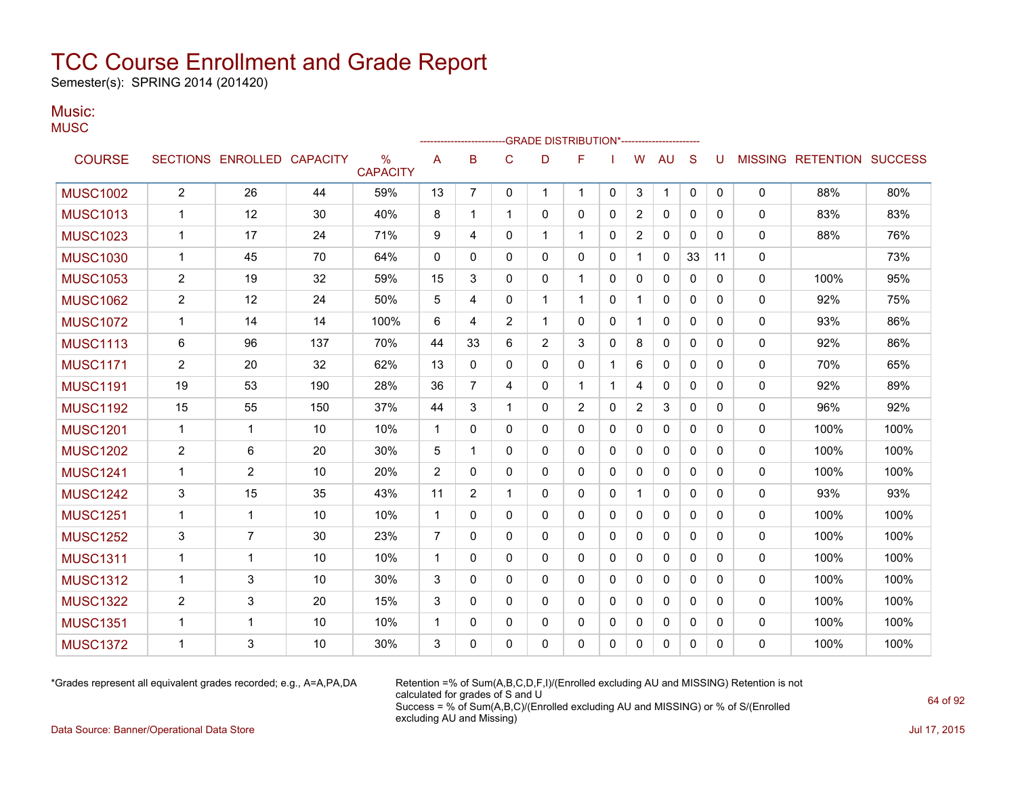Semester(s): SPRING 2014 (201420)

#### Music: **MUSC**

| $\sim$ $\sim$ $\sim$ |                |                            |     |                                  |                |                |              | -GRADE DISTRIBUTION*----------------- |              |              |                |              |              |              |              |                           |      |
|----------------------|----------------|----------------------------|-----|----------------------------------|----------------|----------------|--------------|---------------------------------------|--------------|--------------|----------------|--------------|--------------|--------------|--------------|---------------------------|------|
| <b>COURSE</b>        |                | SECTIONS ENROLLED CAPACITY |     | $\frac{0}{0}$<br><b>CAPACITY</b> | A              | B              | $\mathsf{C}$ | D                                     | F            |              | W              | <b>AU</b>    | S            | U            |              | MISSING RETENTION SUCCESS |      |
| <b>MUSC1002</b>      | $\overline{2}$ | 26                         | 44  | 59%                              | 13             | $\overline{7}$ | $\Omega$     | $\mathbf{1}$                          | 1            | $\mathbf{0}$ | 3              | $\mathbf{1}$ | $\mathbf{0}$ | $\mathbf{0}$ | $\mathbf{0}$ | 88%                       | 80%  |
| <b>MUSC1013</b>      | $\mathbf{1}$   | 12                         | 30  | 40%                              | 8              | 1              | $\mathbf{1}$ | 0                                     | 0            | 0            | 2              | $\mathbf{0}$ | 0            | 0            | $\Omega$     | 83%                       | 83%  |
| <b>MUSC1023</b>      | $\mathbf{1}$   | 17                         | 24  | 71%                              | 9              | 4              | 0            | 1                                     | $\mathbf{1}$ | 0            | 2              | 0            | $\Omega$     | 0            | 0            | 88%                       | 76%  |
| <b>MUSC1030</b>      | $\mathbf 1$    | 45                         | 70  | 64%                              | $\mathbf{0}$   | 0              | $\Omega$     | $\Omega$                              | $\Omega$     | $\Omega$     | $\mathbf{1}$   | $\mathbf{0}$ | 33           | 11           | 0            |                           | 73%  |
| <b>MUSC1053</b>      | $\overline{2}$ | 19                         | 32  | 59%                              | 15             | 3              | $\Omega$     | $\mathbf{0}$                          | $\mathbf 1$  | 0            | 0              | $\mathbf{0}$ | $\mathbf{0}$ | 0            | 0            | 100%                      | 95%  |
| <b>MUSC1062</b>      | 2              | 12                         | 24  | 50%                              | 5              | 4              | $\Omega$     | 1                                     | $\mathbf{1}$ | $\Omega$     | $\mathbf{1}$   | $\mathbf{0}$ | $\Omega$     | $\Omega$     | $\mathbf{0}$ | 92%                       | 75%  |
| <b>MUSC1072</b>      | 1              | 14                         | 14  | 100%                             | 6              | 4              | 2            | 1                                     | 0            | 0            | $\mathbf 1$    | 0            | 0            | 0            | $\mathbf{0}$ | 93%                       | 86%  |
| <b>MUSC1113</b>      | 6              | 96                         | 137 | 70%                              | 44             | 33             | 6            | $\overline{2}$                        | 3            | $\Omega$     | 8              | 0            | $\Omega$     | $\Omega$     | $\mathbf{0}$ | 92%                       | 86%  |
| <b>MUSC1171</b>      | $\overline{2}$ | 20                         | 32  | 62%                              | 13             | 0              | 0            | 0                                     | 0            | 1            | 6              | 0            | $\Omega$     | 0            | 0            | 70%                       | 65%  |
| <b>MUSC1191</b>      | 19             | 53                         | 190 | 28%                              | 36             | 7              | 4            | 0                                     | 1.           | 1            | 4              | 0            | 0            | 0            | $\mathbf{0}$ | 92%                       | 89%  |
| <b>MUSC1192</b>      | 15             | 55                         | 150 | 37%                              | 44             | 3              | $\mathbf 1$  | 0                                     | 2            | $\Omega$     | $\overline{2}$ | 3            | $\mathbf{0}$ | 0            | $\Omega$     | 96%                       | 92%  |
| <b>MUSC1201</b>      | 1              | 1                          | 10  | 10%                              | $\mathbf 1$    | 0              | $\mathbf{0}$ | 0                                     | 0            | 0            | $\mathbf{0}$   | 0            | 0            | 0            | 0            | 100%                      | 100% |
| <b>MUSC1202</b>      | 2              | 6                          | 20  | 30%                              | 5              | $\mathbf{1}$   | $\mathbf{0}$ | 0                                     | $\mathbf{0}$ | 0            | 0              | $\mathbf{0}$ | $\Omega$     | $\Omega$     | $\mathbf{0}$ | 100%                      | 100% |
| <b>MUSC1241</b>      | 1              | $\overline{2}$             | 10  | 20%                              | $\overline{2}$ | 0              | $\mathbf{0}$ | 0                                     | 0            | 0            | 0              | 0            | $\Omega$     | 0            | $\mathbf{0}$ | 100%                      | 100% |
| <b>MUSC1242</b>      | 3              | 15                         | 35  | 43%                              | 11             | $\overline{2}$ | $\mathbf{1}$ | 0                                     | $\Omega$     | $\Omega$     | $\mathbf{1}$   | $\mathbf{0}$ | $\Omega$     | $\Omega$     | 0            | 93%                       | 93%  |
| <b>MUSC1251</b>      | $\mathbf{1}$   | $\mathbf{1}$               | 10  | 10%                              | $\mathbf{1}$   | 0              | $\Omega$     | 0                                     | $\mathbf{0}$ | 0            | $\mathbf{0}$   | 0            | $\Omega$     | 0            | $\mathbf{0}$ | 100%                      | 100% |
| <b>MUSC1252</b>      | 3              | $\overline{7}$             | 30  | 23%                              | $\overline{7}$ | $\Omega$       | $\Omega$     | 0                                     | $\mathbf{0}$ | 0            | 0              | $\mathbf{0}$ | $\Omega$     | $\Omega$     | 0            | 100%                      | 100% |
| <b>MUSC1311</b>      | $\mathbf{1}$   | 1                          | 10  | 10%                              | $\mathbf 1$    | $\Omega$       | $\Omega$     | $\mathbf{0}$                          | $\Omega$     | 0            | $\mathbf{0}$   | $\mathbf{0}$ | $\Omega$     | 0            | $\Omega$     | 100%                      | 100% |
| <b>MUSC1312</b>      | 1              | 3                          | 10  | 30%                              | 3              | 0              | $\Omega$     | 0                                     | 0            | 0            | 0              | $\mathbf{0}$ | $\mathbf{0}$ | 0            | 0            | 100%                      | 100% |
| <b>MUSC1322</b>      | 2              | 3                          | 20  | 15%                              | 3              | 0              | $\mathbf{0}$ | 0                                     | $\mathbf{0}$ | 0            | $\mathbf{0}$   | $\mathbf{0}$ | $\Omega$     | $\Omega$     | $\mathbf{0}$ | 100%                      | 100% |
| <b>MUSC1351</b>      | $\mathbf{1}$   | $\mathbf{1}$               | 10  | 10%                              | $\mathbf{1}$   | 0              | $\Omega$     | 0                                     | $\mathbf{0}$ | $\Omega$     | 0              | $\mathbf{0}$ | $\mathbf{0}$ | 0            | $\mathbf{0}$ | 100%                      | 100% |
| <b>MUSC1372</b>      | 1              | 3                          | 10  | 30%                              | 3              | 0              | 0            | 0                                     | 0            | 0            | 0              | 0            | 0            | 0            | 0            | 100%                      | 100% |
|                      |                |                            |     |                                  |                |                |              |                                       |              |              |                |              |              |              |              |                           |      |

\*Grades represent all equivalent grades recorded; e.g., A=A,PA,DA Retention =% of Sum(A,B,C,D,F,I)/(Enrolled excluding AU and MISSING) Retention is not calculated for grades of S and U Success = % of Sum(A,B,C)/(Enrolled excluding AU and MISSING) or % of S/(Enrolled excluding AU and Missing)

Data Source: Banner/Operational Data Store Jul 17, 2015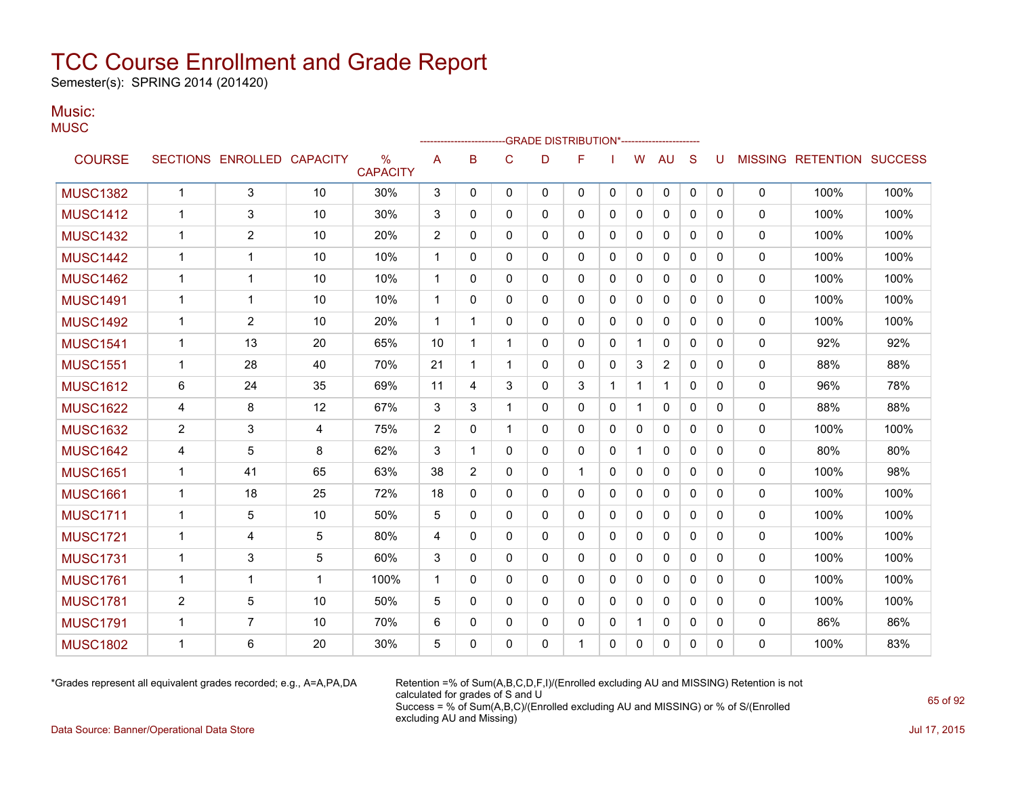Semester(s): SPRING 2014 (201420)

#### Music: **MUSC**

|                 |                |                            |              |                      |                |                |              | -GRADE DISTRIBUTION*----------------------- |              |              |              |                |              |          |              |                           |      |
|-----------------|----------------|----------------------------|--------------|----------------------|----------------|----------------|--------------|---------------------------------------------|--------------|--------------|--------------|----------------|--------------|----------|--------------|---------------------------|------|
| <b>COURSE</b>   |                | SECTIONS ENROLLED CAPACITY |              | %<br><b>CAPACITY</b> | A              | B              | $\mathsf{C}$ | D                                           | F            |              | W            | <b>AU</b>      | S            | U        |              | MISSING RETENTION SUCCESS |      |
| <b>MUSC1382</b> | $\mathbf{1}$   | 3                          | 10           | 30%                  | 3              | 0              | $\mathbf{0}$ | 0                                           | 0            | 0            | 0            | 0              | $\mathbf{0}$ | 0        | $\mathbf 0$  | 100%                      | 100% |
| <b>MUSC1412</b> | 1              | 3                          | 10           | 30%                  | 3              | 0              | $\Omega$     | $\Omega$                                    | $\mathbf{0}$ | 0            | $\Omega$     | $\Omega$       | $\Omega$     | $\Omega$ | $\mathbf{0}$ | 100%                      | 100% |
| <b>MUSC1432</b> | 1              | 2                          | 10           | 20%                  | $\overline{2}$ | 0              | $\Omega$     | 0                                           | 0            | 0            | 0            | 0              | $\Omega$     | $\Omega$ | 0            | 100%                      | 100% |
| <b>MUSC1442</b> | 1              | 1                          | 10           | 10%                  | 1              | 0              | 0            | 0                                           | 0            | 0            | 0            | 0              | 0            | 0        | 0            | 100%                      | 100% |
| <b>MUSC1462</b> | 1              | 1                          | 10           | 10%                  | 1              | 0              | 0            | 0                                           | 0            | 0            | 0            | $\mathbf{0}$   | 0            | 0        | $\mathbf{0}$ | 100%                      | 100% |
| <b>MUSC1491</b> | $\mathbf 1$    | 1                          | 10           | 10%                  | 1              | 0              | $\Omega$     | 0                                           | 0            | 0            | 0            | $\mathbf{0}$   | $\Omega$     | $\Omega$ | $\Omega$     | 100%                      | 100% |
| <b>MUSC1492</b> | $\mathbf 1$    | $\overline{2}$             | 10           | 20%                  | 1              | $\mathbf{1}$   | 0            | 0                                           | 0            | 0            | 0            | 0              | 0            | $\Omega$ | $\mathbf 0$  | 100%                      | 100% |
| <b>MUSC1541</b> | 1              | 13                         | 20           | 65%                  | 10             | $\mathbf{1}$   | 1            | 0                                           | 0            | 0            | $\mathbf{1}$ | $\mathbf{0}$   | $\mathbf{0}$ | $\Omega$ | $\mathbf{0}$ | 92%                       | 92%  |
| <b>MUSC1551</b> | $\mathbf{1}$   | 28                         | 40           | 70%                  | 21             | $\mathbf{1}$   | 1            | 0                                           | 0            | 0            | 3            | $\overline{c}$ | 0            | $\Omega$ | $\mathbf 0$  | 88%                       | 88%  |
| <b>MUSC1612</b> | 6              | 24                         | 35           | 69%                  | 11             | 4              | 3            | $\Omega$                                    | 3            | 1            | $\mathbf{1}$ | $\mathbf{1}$   | $\Omega$     | $\Omega$ | $\Omega$     | 96%                       | 78%  |
| <b>MUSC1622</b> | 4              | 8                          | 12           | 67%                  | 3              | 3              | $\mathbf{1}$ | 0                                           | 0            | 0            | $\mathbf{1}$ | 0              | $\mathbf{0}$ | 0        | 0            | 88%                       | 88%  |
| <b>MUSC1632</b> | $\overline{2}$ | 3                          | 4            | 75%                  | $\overline{2}$ | 0              | $\mathbf 1$  | 0                                           | 0            | $\mathbf{0}$ | 0            | $\mathbf{0}$   | $\Omega$     | $\Omega$ | 0            | 100%                      | 100% |
| <b>MUSC1642</b> | 4              | 5                          | 8            | 62%                  | 3              | $\mathbf{1}$   | $\Omega$     | 0                                           | $\mathbf{0}$ | 0            | $\mathbf{1}$ | $\mathbf{0}$   | $\Omega$     | 0        | $\mathbf{0}$ | 80%                       | 80%  |
| <b>MUSC1651</b> | 1              | 41                         | 65           | 63%                  | 38             | $\overline{2}$ | $\mathbf{0}$ | $\Omega$                                    | $\mathbf{1}$ | 0            | $\Omega$     | $\mathbf{0}$   | $\mathbf{0}$ | $\Omega$ | $\Omega$     | 100%                      | 98%  |
| <b>MUSC1661</b> | 1              | 18                         | 25           | 72%                  | 18             | 0              | $\mathbf{0}$ | 0                                           | 0            | 0            | 0            | $\mathbf{0}$   | $\Omega$     | 0        | 0            | 100%                      | 100% |
| <b>MUSC1711</b> | 1              | 5                          | 10           | 50%                  | 5              | 0              | 0            | 0                                           | 0            | 0            | 0            | 0              | 0            | 0        | 0            | 100%                      | 100% |
| <b>MUSC1721</b> | 1              | 4                          | 5            | 80%                  | 4              | $\Omega$       | $\Omega$     | 0                                           | $\mathbf{0}$ | 0            | $\mathbf{0}$ | 0              | 0            | $\Omega$ | $\mathbf{0}$ | 100%                      | 100% |
| <b>MUSC1731</b> | $\mathbf{1}$   | 3                          | 5            | 60%                  | 3              | 0              | 0            | 0                                           | 0            | 0            | 0            | $\mathbf{0}$   | 0            | 0        | $\mathbf{0}$ | 100%                      | 100% |
| <b>MUSC1761</b> | $\mathbf 1$    | 1                          | $\mathbf{1}$ | 100%                 | 1              | 0              | 0            | 0                                           | 0            | 0            | $\mathbf{0}$ | $\mathbf{0}$   | $\mathbf{0}$ | $\Omega$ | $\mathbf{0}$ | 100%                      | 100% |
| <b>MUSC1781</b> | $\overline{2}$ | 5                          | 10           | 50%                  | 5              | 0              | 0            | 0                                           | 0            | 0            | 0            | $\mathbf{0}$   | $\Omega$     | $\Omega$ | $\mathbf{0}$ | 100%                      | 100% |
| <b>MUSC1791</b> | 1              | $\overline{7}$             | 10           | 70%                  | 6              | 0              | 0            | $\Omega$                                    | $\Omega$     | 0            | $\mathbf{1}$ | $\mathbf{0}$   | $\Omega$     | $\Omega$ | 0            | 86%                       | 86%  |
| <b>MUSC1802</b> | 1              | 6                          | 20           | 30%                  | 5              | 0              | 0            | 0                                           | 1            | 0            | 0            | 0              | 0            | 0        | 0            | 100%                      | 83%  |
|                 |                |                            |              |                      |                |                |              |                                             |              |              |              |                |              |          |              |                           |      |

\*Grades represent all equivalent grades recorded; e.g., A=A,PA,DA Retention =% of Sum(A,B,C,D,F,I)/(Enrolled excluding AU and MISSING) Retention is not calculated for grades of S and U Success = % of Sum(A,B,C)/(Enrolled excluding AU and MISSING) or % of S/(Enrolled excluding AU and Missing)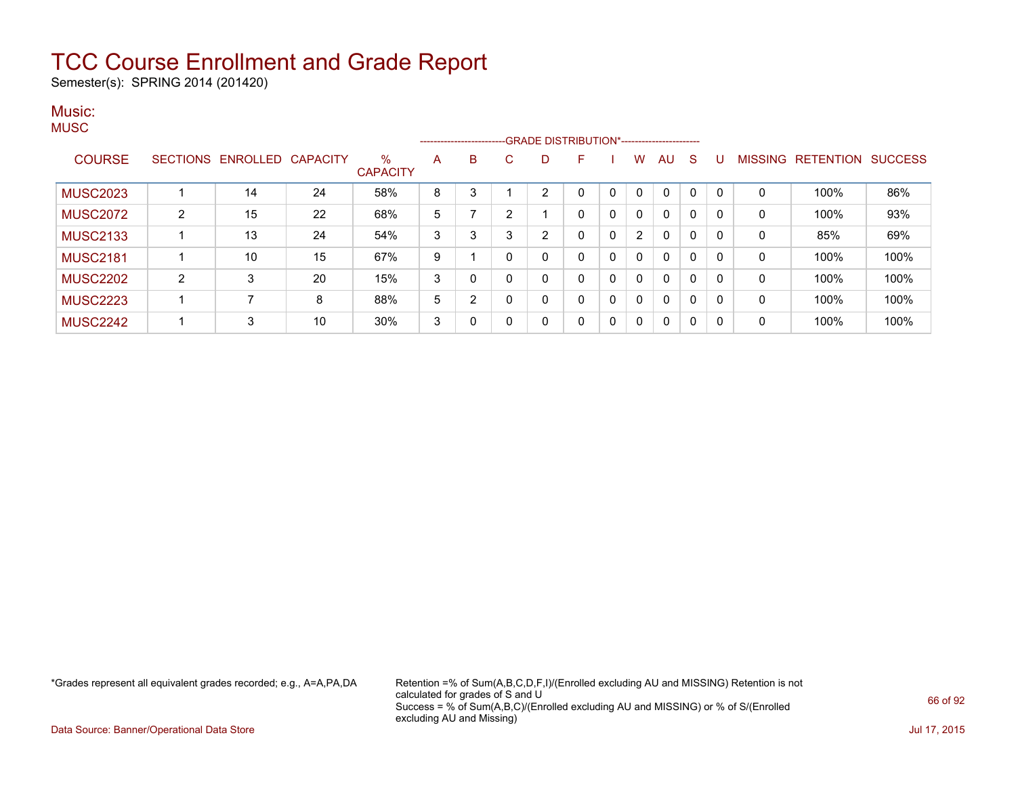Semester(s): SPRING 2014 (201420)

#### Music: **MUSC**

|                 |   |                            |    |                      |   |   |    | --------------------------GRADE DISTRIBUTION*----------------------- |    |   |                |              |              |   |              |                   |                |
|-----------------|---|----------------------------|----|----------------------|---|---|----|----------------------------------------------------------------------|----|---|----------------|--------------|--------------|---|--------------|-------------------|----------------|
| <b>COURSE</b>   |   | SECTIONS ENROLLED CAPACITY |    | %<br><b>CAPACITY</b> | A | B | C. | D                                                                    | F. |   | W              | AU           | S            | U |              | MISSING RETENTION | <b>SUCCESS</b> |
| <b>MUSC2023</b> |   | 14                         | 24 | 58%                  | 8 | 3 |    |                                                                      |    |   |                | 0            | 0            |   | 0            | 100%              | 86%            |
| <b>MUSC2072</b> | 2 | 15                         | 22 | 68%                  | 5 |   | 2  |                                                                      |    | 0 | 0              | 0            | 0            |   | 0            | 100%              | 93%            |
| <b>MUSC2133</b> |   | 13                         | 24 | 54%                  | 3 | 3 | 3  | 2                                                                    |    | 0 | $\overline{2}$ | $\mathbf{0}$ | $\mathbf{0}$ |   | 0            | 85%               | 69%            |
| <b>MUSC2181</b> |   | 10                         | 15 | 67%                  | 9 |   | 0  |                                                                      |    | 0 | 0              | $\mathbf{0}$ | 0            |   | 0            | 100%              | 100%           |
| <b>MUSC2202</b> | 2 | 3                          | 20 | 15%                  | 3 | 0 | 0  | $\Omega$                                                             |    | 0 | 0              | $\mathbf{0}$ | $\mathbf{0}$ |   | 0            | 100%              | 100%           |
| <b>MUSC2223</b> |   |                            | 8  | 88%                  | 5 | 2 | 0  | $\Omega$                                                             |    | 0 | 0              | 0            | 0            |   | $\mathbf{0}$ | 100%              | 100%           |
| <b>MUSC2242</b> |   | 3                          | 10 | 30%                  | 3 | 0 | 0  | 0                                                                    | 0  | 0 | 0              | $\mathbf{0}$ | $\mathbf{0}$ |   | 0            | 100%              | 100%           |

\*Grades represent all equivalent grades recorded; e.g., A=A,PA,DA Retention =% of Sum(A,B,C,D,F,I)/(Enrolled excluding AU and MISSING) Retention is not calculated for grades of S and U Success = % of Sum(A,B,C)/(Enrolled excluding AU and MISSING) or % of S/(Enrolled excluding AU and Missing)

Data Source: Banner/Operational Data Store Jul 17, 2015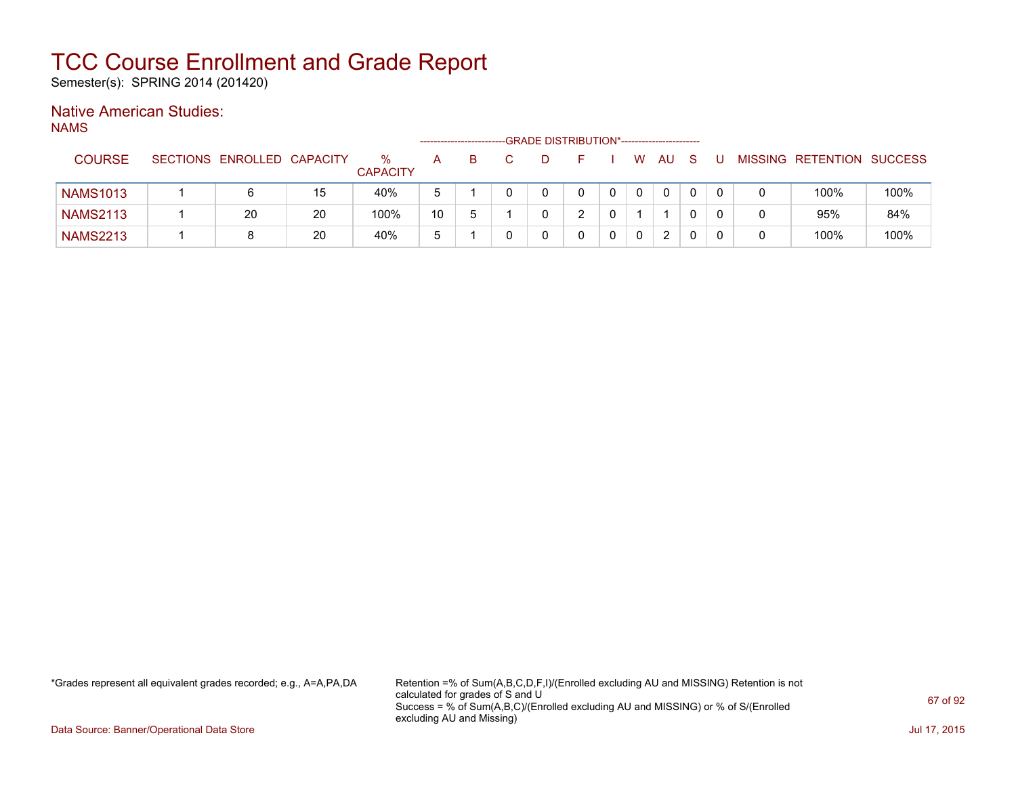Semester(s): SPRING 2014 (201420)

### Native American Studies:

NAMS

|                 |                            |    |                      |    |   | -GRADE DISTRIBUTION*----------------------- |   |   |           |   |  |                           |      |
|-----------------|----------------------------|----|----------------------|----|---|---------------------------------------------|---|---|-----------|---|--|---------------------------|------|
| <b>COURSE</b>   | SECTIONS ENROLLED CAPACITY |    | %<br><b>CAPACITY</b> | А  | B |                                             |   | W | <b>AU</b> | S |  | MISSING RETENTION SUCCESS |      |
| <b>NAMS1013</b> | 6                          | 15 | 40%                  | b  |   |                                             |   |   | $\Omega$  |   |  | 100%                      | 100% |
| <b>NAMS2113</b> | 20                         | 20 | 100%                 | 10 | b |                                             | ົ |   |           |   |  | 95%                       | 84%  |
| <b>NAMS2213</b> | 8                          | 20 | 40%                  | b  |   |                                             |   | 0 | 2         |   |  | 100%                      | 100% |

\*Grades represent all equivalent grades recorded; e.g., A=A,PA,DA Retention =% of Sum(A,B,C,D,F,I)/(Enrolled excluding AU and MISSING) Retention is not calculated for grades of S and U Success = % of Sum(A,B,C)/(Enrolled excluding AU and MISSING) or % of S/(Enrolled excluding AU and Missing)

Data Source: Banner/Operational Data Store Jul 17, 2015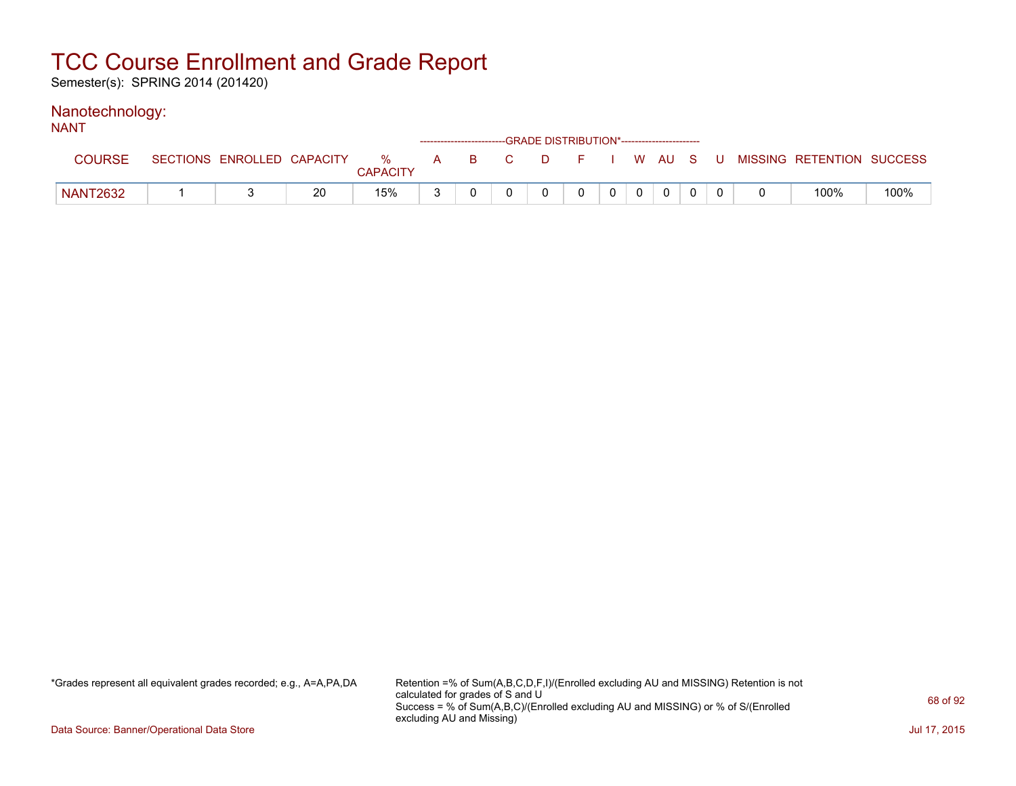Semester(s): SPRING 2014 (201420)

#### Nanotechnology: NANT

| N/NI            |                            |    |                      |       |  | ------------------------GRADE DISTRIBUTION*----------------------- |                |              |  |                                          |      |
|-----------------|----------------------------|----|----------------------|-------|--|--------------------------------------------------------------------|----------------|--------------|--|------------------------------------------|------|
|                 | SECTIONS ENROLLED CAPACITY |    | %<br><b>CAPACITY</b> | A B C |  |                                                                    |                |              |  | D F I W AU S U MISSING RETENTION SUCCESS |      |
| <b>NANT2632</b> |                            | 20 | 15%                  |       |  |                                                                    | 0 <sup>1</sup> | $\mathbf{0}$ |  | 100%                                     | 100% |

\*Grades represent all equivalent grades recorded; e.g., A=A,PA,DA Retention =% of Sum(A,B,C,D,F,I)/(Enrolled excluding AU and MISSING) Retention is not calculated for grades of S and U Success = % of Sum(A,B,C)/(Enrolled excluding AU and MISSING) or % of S/(Enrolled excluding AU and Missing)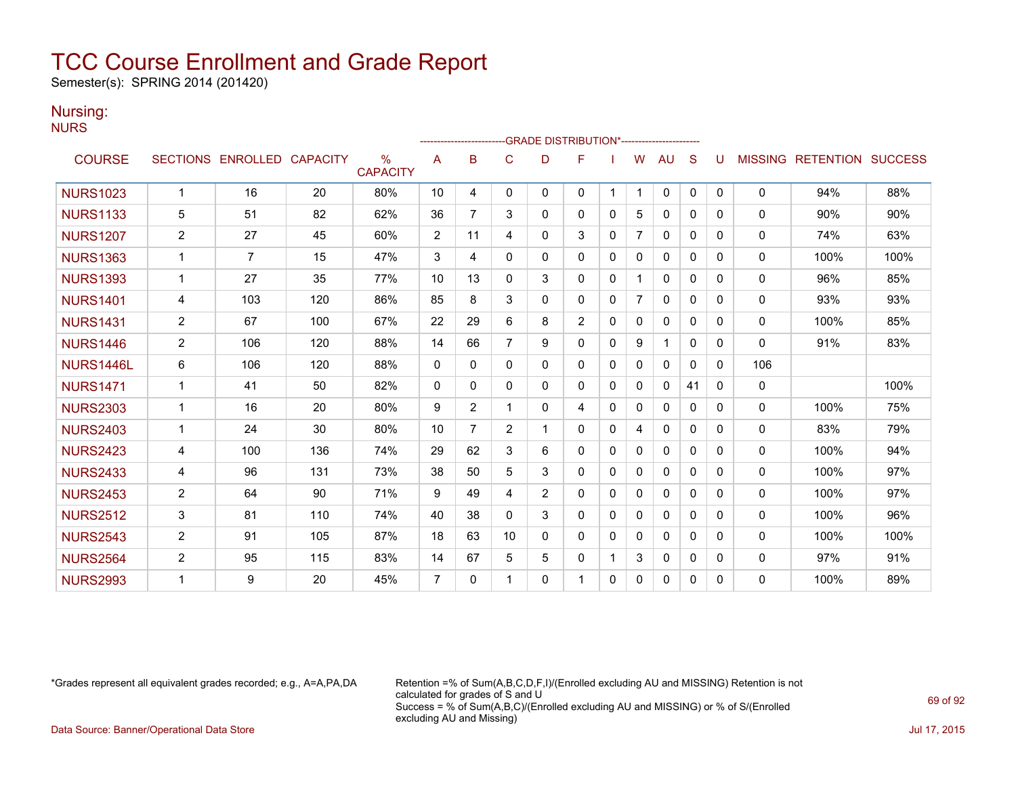Semester(s): SPRING 2014 (201420)

### Nursing:

NURS

|                 |                |                   |                 |                         |                |          |                |              | -GRADE DISTRIBUTION*---------------------- |              |                |              |              |          |                |                  |                |
|-----------------|----------------|-------------------|-----------------|-------------------------|----------------|----------|----------------|--------------|--------------------------------------------|--------------|----------------|--------------|--------------|----------|----------------|------------------|----------------|
| <b>COURSE</b>   |                | SECTIONS ENROLLED | <b>CAPACITY</b> | $\%$<br><b>CAPACITY</b> | Α              | в        | C              | D            | F                                          |              | W              | AU           | S            |          | <b>MISSING</b> | <b>RETENTION</b> | <b>SUCCESS</b> |
| <b>NURS1023</b> | $\mathbf 1$    | 16                | 20              | 80%                     | 10             | 4        | $\mathbf{0}$   | 0            | 0                                          |              |                | 0            | $\mathbf{0}$ | $\Omega$ | 0              | 94%              | 88%            |
| <b>NURS1133</b> | 5              | 51                | 82              | 62%                     | 36             | 7        | 3              | 0            | 0                                          | $\Omega$     | 5              | $\mathbf{0}$ | 0            | $\Omega$ | 0              | 90%              | 90%            |
| <b>NURS1207</b> | 2              | 27                | 45              | 60%                     | 2              | 11       | 4              | 0            | 3                                          | $\mathbf{0}$ | $\overline{7}$ | $\mathbf{0}$ | $\Omega$     | $\Omega$ | $\mathbf{0}$   | 74%              | 63%            |
| <b>NURS1363</b> | $\mathbf 1$    | $\overline{7}$    | 15              | 47%                     | 3              | 4        | $\Omega$       | 0            | 0                                          | $\Omega$     | $\Omega$       | $\mathbf{0}$ | $\Omega$     | 0        | $\mathbf{0}$   | 100%             | 100%           |
| <b>NURS1393</b> | 1              | 27                | 35              | 77%                     | 10             | 13       | $\Omega$       | 3            | 0                                          | $\mathbf{0}$ |                | $\mathbf{0}$ | $\Omega$     | $\Omega$ | 0              | 96%              | 85%            |
| <b>NURS1401</b> | 4              | 103               | 120             | 86%                     | 85             | 8        | 3              | 0            | 0                                          | 0            | $\overline{7}$ | $\mathbf{0}$ | $\Omega$     | 0        | $\mathbf{0}$   | 93%              | 93%            |
| <b>NURS1431</b> | $\overline{2}$ | 67                | 100             | 67%                     | 22             | 29       | 6              | 8            | 2                                          | 0            | $\Omega$       | $\mathbf{0}$ | 0            | 0        | $\mathbf{0}$   | 100%             | 85%            |
| <b>NURS1446</b> | $\overline{c}$ | 106               | 120             | 88%                     | 14             | 66       | 7              | 9            | 0                                          | $\Omega$     | 9              |              | $\Omega$     | 0        | $\mathbf{0}$   | 91%              | 83%            |
| NURS1446L       | 6              | 106               | 120             | 88%                     | 0              | $\Omega$ | $\mathbf{0}$   | 0            | 0                                          | $\mathbf{0}$ | $\Omega$       | $\mathbf{0}$ | $\Omega$     | 0        | 106            |                  |                |
| <b>NURS1471</b> | $\mathbf 1$    | 41                | 50              | 82%                     | 0              | $\Omega$ | $\Omega$       | 0            | $\Omega$                                   | $\Omega$     | $\Omega$       | $\Omega$     | 41           | 0        | $\mathbf{0}$   |                  | 100%           |
| <b>NURS2303</b> | $\mathbf{1}$   | 16                | 20              | 80%                     | 9              | 2        | 1              | 0            | 4                                          | 0            | $\mathbf{0}$   | $\Omega$     | $\Omega$     | 0        | $\mathbf{0}$   | 100%             | 75%            |
| <b>NURS2403</b> | $\mathbf{1}$   | 24                | 30              | 80%                     | 10             | 7        | $\overline{2}$ |              | 0                                          | $\Omega$     | 4              | $\mathbf{0}$ | $\Omega$     | $\Omega$ | $\mathbf{0}$   | 83%              | 79%            |
| <b>NURS2423</b> | 4              | 100               | 136             | 74%                     | 29             | 62       | 3              | 6            | 0                                          | $\mathbf{0}$ | $\Omega$       | $\mathbf{0}$ | $\Omega$     | 0        | $\mathbf{0}$   | 100%             | 94%            |
| <b>NURS2433</b> | 4              | 96                | 131             | 73%                     | 38             | 50       | 5              | 3            | 0                                          | 0            | 0              | $\Omega$     | $\Omega$     | $\Omega$ | $\mathbf{0}$   | 100%             | 97%            |
| <b>NURS2453</b> | $\overline{c}$ | 64                | 90              | 71%                     | 9              | 49       | 4              | 2            | 0                                          | 0            | $\Omega$       | $\mathbf{0}$ | $\Omega$     | 0        | 0              | 100%             | 97%            |
| <b>NURS2512</b> | 3              | 81                | 110             | 74%                     | 40             | 38       | $\mathbf{0}$   | 3            | 0                                          | $\Omega$     | $\Omega$       | $\mathbf{0}$ | 0            | 0        | $\mathbf{0}$   | 100%             | 96%            |
| <b>NURS2543</b> | $\overline{c}$ | 91                | 105             | 87%                     | 18             | 63       | 10             | $\mathbf{0}$ | 0                                          | $\Omega$     | 0              | $\mathbf{0}$ | $\Omega$     | 0        | $\mathbf{0}$   | 100%             | 100%           |
| <b>NURS2564</b> | $\overline{2}$ | 95                | 115             | 83%                     | 14             | 67       | 5              | 5            | 0                                          |              | 3              | $\mathbf{0}$ | 0            | 0        | 0              | 97%              | 91%            |
| <b>NURS2993</b> |                | 9                 | 20              | 45%                     | $\overline{7}$ | $\Omega$ |                | $\Omega$     |                                            | $\Omega$     | 0              | $\Omega$     | 0            | $\Omega$ | $\Omega$       | 100%             | 89%            |

\*Grades represent all equivalent grades recorded; e.g., A=A,PA,DA Retention =% of Sum(A,B,C,D,F,I)/(Enrolled excluding AU and MISSING) Retention is not calculated for grades of S and U Success = % of Sum(A,B,C)/(Enrolled excluding AU and MISSING) or % of S/(Enrolled excluding AU and Missing)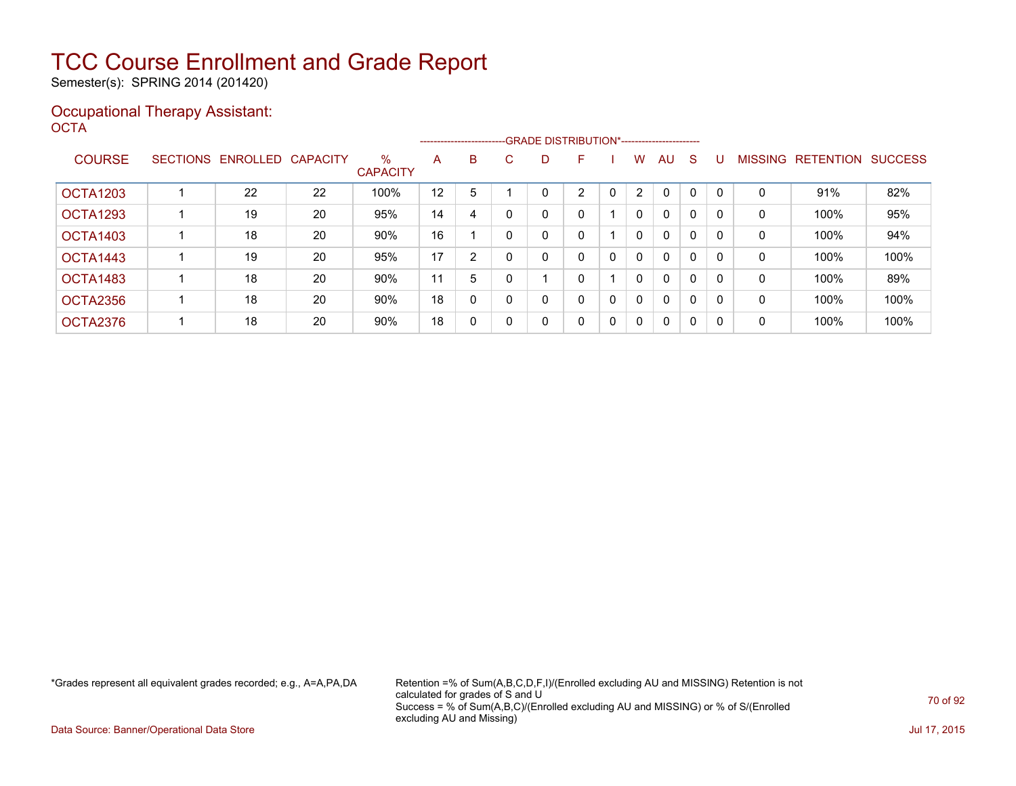Semester(s): SPRING 2014 (201420)

### Occupational Therapy Assistant: OCTA<sup>'</sup>

|               |                 | -------------------------GRADE DISTRIBUTION*----------------------- |                 |                         |    |   |          |   |   |   |              |              |   |          |                |                  |                |
|---------------|-----------------|---------------------------------------------------------------------|-----------------|-------------------------|----|---|----------|---|---|---|--------------|--------------|---|----------|----------------|------------------|----------------|
| <b>COURSE</b> | <b>SECTIONS</b> | ENROLLED                                                            | <b>CAPACITY</b> | $\%$<br><b>CAPACITY</b> | A  | B | C.       | D | F |   | W            | AU           | S |          | <b>MISSING</b> | <b>RETENTION</b> | <b>SUCCESS</b> |
| OCTA1203      |                 | 22                                                                  | 22              | 100%                    | 12 | 5 |          |   | C |   | $\mathbf{2}$ | $\mathbf{0}$ | 0 |          | 0              | 91%              | 82%            |
| OCTA1293      |                 | 19                                                                  | 20              | 95%                     | 14 | 4 |          |   | 0 |   | $\mathbf{0}$ | $\mathbf{0}$ | 0 | $\Omega$ | 0              | 100%             | 95%            |
| OCTA1403      |                 | 18                                                                  | 20              | 90%                     | 16 |   |          |   | 0 |   | $\mathbf{0}$ | $\mathbf{0}$ | 0 |          | 0              | 100%             | 94%            |
| OCTA1443      |                 | 19                                                                  | 20              | 95%                     | 17 | 2 |          |   | 0 | 0 | $\mathbf{0}$ | $\mathbf{0}$ | 0 |          | 0              | 100%             | 100%           |
| OCTA1483      |                 | 18                                                                  | 20              | 90%                     | 11 | 5 |          |   | 0 |   | 0            | $\mathbf{0}$ | 0 | $\Omega$ | 0              | 100%             | 89%            |
| OCTA2356      |                 | 18                                                                  | 20              | 90%                     | 18 | 0 | $\Omega$ |   | 0 | 0 | $\mathbf{0}$ | $\mathbf{0}$ | 0 |          | 0              | 100%             | 100%           |
| OCTA2376      |                 | 18                                                                  | 20              | 90%                     | 18 | 0 | 0        |   | 0 | 0 | $\mathbf 0$  | $\mathbf{0}$ | 0 | 0        | 0              | 100%             | 100%           |

\*Grades represent all equivalent grades recorded; e.g., A=A,PA,DA Retention =% of Sum(A,B,C,D,F,I)/(Enrolled excluding AU and MISSING) Retention is not calculated for grades of S and U Success = % of Sum(A,B,C)/(Enrolled excluding AU and MISSING) or % of S/(Enrolled excluding AU and Missing)

Data Source: Banner/Operational Data Store Jul 17, 2015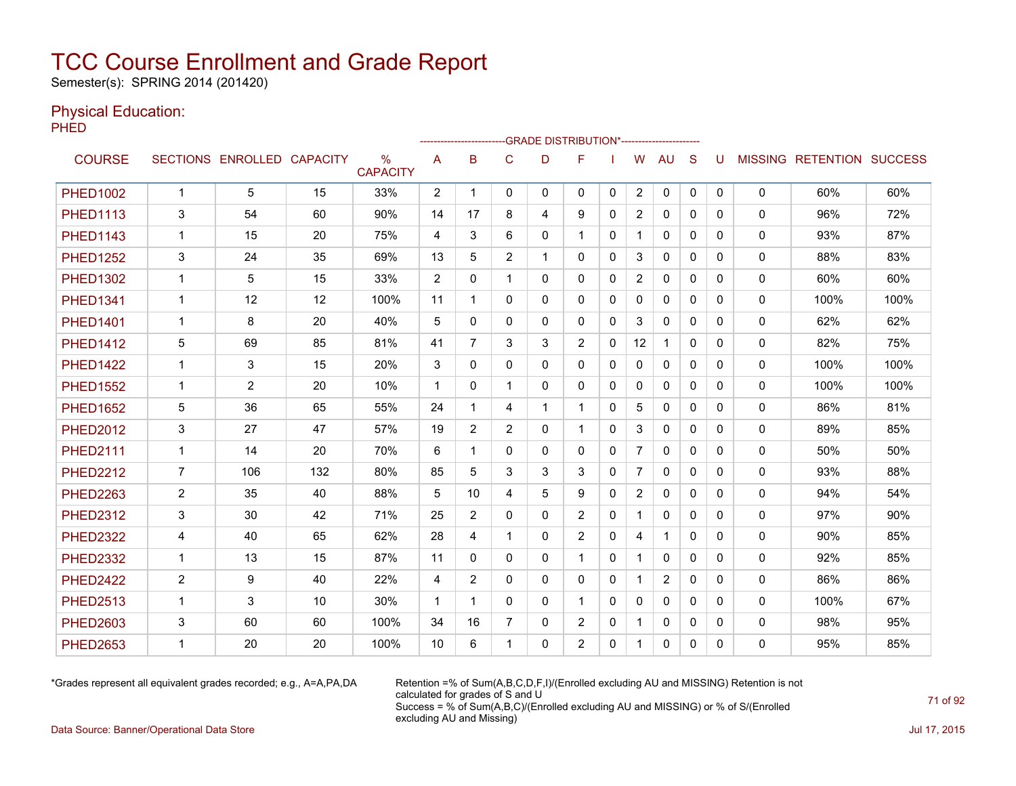Semester(s): SPRING 2014 (201420)

### Physical Education:

PHED

|                 |                |                            |     |                                  |                |                |                | -GRADE DISTRIBUTION*---------------------- |                |              |                |              |              |          |              |                                  |      |
|-----------------|----------------|----------------------------|-----|----------------------------------|----------------|----------------|----------------|--------------------------------------------|----------------|--------------|----------------|--------------|--------------|----------|--------------|----------------------------------|------|
| <b>COURSE</b>   |                | SECTIONS ENROLLED CAPACITY |     | $\frac{0}{0}$<br><b>CAPACITY</b> | A              | B              | C              | D                                          | F              |              | W              | <b>AU</b>    | S            | U        |              | <b>MISSING RETENTION SUCCESS</b> |      |
| <b>PHED1002</b> | $\mathbf{1}$   | 5                          | 15  | 33%                              | $\overline{2}$ | -1             | $\mathbf{0}$   | 0                                          | $\mathbf{0}$   | $\mathbf{0}$ | $\overline{2}$ | 0            | $\mathbf{0}$ | 0        | 0            | 60%                              | 60%  |
| <b>PHED1113</b> | 3              | 54                         | 60  | 90%                              | 14             | 17             | 8              | 4                                          | 9              | 0            | $\overline{2}$ | $\mathbf{0}$ | $\Omega$     | 0        | 0            | 96%                              | 72%  |
| <b>PHED1143</b> | $\mathbf{1}$   | 15                         | 20  | 75%                              | 4              | 3              | 6              | 0                                          |                | $\mathbf{0}$ |                | 0            | $\mathbf{0}$ | 0        | 0            | 93%                              | 87%  |
| <b>PHED1252</b> | 3              | 24                         | 35  | 69%                              | 13             | 5              | $\overline{2}$ |                                            | $\Omega$       | 0            | 3              | $\mathbf{0}$ | $\Omega$     | 0        | $\mathbf{0}$ | 88%                              | 83%  |
| <b>PHED1302</b> | $\mathbf{1}$   | 5                          | 15  | 33%                              | 2              | $\Omega$       | 1              | 0                                          | $\mathbf{0}$   | 0            | $\overline{2}$ | 0            | $\Omega$     | 0        | 0            | 60%                              | 60%  |
| <b>PHED1341</b> | $\mathbf{1}$   | 12                         | 12  | 100%                             | 11             | 1              | $\mathbf{0}$   | 0                                          | $\mathbf{0}$   | 0            | $\mathbf{0}$   | $\mathbf{0}$ | $\Omega$     | 0        | 0            | 100%                             | 100% |
| <b>PHED1401</b> | $\mathbf{1}$   | 8                          | 20  | 40%                              | 5              | 0              | 0              | 0                                          | $\mathbf{0}$   | 0            | 3              | 0            | $\mathbf{0}$ | 0        | 0            | 62%                              | 62%  |
| <b>PHED1412</b> | 5              | 69                         | 85  | 81%                              | 41             | $\overline{7}$ | 3              | 3                                          | 2              | 0            | 12             | $\mathbf{1}$ | $\Omega$     | 0        | 0            | 82%                              | 75%  |
| <b>PHED1422</b> | $\mathbf{1}$   | 3                          | 15  | 20%                              | 3              | $\Omega$       | $\mathbf{0}$   | $\Omega$                                   | $\Omega$       | $\Omega$     | $\mathbf{0}$   | $\Omega$     | $\Omega$     | 0        | $\mathbf{0}$ | 100%                             | 100% |
| <b>PHED1552</b> | $\mathbf{1}$   | $\overline{2}$             | 20  | 10%                              | $\mathbf 1$    | $\Omega$       | $\mathbf 1$    | 0                                          | $\mathbf{0}$   | $\Omega$     | $\mathbf{0}$   | $\mathbf{0}$ | $\Omega$     | $\Omega$ | $\mathbf{0}$ | 100%                             | 100% |
| <b>PHED1652</b> | 5              | 36                         | 65  | 55%                              | 24             | 1              | 4              | 1                                          | $\mathbf{1}$   | $\Omega$     | 5              | $\mathbf{0}$ | $\Omega$     | $\Omega$ | 0            | 86%                              | 81%  |
| <b>PHED2012</b> | 3              | 27                         | 47  | 57%                              | 19             | $\overline{2}$ | $\overline{2}$ | 0                                          |                | 0            | 3              | 0            | $\mathbf{0}$ | 0        | 0            | 89%                              | 85%  |
| <b>PHED2111</b> | $\mathbf 1$    | 14                         | 20  | 70%                              | 6              | 1              | $\mathbf{0}$   | 0                                          | $\mathbf{0}$   | 0            | $\overline{7}$ | 0            | $\mathbf{0}$ | 0        | 0            | 50%                              | 50%  |
| <b>PHED2212</b> | $\overline{7}$ | 106                        | 132 | 80%                              | 85             | 5              | 3              | 3                                          | 3              | 0            | $\overline{7}$ | $\mathbf{0}$ | $\mathbf{0}$ | 0        | 0            | 93%                              | 88%  |
| <b>PHED2263</b> | $\overline{2}$ | 35                         | 40  | 88%                              | 5              | 10             | 4              | 5                                          | 9              | $\Omega$     | $\overline{2}$ | $\mathbf{0}$ | $\Omega$     | 0        | $\mathbf{0}$ | 94%                              | 54%  |
| <b>PHED2312</b> | 3              | 30                         | 42  | 71%                              | 25             | $\overline{2}$ | $\mathbf 0$    | 0                                          | 2              | 0            | $\mathbf 1$    | $\mathbf{0}$ | $\Omega$     | 0        | 0            | 97%                              | 90%  |
| <b>PHED2322</b> | 4              | 40                         | 65  | 62%                              | 28             | 4              | 1              | 0                                          | 2              | $\mathbf{0}$ | 4              | $\mathbf{1}$ | $\Omega$     | 0        | 0            | 90%                              | 85%  |
| <b>PHED2332</b> | $\mathbf 1$    | 13                         | 15  | 87%                              | 11             | 0              | 0              | 0                                          | 1              | 0            | 1              | 0            | $\mathbf{0}$ | 0        | 0            | 92%                              | 85%  |
| <b>PHED2422</b> | $\overline{2}$ | 9                          | 40  | 22%                              | 4              | 2              | $\mathbf{0}$   | $\Omega$                                   | $\Omega$       | $\Omega$     |                | 2            | $\Omega$     | 0        | $\mathbf{0}$ | 86%                              | 86%  |
| <b>PHED2513</b> | $\mathbf{1}$   | 3                          | 10  | 30%                              | $\mathbf{1}$   | 1              | $\Omega$       | $\Omega$                                   | $\mathbf{1}$   | $\Omega$     | $\Omega$       | $\mathbf{0}$ | $\Omega$     | 0        | $\mathbf{0}$ | 100%                             | 67%  |
| <b>PHED2603</b> | 3              | 60                         | 60  | 100%                             | 34             | 16             | 7              | 0                                          | $\overline{2}$ | 0            |                | 0            | $\mathbf{0}$ | 0        | 0            | 98%                              | 95%  |
| <b>PHED2653</b> | $\mathbf 1$    | 20                         | 20  | 100%                             | 10             | 6              |                | 0                                          | $\overline{2}$ | 0            |                | 0            | 0            | 0        | 0            | 95%                              | 85%  |

\*Grades represent all equivalent grades recorded; e.g., A=A,PA,DA Retention =% of Sum(A,B,C,D,F,I)/(Enrolled excluding AU and MISSING) Retention is not calculated for grades of S and U Success = % of Sum(A,B,C)/(Enrolled excluding AU and MISSING) or % of S/(Enrolled excluding AU and Missing)

Data Source: Banner/Operational Data Store Jul 17, 2015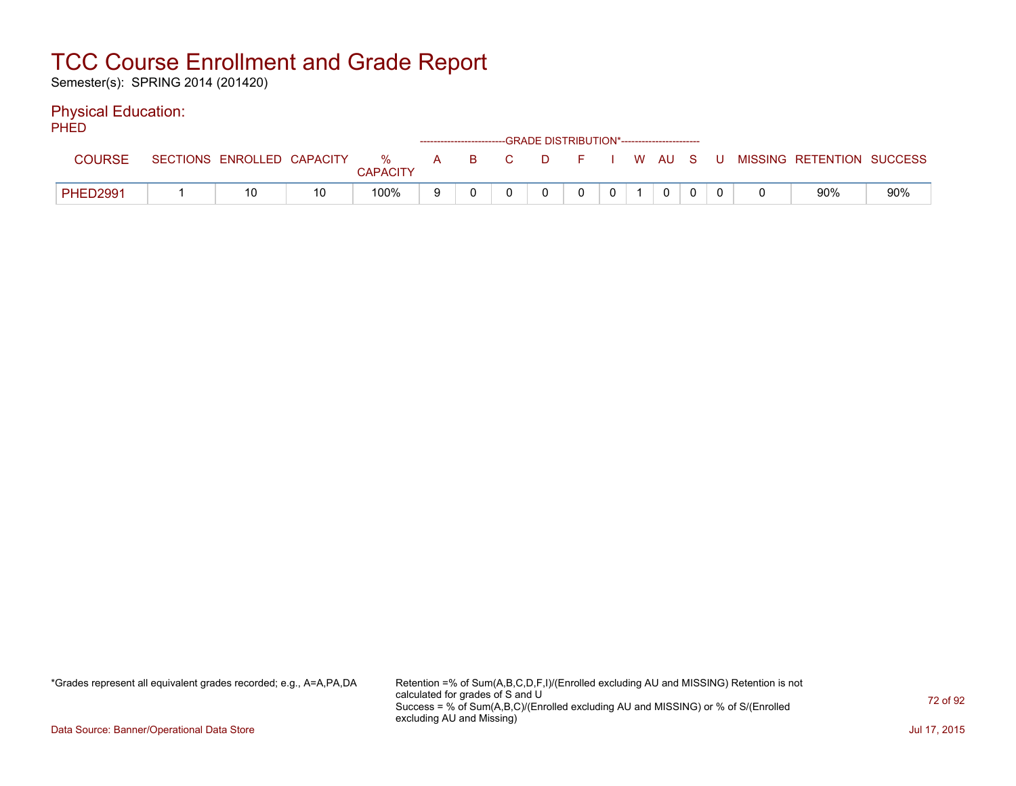Semester(s): SPRING 2014 (201420)

### Physical Education:

PHED

| .        | ------------------------GRADE DISTRIBUTION*----------------------- |                            |    |               |   |       |  |  |  |              |  |  |  |  |  |                                          |     |
|----------|--------------------------------------------------------------------|----------------------------|----|---------------|---|-------|--|--|--|--------------|--|--|--|--|--|------------------------------------------|-----|
| COURSE   |                                                                    | SECTIONS ENROLLED CAPACITY |    | %<br>CAPACITY |   | A B C |  |  |  |              |  |  |  |  |  | D F I W AU S U MISSING RETENTION SUCCESS |     |
| PHED2991 |                                                                    | 10                         | 10 | 100%          | Q |       |  |  |  | $\mathbf{0}$ |  |  |  |  |  | 90%                                      | 90% |

\*Grades represent all equivalent grades recorded; e.g., A=A,PA,DA Retention =% of Sum(A,B,C,D,F,I)/(Enrolled excluding AU and MISSING) Retention is not calculated for grades of S and U Success = % of Sum(A,B,C)/(Enrolled excluding AU and MISSING) or % of S/(Enrolled excluding AU and Missing)

Data Source: Banner/Operational Data Store Jul 17, 2015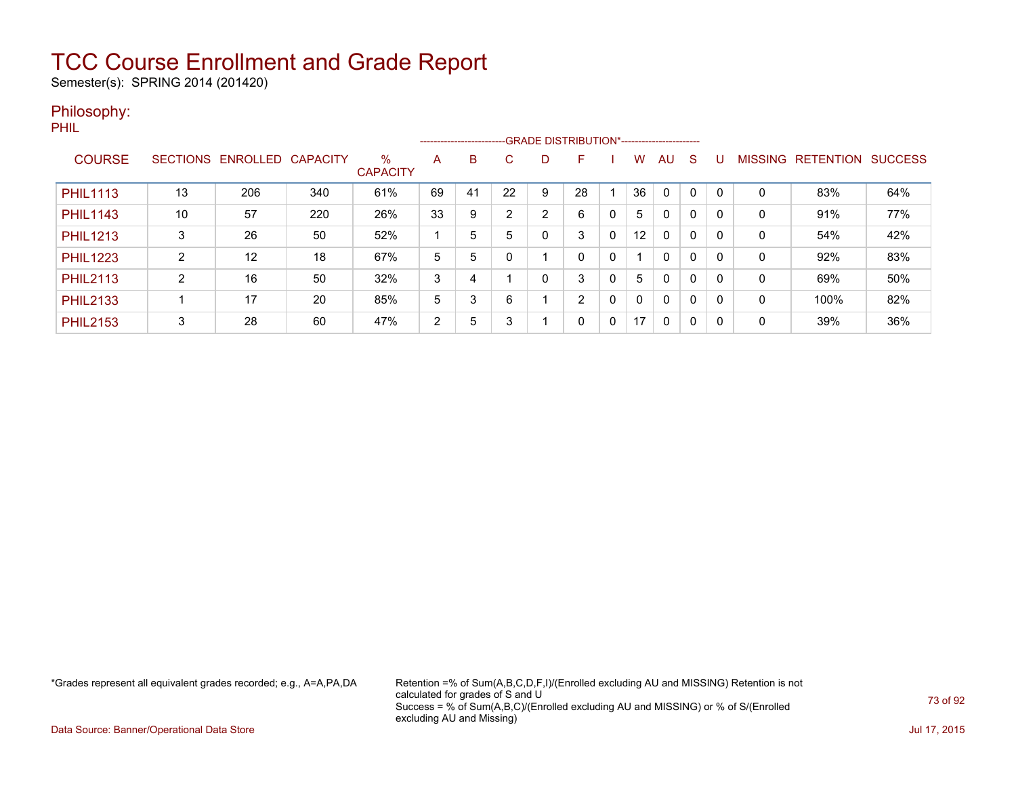Semester(s): SPRING 2014 (201420)

#### Philosophy:

PHIL

|                 |                 |          |                 |                      |    | --------------------------GRADE DISTRIBUTION*----------------------- |    |   |    |   |                   |              |          |          |                |                  |                |
|-----------------|-----------------|----------|-----------------|----------------------|----|----------------------------------------------------------------------|----|---|----|---|-------------------|--------------|----------|----------|----------------|------------------|----------------|
| <b>COURSE</b>   | <b>SECTIONS</b> | ENROLLED | <b>CAPACITY</b> | %<br><b>CAPACITY</b> | Α  | B                                                                    | C. | D | F  |   | w                 | AU           | S        |          | <b>MISSING</b> | <b>RETENTION</b> | <b>SUCCESS</b> |
| <b>PHIL1113</b> | 13              | 206      | 340             | 61%                  | 69 | 41                                                                   | 22 | 9 | 28 |   | 36                | $\Omega$     |          | $\Omega$ | 0              | 83%              | 64%            |
| <b>PHIL1143</b> | 10              | 57       | 220             | 26%                  | 33 | 9                                                                    | C. | 2 | 6  | 0 | 5                 | 0            |          | 0        | 0              | 91%              | 77%            |
| <b>PHIL1213</b> | 3               | 26       | 50              | 52%                  |    | 5                                                                    | 5  | 0 | 3  | 0 | $12 \overline{ }$ | $\mathbf{0}$ | $\Omega$ | $\Omega$ | 0              | 54%              | 42%            |
| <b>PHIL1223</b> | C               | 12       | 18              | 67%                  | 5  | 5                                                                    |    |   | 0  | 0 |                   | $\mathbf{0}$ | 0        | 0        | 0              | 92%              | 83%            |
| <b>PHIL2113</b> | C               | 16       | 50              | 32%                  | 3  | 4                                                                    |    | 0 | 3  | 0 | 5                 | 0            | $\Omega$ | 0        | 0              | 69%              | 50%            |
| <b>PHIL2133</b> |                 | 17       | 20              | 85%                  | 5  | 3                                                                    | 6  |   | 2  | 0 | 0                 | $\Omega$     | 0        | $\Omega$ | 0              | 100%             | 82%            |
| <b>PHIL2153</b> | 3               | 28       | 60              | 47%                  | 2  | 5                                                                    | 3  |   | 0  | 0 | 17                | $\mathbf{0}$ | $\Omega$ | $\Omega$ | 0              | 39%              | 36%            |

\*Grades represent all equivalent grades recorded; e.g., A=A,PA,DA Retention =% of Sum(A,B,C,D,F,I)/(Enrolled excluding AU and MISSING) Retention is not calculated for grades of S and U Success = % of Sum(A,B,C)/(Enrolled excluding AU and MISSING) or % of S/(Enrolled excluding AU and Missing)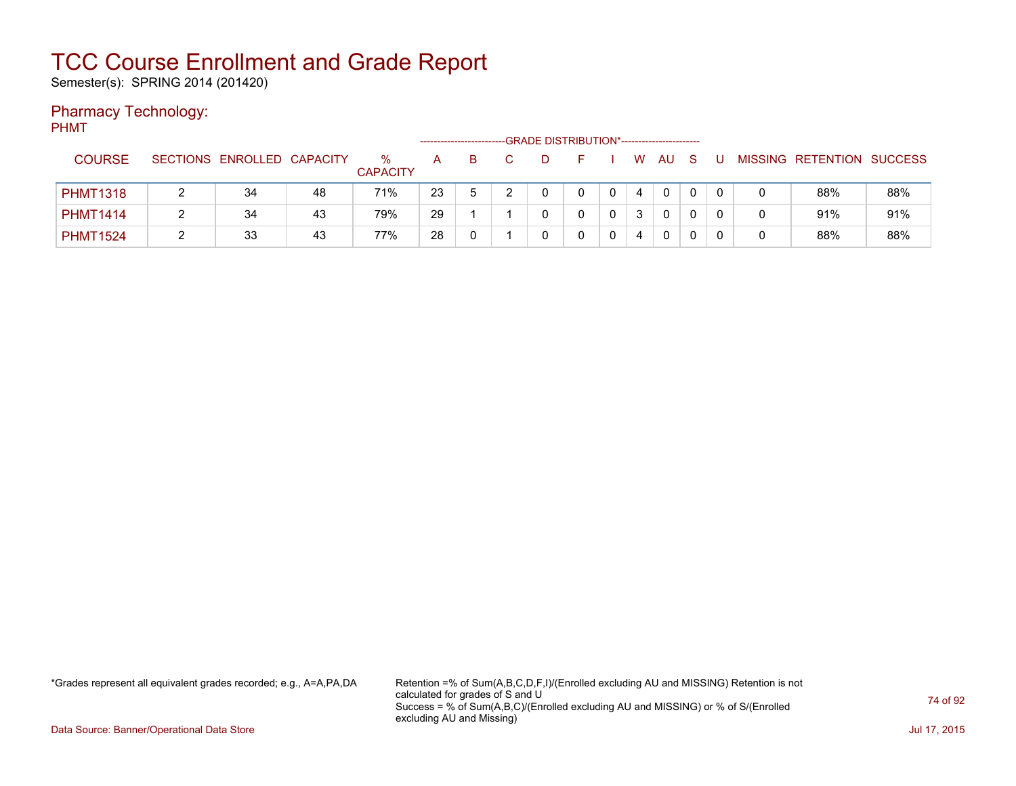Semester(s): SPRING 2014 (201420)

### Pharmacy Technology:

PHMT

|                 |                            |    |                      |    |              |  | -GRADE DISTRIBUTION*----------------------- |   |              |  |                           |     |
|-----------------|----------------------------|----|----------------------|----|--------------|--|---------------------------------------------|---|--------------|--|---------------------------|-----|
| <b>COURSE</b>   | SECTIONS ENROLLED CAPACITY |    | %<br><b>CAPACITY</b> | А  | B.           |  |                                             | W | AU           |  | MISSING RETENTION SUCCESS |     |
| <b>PHMT1318</b> | 34                         | 48 | 71%                  | 23 | <sub>5</sub> |  |                                             | 4 | $\mathbf{0}$ |  | 88%                       | 88% |
| <b>PHMT1414</b> | 34                         | 43 | 79%                  | 29 |              |  |                                             | 3 | 0            |  | 91%                       | 91% |
| <b>PHMT1524</b> | 33                         | 43 | 77%                  | 28 |              |  |                                             |   | 0            |  | 88%                       | 88% |

\*Grades represent all equivalent grades recorded; e.g., A=A,PA,DA Retention =% of Sum(A,B,C,D,F,I)/(Enrolled excluding AU and MISSING) Retention is not calculated for grades of S and U Success = % of Sum(A,B,C)/(Enrolled excluding AU and MISSING) or % of S/(Enrolled excluding AU and Missing)

Data Source: Banner/Operational Data Store Jul 17, 2015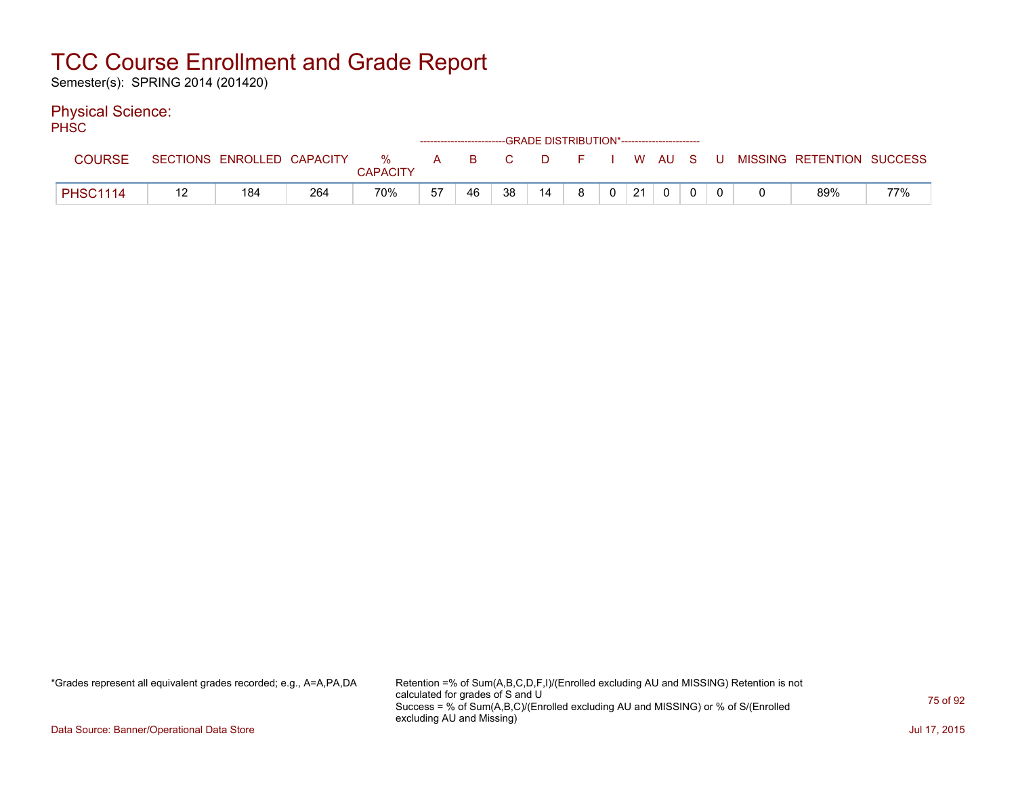Semester(s): SPRING 2014 (201420)

#### Physical Science:

PH<sub>SC</sub>

| .               |    |                            |     |               |              |    | ------------------------GRADE DISTRIBUTION*----------------------- |    |          |          |    |  |  |                           |     |
|-----------------|----|----------------------------|-----|---------------|--------------|----|--------------------------------------------------------------------|----|----------|----------|----|--|--|---------------------------|-----|
| <b>COURSE</b>   |    | SECTIONS ENROLLED CAPACITY |     | %<br>CAPACITY | $\mathbf{A}$ | B. | $\mathcal{L} = \mathbf{C}$                                         |    | DFIWAUSU |          |    |  |  | MISSING RETENTION SUCCESS |     |
| <b>PHSC1114</b> | 11 | 184                        | 264 | 70%           | 57           | 46 | 38                                                                 | 14 | 8        | $\Omega$ | 21 |  |  | 89%                       | 77% |

\*Grades represent all equivalent grades recorded; e.g., A=A,PA,DA Retention =% of Sum(A,B,C,D,F,I)/(Enrolled excluding AU and MISSING) Retention is not calculated for grades of S and U Success = % of Sum(A,B,C)/(Enrolled excluding AU and MISSING) or % of S/(Enrolled excluding AU and Missing)

Data Source: Banner/Operational Data Store Jul 17, 2015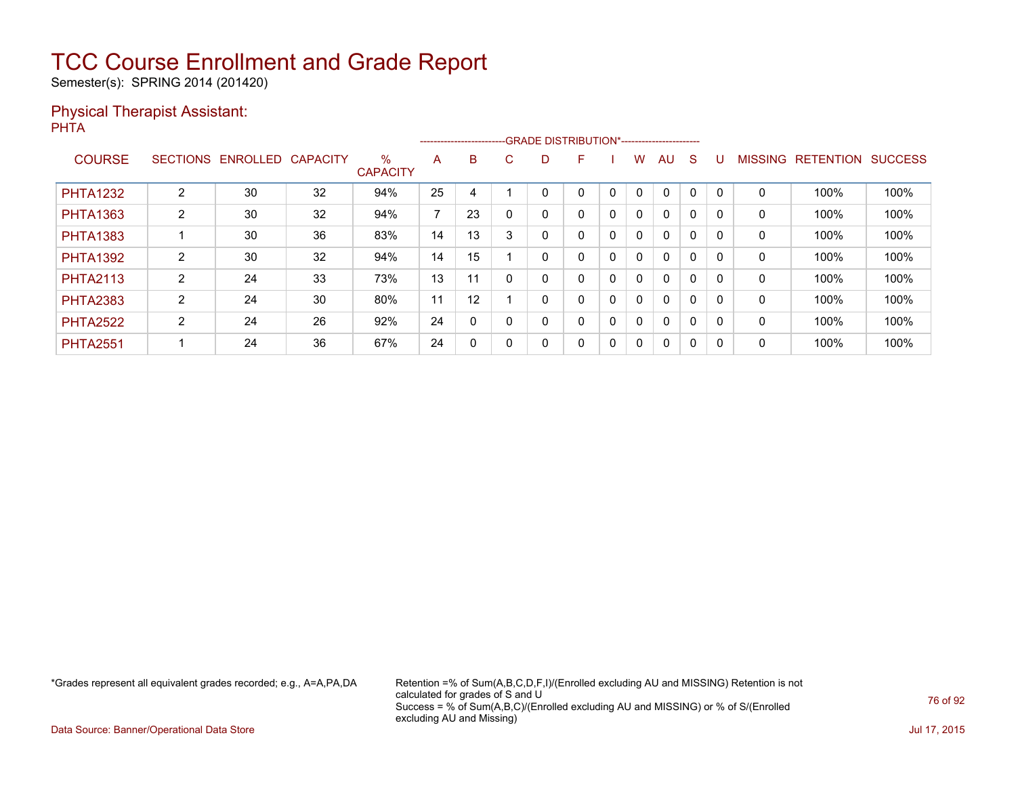Semester(s): SPRING 2014 (201420)

#### Physical Therapist Assistant: PHTA

|                 |                 |          |                 |                         |                          |              |          |   | ------------------------GRADE                DISTRIBUTION*---------------------- |   |              |              |              |          |                |                  |                |
|-----------------|-----------------|----------|-----------------|-------------------------|--------------------------|--------------|----------|---|----------------------------------------------------------------------------------|---|--------------|--------------|--------------|----------|----------------|------------------|----------------|
| <b>COURSE</b>   | <b>SECTIONS</b> | ENROLLED | <b>CAPACITY</b> | $\%$<br><b>CAPACITY</b> | A                        | B            | C.       | D | F                                                                                |   | w            | AU           | <sub>S</sub> |          | <b>MISSING</b> | <b>RETENTION</b> | <b>SUCCESS</b> |
| <b>PHTA1232</b> | 2               | 30       | 32              | 94%                     | 25                       | 4            |          |   | 0                                                                                | 0 |              | $\Omega$     | 0            |          | 0              | 100%             | 100%           |
| <b>PHTA1363</b> | $\overline{2}$  | 30       | 32              | 94%                     | $\overline{\phantom{a}}$ | 23           |          |   | 0                                                                                | 0 | 0            | $\mathbf{0}$ | 0            | $\Omega$ | 0              | 100%             | 100%           |
| <b>PHTA1383</b> |                 | 30       | 36              | 83%                     | 14                       | 13           | 3        |   | 0                                                                                | 0 | $\mathbf{0}$ | $\mathbf{0}$ | $\mathbf{0}$ |          | 0              | 100%             | 100%           |
| <b>PHTA1392</b> | $\overline{2}$  | 30       | 32              | 94%                     | 14                       | 15           |          |   | 0                                                                                | 0 | 0            | $\mathbf{0}$ | 0            |          | 0              | 100%             | 100%           |
| <b>PHTA2113</b> | $\overline{2}$  | 24       | 33              | 73%                     | 13                       | 11           | $\Omega$ |   | 0                                                                                | 0 | 0            | $\mathbf{0}$ | 0            |          | 0              | 100%             | 100%           |
| <b>PHTA2383</b> | $\overline{2}$  | 24       | 30              | 80%                     | 11                       | 12           |          |   | 0                                                                                | 0 | $\mathbf{0}$ | $\mathbf{0}$ | 0            | $\Omega$ | 0              | 100%             | 100%           |
| <b>PHTA2522</b> | $\overline{2}$  | 24       | 26              | 92%                     | 24                       | 0            |          |   | 0                                                                                | 0 | $\mathbf{0}$ | $\mathbf{0}$ | 0            |          | 0              | 100%             | 100%           |
| <b>PHTA2551</b> |                 | 24       | 36              | 67%                     | 24                       | $\mathbf{0}$ |          | Ω | 0                                                                                | 0 | 0            | $\mathbf{0}$ | 0            | $\Omega$ | 0              | 100%             | 100%           |

\*Grades represent all equivalent grades recorded; e.g., A=A,PA,DA Retention =% of Sum(A,B,C,D,F,I)/(Enrolled excluding AU and MISSING) Retention is not calculated for grades of S and U Success = % of Sum(A,B,C)/(Enrolled excluding AU and MISSING) or % of S/(Enrolled excluding AU and Missing)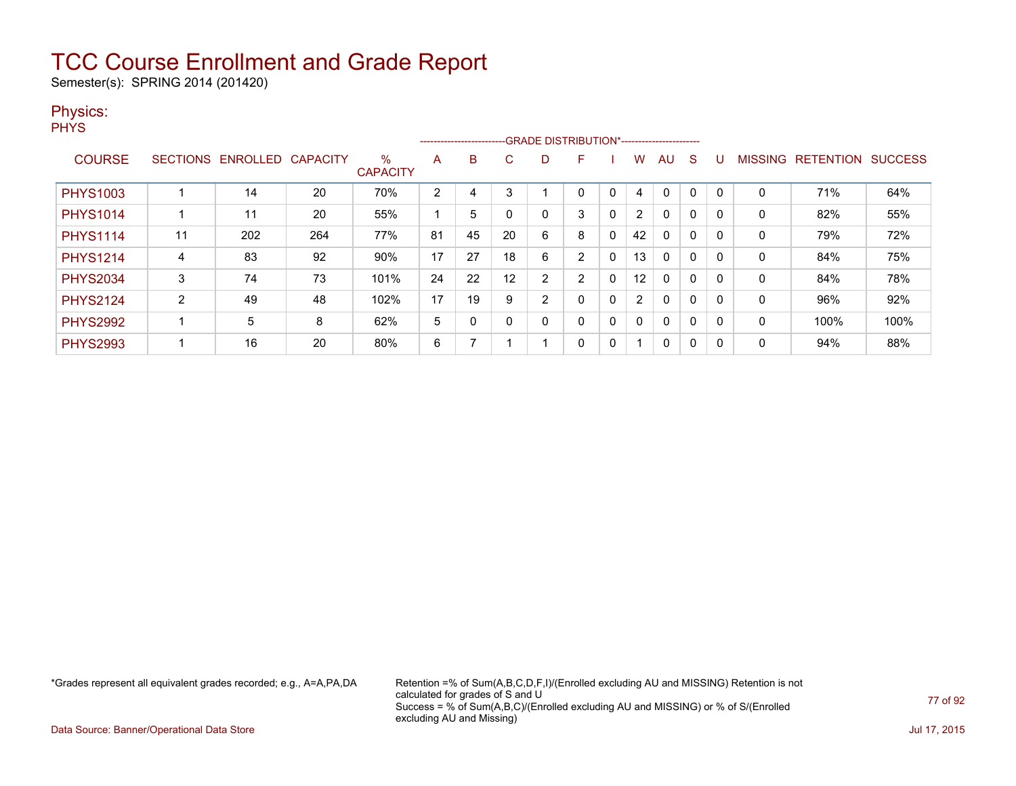Semester(s): SPRING 2014 (201420)

#### Physics:

**PHYS** 

|                 |                |                            |     |                         |    | -------------------------- |            |    | -GRADE DISTRIBUTION*----------------------- |   |              |              |   |             |                   |                |
|-----------------|----------------|----------------------------|-----|-------------------------|----|----------------------------|------------|----|---------------------------------------------|---|--------------|--------------|---|-------------|-------------------|----------------|
| <b>COURSE</b>   |                | SECTIONS ENROLLED CAPACITY |     | $\%$<br><b>CAPACITY</b> | A  | B                          | C.         | D. | F                                           |   | w            | AU           | S |             | MISSING RETENTION | <b>SUCCESS</b> |
| <b>PHYS1003</b> |                | 14                         | 20  | 70%                     | 2  | 4                          | $\sqrt{2}$ |    | 0                                           | 0 | 4            | $\mathbf{0}$ | 0 | 0           | 71%               | 64%            |
| <b>PHYS1014</b> |                | 11                         | 20  | 55%                     |    | 5                          |            |    | 3                                           | 0 | 2            | $\mathbf{0}$ | 0 | $\mathbf 0$ | 82%               | 55%            |
| <b>PHYS1114</b> | 11             | 202                        | 264 | 77%                     | 81 | 45                         | 20         | 6  | 8                                           | 0 | 42           | $\mathbf{0}$ | 0 | 0           | 79%               | 72%            |
| <b>PHYS1214</b> | $\overline{4}$ | 83                         | 92  | 90%                     | 17 | 27                         | 18         | 6  | 2                                           | 0 | 13           | $\mathbf{0}$ | 0 | 0           | 84%               | 75%            |
| <b>PHYS2034</b> | 3              | 74                         | 73  | 101%                    | 24 | 22                         | 12         | 2  | 2                                           | 0 | 12           | $\mathbf{0}$ | 0 | $\mathbf 0$ | 84%               | 78%            |
| <b>PHYS2124</b> | C.             | 49                         | 48  | 102%                    | 17 | 19                         | 9          | າ  | 0                                           | 0 | 2            | $\mathbf{0}$ | 0 | $\mathbf 0$ | 96%               | 92%            |
| <b>PHYS2992</b> |                | 5                          | 8   | 62%                     | 5  | 0                          |            | 0  | 0                                           | 0 | $\mathbf{0}$ | $\mathbf{0}$ | 0 | 0           | 100%              | 100%           |
| <b>PHYS2993</b> |                | 16                         | 20  | 80%                     | 6  |                            |            |    | 0                                           | 0 |              | 0            | 0 | $\mathbf 0$ | 94%               | 88%            |

\*Grades represent all equivalent grades recorded; e.g., A=A,PA,DA Retention =% of Sum(A,B,C,D,F,I)/(Enrolled excluding AU and MISSING) Retention is not calculated for grades of S and U Success = % of Sum(A,B,C)/(Enrolled excluding AU and MISSING) or % of S/(Enrolled excluding AU and Missing)

Data Source: Banner/Operational Data Store Jul 17, 2015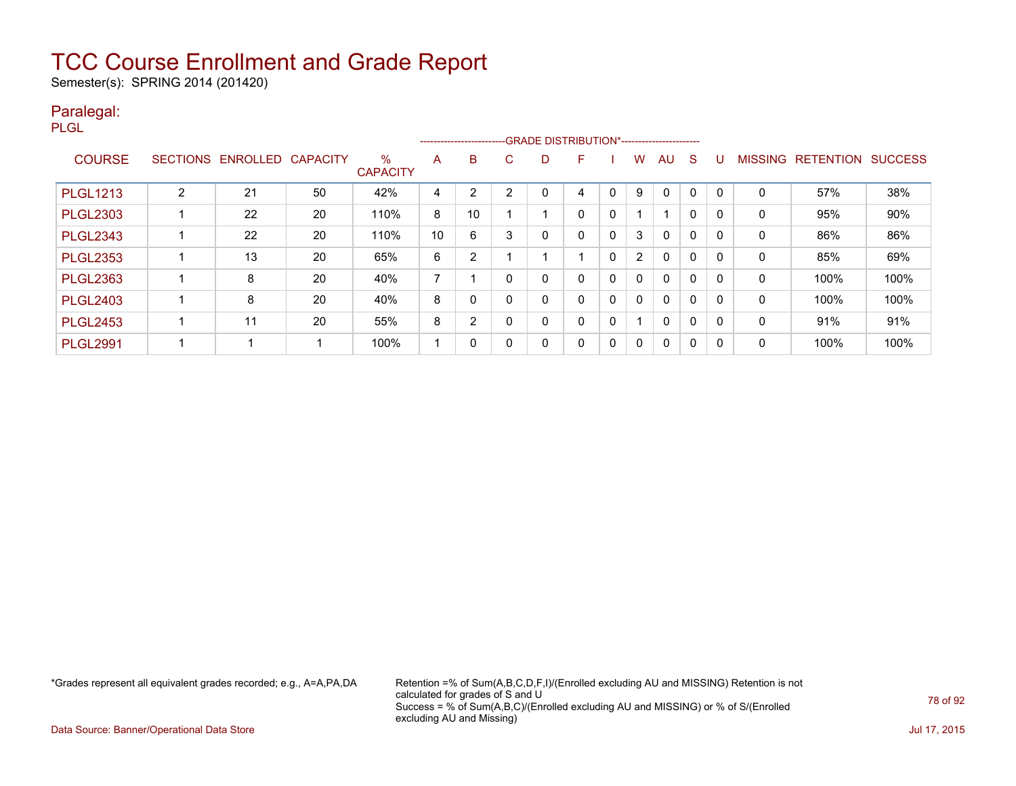Semester(s): SPRING 2014 (201420)

#### Paralegal:

PLGL

|                 |                 |                          |    |                         |                |          |   |   | --------------------------GRADE DISTRIBUTION*----------------------- |   |                |              |              |              |                |                  |                |
|-----------------|-----------------|--------------------------|----|-------------------------|----------------|----------|---|---|----------------------------------------------------------------------|---|----------------|--------------|--------------|--------------|----------------|------------------|----------------|
| <b>COURSE</b>   | <b>SECTIONS</b> | <b>ENROLLED CAPACITY</b> |    | $\%$<br><b>CAPACITY</b> | A              | B        | С | D |                                                                      |   | w              | AU           | S            | U            | <b>MISSING</b> | <b>RETENTION</b> | <b>SUCCESS</b> |
|                 |                 |                          |    |                         |                |          |   |   |                                                                      |   |                |              |              |              |                |                  |                |
| <b>PLGL1213</b> | າ               | 21                       | 50 | 42%                     | 4              | C        | っ | 0 | 4                                                                    | 0 | 9              | 0            |              |              | 0              | 57%              | 38%            |
| <b>PLGL2303</b> |                 | 22                       | 20 | 110%                    | 8              | 10       |   |   | 0                                                                    | 0 |                | 4            | $\Omega$     | <sup>0</sup> | 0              | 95%              | 90%            |
| <b>PLGL2343</b> |                 | 22                       | 20 | 110%                    | 10             | 6        | 3 | 0 | 0                                                                    | 0 | 3              | $\Omega$     | $\Omega$     | $\Omega$     | $\mathbf{0}$   | 86%              | 86%            |
| <b>PLGL2353</b> |                 | 13                       | 20 | 65%                     | 6              | 2        |   |   |                                                                      | 0 | $\overline{2}$ | 0            | 0            |              | 0              | 85%              | 69%            |
| <b>PLGL2363</b> |                 | 8                        | 20 | 40%                     | $\overline{ }$ |          |   | 0 | $\Omega$                                                             | 0 | 0              | $\Omega$     | $\Omega$     | <sup>0</sup> | 0              | 100%             | 100%           |
| <b>PLGL2403</b> |                 | 8                        | 20 | 40%                     | 8              | $\Omega$ |   | 0 | 0                                                                    | 0 | 0              | $\Omega$     | $\mathbf{0}$ | $\mathsf{C}$ | 0              | 100%             | 100%           |
| <b>PLGL2453</b> |                 | 11                       | 20 | 55%                     | 8              | 2        |   | 0 | 0                                                                    | 0 |                | $\mathbf{0}$ | 0            | 0            | 0              | 91%              | 91%            |
| <b>PLGL2991</b> |                 |                          |    | 100%                    | 4              |          |   | 0 | 0                                                                    | 0 | 0              | $\Omega$     | 0            | 0            | 0              | 100%             | 100%           |

\*Grades represent all equivalent grades recorded; e.g., A=A,PA,DA Retention =% of Sum(A,B,C,D,F,I)/(Enrolled excluding AU and MISSING) Retention is not calculated for grades of S and U Success = % of Sum(A,B,C)/(Enrolled excluding AU and MISSING) or % of S/(Enrolled excluding AU and Missing)

Data Source: Banner/Operational Data Store Jul 17, 2015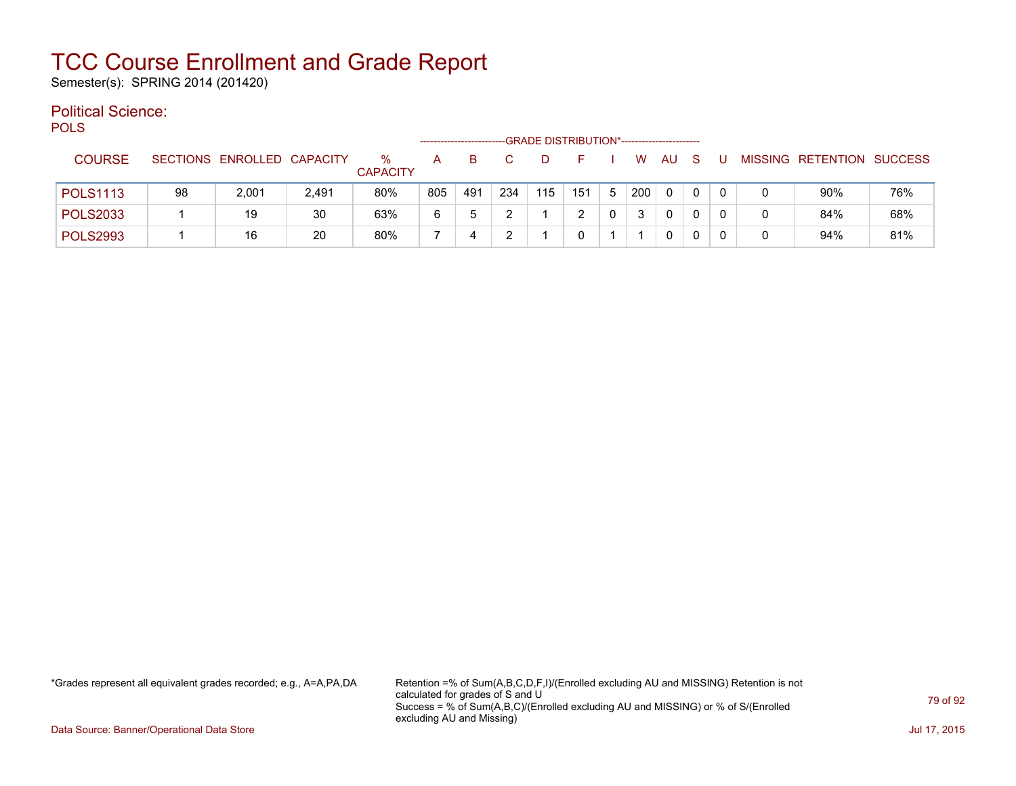Semester(s): SPRING 2014 (201420)

#### Political Science: POLS

| ັບ∟ບ            |    |                            |       |                      |     |     |     | -GRADE DISTRIBUTION*----------------------- |     |   |     |              |              |  |                           |     |
|-----------------|----|----------------------------|-------|----------------------|-----|-----|-----|---------------------------------------------|-----|---|-----|--------------|--------------|--|---------------------------|-----|
| <b>COURSE</b>   |    | SECTIONS ENROLLED CAPACITY |       | %<br><b>CAPACITY</b> | А   | в   |     |                                             |     |   | W   | AU           | <sub>S</sub> |  | MISSING RETENTION SUCCESS |     |
| <b>POLS1113</b> | 98 | 2,001                      | 2,491 | 80%                  | 805 | 491 | 234 | 115                                         | 151 | 5 | 200 | $\mathbf{0}$ | 0            |  | 90%                       | 76% |
| <b>POLS2033</b> |    | 19                         | 30    | 63%                  | 6   | b   |     |                                             |     |   |     | 0            | 0            |  | 84%                       | 68% |
| <b>POLS2993</b> |    | 16                         | 20    | 80%                  |     |     |     |                                             |     |   |     | 0            | 0            |  | 94%                       | 81% |

\*Grades represent all equivalent grades recorded; e.g., A=A,PA,DA Retention =% of Sum(A,B,C,D,F,I)/(Enrolled excluding AU and MISSING) Retention is not calculated for grades of S and U Success = % of Sum(A,B,C)/(Enrolled excluding AU and MISSING) or % of S/(Enrolled excluding AU and Missing)

Data Source: Banner/Operational Data Store Jul 17, 2015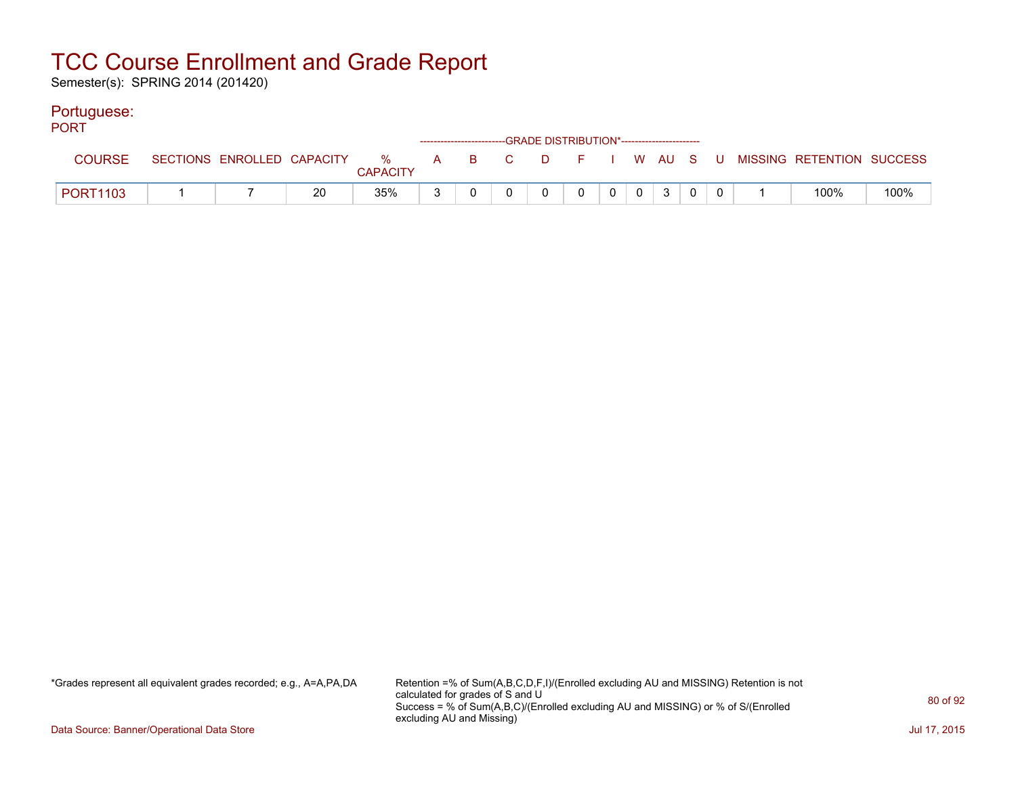Semester(s): SPRING 2014 (201420)

#### Portuguese:

| <b>PORT</b>     |  |    |                 |  | ------------------------GRADE DISTRIBUTION*----------------------- |                |   |                 |  |                                                                               |      |
|-----------------|--|----|-----------------|--|--------------------------------------------------------------------|----------------|---|-----------------|--|-------------------------------------------------------------------------------|------|
| <b>COURSE</b>   |  |    | <b>CAPACITY</b> |  |                                                                    |                |   |                 |  | SECTIONS ENROLLED CAPACITY 3 % A B C D F I W AU S U MISSING RETENTION SUCCESS |      |
| <b>PORT1103</b> |  | 20 | 35%             |  | $\overline{0}$                                                     | $\overline{0}$ | 0 | $0 \mid 3 \mid$ |  | 100%                                                                          | 100% |

\*Grades represent all equivalent grades recorded; e.g., A=A,PA,DA Retention =% of Sum(A,B,C,D,F,I)/(Enrolled excluding AU and MISSING) Retention is not calculated for grades of S and U Success = % of Sum(A,B,C)/(Enrolled excluding AU and MISSING) or % of S/(Enrolled excluding AU and Missing)

Data Source: Banner/Operational Data Store Jul 17, 2015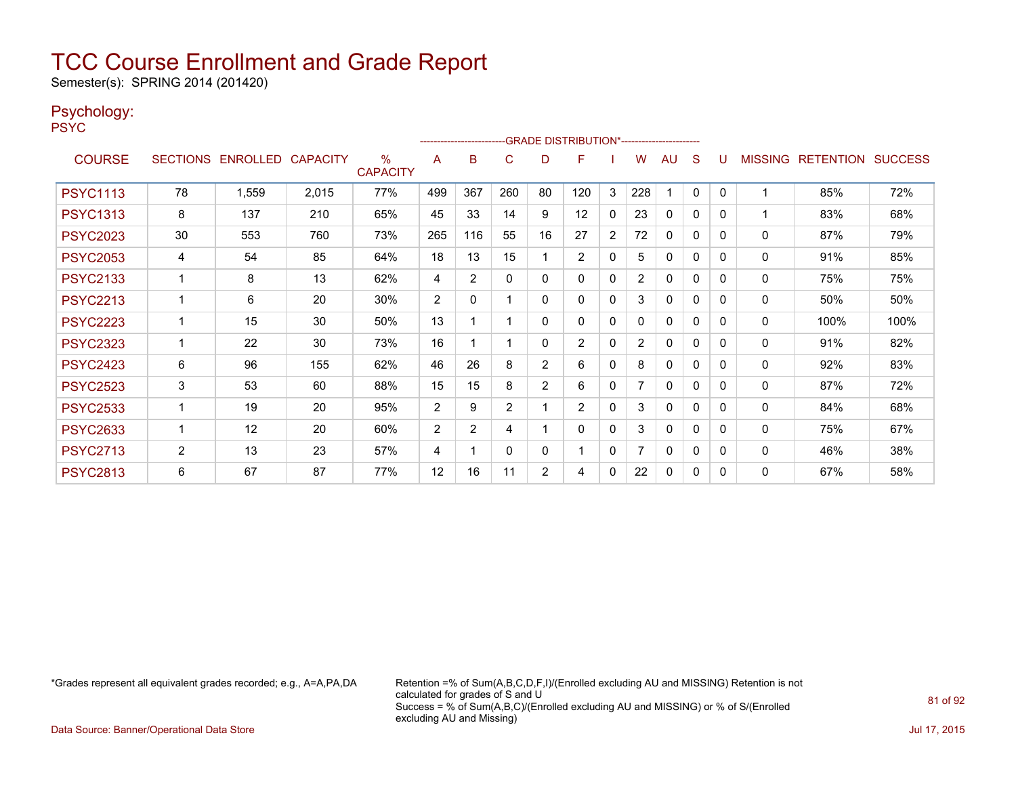Semester(s): SPRING 2014 (201420)

#### Psychology:

PSYC

|                 |                |                            |       |                      |                | ------------------------ |          |                | -GRADE DISTRIBUTION*---------------------- |              |                |              |          |          |              |                           |      |
|-----------------|----------------|----------------------------|-------|----------------------|----------------|--------------------------|----------|----------------|--------------------------------------------|--------------|----------------|--------------|----------|----------|--------------|---------------------------|------|
| <b>COURSE</b>   |                | SECTIONS ENROLLED CAPACITY |       | %<br><b>CAPACITY</b> | A              | B                        | C        | D              | F                                          |              | W              | AU           | S        |          |              | MISSING RETENTION SUCCESS |      |
| <b>PSYC1113</b> | 78             | 1,559                      | 2,015 | 77%                  | 499            | 367                      | 260      | 80             | 120                                        | 3            | 228            |              | 0        | $\Omega$ | 1            | 85%                       | 72%  |
| <b>PSYC1313</b> | 8              | 137                        | 210   | 65%                  | 45             | 33                       | 14       | 9              | 12                                         | $\mathbf{0}$ | 23             | $\Omega$     | 0        | $\Omega$ |              | 83%                       | 68%  |
| <b>PSYC2023</b> | 30             | 553                        | 760   | 73%                  | 265            | 116                      | 55       | 16             | 27                                         | 2            | 72             | $\mathbf{0}$ | $\Omega$ | $\Omega$ | $\mathbf 0$  | 87%                       | 79%  |
| <b>PSYC2053</b> | 4              | 54                         | 85    | 64%                  | 18             | 13                       | 15       |                | 2                                          | 0            | 5              | $\Omega$     | $\Omega$ | $\Omega$ | 0            | 91%                       | 85%  |
| <b>PSYC2133</b> |                | 8                          | 13    | 62%                  | 4              | $\overline{2}$           | $\Omega$ | 0              | 0                                          | $\mathbf{0}$ | $\overline{2}$ | $\mathbf{0}$ | 0        | $\Omega$ | 0            | 75%                       | 75%  |
| <b>PSYC2213</b> | 1              | 6                          | 20    | 30%                  | 2              | $\mathbf{0}$             |          | $\Omega$       | 0                                          | $\mathbf{0}$ | 3              | $\mathbf{0}$ | $\Omega$ | $\Omega$ | $\mathbf{0}$ | 50%                       | 50%  |
| <b>PSYC2223</b> |                | 15                         | 30    | 50%                  | 13             |                          |          | $\Omega$       | $\Omega$                                   | $\mathbf{0}$ | 0              | $\Omega$     | 0        | $\Omega$ | 0            | 100%                      | 100% |
| <b>PSYC2323</b> |                | 22                         | 30    | 73%                  | 16             |                          |          | 0              | $\overline{2}$                             | $\mathbf{0}$ | $\overline{2}$ | $\Omega$     | 0        | $\Omega$ | $\mathbf 0$  | 91%                       | 82%  |
| <b>PSYC2423</b> | 6              | 96                         | 155   | 62%                  | 46             | 26                       | 8        | 2              | 6                                          | 0            | 8              | 0            | 0        | $\Omega$ | 0            | 92%                       | 83%  |
| <b>PSYC2523</b> | 3              | 53                         | 60    | 88%                  | 15             | 15                       | 8        | $\overline{2}$ | 6                                          | $\mathbf{0}$ |                | $\mathbf{0}$ | $\Omega$ | $\Omega$ | $\mathbf{0}$ | 87%                       | 72%  |
| <b>PSYC2533</b> | 1              | 19                         | 20    | 95%                  | $\overline{2}$ | 9                        | 2        |                | $\overline{2}$                             | 0            | 3              | $\mathbf{0}$ | $\Omega$ | $\Omega$ | $\mathbf{0}$ | 84%                       | 68%  |
| <b>PSYC2633</b> |                | 12                         | 20    | 60%                  | 2              | $\overline{2}$           | 4        |                | $\Omega$                                   | 0            | 3              | $\Omega$     | $\Omega$ | 0        | $\mathbf 0$  | 75%                       | 67%  |
| <b>PSYC2713</b> | $\overline{2}$ | 13                         | 23    | 57%                  | 4              |                          | $\Omega$ | $\Omega$       |                                            | $\mathbf{0}$ |                | $\mathbf{0}$ | $\Omega$ | $\Omega$ | $\mathbf{0}$ | 46%                       | 38%  |
| <b>PSYC2813</b> | 6              | 67                         | 87    | 77%                  | 12             | 16                       | 11       | 2              | 4                                          | 0            | 22             | $\mathbf{0}$ | 0        | 0        | 0            | 67%                       | 58%  |

\*Grades represent all equivalent grades recorded; e.g., A=A,PA,DA Retention =% of Sum(A,B,C,D,F,I)/(Enrolled excluding AU and MISSING) Retention is not calculated for grades of S and U Success = % of Sum(A,B,C)/(Enrolled excluding AU and MISSING) or % of S/(Enrolled excluding AU and Missing)

Data Source: Banner/Operational Data Store Jul 17, 2015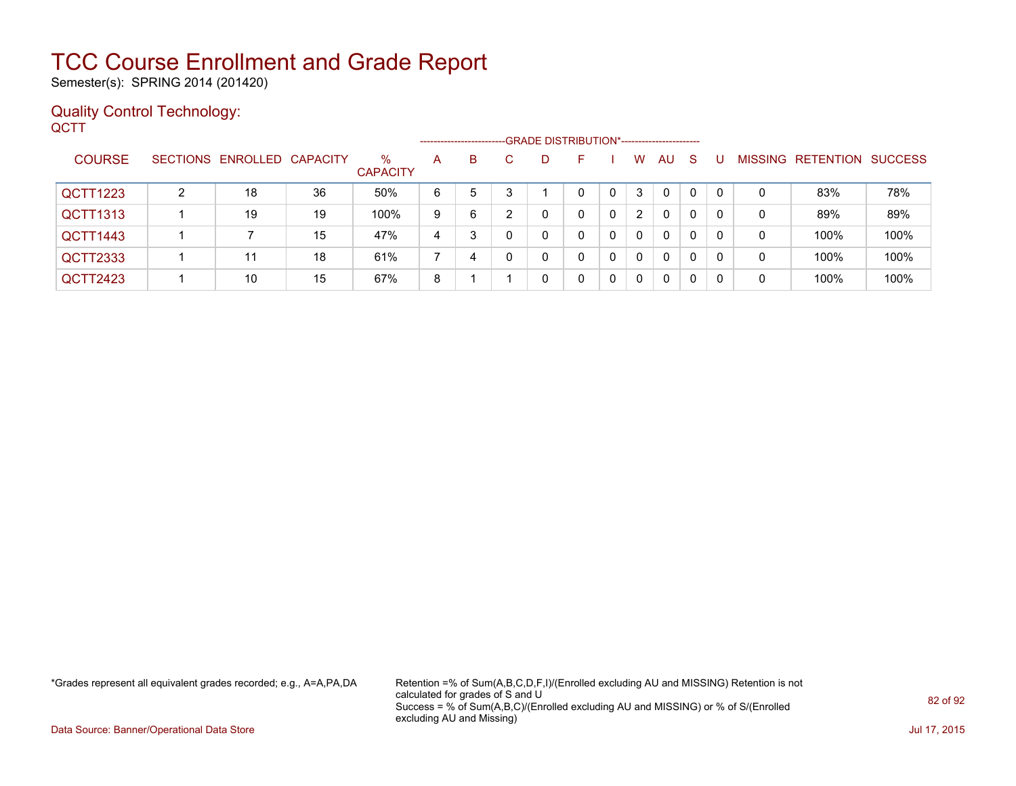Semester(s): SPRING 2014 (201420)

#### Quality Control Technology: **QCTT**

|                 |   |                            |    |                         | --------------------- |   |   | -GRADE DISTRIBUTION*----------------------- |    |          |    |    |    |   |                   |                |
|-----------------|---|----------------------------|----|-------------------------|-----------------------|---|---|---------------------------------------------|----|----------|----|----|----|---|-------------------|----------------|
| <b>COURSE</b>   |   | SECTIONS ENROLLED CAPACITY |    | $\%$<br><b>CAPACITY</b> | A                     | B | C | D                                           | н. | W        | AU | -S |    |   | MISSING RETENTION | <b>SUCCESS</b> |
| <b>QCTT1223</b> | 2 | 18                         | 36 | 50%                     | 6                     | 5 |   |                                             | 0  | 3        | 0  | 0  |    | 0 | 83%               | 78%            |
| QCTT1313        |   | 19                         | 19 | 100%                    | 9                     | 6 | ົ |                                             | 0  | 2        | 0  | 0  |    | 0 | 89%               | 89%            |
| QCTT1443        |   |                            | 15 | 47%                     | 4                     | 3 |   |                                             |    | $\Omega$ | 0  | 0  | -0 | 0 | 100%              | 100%           |
| <b>QCTT2333</b> |   | 11                         | 18 | 61%                     |                       | 4 |   | 0                                           | 0  | $\Omega$ | 0  | 0  |    | 0 | 100%              | 100%           |
| QCTT2423        |   | 10                         | 15 | 67%                     | 8                     |   |   | 0                                           | 0  | $\Omega$ | 0  | 0  | -0 | 0 | 100%              | 100%           |

\*Grades represent all equivalent grades recorded; e.g., A=A,PA,DA Retention =% of Sum(A,B,C,D,F,I)/(Enrolled excluding AU and MISSING) Retention is not calculated for grades of S and U Success = % of Sum(A,B,C)/(Enrolled excluding AU and MISSING) or % of S/(Enrolled excluding AU and Missing)

Data Source: Banner/Operational Data Store Jul 17, 2015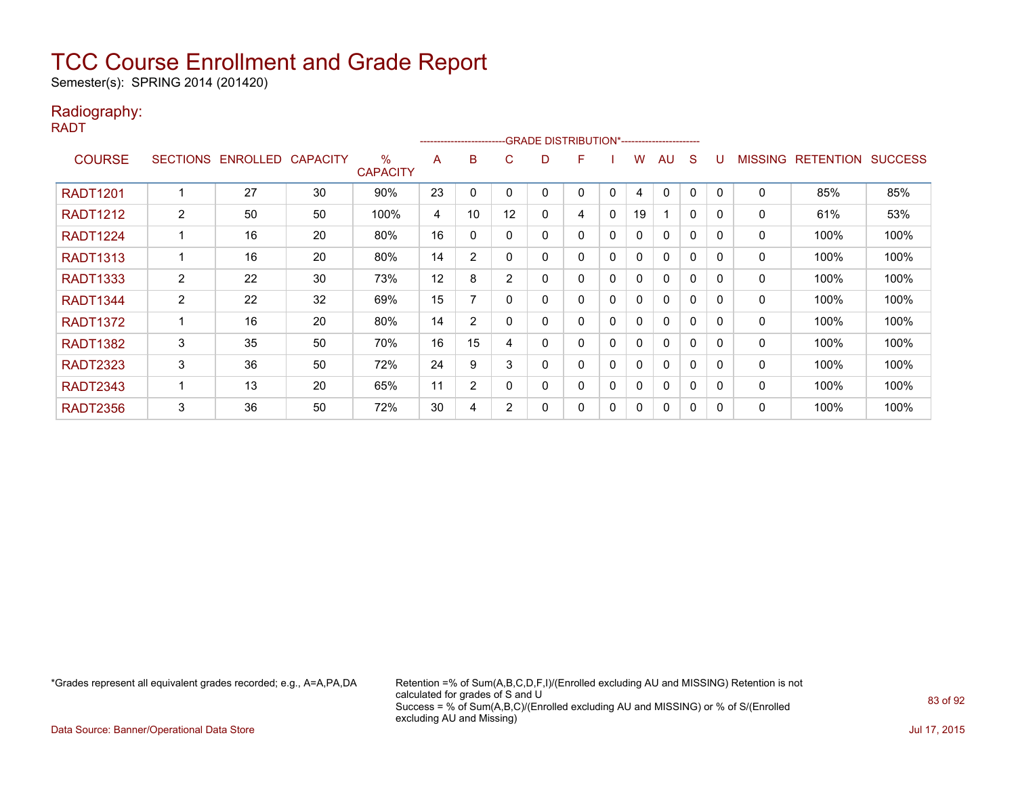Semester(s): SPRING 2014 (201420)

#### Radiography:

RADT

|                 |                 |          |                 |                         |    | --------------------- |                |   | -GRADE DISTRIBUTION*---------------------- |             |    |              |   |          |                |                  |                |
|-----------------|-----------------|----------|-----------------|-------------------------|----|-----------------------|----------------|---|--------------------------------------------|-------------|----|--------------|---|----------|----------------|------------------|----------------|
| <b>COURSE</b>   | <b>SECTIONS</b> | ENROLLED | <b>CAPACITY</b> | $\%$<br><b>CAPACITY</b> | A  | B                     | C.             | D | F                                          |             | w  | AU           | S |          | <b>MISSING</b> | <b>RETENTION</b> | <b>SUCCESS</b> |
| <b>RADT1201</b> |                 | 27       | 30              | 90%                     | 23 | 0                     | 0              |   | 0                                          | 0           | 4  | $\Omega$     | 0 | $\Omega$ | 0              | 85%              | 85%            |
| <b>RADT1212</b> | $\overline{2}$  | 50       | 50              | 100%                    | 4  | 10                    | 12             | 0 | 4                                          | 0           | 19 |              | 0 | $\Omega$ | 0              | 61%              | 53%            |
| <b>RADT1224</b> |                 | 16       | 20              | 80%                     | 16 | 0                     | 0              | 0 | 0                                          | 0           | 0  | $\mathbf{0}$ | 0 | 0        | 0              | 100%             | 100%           |
| <b>RADT1313</b> |                 | 16       | 20              | 80%                     | 14 | 2                     | $\mathbf{0}$   | 0 | 0                                          | $\Omega$    | 0  | $\mathbf{0}$ | 0 | $\Omega$ | 0              | 100%             | 100%           |
| <b>RADT1333</b> | $\overline{2}$  | 22       | 30              | 73%                     | 12 | 8                     | $\overline{2}$ | 0 | 0                                          | 0           | 0  | $\mathbf{0}$ | 0 | 0        | 0              | 100%             | 100%           |
| <b>RADT1344</b> | $\overline{2}$  | 22       | 32              | 69%                     | 15 |                       | 0              |   | 0                                          | 0           | 0  | $\mathbf{0}$ | 0 | $\Omega$ | 0              | 100%             | 100%           |
| <b>RADT1372</b> |                 | 16       | 20              | 80%                     | 14 | 2                     | 0              | 0 | 0                                          | $\mathbf 0$ | 0  | 0            | 0 | 0        | 0              | 100%             | 100%           |
| <b>RADT1382</b> | 3               | 35       | 50              | 70%                     | 16 | 15                    | 4              | 0 | 0                                          | 0           | 0  | 0            | 0 | 0        | 0              | 100%             | 100%           |
| <b>RADT2323</b> | 3               | 36       | 50              | 72%                     | 24 | 9                     | 3              | 0 | 0                                          | $\Omega$    | 0  | $\mathbf{0}$ | 0 | 0        | 0              | 100%             | 100%           |
| RADT2343        | 1               | 13       | 20              | 65%                     | 11 | $\overline{2}$        | $\Omega$       | 0 | 0                                          | 0           | 0  | $\mathbf{0}$ | 0 | $\Omega$ | 0              | 100%             | 100%           |
| <b>RADT2356</b> | 3               | 36       | 50              | 72%                     | 30 | 4                     | $\overline{2}$ | 0 | 0                                          | 0           | 0  | $\mathbf{0}$ | 0 | $\Omega$ | 0              | 100%             | 100%           |

\*Grades represent all equivalent grades recorded; e.g., A=A,PA,DA Retention =% of Sum(A,B,C,D,F,I)/(Enrolled excluding AU and MISSING) Retention is not calculated for grades of S and U Success = % of Sum(A,B,C)/(Enrolled excluding AU and MISSING) or % of S/(Enrolled excluding AU and Missing)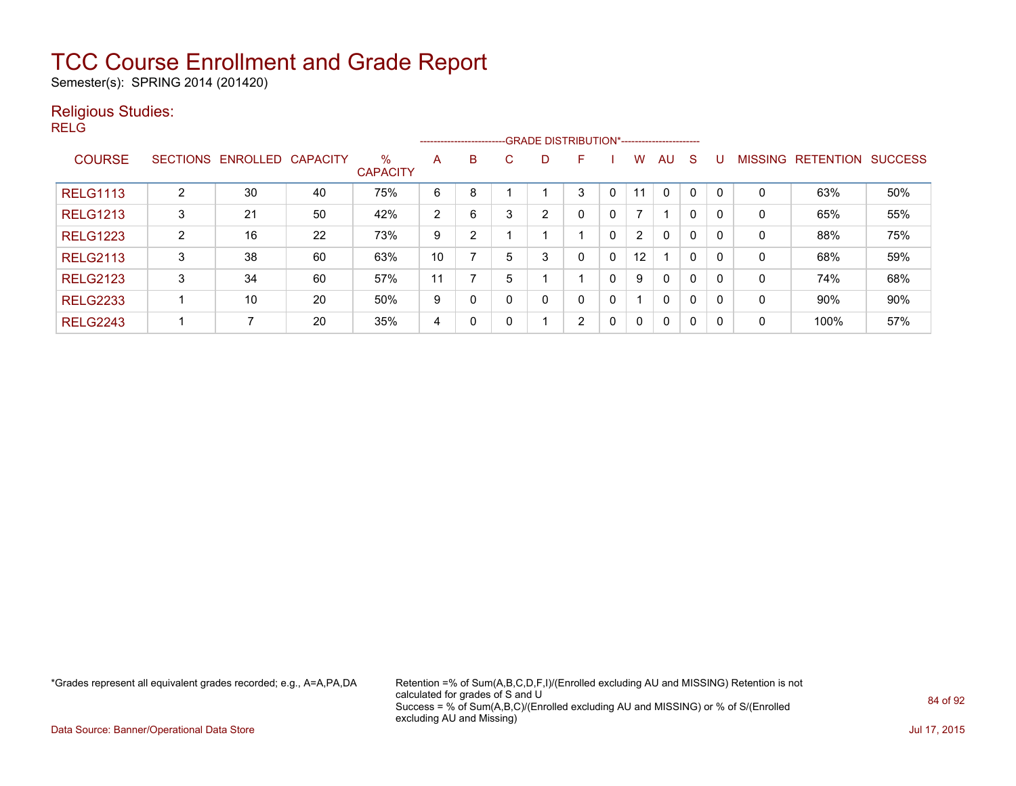Semester(s): SPRING 2014 (201420)

#### Religious Studies:

RELG

|                 |                 |          |                 |                         |    |          |   |                | --------------------------GRADE DISTRIBUTION*----------------------- |          |              |              |              |              |                |                  |                |
|-----------------|-----------------|----------|-----------------|-------------------------|----|----------|---|----------------|----------------------------------------------------------------------|----------|--------------|--------------|--------------|--------------|----------------|------------------|----------------|
| <b>COURSE</b>   | <b>SECTIONS</b> | ENROLLED | <b>CAPACITY</b> | $\%$<br><b>CAPACITY</b> | A  | B        | C | D              | E                                                                    |          | w            | AU.          | <sub>S</sub> |              | <b>MISSING</b> | <b>RETENTION</b> | <b>SUCCESS</b> |
| <b>RELG1113</b> | っ               | 30       | 40              | 75%                     | 6  | 8        |   |                | 3                                                                    | 0        | 11           | $\Omega$     | $\Omega$     | $\Omega$     | 0              | 63%              | 50%            |
| <b>RELG1213</b> | 3               | 21       | 50              | 42%                     | 2  | 6        | 3 | $\overline{2}$ | 0                                                                    | 0        | 7            |              | 0            | $\mathbf{0}$ | 0              | 65%              | 55%            |
| <b>RELG1223</b> | $\overline{2}$  | 16       | 22              | 73%                     | 9  | 2        |   |                |                                                                      | 0        | 2            | $\mathbf{0}$ | 0            | $\mathbf{0}$ | 0              | 88%              | 75%            |
| <b>RELG2113</b> | 3               | 38       | 60              | 63%                     | 10 |          | 5 | 3              | 0                                                                    | 0        | 12           |              | 0            | $\mathbf{0}$ | 0              | 68%              | 59%            |
| <b>RELG2123</b> | 3               | 34       | 60              | 57%                     | 11 |          | 5 |                |                                                                      | 0        | 9            | $\mathbf{0}$ | $\mathbf{0}$ | $\mathbf{0}$ | 0              | 74%              | 68%            |
| <b>RELG2233</b> |                 | 10       | 20              | 50%                     | 9  |          |   | 0              | 0                                                                    | 0        |              | $\mathbf{0}$ | $\mathbf{0}$ | $\mathbf{0}$ | 0              | 90%              | 90%            |
| <b>RELG2243</b> |                 |          | 20              | 35%                     | 4  | $\Omega$ |   |                | $\overline{2}$                                                       | $\Omega$ | $\mathbf{0}$ | $\mathbf{0}$ | $\Omega$     | $\mathbf{0}$ | 0              | 100%             | 57%            |

\*Grades represent all equivalent grades recorded; e.g., A=A,PA,DA Retention =% of Sum(A,B,C,D,F,I)/(Enrolled excluding AU and MISSING) Retention is not calculated for grades of S and U Success = % of Sum(A,B,C)/(Enrolled excluding AU and MISSING) or % of S/(Enrolled excluding AU and Missing)

Data Source: Banner/Operational Data Store Jul 17, 2015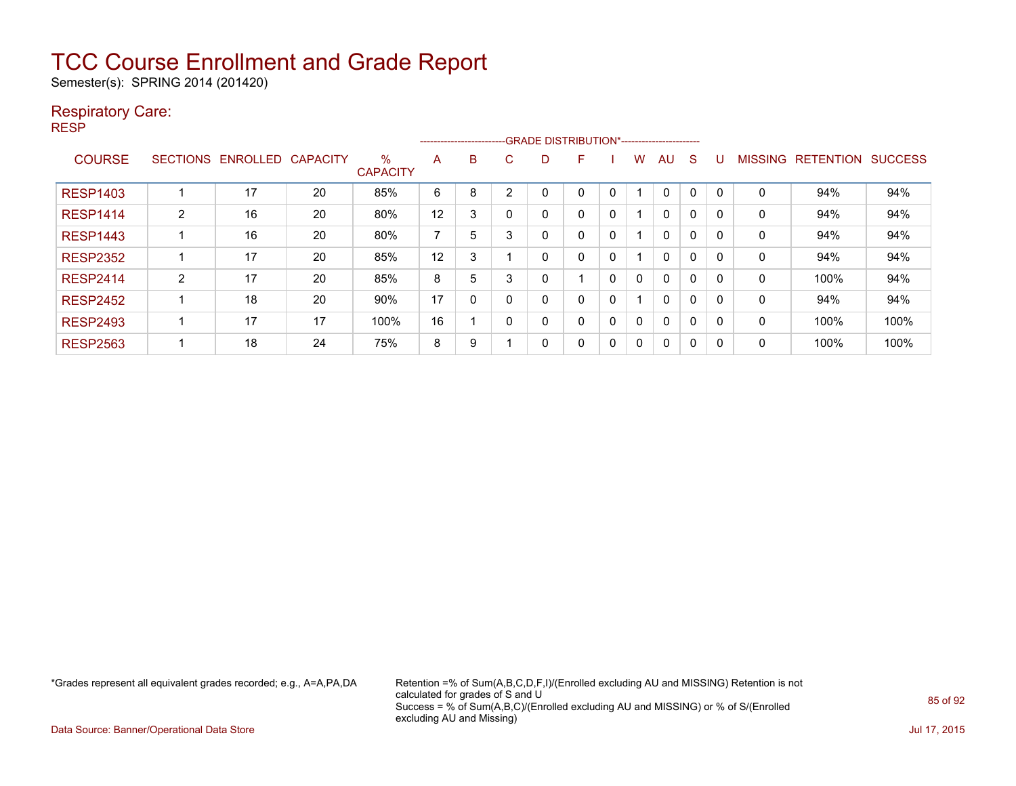Semester(s): SPRING 2014 (201420)

#### Respiratory Care:

RESP

|                 |                 |                 |                 |                         | ------------------------ |   |   | -GRADE DISTRIBUTION*---------------------- |   |          |   |          |          |          |                |                  |                |
|-----------------|-----------------|-----------------|-----------------|-------------------------|--------------------------|---|---|--------------------------------------------|---|----------|---|----------|----------|----------|----------------|------------------|----------------|
| <b>COURSE</b>   | <b>SECTIONS</b> | <b>ENROLLED</b> | <b>CAPACITY</b> | $\%$<br><b>CAPACITY</b> | A                        | B | U | D                                          | F |          | w | AU       | S        |          | <b>MISSING</b> | <b>RETENTION</b> | <b>SUCCESS</b> |
| <b>RESP1403</b> |                 | 17              | 20              | 85%                     | 6                        | 8 | ◠ |                                            | 0 | $\Omega$ |   |          |          |          | 0              | 94%              | 94%            |
| <b>RESP1414</b> | $\overline{2}$  | 16              | 20              | 80%                     | 12                       | 3 |   | 0                                          | 0 | 0        |   | $\Omega$ | 0        | $\Omega$ | 0              | 94%              | 94%            |
| <b>RESP1443</b> |                 | 16              | 20              | 80%                     | 7                        | 5 | 3 | 0                                          | 0 | 0        |   | $\Omega$ | 0        | 0        | 0              | 94%              | 94%            |
| <b>RESP2352</b> |                 | 17              | 20              | 85%                     | 12                       | 3 |   | 0                                          | 0 | 0        |   | 0        | $\Omega$ | 0        | 0              | 94%              | 94%            |
| <b>RESP2414</b> | 2               | 17              | 20              | 85%                     | 8                        | 5 | 3 | 0                                          |   | 0        | 0 | $\Omega$ | 0        | 0        | 0              | 100%             | 94%            |
| <b>RESP2452</b> |                 | 18              | 20              | 90%                     | 17                       | 0 |   | 0                                          | 0 | 0        |   | $\Omega$ | 0        | 0        | 0              | 94%              | 94%            |
| <b>RESP2493</b> |                 | 17              | 17              | 100%                    | 16                       |   | ŋ | 0                                          | 0 | 0        | 0 | $\Omega$ | $\Omega$ | 0        | 0              | 100%             | 100%           |
| <b>RESP2563</b> |                 | 18              | 24              | 75%                     | 8                        | 9 |   | 0                                          | 0 | 0        | 0 | $\Omega$ | 0        | 0        | 0              | 100%             | 100%           |

\*Grades represent all equivalent grades recorded; e.g., A=A,PA,DA Retention =% of Sum(A,B,C,D,F,I)/(Enrolled excluding AU and MISSING) Retention is not calculated for grades of S and U Success = % of Sum(A,B,C)/(Enrolled excluding AU and MISSING) or % of S/(Enrolled excluding AU and Missing)

Data Source: Banner/Operational Data Store Jul 17, 2015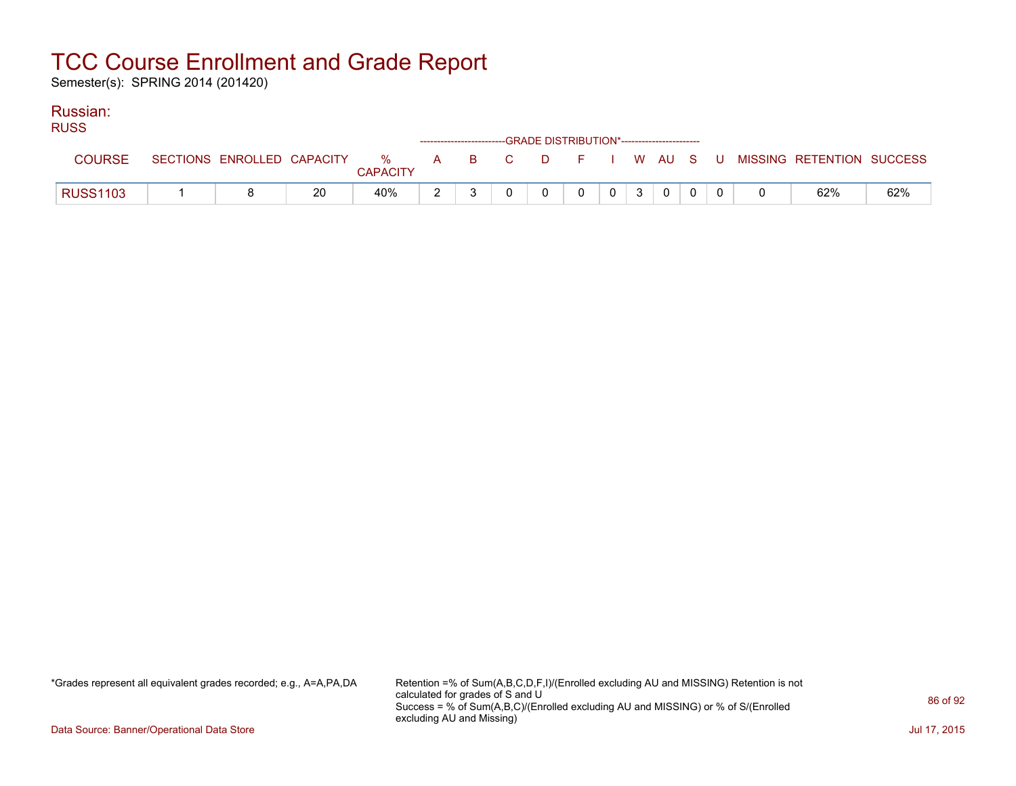Semester(s): SPRING 2014 (201420)

### Russian:

| <b>RUSS</b>     |  |    |                 |  | ------------------------GRADE DISTRIBUTION*----------------------- |   |                |              |             |  |                                                                               |     |
|-----------------|--|----|-----------------|--|--------------------------------------------------------------------|---|----------------|--------------|-------------|--|-------------------------------------------------------------------------------|-----|
| <b>COURSE</b>   |  |    | <b>CAPACITY</b> |  |                                                                    |   |                |              |             |  | SECTIONS ENROLLED CAPACITY 3 % A B C D F I W AU S U MISSING RETENTION SUCCESS |     |
| <b>RUSS1103</b> |  | 20 | 40%             |  | $\Omega$                                                           | 0 | 0 <sup>1</sup> | $\mathbf{3}$ | $\mathbf 0$ |  | 62%                                                                           | 62% |

\*Grades represent all equivalent grades recorded; e.g., A=A,PA,DA Retention =% of Sum(A,B,C,D,F,I)/(Enrolled excluding AU and MISSING) Retention is not calculated for grades of S and U Success = % of Sum(A,B,C)/(Enrolled excluding AU and MISSING) or % of S/(Enrolled excluding AU and Missing)

Data Source: Banner/Operational Data Store Jul 17, 2015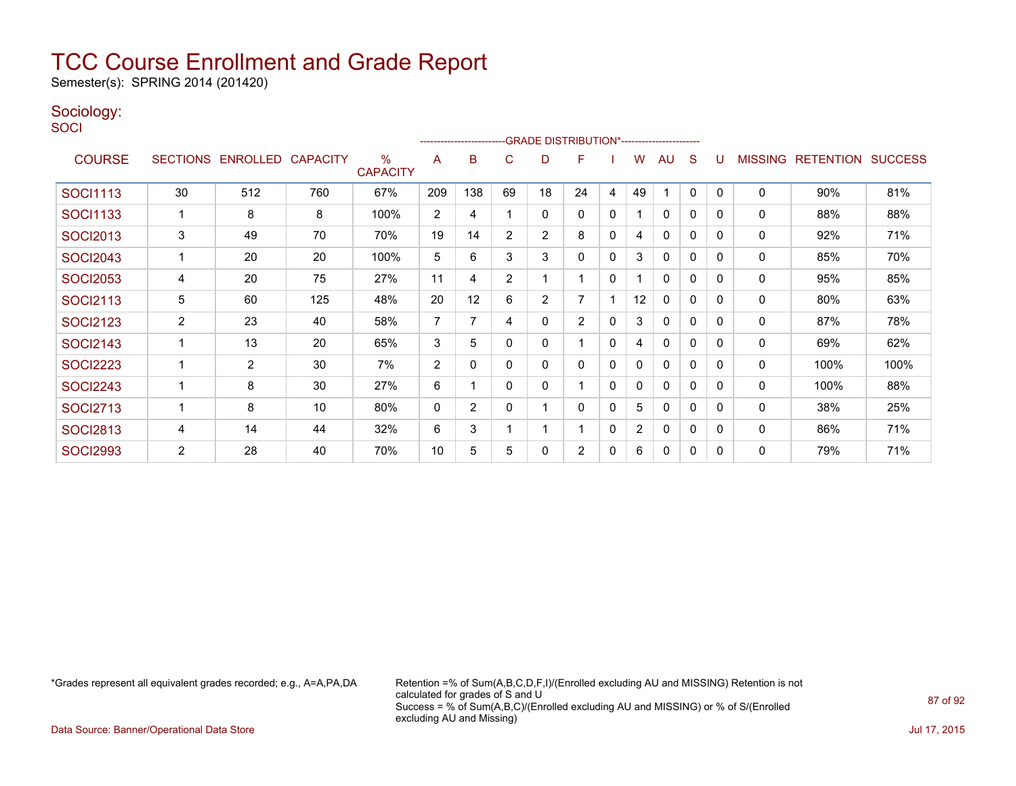Semester(s): SPRING 2014 (201420)

### Sociology:

**SOCI** 

|                 |                 |                 |                 |                         |                | --------------------------GRADE DISTRIBUTION*----------------------- |                |                |    |              |                |              |          |              |                |                  |                |
|-----------------|-----------------|-----------------|-----------------|-------------------------|----------------|----------------------------------------------------------------------|----------------|----------------|----|--------------|----------------|--------------|----------|--------------|----------------|------------------|----------------|
| <b>COURSE</b>   | <b>SECTIONS</b> | <b>ENROLLED</b> | <b>CAPACITY</b> | $\%$<br><b>CAPACITY</b> | A              | B                                                                    | C              | D              | F  |              | w              | AU           | S        |              | <b>MISSING</b> | <b>RETENTION</b> | <b>SUCCESS</b> |
| <b>SOCI1113</b> | 30              | 512             | 760             | 67%                     | 209            | 138                                                                  | 69             | 18             | 24 | 4            | 49             |              | 0        | $\mathbf{0}$ | $\mathbf 0$    | 90%              | 81%            |
| <b>SOCI1133</b> |                 | 8               | 8               | 100%                    | 2              | 4                                                                    |                | 0              | 0  | $\Omega$     |                | 0            | 0        | 0            | $\mathbf 0$    | 88%              | 88%            |
| <b>SOCI2013</b> | 3               | 49              | 70              | 70%                     | 19             | 14                                                                   | $\overline{2}$ | 2              | 8  | $\mathbf{0}$ | 4              | $\Omega$     | 0        | $\Omega$     | 0              | 92%              | 71%            |
| <b>SOCI2043</b> |                 | 20              | 20              | 100%                    | 5              | 6                                                                    | 3              | 3              | 0  | 0            | 3              | $\Omega$     | 0        | 0            | 0              | 85%              | 70%            |
| <b>SOCI2053</b> | 4               | 20              | 75              | 27%                     | 11             | 4                                                                    | 2              |                |    | 0            | 1              | $\Omega$     | 0        | 0            | $\mathbf 0$    | 95%              | 85%            |
| <b>SOCI2113</b> | 5               | 60              | 125             | 48%                     | 20             | 12                                                                   | 6              | $\overline{2}$ | 7  |              | 12             | 0            | 0        | $\Omega$     | 0              | 80%              | 63%            |
| <b>SOCI2123</b> | 2               | 23              | 40              | 58%                     | 7              | 7                                                                    | 4              | 0              | 2  | 0            | 3              | $\Omega$     | $\Omega$ | 0            | 0              | 87%              | 78%            |
| <b>SOCI2143</b> |                 | 13              | 20              | 65%                     | 3              | 5                                                                    | 0              | 0              |    | $\Omega$     | 4              | $\mathbf{0}$ | 0        | 0            | 0              | 69%              | 62%            |
| <b>SOCI2223</b> |                 | $\overline{2}$  | 30              | 7%                      | $\overline{2}$ | 0                                                                    | 0              | 0              | 0  | 0            | 0              | 0            | 0        | 0            | 0              | 100%             | 100%           |
| <b>SOCI2243</b> |                 | 8               | 30              | 27%                     | 6              |                                                                      | 0              | 0              |    | $\Omega$     | 0              | $\mathbf{0}$ | $\Omega$ | 0            | 0              | 100%             | 88%            |
| <b>SOCI2713</b> |                 | 8               | 10              | 80%                     | $\mathbf{0}$   | $\overline{2}$                                                       | 0              |                | 0  | 0            | 5              | 0            | 0        | 0            | 0              | 38%              | 25%            |
| <b>SOCI2813</b> | 4               | 14              | 44              | 32%                     | 6              | 3                                                                    |                |                |    | 0            | $\overline{2}$ | 0            | $\Omega$ | 0            | 0              | 86%              | 71%            |
| <b>SOCI2993</b> | $\overline{2}$  | 28              | 40              | 70%                     | 10             | 5                                                                    | 5              | 0              | 2  | 0            | 6              | 0            | 0        | 0            | 0              | 79%              | 71%            |

\*Grades represent all equivalent grades recorded; e.g., A=A,PA,DA Retention =% of Sum(A,B,C,D,F,I)/(Enrolled excluding AU and MISSING) Retention is not calculated for grades of S and U Success = % of Sum(A,B,C)/(Enrolled excluding AU and MISSING) or % of S/(Enrolled excluding AU and Missing)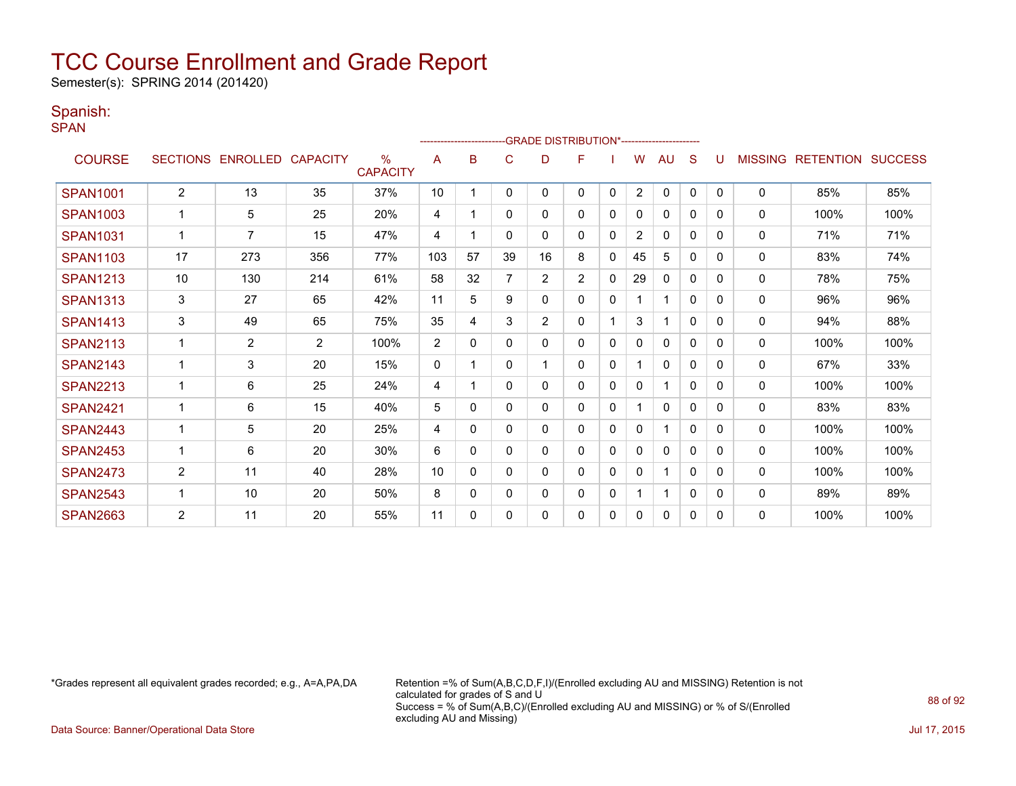Semester(s): SPRING 2014 (201420)

#### Spanish:

SPAN

|                 |                |                   |                 |                                  |             | --------------------- |          | <b>GRADE DISTRIBUTION*-----------------------</b> |                |              |                |              |              |              |                |                          |      |
|-----------------|----------------|-------------------|-----------------|----------------------------------|-------------|-----------------------|----------|---------------------------------------------------|----------------|--------------|----------------|--------------|--------------|--------------|----------------|--------------------------|------|
| <b>COURSE</b>   |                | SECTIONS ENROLLED | <b>CAPACITY</b> | $\frac{0}{0}$<br><b>CAPACITY</b> | A           | B                     | C        | D                                                 | F              |              | W              | AU           | S            |              | <b>MISSING</b> | <b>RETENTION SUCCESS</b> |      |
| <b>SPAN1001</b> | $\overline{2}$ | 13                | 35              | 37%                              | 10          |                       | 0        | 0                                                 | 0              | $\mathbf{0}$ | $\overline{2}$ | $\mathbf{0}$ | $\Omega$     | $\Omega$     | $\Omega$       | 85%                      | 85%  |
| <b>SPAN1003</b> |                | 5                 | 25              | 20%                              | 4           |                       | 0        | 0                                                 | 0              | $\mathbf{0}$ | $\mathbf{0}$   | $\mathbf{0}$ | $\mathbf{0}$ | 0            | $\mathbf{0}$   | 100%                     | 100% |
| <b>SPAN1031</b> | $\mathbf 1$    | 7                 | 15              | 47%                              | 4           | 1                     | 0        | 0                                                 | 0              | 0            | $\overline{2}$ | 0            | 0            | 0            | 0              | 71%                      | 71%  |
| <b>SPAN1103</b> | 17             | 273               | 356             | 77%                              | 103         | 57                    | 39       | 16                                                | 8              | 0            | 45             | 5            | $\mathbf{0}$ | $\Omega$     | 0              | 83%                      | 74%  |
| <b>SPAN1213</b> | 10             | 130               | 214             | 61%                              | 58          | 32                    |          | $\overline{2}$                                    | $\overline{2}$ | $\mathbf{0}$ | 29             | $\mathbf{0}$ | $\mathbf{0}$ | $\mathbf{0}$ | 0              | 78%                      | 75%  |
| <b>SPAN1313</b> | 3              | 27                | 65              | 42%                              | 11          | 5                     | 9        | 0                                                 | 0              | $\mathbf{0}$ |                | 1            | $\mathbf{0}$ | $\Omega$     | $\Omega$       | 96%                      | 96%  |
| <b>SPAN1413</b> | 3              | 49                | 65              | 75%                              | 35          | 4                     | 3        | $\overline{2}$                                    | 0              |              | 3              | 1            | $\Omega$     | $\Omega$     | 0              | 94%                      | 88%  |
| <b>SPAN2113</b> | 1              | $\overline{2}$    | 2               | 100%                             | 2           | $\mathbf{0}$          | $\Omega$ | 0                                                 | 0              | $\mathbf 0$  | 0              | $\mathbf{0}$ | $\Omega$     | $\Omega$     | $\mathbf{0}$   | 100%                     | 100% |
| <b>SPAN2143</b> |                | 3                 | 20              | 15%                              | $\mathbf 0$ |                       | 0        |                                                   | 0              | 0            |                | $\mathbf{0}$ | $\Omega$     | 0            | 0              | 67%                      | 33%  |
| <b>SPAN2213</b> |                | 6                 | 25              | 24%                              | 4           |                       | 0        | 0                                                 | 0              | 0            | 0              |              | $\Omega$     | $\Omega$     | 0              | 100%                     | 100% |
| <b>SPAN2421</b> |                | 6                 | 15              | 40%                              | 5           | 0                     | 0        | 0                                                 | 0              | 0            |                | $\mathbf{0}$ | $\mathbf{0}$ | 0            | $\mathbf{0}$   | 83%                      | 83%  |
| <b>SPAN2443</b> | 1              | 5                 | 20              | 25%                              | 4           | 0                     | 0        | 0                                                 | 0              | 0            | 0              | 1            | 0            | 0            | 0              | 100%                     | 100% |
| <b>SPAN2453</b> |                | 6                 | 20              | 30%                              | 6           | 0                     | 0        | 0                                                 | 0              | 0            | 0              | 0            | 0            | 0            | 0              | 100%                     | 100% |
| <b>SPAN2473</b> | $\overline{2}$ | 11                | 40              | 28%                              | 10          | 0                     | 0        | 0                                                 | 0              | 0            | 0              | 1            | 0            | 0            | 0              | 100%                     | 100% |
| <b>SPAN2543</b> |                | 10                | 20              | 50%                              | 8           | 0                     | 0        | 0                                                 | 0              | 0            |                | 1            | $\mathbf{0}$ | $\Omega$     | 0              | 89%                      | 89%  |
| <b>SPAN2663</b> | $\overline{2}$ | 11                | 20              | 55%                              | 11          | 0                     | 0        | 0                                                 | 0              | 0            | 0              | 0            | 0            | $\Omega$     | 0              | 100%                     | 100% |

\*Grades represent all equivalent grades recorded; e.g., A=A,PA,DA Retention =% of Sum(A,B,C,D,F,I)/(Enrolled excluding AU and MISSING) Retention is not calculated for grades of S and U Success = % of Sum(A,B,C)/(Enrolled excluding AU and MISSING) or % of S/(Enrolled excluding AU and Missing)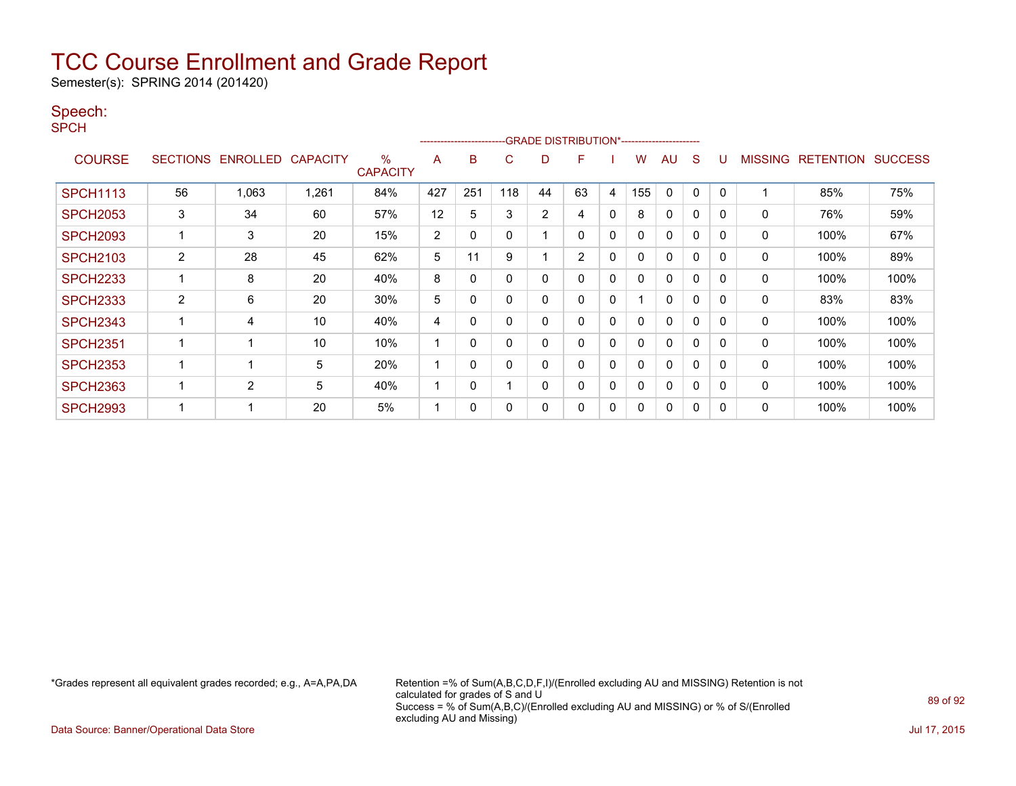Semester(s): SPRING 2014 (201420)

#### Speech:

SPCH

|                 |                |                            |       |                      |                | ----------------------- |             |                | -GRADE DISTRIBUTION*----------------------- |              |     |             |              |          |                |                  |                |
|-----------------|----------------|----------------------------|-------|----------------------|----------------|-------------------------|-------------|----------------|---------------------------------------------|--------------|-----|-------------|--------------|----------|----------------|------------------|----------------|
| <b>COURSE</b>   |                | SECTIONS ENROLLED CAPACITY |       | %<br><b>CAPACITY</b> | A              | B                       | C           | D              | F                                           |              | w   | AU          | S            |          | <b>MISSING</b> | <b>RETENTION</b> | <b>SUCCESS</b> |
| <b>SPCH1113</b> | 56             | 1,063                      | 1,261 | 84%                  | 427            | 251                     | 118         | 44             | 63                                          | 4            | 155 | $\mathbf 0$ | 0            | 0        |                | 85%              | 75%            |
| <b>SPCH2053</b> | 3              | 34                         | 60    | 57%                  | 12             | 5                       | 3           | $\overline{2}$ | 4                                           | $\mathbf 0$  | 8   | 0           | 0            | 0        | 0              | 76%              | 59%            |
| <b>SPCH2093</b> |                | 3                          | 20    | 15%                  | $\overline{2}$ | 0                       | $\Omega$    |                | 0                                           | $\mathbf{0}$ |     | $\Omega$    | $\Omega$     | 0        | 0              | 100%             | 67%            |
| <b>SPCH2103</b> | $\overline{2}$ | 28                         | 45    | 62%                  | 5              | 11                      | 9           |                | $\overline{2}$                              | 0            | 0   | 0           | 0            | 0        | 0              | 100%             | 89%            |
| <b>SPCH2233</b> |                | 8                          | 20    | 40%                  | 8              | 0                       | 0           | 0              | 0                                           | 0            |     | 0           | 0            | 0        | 0              | 100%             | 100%           |
| <b>SPCH2333</b> | $\overline{2}$ | 6                          | 20    | 30%                  | 5              | 0                       | $\mathbf 0$ | 0              | 0                                           | 0            |     | 0           | 0            |          | 0              | 83%              | 83%            |
| <b>SPCH2343</b> |                | 4                          | 10    | 40%                  | 4              | 0                       | 0           | 0              | 0                                           | $\mathbf{0}$ | 0   | 0           | 0            | 0        | 0              | 100%             | 100%           |
| <b>SPCH2351</b> |                |                            | 10    | 10%                  | 1              | 0                       | $\Omega$    | 0              | 0                                           | 0            |     | $\Omega$    | 0            | 0        | 0              | 100%             | 100%           |
| <b>SPCH2353</b> |                |                            | 5     | 20%                  | 1              | 0                       | $\mathbf 0$ | 0              | 0                                           | 0            |     | 0           | 0            | 0        | 0              | 100%             | 100%           |
| <b>SPCH2363</b> |                | 2                          | 5     | 40%                  | 1              | $\Omega$                |             | $\Omega$       | $\Omega$                                    | $\mathbf{0}$ |     | $\Omega$    | $\mathbf{0}$ | $\Omega$ | 0              | 100%             | 100%           |
| <b>SPCH2993</b> |                |                            | 20    | 5%                   | -4             | 0                       | $\mathbf 0$ | 0              | 0                                           | 0            |     | $\Omega$    | 0            |          | $\Omega$       | 100%             | 100%           |

\*Grades represent all equivalent grades recorded; e.g., A=A,PA,DA Retention =% of Sum(A,B,C,D,F,I)/(Enrolled excluding AU and MISSING) Retention is not calculated for grades of S and U Success = % of Sum(A,B,C)/(Enrolled excluding AU and MISSING) or % of S/(Enrolled excluding AU and Missing)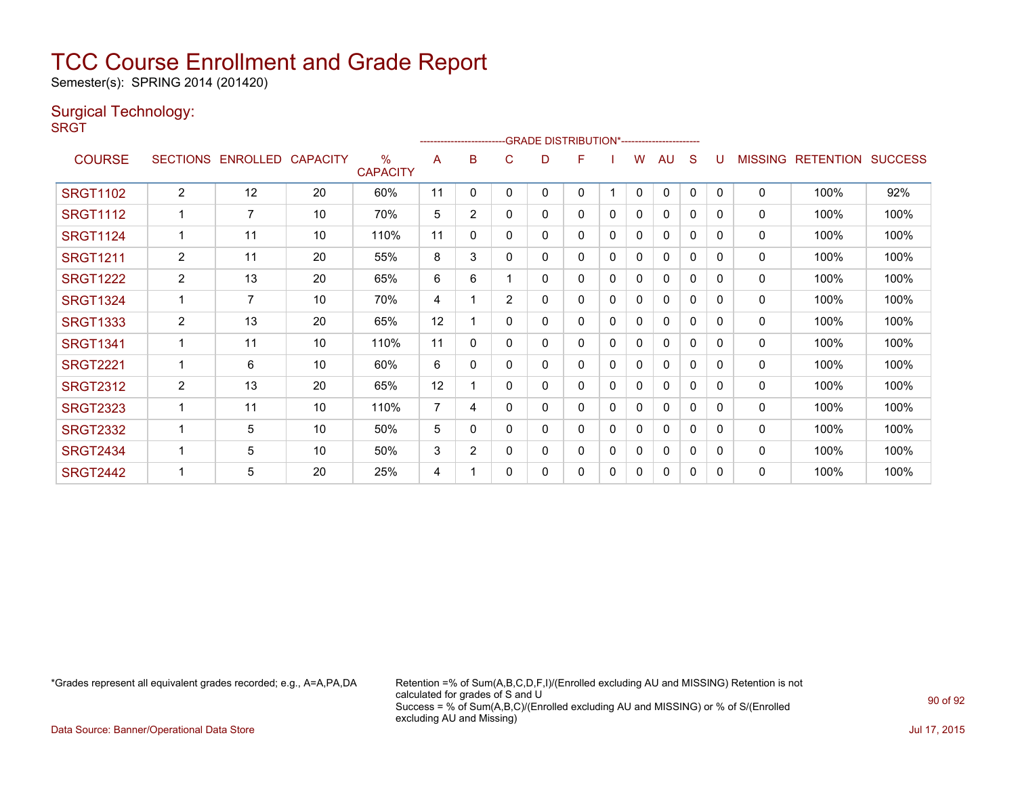Semester(s): SPRING 2014 (201420)

### Surgical Technology:

**SRGT** 

|                 |                 |                 |                 |                         |                | ----------------------- |   |   | -GRADE DISTRIBUTION*----------------------- |   |              |              |              |              |                |                  |                |
|-----------------|-----------------|-----------------|-----------------|-------------------------|----------------|-------------------------|---|---|---------------------------------------------|---|--------------|--------------|--------------|--------------|----------------|------------------|----------------|
| <b>COURSE</b>   | <b>SECTIONS</b> | <b>ENROLLED</b> | <b>CAPACITY</b> | $\%$<br><b>CAPACITY</b> | A              | B                       | C | D |                                             |   | w            | AU           | S            |              | <b>MISSING</b> | <b>RETENTION</b> | <b>SUCCESS</b> |
| <b>SRGT1102</b> | $\overline{2}$  | 12              | 20              | 60%                     | 11             | $\mathbf{0}$            | 0 | 0 | 0                                           |   | $\mathbf{0}$ | $\Omega$     | $\mathbf{0}$ | $\mathbf{0}$ | $\Omega$       | 100%             | 92%            |
| <b>SRGT1112</b> |                 | 7               | 10              | 70%                     | 5              | $\overline{2}$          | 0 | 0 | 0                                           | 0 | 0            | 0            | 0            | 0            | $\mathbf{0}$   | 100%             | 100%           |
| <b>SRGT1124</b> |                 | 11              | 10              | 110%                    | 11             | 0                       | 0 | 0 | 0                                           | 0 | 0            | 0            | $\Omega$     | $\Omega$     | 0              | 100%             | 100%           |
| <b>SRGT1211</b> | $\overline{2}$  | 11              | 20              | 55%                     | 8              | 3                       | 0 | 0 | 0                                           | 0 | 0            | $\mathbf{0}$ | 0            | 0            | $\mathbf{0}$   | 100%             | 100%           |
| <b>SRGT1222</b> | $\overline{2}$  | 13              | 20              | 65%                     | 6              | 6                       |   | 0 | 0                                           | 0 | 0            | 0            | 0            | $\mathbf{0}$ | 0              | 100%             | 100%           |
| <b>SRGT1324</b> |                 | $\overline{7}$  | 10              | 70%                     | 4              |                         | 2 | 0 | 0                                           | 0 | 0            | $\mathbf{0}$ | 0            | $\Omega$     | $\mathbf{0}$   | 100%             | 100%           |
| <b>SRGT1333</b> | $\overline{2}$  | 13              | 20              | 65%                     | 12             |                         | 0 | 0 | 0                                           | 0 | 0            | 0            | 0            | 0            | 0              | 100%             | 100%           |
| <b>SRGT1341</b> |                 | 11              | 10              | 110%                    | 11             | $\Omega$                | 0 | 0 | 0                                           | 0 | 0            | 0            | 0            | $\Omega$     | 0              | 100%             | 100%           |
| <b>SRGT2221</b> |                 | 6               | 10              | 60%                     | 6              | 0                       | 0 | 0 | 0                                           | 0 | 0            | 0            | 0            | $\Omega$     | $\mathbf{0}$   | 100%             | 100%           |
| <b>SRGT2312</b> | $\overline{2}$  | 13              | 20              | 65%                     | 12             |                         | 0 | 0 | 0                                           | 0 | 0            | 0            | 0            | 0            | $\mathbf{0}$   | 100%             | 100%           |
| <b>SRGT2323</b> | $\mathbf 1$     | 11              | 10              | 110%                    | $\overline{7}$ | 4                       | 0 | 0 | 0                                           | 0 | 0            | $\mathbf{0}$ | 0            | $\mathbf{0}$ | $\mathbf{0}$   | 100%             | 100%           |
| <b>SRGT2332</b> |                 | 5               | 10              | 50%                     | 5              | $\Omega$                | 0 | 0 | 0                                           | 0 | 0            | $\Omega$     | 0            | $\Omega$     | $\mathbf{0}$   | 100%             | 100%           |
| <b>SRGT2434</b> |                 | 5               | 10              | 50%                     | 3              | $\overline{2}$          | 0 | 0 | 0                                           | 0 | 0            | 0            | 0            | 0            | 0              | 100%             | 100%           |
| <b>SRGT2442</b> |                 | 5               | 20              | 25%                     | 4              |                         | 0 | 0 | 0                                           | 0 | 0            | $\mathbf{0}$ | $\Omega$     | $\Omega$     | 0              | 100%             | 100%           |

\*Grades represent all equivalent grades recorded; e.g., A=A,PA,DA Retention =% of Sum(A,B,C,D,F,I)/(Enrolled excluding AU and MISSING) Retention is not calculated for grades of S and U Success = % of Sum(A,B,C)/(Enrolled excluding AU and MISSING) or % of S/(Enrolled excluding AU and Missing)

Data Source: Banner/Operational Data Store Jul 17, 2015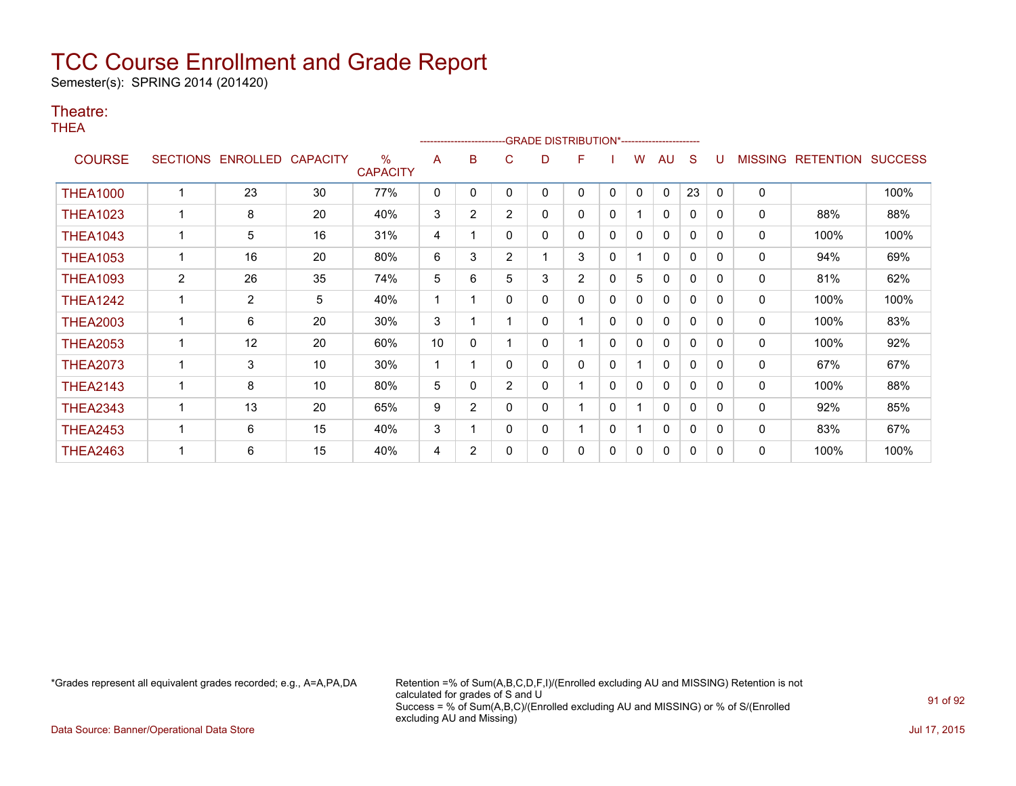Semester(s): SPRING 2014 (201420)

#### Theatre:

THEA

|                 |                 |                |                 |                         |    |                |                | ------------------------GRADE                DISTRIBUTION*---------------------- |                |          |              |    |              |          |                |                  |                |
|-----------------|-----------------|----------------|-----------------|-------------------------|----|----------------|----------------|----------------------------------------------------------------------------------|----------------|----------|--------------|----|--------------|----------|----------------|------------------|----------------|
| <b>COURSE</b>   | <b>SECTIONS</b> | ENROLLED       | <b>CAPACITY</b> | $\%$<br><b>CAPACITY</b> | A  | B              | C              | D                                                                                | F              |          | w            | AU | S            |          | <b>MISSING</b> | <b>RETENTION</b> | <b>SUCCESS</b> |
| <b>THEA1000</b> |                 | 23             | 30              | 77%                     | 0  | 0              | 0              | 0                                                                                | 0              | 0        | $\mathbf{0}$ | 0  | 23           | $\Omega$ | 0              |                  | 100%           |
| <b>THEA1023</b> |                 | 8              | 20              | 40%                     | 3  | 2              | $\overline{2}$ | 0                                                                                | 0              | 0        |              | 0  | 0            | 0        | 0              | 88%              | 88%            |
| <b>THEA1043</b> |                 | 5              | 16              | 31%                     | 4  |                | 0              | 0                                                                                | 0              | 0        | 0            | 0  | 0            | $\Omega$ | 0              | 100%             | 100%           |
| <b>THEA1053</b> |                 | 16             | 20              | 80%                     | 6  | 3              | $\overline{2}$ |                                                                                  | 3              | 0        |              | 0  | 0            | 0        | 0              | 94%              | 69%            |
| <b>THEA1093</b> | $\overline{2}$  | 26             | 35              | 74%                     | 5  | 6              | 5              | 3                                                                                | $\overline{2}$ | 0        | 5            | 0  | $\mathbf 0$  | $\Omega$ | 0              | 81%              | 62%            |
| <b>THEA1242</b> |                 | $\overline{2}$ | 5               | 40%                     | 1  |                | 0              | 0                                                                                | 0              | 0        | 0            | 0  | $\mathbf{0}$ | 0        | 0              | 100%             | 100%           |
| <b>THEA2003</b> |                 | 6              | 20              | 30%                     | 3  |                |                | 0                                                                                |                | 0        | 0            | 0  | $\mathbf{0}$ | 0        | 0              | 100%             | 83%            |
| <b>THEA2053</b> |                 | 12             | 20              | 60%                     | 10 | $\mathbf{0}$   |                | 0                                                                                |                | $\Omega$ | 0            | 0  | 0            | 0        | 0              | 100%             | 92%            |
| <b>THEA2073</b> |                 | 3              | 10              | 30%                     | 1  |                | 0              | 0                                                                                | 0              | 0        |              | 0  | $\mathbf{0}$ | $\Omega$ | 0              | 67%              | 67%            |
| <b>THEA2143</b> |                 | 8              | 10              | 80%                     | 5  | 0              | $\overline{2}$ | 0                                                                                |                | 0        | 0            | 0  | 0            | $\Omega$ | 0              | 100%             | 88%            |
| <b>THEA2343</b> |                 | 13             | 20              | 65%                     | 9  | $\overline{2}$ | 0              | 0                                                                                |                | 0        |              | 0  | $\mathbf{0}$ | $\Omega$ | 0              | 92%              | 85%            |
| <b>THEA2453</b> |                 | 6              | 15              | 40%                     | 3  |                | 0              | 0                                                                                |                | 0        |              | 0  | $\mathbf{0}$ | $\Omega$ | 0              | 83%              | 67%            |
| <b>THEA2463</b> |                 | 6              | 15              | 40%                     | 4  | $\overline{2}$ | 0              | 0                                                                                | 0              | 0        | 0            | 0  | 0            | 0        | 0              | 100%             | 100%           |

\*Grades represent all equivalent grades recorded; e.g., A=A,PA,DA Retention =% of Sum(A,B,C,D,F,I)/(Enrolled excluding AU and MISSING) Retention is not calculated for grades of S and U Success = % of Sum(A,B,C)/(Enrolled excluding AU and MISSING) or % of S/(Enrolled excluding AU and Missing)